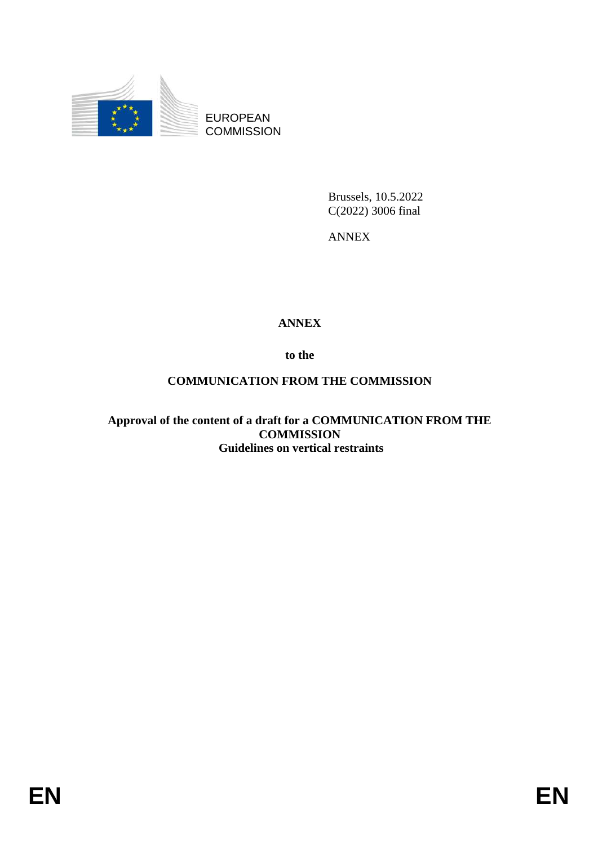

EUROPEAN **COMMISSION** 

> Brussels, 10.5.2022 C(2022) 3006 final

ANNEX

# **ANNEX**

**to the**

# **COMMUNICATION FROM THE COMMISSION**

**Approval of the content of a draft for a COMMUNICATION FROM THE COMMISSION Guidelines on vertical restraints**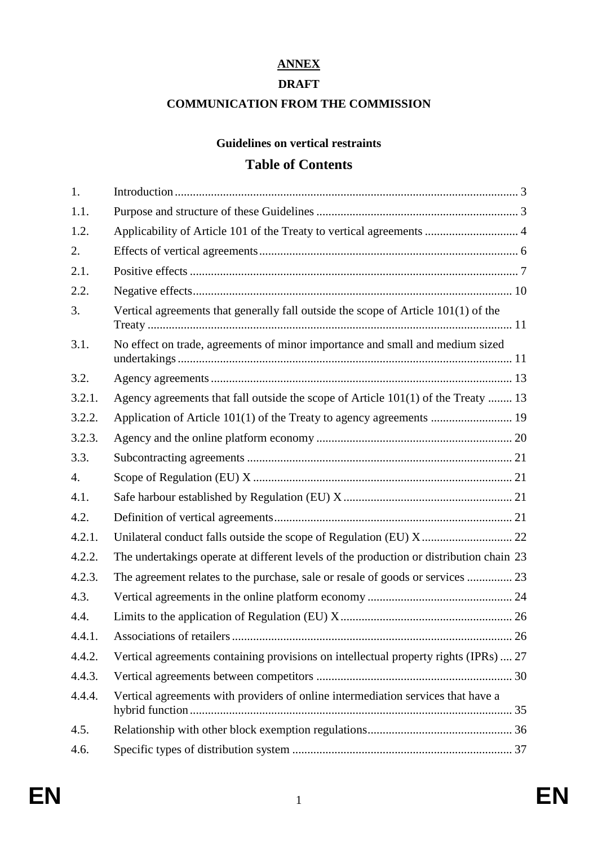# **ANNEX**

## **DRAFT**

## **COMMUNICATION FROM THE COMMISSION**

# **Guidelines on vertical restraints Table of Contents**

| 1.     |                                                                                         |
|--------|-----------------------------------------------------------------------------------------|
| 1.1.   |                                                                                         |
| 1.2.   | Applicability of Article 101 of the Treaty to vertical agreements  4                    |
| 2.     |                                                                                         |
| 2.1.   |                                                                                         |
| 2.2.   |                                                                                         |
| 3.     | Vertical agreements that generally fall outside the scope of Article 101(1) of the      |
| 3.1.   | No effect on trade, agreements of minor importance and small and medium sized           |
| 3.2.   |                                                                                         |
| 3.2.1. | Agency agreements that fall outside the scope of Article 101(1) of the Treaty  13       |
| 3.2.2. | Application of Article 101(1) of the Treaty to agency agreements  19                    |
| 3.2.3. |                                                                                         |
| 3.3.   |                                                                                         |
| 4.     |                                                                                         |
| 4.1.   |                                                                                         |
| 4.2.   |                                                                                         |
| 4.2.1. |                                                                                         |
| 4.2.2. | The undertakings operate at different levels of the production or distribution chain 23 |
| 4.2.3. | The agreement relates to the purchase, sale or resale of goods or services  23          |
| 4.3.   |                                                                                         |
| 4.4.   |                                                                                         |
| 4.4.1. |                                                                                         |
| 4.4.2. | Vertical agreements containing provisions on intellectual property rights (IPRs)  27    |
| 4.4.3. |                                                                                         |
| 4.4.4. | Vertical agreements with providers of online intermediation services that have a        |
| 4.5.   |                                                                                         |
| 4.6.   |                                                                                         |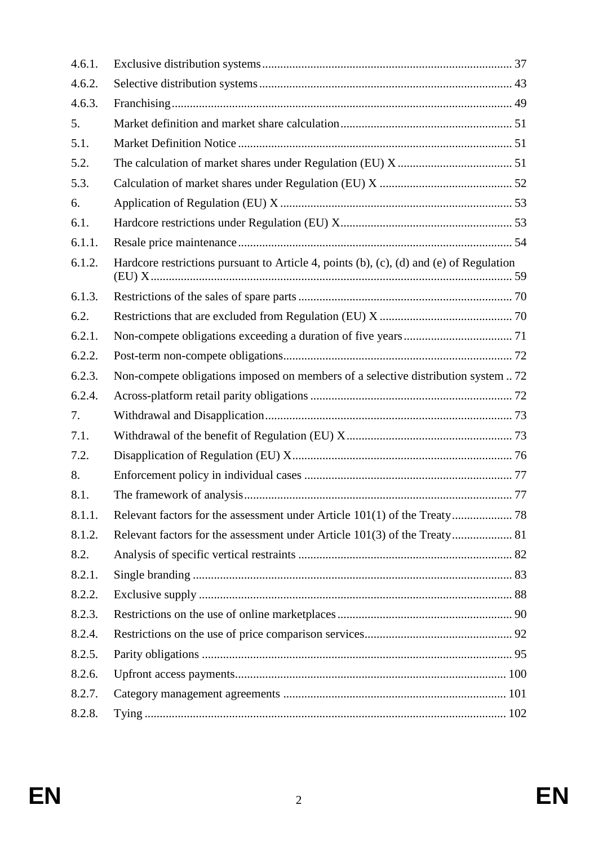| 4.6.1. |                                                                                         |  |
|--------|-----------------------------------------------------------------------------------------|--|
| 4.6.2. |                                                                                         |  |
| 4.6.3. |                                                                                         |  |
| 5.     |                                                                                         |  |
| 5.1.   |                                                                                         |  |
| 5.2.   |                                                                                         |  |
| 5.3.   |                                                                                         |  |
| 6.     |                                                                                         |  |
| 6.1.   |                                                                                         |  |
| 6.1.1. |                                                                                         |  |
| 6.1.2. | Hardcore restrictions pursuant to Article 4, points (b), (c), (d) and (e) of Regulation |  |
| 6.1.3. |                                                                                         |  |
| 6.2.   |                                                                                         |  |
| 6.2.1. |                                                                                         |  |
| 6.2.2. |                                                                                         |  |
| 6.2.3. | Non-compete obligations imposed on members of a selective distribution system  72       |  |
| 6.2.4. |                                                                                         |  |
| 7.     |                                                                                         |  |
| 7.1.   |                                                                                         |  |
| 7.2.   |                                                                                         |  |
| 8.     |                                                                                         |  |
| 8.1.   |                                                                                         |  |
| 8.1.1. |                                                                                         |  |
| 8.1.2. |                                                                                         |  |
| 8.2.   |                                                                                         |  |
| 8.2.1. |                                                                                         |  |
| 8.2.2. |                                                                                         |  |
| 8.2.3. |                                                                                         |  |
| 8.2.4. |                                                                                         |  |
| 8.2.5. |                                                                                         |  |
| 8.2.6. |                                                                                         |  |
| 8.2.7. |                                                                                         |  |
| 8.2.8. |                                                                                         |  |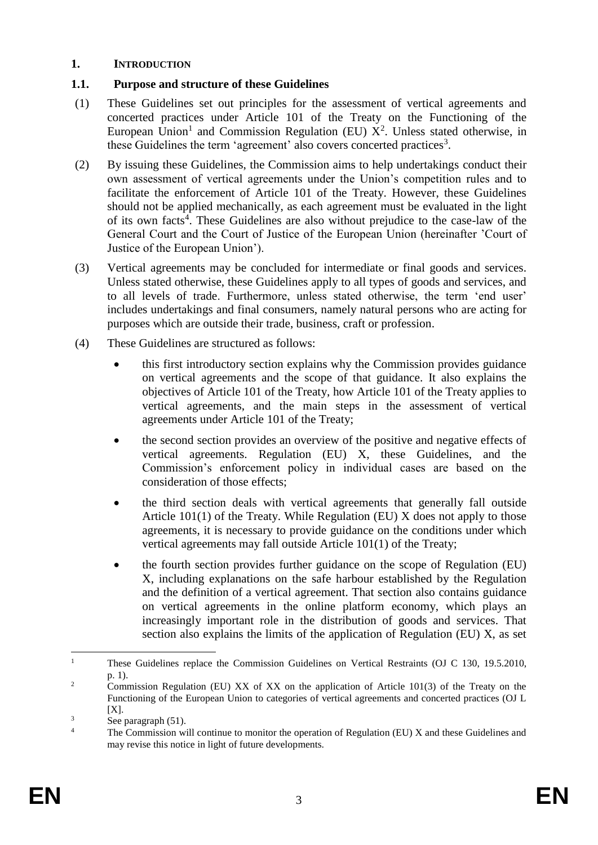#### <span id="page-3-0"></span>**1. INTRODUCTION**

#### <span id="page-3-1"></span>**1.1. Purpose and structure of these Guidelines**

- (1) These Guidelines set out principles for the assessment of vertical agreements and concerted practices under Article 101 of the Treaty on the Functioning of the European Union<sup>1</sup> and Commission Regulation (EU)  $X^2$ . Unless stated otherwise, in these Guidelines the term 'agreement' also covers concerted practices<sup>3</sup>.
- (2) By issuing these Guidelines, the Commission aims to help undertakings conduct their own assessment of vertical agreements under the Union's competition rules and to facilitate the enforcement of Article 101 of the Treaty. However, these Guidelines should not be applied mechanically, as each agreement must be evaluated in the light of its own facts<sup>4</sup>. These Guidelines are also without prejudice to the case-law of the General Court and the Court of Justice of the European Union (hereinafter 'Court of Justice of the European Union').
- (3) Vertical agreements may be concluded for intermediate or final goods and services. Unless stated otherwise, these Guidelines apply to all types of goods and services, and to all levels of trade. Furthermore, unless stated otherwise, the term 'end user' includes undertakings and final consumers, namely natural persons who are acting for purposes which are outside their trade, business, craft or profession.
- (4) These Guidelines are structured as follows:
	- this first introductory section explains why the Commission provides guidance on vertical agreements and the scope of that guidance. It also explains the objectives of Article 101 of the Treaty, how Article 101 of the Treaty applies to vertical agreements, and the main steps in the assessment of vertical agreements under Article 101 of the Treaty;
	- the second section provides an overview of the positive and negative effects of vertical agreements. Regulation (EU) X, these Guidelines, and the Commission's enforcement policy in individual cases are based on the consideration of those effects;
	- the third section deals with vertical agreements that generally fall outside Article 101(1) of the Treaty. While Regulation (EU) X does not apply to those agreements, it is necessary to provide guidance on the conditions under which vertical agreements may fall outside Article 101(1) of the Treaty;
	- the fourth section provides further guidance on the scope of Regulation (EU) X, including explanations on the safe harbour established by the Regulation and the definition of a vertical agreement. That section also contains guidance on vertical agreements in the online platform economy, which plays an increasingly important role in the distribution of goods and services. That section also explains the limits of the application of Regulation (EU) X, as set

1

<sup>&</sup>lt;sup>1</sup> These Guidelines replace the Commission Guidelines on Vertical Restraints (OJ C 130, 19.5.2010, p. 1).

<sup>&</sup>lt;sup>2</sup> Commission Regulation (EU) XX of XX on the application of Article 101(3) of the Treaty on the Functioning of the European Union to categories of vertical agreements and concerted practices (OJ L [X].

 $\frac{3}{4}$  See paragraph (51).

The Commission will continue to monitor the operation of Regulation (EU) X and these Guidelines and may revise this notice in light of future developments.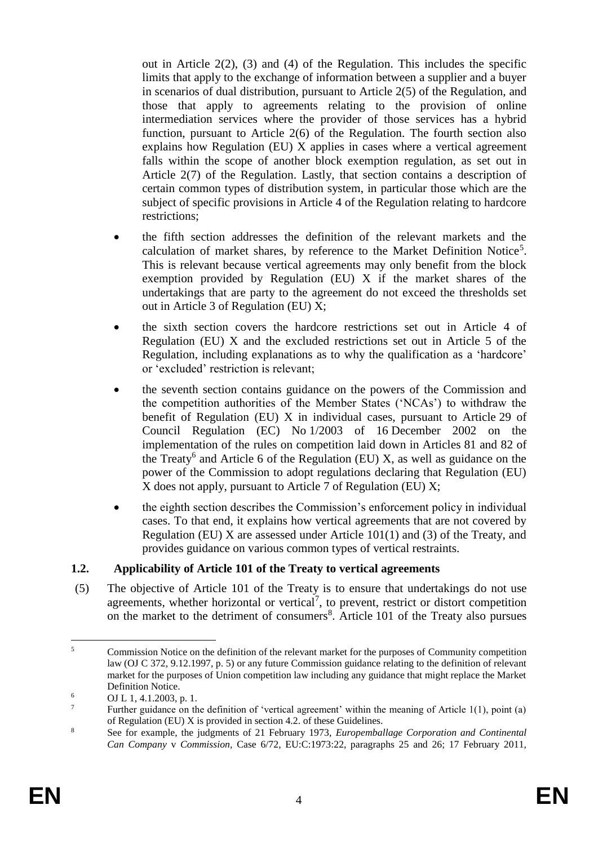out in Article 2(2), (3) and (4) of the Regulation. This includes the specific limits that apply to the exchange of information between a supplier and a buyer in scenarios of dual distribution, pursuant to Article 2(5) of the Regulation, and those that apply to agreements relating to the provision of online intermediation services where the provider of those services has a hybrid function, pursuant to Article 2(6) of the Regulation. The fourth section also explains how Regulation (EU) X applies in cases where a vertical agreement falls within the scope of another block exemption regulation, as set out in Article 2(7) of the Regulation. Lastly, that section contains a description of certain common types of distribution system, in particular those which are the subject of specific provisions in Article 4 of the Regulation relating to hardcore restrictions;

- the fifth section addresses the definition of the relevant markets and the calculation of market shares, by reference to the Market Definition Notice<sup>5</sup>. This is relevant because vertical agreements may only benefit from the block exemption provided by Regulation (EU) X if the market shares of the undertakings that are party to the agreement do not exceed the thresholds set out in Article 3 of Regulation (EU) X;
- the sixth section covers the hardcore restrictions set out in Article 4 of Regulation (EU) X and the excluded restrictions set out in Article 5 of the Regulation, including explanations as to why the qualification as a 'hardcore' or 'excluded' restriction is relevant;
- the seventh section contains guidance on the powers of the Commission and the competition authorities of the Member States ('NCAs') to withdraw the benefit of Regulation (EU) X in individual cases, pursuant to Article 29 of Council Regulation (EC) No 1/2003 of 16 December 2002 on the implementation of the rules on competition laid down in Articles 81 and 82 of the Treaty<sup>6</sup> and Article 6 of the Regulation (EU) X, as well as guidance on the power of the Commission to adopt regulations declaring that Regulation (EU) X does not apply, pursuant to Article 7 of Regulation (EU) X;
- the eighth section describes the Commission's enforcement policy in individual cases. To that end, it explains how vertical agreements that are not covered by Regulation (EU) X are assessed under Article  $101(1)$  and (3) of the Treaty, and provides guidance on various common types of vertical restraints.

## <span id="page-4-0"></span>**1.2. Applicability of Article 101 of the Treaty to vertical agreements**

(5) The objective of Article 101 of the Treaty is to ensure that undertakings do not use agreements, whether horizontal or vertical<sup>7</sup>, to prevent, restrict or distort competition on the market to the detriment of consumers<sup>8</sup>. Article 101 of the Treaty also pursues

<sup>1</sup> <sup>5</sup> Commission Notice on the definition of the relevant market for the purposes of Community competition law (OJ C 372, 9.12.1997, p. 5) or any future Commission guidance relating to the definition of relevant market for the purposes of Union competition law including any guidance that might replace the Market Definition Notice.

 $\frac{6}{7}$  OJ L 1, 4.1.2003, p. 1.

Further guidance on the definition of 'vertical agreement' within the meaning of Article 1(1), point (a) of Regulation (EU) X is provided in section 4.2. of these Guidelines.

<sup>8</sup> See for example, the judgments of 21 February 1973, *Europemballage Corporation and Continental Can Company* v *Commission,* Case 6/72, EU:C:1973:22, paragraphs 25 and 26; 17 February 2011,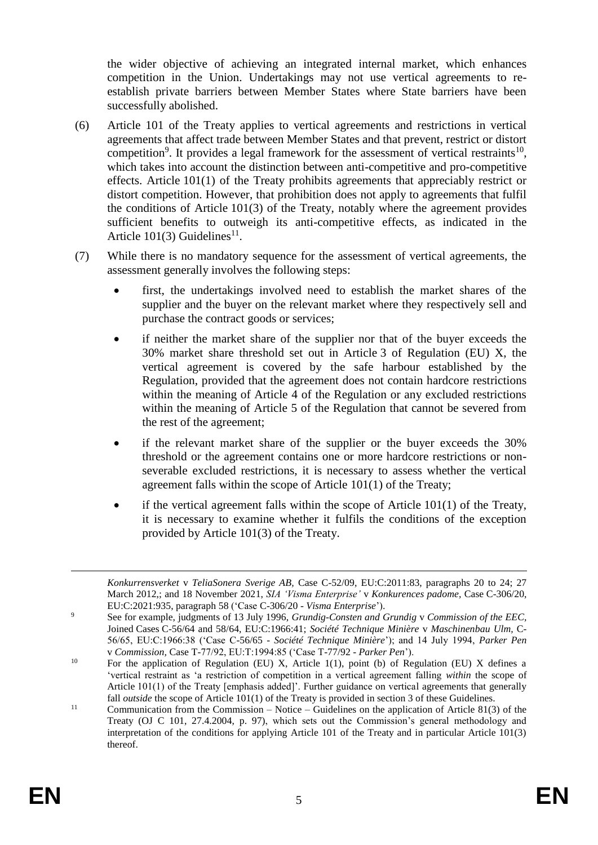the wider objective of achieving an integrated internal market, which enhances competition in the Union. Undertakings may not use vertical agreements to reestablish private barriers between Member States where State barriers have been successfully abolished.

- (6) Article 101 of the Treaty applies to vertical agreements and restrictions in vertical agreements that affect trade between Member States and that prevent, restrict or distort competition<sup>9</sup>. It provides a legal framework for the assessment of vertical restraints<sup>10</sup>, which takes into account the distinction between anti-competitive and pro-competitive effects. Article 101(1) of the Treaty prohibits agreements that appreciably restrict or distort competition. However, that prohibition does not apply to agreements that fulfil the conditions of Article 101(3) of the Treaty, notably where the agreement provides sufficient benefits to outweigh its anti-competitive effects, as indicated in the Article 101(3) Guidelines<sup>11</sup>.
- (7) While there is no mandatory sequence for the assessment of vertical agreements, the assessment generally involves the following steps:
	- first, the undertakings involved need to establish the market shares of the supplier and the buyer on the relevant market where they respectively sell and purchase the contract goods or services;
	- if neither the market share of the supplier nor that of the buyer exceeds the 30% market share threshold set out in Article 3 of Regulation (EU) X, the vertical agreement is covered by the safe harbour established by the Regulation, provided that the agreement does not contain hardcore restrictions within the meaning of Article 4 of the Regulation or any excluded restrictions within the meaning of Article 5 of the Regulation that cannot be severed from the rest of the agreement;
	- if the relevant market share of the supplier or the buyer exceeds the 30% threshold or the agreement contains one or more hardcore restrictions or nonseverable excluded restrictions, it is necessary to assess whether the vertical agreement falls within the scope of Article 101(1) of the Treaty;
	- if the vertical agreement falls within the scope of Article 101(1) of the Treaty, it is necessary to examine whether it fulfils the conditions of the exception provided by Article 101(3) of the Treaty.

1

*Konkurrensverket* v *TeliaSonera Sverige AB,* Case C-52/09, EU:C:2011:83, paragraphs 20 to 24; 27 March 2012,; and 18 November 2021, *SIA 'Visma Enterprise'* v *Konkurences padome,* Case C-306/20, EU:C:2021:935, paragraph 58 ('Case C-306/20 - *Visma Enterprise*').

<sup>9</sup> See for example, judgments of 13 July 1996, *Grundig-Consten and Grundig* v *Commission of the EEC,*  Joined Cases C-56/64 and 58/64, EU:C:1966:41; *Société Technique Minière* v *Maschinenbau Ulm,* C-56/65, EU:C:1966:38 ('Case C-56/65 - *Société Technique Minière*'); and 14 July 1994, *Parker Pen*  v *Commission,* Case T-77/92, EU:T:1994:85 ('Case T-77/92 - *Parker Pen*').

<sup>&</sup>lt;sup>10</sup> For the application of Regulation (EU) X, Article 1(1), point (b) of Regulation (EU) X defines a 'vertical restraint as 'a restriction of competition in a vertical agreement falling *within* the scope of Article 101(1) of the Treaty [emphasis added]'. Further guidance on vertical agreements that generally fall *outside* the scope of Article 101(1) of the Treaty is provided in section 3 of these Guidelines.

<sup>&</sup>lt;sup>11</sup> Communication from the Commission – Notice – Guidelines on the application of Article 81(3) of the Treaty (OJ C 101, 27.4.2004, p. 97), which sets out the Commission's general methodology and interpretation of the conditions for applying Article 101 of the Treaty and in particular Article 101(3) thereof.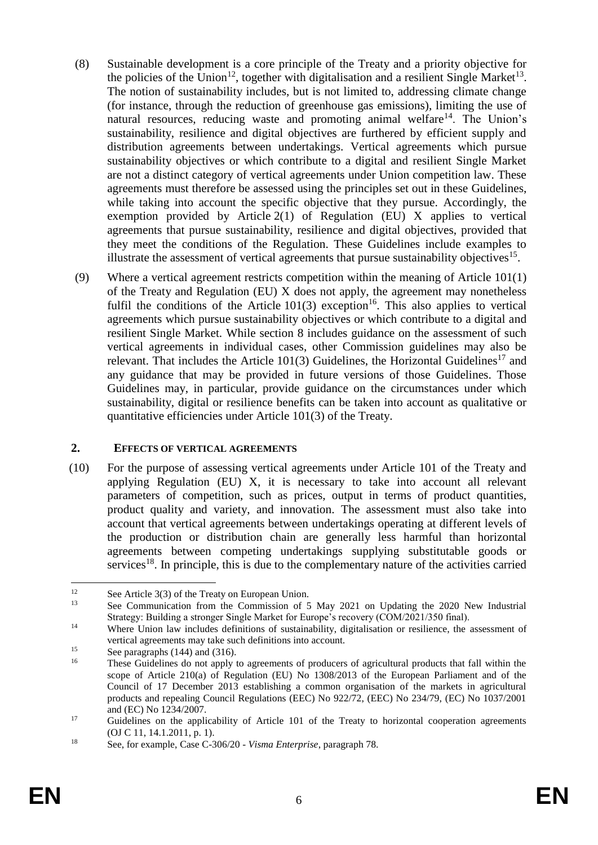- (8) Sustainable development is a core principle of the Treaty and a priority objective for the policies of the Union<sup>12</sup>, together with digitalisation and a resilient Single Market<sup>13</sup>. The notion of sustainability includes, but is not limited to, addressing climate change (for instance, through the reduction of greenhouse gas emissions), limiting the use of natural resources, reducing waste and promoting animal welfare<sup>14</sup>. The Union's sustainability, resilience and digital objectives are furthered by efficient supply and distribution agreements between undertakings. Vertical agreements which pursue sustainability objectives or which contribute to a digital and resilient Single Market are not a distinct category of vertical agreements under Union competition law. These agreements must therefore be assessed using the principles set out in these Guidelines, while taking into account the specific objective that they pursue. Accordingly, the exemption provided by Article  $2(1)$  of Regulation (EU) X applies to vertical agreements that pursue sustainability, resilience and digital objectives, provided that they meet the conditions of the Regulation. These Guidelines include examples to illustrate the assessment of vertical agreements that pursue sustainability objectives<sup>15</sup>.
- (9) Where a vertical agreement restricts competition within the meaning of Article 101(1) of the Treaty and Regulation (EU) X does not apply, the agreement may nonetheless fulfil the conditions of the Article  $101(3)$  exception<sup>16</sup>. This also applies to vertical agreements which pursue sustainability objectives or which contribute to a digital and resilient Single Market. While section 8 includes guidance on the assessment of such vertical agreements in individual cases, other Commission guidelines may also be relevant. That includes the Article  $101(3)$  Guidelines, the Horizontal Guidelines<sup>17</sup> and any guidance that may be provided in future versions of those Guidelines. Those Guidelines may, in particular, provide guidance on the circumstances under which sustainability, digital or resilience benefits can be taken into account as qualitative or quantitative efficiencies under Article 101(3) of the Treaty.

#### <span id="page-6-0"></span>**2. EFFECTS OF VERTICAL AGREEMENTS**

(10) For the purpose of assessing vertical agreements under Article 101 of the Treaty and applying Regulation (EU) X, it is necessary to take into account all relevant parameters of competition, such as prices, output in terms of product quantities, product quality and variety, and innovation. The assessment must also take into account that vertical agreements between undertakings operating at different levels of the production or distribution chain are generally less harmful than horizontal agreements between competing undertakings supplying substitutable goods or services<sup>18</sup>. In principle, this is due to the complementary nature of the activities carried

 $12$ <sup>12</sup> See Article 3(3) of the Treaty on European Union.<br><sup>13</sup> See Communication from the Commission of 5

<sup>13</sup> See Communication from the Commission of 5 May 2021 on Updating the 2020 New Industrial Strategy: Building a stronger Single Market for Europe's recovery (COM/2021/350 final).

<sup>&</sup>lt;sup>14</sup> Where Union law includes definitions of sustainability, digitalisation or resilience, the assessment of vertical agreements may take such definitions into account.

<sup>&</sup>lt;sup>15</sup> See paragraphs  $(144)$  and  $(316)$ .

<sup>16</sup> These Guidelines do not apply to agreements of producers of agricultural products that fall within the scope of Article 210(a) of Regulation (EU) No 1308/2013 of the European Parliament and of the Council of 17 December 2013 establishing a common organisation of the markets in agricultural products and repealing Council Regulations (EEC) No 922/72, (EEC) No 234/79, (EC) No 1037/2001 and (EC) No 1234/2007.

<sup>&</sup>lt;sup>17</sup> Guidelines on the applicability of Article 101 of the Treaty to horizontal cooperation agreements (OJ C 11, 14.1.2011, p. 1).

<sup>18</sup> See, for example, Case C-306/20 - *Visma Enterprise*, paragraph 78.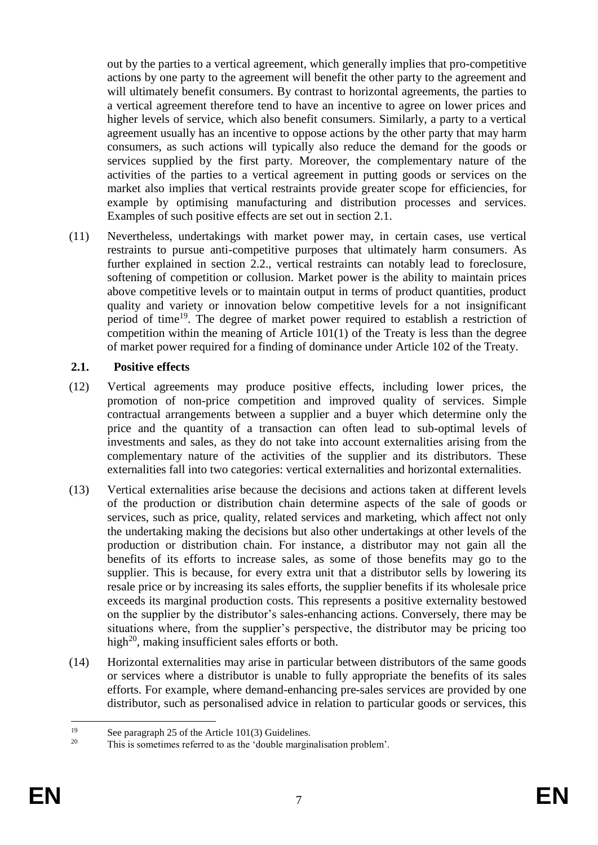out by the parties to a vertical agreement, which generally implies that pro-competitive actions by one party to the agreement will benefit the other party to the agreement and will ultimately benefit consumers. By contrast to horizontal agreements, the parties to a vertical agreement therefore tend to have an incentive to agree on lower prices and higher levels of service, which also benefit consumers. Similarly, a party to a vertical agreement usually has an incentive to oppose actions by the other party that may harm consumers, as such actions will typically also reduce the demand for the goods or services supplied by the first party. Moreover, the complementary nature of the activities of the parties to a vertical agreement in putting goods or services on the market also implies that vertical restraints provide greater scope for efficiencies, for example by optimising manufacturing and distribution processes and services. Examples of such positive effects are set out in section 2.1.

(11) Nevertheless, undertakings with market power may, in certain cases, use vertical restraints to pursue anti-competitive purposes that ultimately harm consumers. As further explained in section 2.2., vertical restraints can notably lead to foreclosure, softening of competition or collusion. Market power is the ability to maintain prices above competitive levels or to maintain output in terms of product quantities, product quality and variety or innovation below competitive levels for a not insignificant period of time<sup>19</sup>. The degree of market power required to establish a restriction of competition within the meaning of Article 101(1) of the Treaty is less than the degree of market power required for a finding of dominance under Article 102 of the Treaty.

## <span id="page-7-0"></span>**2.1. Positive effects**

- (12) Vertical agreements may produce positive effects, including lower prices, the promotion of non-price competition and improved quality of services. Simple contractual arrangements between a supplier and a buyer which determine only the price and the quantity of a transaction can often lead to sub-optimal levels of investments and sales, as they do not take into account externalities arising from the complementary nature of the activities of the supplier and its distributors. These externalities fall into two categories: vertical externalities and horizontal externalities.
- (13) Vertical externalities arise because the decisions and actions taken at different levels of the production or distribution chain determine aspects of the sale of goods or services, such as price, quality, related services and marketing, which affect not only the undertaking making the decisions but also other undertakings at other levels of the production or distribution chain. For instance, a distributor may not gain all the benefits of its efforts to increase sales, as some of those benefits may go to the supplier. This is because, for every extra unit that a distributor sells by lowering its resale price or by increasing its sales efforts, the supplier benefits if its wholesale price exceeds its marginal production costs. This represents a positive externality bestowed on the supplier by the distributor's sales-enhancing actions. Conversely, there may be situations where, from the supplier's perspective, the distributor may be pricing too high $^{20}$ , making insufficient sales efforts or both.
- (14) Horizontal externalities may arise in particular between distributors of the same goods or services where a distributor is unable to fully appropriate the benefits of its sales efforts. For example, where demand-enhancing pre-sales services are provided by one distributor, such as personalised advice in relation to particular goods or services, this

 $19$ <sup>19</sup> See paragraph 25 of the Article 101(3) Guidelines.<br><sup>20</sup> This is comptimed as the three thanks parameters.

This is sometimes referred to as the 'double marginalisation problem'.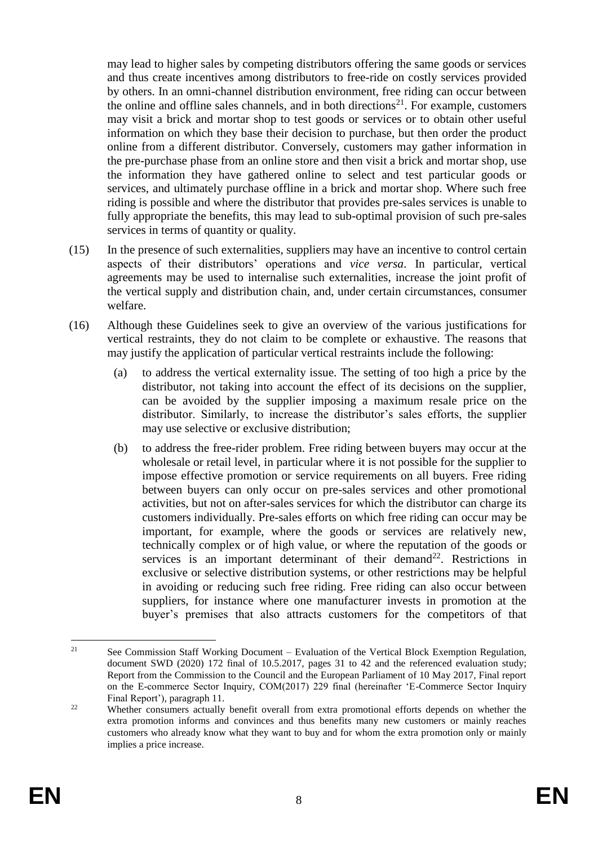may lead to higher sales by competing distributors offering the same goods or services and thus create incentives among distributors to free-ride on costly services provided by others. In an omni-channel distribution environment, free riding can occur between the online and offline sales channels, and in both directions<sup>21</sup>. For example, customers may visit a brick and mortar shop to test goods or services or to obtain other useful information on which they base their decision to purchase, but then order the product online from a different distributor. Conversely, customers may gather information in the pre-purchase phase from an online store and then visit a brick and mortar shop, use the information they have gathered online to select and test particular goods or services, and ultimately purchase offline in a brick and mortar shop. Where such free riding is possible and where the distributor that provides pre-sales services is unable to fully appropriate the benefits, this may lead to sub-optimal provision of such pre-sales services in terms of quantity or quality.

- (15) In the presence of such externalities, suppliers may have an incentive to control certain aspects of their distributors' operations and *vice versa*. In particular, vertical agreements may be used to internalise such externalities, increase the joint profit of the vertical supply and distribution chain, and, under certain circumstances, consumer welfare.
- (16) Although these Guidelines seek to give an overview of the various justifications for vertical restraints, they do not claim to be complete or exhaustive. The reasons that may justify the application of particular vertical restraints include the following:
	- (a) to address the vertical externality issue. The setting of too high a price by the distributor, not taking into account the effect of its decisions on the supplier, can be avoided by the supplier imposing a maximum resale price on the distributor. Similarly, to increase the distributor's sales efforts, the supplier may use selective or exclusive distribution;
	- (b) to address the free-rider problem. Free riding between buyers may occur at the wholesale or retail level, in particular where it is not possible for the supplier to impose effective promotion or service requirements on all buyers. Free riding between buyers can only occur on pre-sales services and other promotional activities, but not on after-sales services for which the distributor can charge its customers individually. Pre-sales efforts on which free riding can occur may be important, for example, where the goods or services are relatively new, technically complex or of high value, or where the reputation of the goods or services is an important determinant of their demand<sup>22</sup>. Restrictions in exclusive or selective distribution systems, or other restrictions may be helpful in avoiding or reducing such free riding. Free riding can also occur between suppliers, for instance where one manufacturer invests in promotion at the buyer's premises that also attracts customers for the competitors of that

 $21$ <sup>21</sup> See Commission Staff Working Document – Evaluation of the Vertical Block Exemption Regulation, document SWD (2020) 172 final of 10.5.2017, pages 31 to 42 and the referenced evaluation study; Report from the Commission to the Council and the European Parliament of 10 May 2017, Final report on the E-commerce Sector Inquiry, COM(2017) 229 final (hereinafter 'E-Commerce Sector Inquiry Final Report'), paragraph 11.

<sup>&</sup>lt;sup>22</sup> Whether consumers actually benefit overall from extra promotional efforts depends on whether the extra promotion informs and convinces and thus benefits many new customers or mainly reaches customers who already know what they want to buy and for whom the extra promotion only or mainly implies a price increase.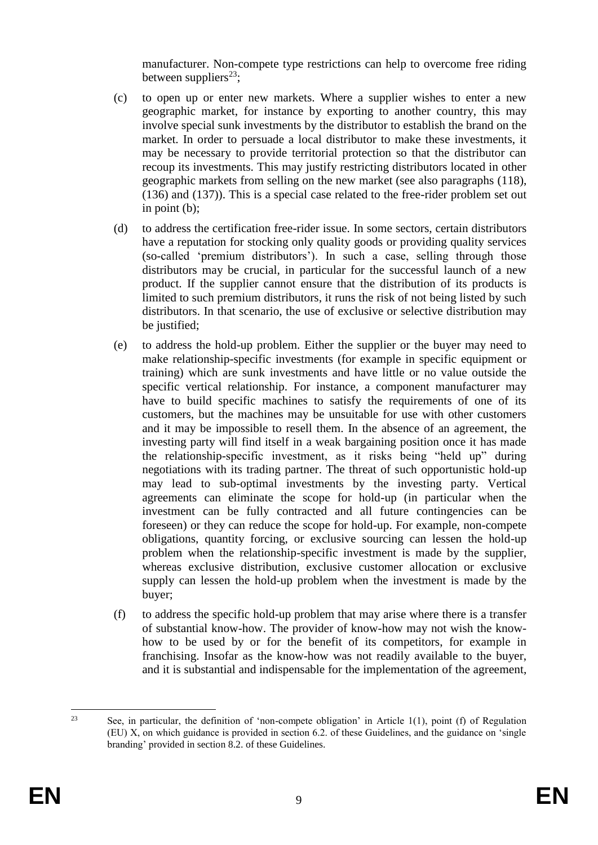manufacturer. Non-compete type restrictions can help to overcome free riding between suppliers<sup>23</sup>;

- (c) to open up or enter new markets. Where a supplier wishes to enter a new geographic market, for instance by exporting to another country, this may involve special sunk investments by the distributor to establish the brand on the market. In order to persuade a local distributor to make these investments, it may be necessary to provide territorial protection so that the distributor can recoup its investments. This may justify restricting distributors located in other geographic markets from selling on the new market (see also paragraphs (118), (136) and (137)). This is a special case related to the free-rider problem set out in point (b);
- (d) to address the certification free-rider issue. In some sectors, certain distributors have a reputation for stocking only quality goods or providing quality services (so-called 'premium distributors'). In such a case, selling through those distributors may be crucial, in particular for the successful launch of a new product. If the supplier cannot ensure that the distribution of its products is limited to such premium distributors, it runs the risk of not being listed by such distributors. In that scenario, the use of exclusive or selective distribution may be justified;
- (e) to address the hold-up problem. Either the supplier or the buyer may need to make relationship-specific investments (for example in specific equipment or training) which are sunk investments and have little or no value outside the specific vertical relationship. For instance, a component manufacturer may have to build specific machines to satisfy the requirements of one of its customers, but the machines may be unsuitable for use with other customers and it may be impossible to resell them. In the absence of an agreement, the investing party will find itself in a weak bargaining position once it has made the relationship-specific investment, as it risks being "held up" during negotiations with its trading partner. The threat of such opportunistic hold-up may lead to sub-optimal investments by the investing party. Vertical agreements can eliminate the scope for hold-up (in particular when the investment can be fully contracted and all future contingencies can be foreseen) or they can reduce the scope for hold-up. For example, non-compete obligations, quantity forcing, or exclusive sourcing can lessen the hold-up problem when the relationship-specific investment is made by the supplier, whereas exclusive distribution, exclusive customer allocation or exclusive supply can lessen the hold-up problem when the investment is made by the buyer;
- (f) to address the specific hold-up problem that may arise where there is a transfer of substantial know-how. The provider of know-how may not wish the knowhow to be used by or for the benefit of its competitors, for example in franchising. Insofar as the know-how was not readily available to the buyer, and it is substantial and indispensable for the implementation of the agreement,

 $23$ See, in particular, the definition of 'non-compete obligation' in Article  $1(1)$ , point (f) of Regulation (EU) X, on which guidance is provided in section 6.2. of these Guidelines, and the guidance on 'single branding' provided in section 8.2. of these Guidelines.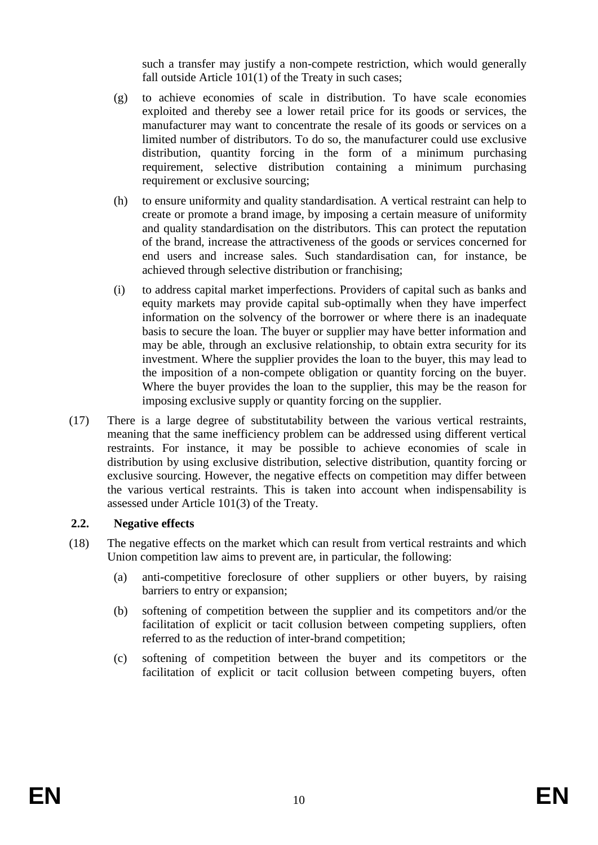such a transfer may justify a non-compete restriction, which would generally fall outside Article 101(1) of the Treaty in such cases;

- (g) to achieve economies of scale in distribution. To have scale economies exploited and thereby see a lower retail price for its goods or services, the manufacturer may want to concentrate the resale of its goods or services on a limited number of distributors. To do so, the manufacturer could use exclusive distribution, quantity forcing in the form of a minimum purchasing requirement, selective distribution containing a minimum purchasing requirement or exclusive sourcing;
- (h) to ensure uniformity and quality standardisation. A vertical restraint can help to create or promote a brand image, by imposing a certain measure of uniformity and quality standardisation on the distributors. This can protect the reputation of the brand, increase the attractiveness of the goods or services concerned for end users and increase sales. Such standardisation can, for instance, be achieved through selective distribution or franchising;
- (i) to address capital market imperfections. Providers of capital such as banks and equity markets may provide capital sub-optimally when they have imperfect information on the solvency of the borrower or where there is an inadequate basis to secure the loan. The buyer or supplier may have better information and may be able, through an exclusive relationship, to obtain extra security for its investment. Where the supplier provides the loan to the buyer, this may lead to the imposition of a non-compete obligation or quantity forcing on the buyer. Where the buyer provides the loan to the supplier, this may be the reason for imposing exclusive supply or quantity forcing on the supplier.
- (17) There is a large degree of substitutability between the various vertical restraints, meaning that the same inefficiency problem can be addressed using different vertical restraints. For instance, it may be possible to achieve economies of scale in distribution by using exclusive distribution, selective distribution, quantity forcing or exclusive sourcing. However, the negative effects on competition may differ between the various vertical restraints. This is taken into account when indispensability is assessed under Article 101(3) of the Treaty.

#### <span id="page-10-0"></span>**2.2. Negative effects**

- (18) The negative effects on the market which can result from vertical restraints and which Union competition law aims to prevent are, in particular, the following:
	- (a) anti-competitive foreclosure of other suppliers or other buyers, by raising barriers to entry or expansion;
	- (b) softening of competition between the supplier and its competitors and/or the facilitation of explicit or tacit collusion between competing suppliers, often referred to as the reduction of inter-brand competition;
	- (c) softening of competition between the buyer and its competitors or the facilitation of explicit or tacit collusion between competing buyers, often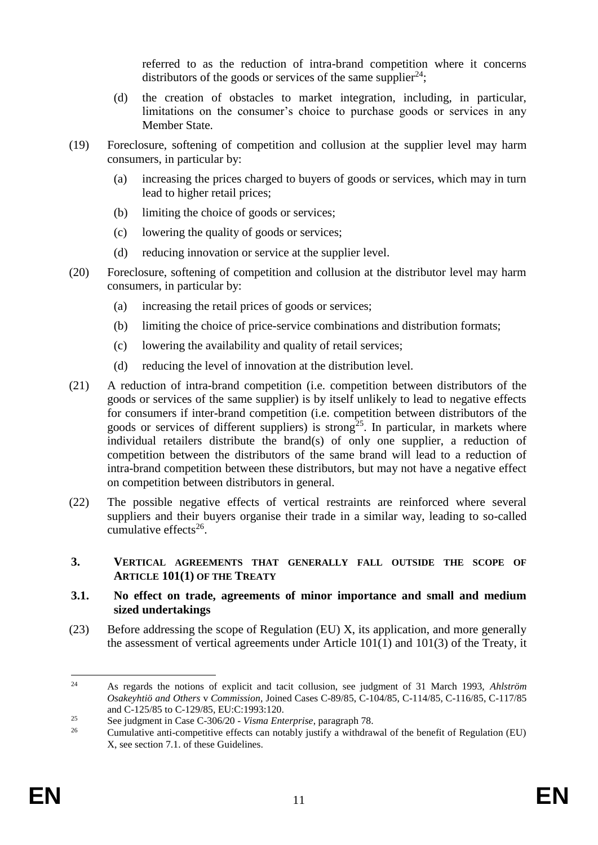referred to as the reduction of intra-brand competition where it concerns distributors of the goods or services of the same supplier<sup>24</sup>;

- (d) the creation of obstacles to market integration, including, in particular, limitations on the consumer's choice to purchase goods or services in any Member State.
- (19) Foreclosure, softening of competition and collusion at the supplier level may harm consumers, in particular by:
	- (a) increasing the prices charged to buyers of goods or services, which may in turn lead to higher retail prices;
	- (b) limiting the choice of goods or services;
	- (c) lowering the quality of goods or services;
	- (d) reducing innovation or service at the supplier level.
- (20) Foreclosure, softening of competition and collusion at the distributor level may harm consumers, in particular by:
	- (a) increasing the retail prices of goods or services;
	- (b) limiting the choice of price-service combinations and distribution formats;
	- (c) lowering the availability and quality of retail services;
	- (d) reducing the level of innovation at the distribution level.
- (21) A reduction of intra-brand competition (i.e. competition between distributors of the goods or services of the same supplier) is by itself unlikely to lead to negative effects for consumers if inter-brand competition (i.e. competition between distributors of the goods or services of different suppliers) is strong<sup>25</sup>. In particular, in markets where individual retailers distribute the brand(s) of only one supplier, a reduction of competition between the distributors of the same brand will lead to a reduction of intra-brand competition between these distributors, but may not have a negative effect on competition between distributors in general.
- (22) The possible negative effects of vertical restraints are reinforced where several suppliers and their buyers organise their trade in a similar way, leading to so-called cumulative effects $26$ .

#### <span id="page-11-0"></span>**3. VERTICAL AGREEMENTS THAT GENERALLY FALL OUTSIDE THE SCOPE OF ARTICLE 101(1) OF THE TREATY**

#### <span id="page-11-1"></span>**3.1. No effect on trade, agreements of minor importance and small and medium sized undertakings**

(23) Before addressing the scope of Regulation (EU) X, its application, and more generally the assessment of vertical agreements under Article 101(1) and 101(3) of the Treaty, it

<sup>1</sup> <sup>24</sup> As regards the notions of explicit and tacit collusion, see judgment of 31 March 1993, *Ahlström Osakeyhtiö and Others* v *Commission,* Joined Cases C-89/85, C-104/85, C-114/85, C-116/85, C-117/85 and C-125/85 to C-129/85, EU:C:1993:120.

<sup>25</sup> See judgment in Case C-306/20 - *Visma Enterprise*, paragraph 78.

<sup>26</sup> Cumulative anti-competitive effects can notably justify a withdrawal of the benefit of Regulation (EU) X, see section 7.1. of these Guidelines.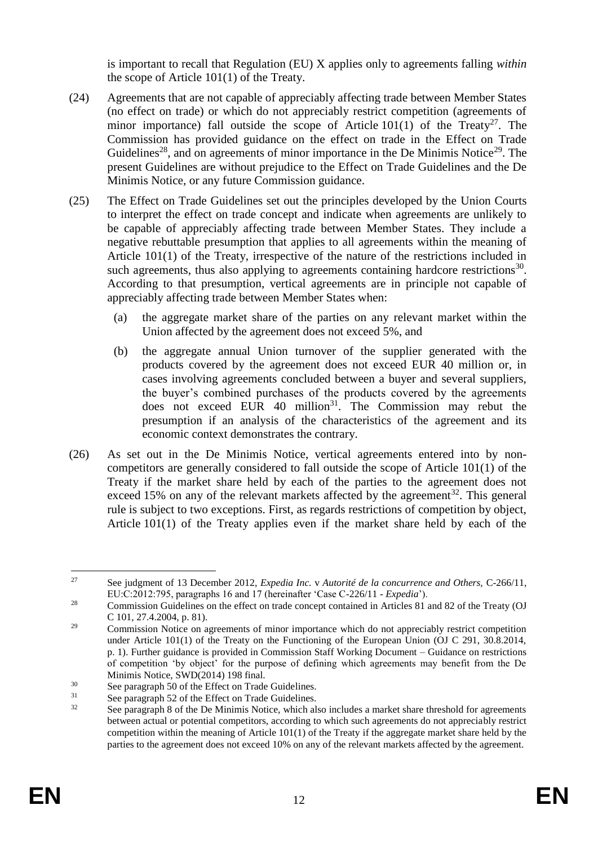is important to recall that Regulation (EU) X applies only to agreements falling *within* the scope of Article 101(1) of the Treaty.

- (24) Agreements that are not capable of appreciably affecting trade between Member States (no effect on trade) or which do not appreciably restrict competition (agreements of minor importance) fall outside the scope of Article  $101(1)$  of the Treaty<sup>27</sup>. The Commission has provided guidance on the effect on trade in the Effect on Trade Guidelines<sup>28</sup>, and on agreements of minor importance in the De Minimis Notice<sup>29</sup>. The present Guidelines are without prejudice to the Effect on Trade Guidelines and the De Minimis Notice, or any future Commission guidance.
- (25) The Effect on Trade Guidelines set out the principles developed by the Union Courts to interpret the effect on trade concept and indicate when agreements are unlikely to be capable of appreciably affecting trade between Member States. They include a negative rebuttable presumption that applies to all agreements within the meaning of Article 101(1) of the Treaty, irrespective of the nature of the restrictions included in such agreements, thus also applying to agreements containing hardcore restrictions<sup>30</sup>. According to that presumption, vertical agreements are in principle not capable of appreciably affecting trade between Member States when:
	- (a) the aggregate market share of the parties on any relevant market within the Union affected by the agreement does not exceed 5%, and
	- (b) the aggregate annual Union turnover of the supplier generated with the products covered by the agreement does not exceed EUR 40 million or, in cases involving agreements concluded between a buyer and several suppliers, the buyer's combined purchases of the products covered by the agreements does not exceed EUR  $40 \text{ million}^{31}$ . The Commission may rebut the presumption if an analysis of the characteristics of the agreement and its economic context demonstrates the contrary.
- (26) As set out in the De Minimis Notice, vertical agreements entered into by noncompetitors are generally considered to fall outside the scope of Article 101(1) of the Treaty if the market share held by each of the parties to the agreement does not exceed 15% on any of the relevant markets affected by the agreement<sup>32</sup>. This general rule is subject to two exceptions. First, as regards restrictions of competition by object, Article 101(1) of the Treaty applies even if the market share held by each of the

<sup>27</sup> <sup>27</sup> See judgment of 13 December 2012, *Expedia Inc.* v *Autorité de la concurrence and Others,* C-266/11, EU:C:2012:795, paragraphs 16 and 17 (hereinafter 'Case C-226/11 - *Expedia*').

<sup>&</sup>lt;sup>28</sup> Commission Guidelines on the effect on trade concept contained in Articles 81 and 82 of the Treaty (OJ C 101, 27.4.2004, p. 81).

<sup>&</sup>lt;sup>29</sup> Commission Notice on agreements of minor importance which do not appreciably restrict competition under Article 101(1) of the Treaty on the Functioning of the European Union (OJ C 291, 30.8.2014, p. 1). Further guidance is provided in Commission Staff Working Document – Guidance on restrictions of competition 'by object' for the purpose of defining which agreements may benefit from the De Minimis Notice, SWD(2014) 198 final.

 $30$  See paragraph 50 of the Effect on Trade Guidelines.<br> $31$  See paragraph 52 of the Effect on Trade Guidelines.

 $31$  See paragraph 52 of the Effect on Trade Guidelines.<br> $32$  See paragraph 8 of the De Minimia Nation, which all

See paragraph 8 of the De Minimis Notice, which also includes a market share threshold for agreements between actual or potential competitors, according to which such agreements do not appreciably restrict competition within the meaning of Article  $101(1)$  of the Treaty if the aggregate market share held by the parties to the agreement does not exceed 10% on any of the relevant markets affected by the agreement.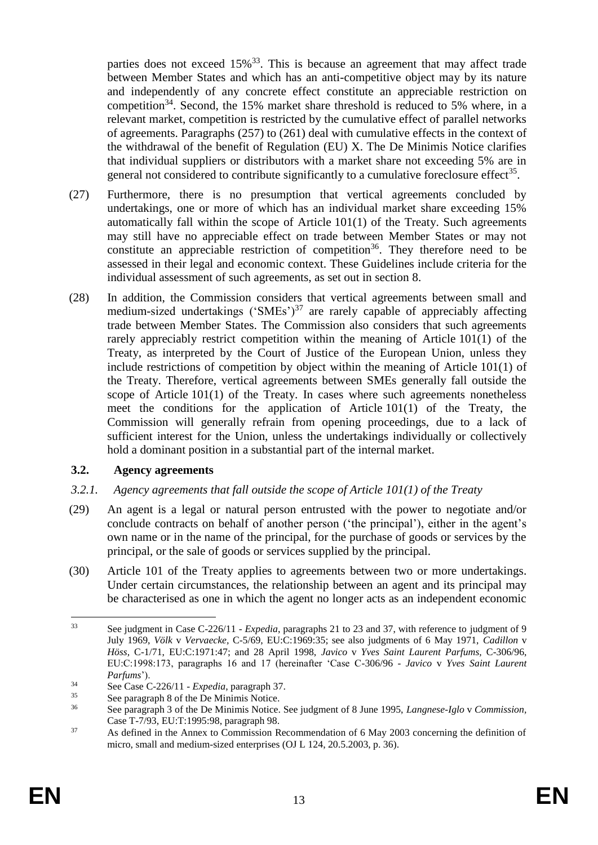parties does not exceed  $15\%$ <sup>33</sup>. This is because an agreement that may affect trade between Member States and which has an anti-competitive object may by its nature and independently of any concrete effect constitute an appreciable restriction on competition<sup>34</sup>. Second, the 15% market share threshold is reduced to 5% where, in a relevant market, competition is restricted by the cumulative effect of parallel networks of agreements. Paragraphs (257) to (261) deal with cumulative effects in the context of the withdrawal of the benefit of Regulation (EU) X. The De Minimis Notice clarifies that individual suppliers or distributors with a market share not exceeding 5% are in general not considered to contribute significantly to a cumulative foreclosure effect<sup>35</sup>.

- (27) Furthermore, there is no presumption that vertical agreements concluded by undertakings, one or more of which has an individual market share exceeding 15% automatically fall within the scope of Article 101(1) of the Treaty. Such agreements may still have no appreciable effect on trade between Member States or may not constitute an appreciable restriction of competition<sup>36</sup>. They therefore need to be assessed in their legal and economic context. These Guidelines include criteria for the individual assessment of such agreements, as set out in section 8.
- (28) In addition, the Commission considers that vertical agreements between small and medium-sized undertakings ('SMEs') $37$  are rarely capable of appreciably affecting trade between Member States. The Commission also considers that such agreements rarely appreciably restrict competition within the meaning of Article 101(1) of the Treaty, as interpreted by the Court of Justice of the European Union, unless they include restrictions of competition by object within the meaning of Article 101(1) of the Treaty. Therefore, vertical agreements between SMEs generally fall outside the scope of Article 101(1) of the Treaty. In cases where such agreements nonetheless meet the conditions for the application of Article 101(1) of the Treaty, the Commission will generally refrain from opening proceedings, due to a lack of sufficient interest for the Union, unless the undertakings individually or collectively hold a dominant position in a substantial part of the internal market.

## <span id="page-13-0"></span>**3.2. Agency agreements**

## <span id="page-13-1"></span>*3.2.1. Agency agreements that fall outside the scope of Article 101(1) of the Treaty*

- (29) An agent is a legal or natural person entrusted with the power to negotiate and/or conclude contracts on behalf of another person ('the principal'), either in the agent's own name or in the name of the principal, for the purchase of goods or services by the principal, or the sale of goods or services supplied by the principal.
- (30) Article 101 of the Treaty applies to agreements between two or more undertakings. Under certain circumstances, the relationship between an agent and its principal may be characterised as one in which the agent no longer acts as an independent economic

<sup>1</sup> <sup>33</sup> See judgment in Case C-226/11 - *Expedia*, paragraphs 21 to 23 and 37, with reference to judgment of 9 July 1969, *Völk* v *Vervaecke,* C-5/69, EU:C:1969:35; see also judgments of 6 May 1971, *Cadillon* v *Höss,* C-1/71, EU:C:1971:47; and 28 April 1998, *Javico* v *Yves Saint Laurent Parfums,* C-306/96, EU:C:1998:173, paragraphs 16 and 17 (hereinafter 'Case C-306/96 - *Javico* v *Yves Saint Laurent Parfums*').

 $\frac{34}{35}$  See Case C-226/11 - *Expedia*, paragraph 37.

 $35$  See paragraph 8 of the De Minimis Notice.<br> $36$  See nonomorph 2 of the De Minimia Notice.

<sup>36</sup> See paragraph 3 of the De Minimis Notice. See judgment of 8 June 1995, *Langnese-Iglo* v *Commission,*  Case T-7/93, EU:T:1995:98, paragraph 98.

<sup>&</sup>lt;sup>37</sup> As defined in the Annex to Commission Recommendation of 6 May 2003 concerning the definition of micro, small and medium-sized enterprises (OJ L 124, 20.5.2003, p. 36).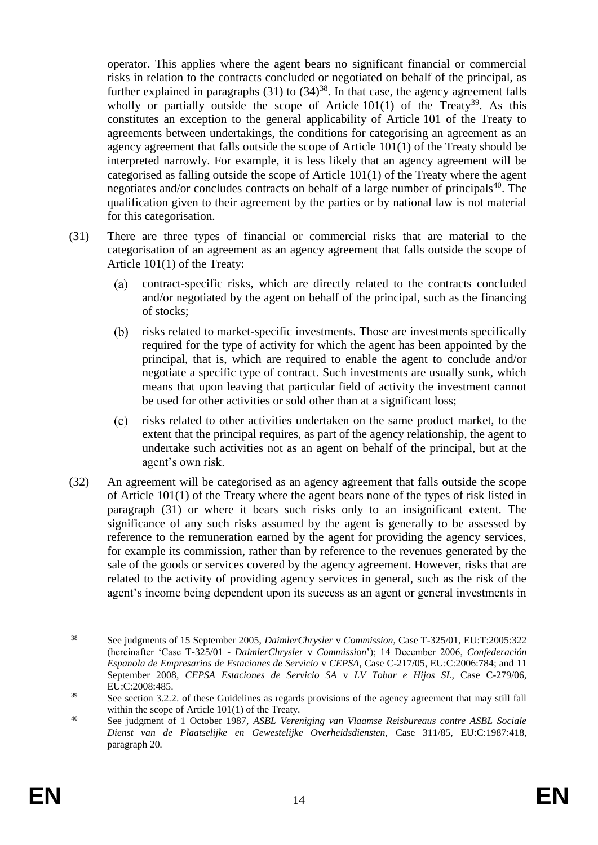operator. This applies where the agent bears no significant financial or commercial risks in relation to the contracts concluded or negotiated on behalf of the principal, as further explained in paragraphs  $(31)$  to  $(34)^{38}$ . In that case, the agency agreement falls wholly or partially outside the scope of Article  $101(1)$  of the Treaty<sup>39</sup>. As this constitutes an exception to the general applicability of Article 101 of the Treaty to agreements between undertakings, the conditions for categorising an agreement as an agency agreement that falls outside the scope of Article 101(1) of the Treaty should be interpreted narrowly. For example, it is less likely that an agency agreement will be categorised as falling outside the scope of Article 101(1) of the Treaty where the agent negotiates and/or concludes contracts on behalf of a large number of principals<sup>40</sup>. The qualification given to their agreement by the parties or by national law is not material for this categorisation.

- (31) There are three types of financial or commercial risks that are material to the categorisation of an agreement as an agency agreement that falls outside the scope of Article 101(1) of the Treaty:
	- contract-specific risks, which are directly related to the contracts concluded  $(a)$ and/or negotiated by the agent on behalf of the principal, such as the financing of stocks;
	- risks related to market-specific investments. Those are investments specifically  $(b)$ required for the type of activity for which the agent has been appointed by the principal, that is, which are required to enable the agent to conclude and/or negotiate a specific type of contract. Such investments are usually sunk, which means that upon leaving that particular field of activity the investment cannot be used for other activities or sold other than at a significant loss;
	- $(c)$ risks related to other activities undertaken on the same product market, to the extent that the principal requires, as part of the agency relationship, the agent to undertake such activities not as an agent on behalf of the principal, but at the agent's own risk.
- (32) An agreement will be categorised as an agency agreement that falls outside the scope of Article 101(1) of the Treaty where the agent bears none of the types of risk listed in paragraph (31) or where it bears such risks only to an insignificant extent. The significance of any such risks assumed by the agent is generally to be assessed by reference to the remuneration earned by the agent for providing the agency services, for example its commission, rather than by reference to the revenues generated by the sale of the goods or services covered by the agency agreement. However, risks that are related to the activity of providing agency services in general, such as the risk of the agent's income being dependent upon its success as an agent or general investments in

<sup>&</sup>lt;u>.</u> <sup>38</sup> See judgments of 15 September 2005, *DaimlerChrysler* v *Commission,* Case T-325/01, EU:T:2005:322 (hereinafter 'Case T-325/01 - *DaimlerChrysler* v *Commission*'); 14 December 2006, *Confederación Espanola de Empresarios de Estaciones de Servicio* v *CEPSA,* Case C-217/05, EU:C:2006:784; and 11 September 2008, *CEPSA Estaciones de Servicio SA* v *LV Tobar e Hijos SL,* Case C-279/06, EU:C:2008:485.

<sup>&</sup>lt;sup>39</sup> See section 3.2.2. of these Guidelines as regards provisions of the agency agreement that may still fall within the scope of Article 101(1) of the Treaty.

<sup>40</sup> See judgment of 1 October 1987, *ASBL Vereniging van Vlaamse Reisbureaus contre ASBL Sociale Dienst van de Plaatselijke en Gewestelijke Overheidsdiensten,* Case 311/85, EU:C:1987:418, paragraph 20*.*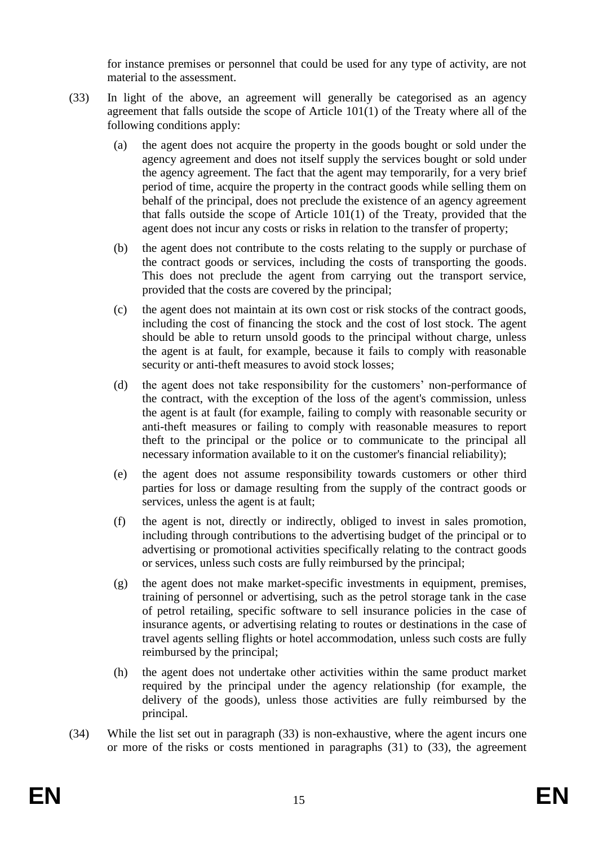for instance premises or personnel that could be used for any type of activity, are not material to the assessment.

- (33) In light of the above, an agreement will generally be categorised as an agency agreement that falls outside the scope of Article 101(1) of the Treaty where all of the following conditions apply:
	- (a) the agent does not acquire the property in the goods bought or sold under the agency agreement and does not itself supply the services bought or sold under the agency agreement. The fact that the agent may temporarily, for a very brief period of time, acquire the property in the contract goods while selling them on behalf of the principal, does not preclude the existence of an agency agreement that falls outside the scope of Article 101(1) of the Treaty, provided that the agent does not incur any costs or risks in relation to the transfer of property;
	- (b) the agent does not contribute to the costs relating to the supply or purchase of the contract goods or services, including the costs of transporting the goods. This does not preclude the agent from carrying out the transport service, provided that the costs are covered by the principal;
	- (c) the agent does not maintain at its own cost or risk stocks of the contract goods, including the cost of financing the stock and the cost of lost stock. The agent should be able to return unsold goods to the principal without charge, unless the agent is at fault, for example, because it fails to comply with reasonable security or anti-theft measures to avoid stock losses;
	- (d) the agent does not take responsibility for the customers' non-performance of the contract, with the exception of the loss of the agent's commission, unless the agent is at fault (for example, failing to comply with reasonable security or anti-theft measures or failing to comply with reasonable measures to report theft to the principal or the police or to communicate to the principal all necessary information available to it on the customer's financial reliability);
	- (e) the agent does not assume responsibility towards customers or other third parties for loss or damage resulting from the supply of the contract goods or services, unless the agent is at fault;
	- (f) the agent is not, directly or indirectly, obliged to invest in sales promotion, including through contributions to the advertising budget of the principal or to advertising or promotional activities specifically relating to the contract goods or services, unless such costs are fully reimbursed by the principal;
	- (g) the agent does not make market-specific investments in equipment, premises, training of personnel or advertising, such as the petrol storage tank in the case of petrol retailing, specific software to sell insurance policies in the case of insurance agents, or advertising relating to routes or destinations in the case of travel agents selling flights or hotel accommodation, unless such costs are fully reimbursed by the principal;
	- (h) the agent does not undertake other activities within the same product market required by the principal under the agency relationship (for example, the delivery of the goods), unless those activities are fully reimbursed by the principal.
- (34) While the list set out in paragraph (33) is non-exhaustive, where the agent incurs one or more of the risks or costs mentioned in paragraphs (31) to (33), the agreement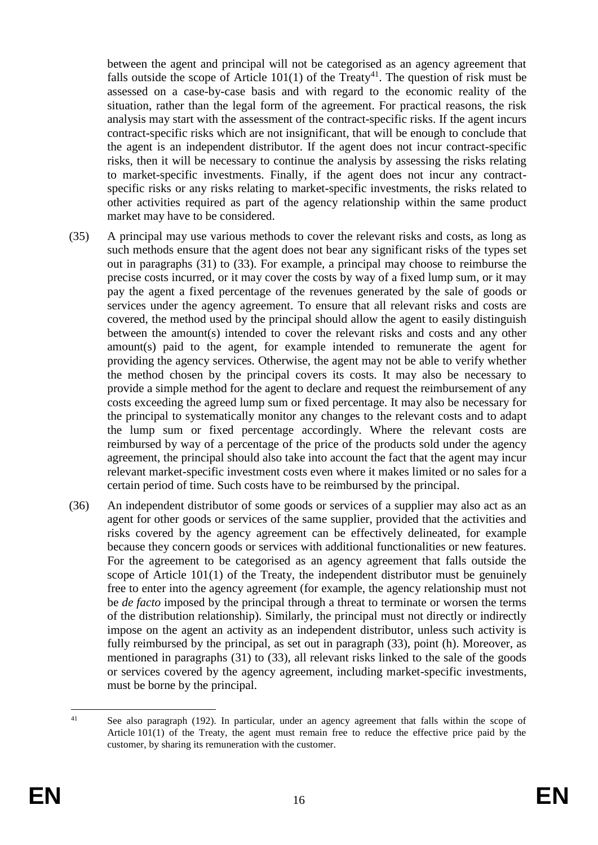between the agent and principal will not be categorised as an agency agreement that falls outside the scope of Article  $101(1)$  of the Treaty<sup>41</sup>. The question of risk must be assessed on a case-by-case basis and with regard to the economic reality of the situation, rather than the legal form of the agreement. For practical reasons, the risk analysis may start with the assessment of the contract-specific risks. If the agent incurs contract-specific risks which are not insignificant, that will be enough to conclude that the agent is an independent distributor. If the agent does not incur contract-specific risks, then it will be necessary to continue the analysis by assessing the risks relating to market-specific investments. Finally, if the agent does not incur any contractspecific risks or any risks relating to market-specific investments, the risks related to other activities required as part of the agency relationship within the same product market may have to be considered.

- (35) A principal may use various methods to cover the relevant risks and costs, as long as such methods ensure that the agent does not bear any significant risks of the types set out in paragraphs (31) to (33). For example, a principal may choose to reimburse the precise costs incurred, or it may cover the costs by way of a fixed lump sum, or it may pay the agent a fixed percentage of the revenues generated by the sale of goods or services under the agency agreement. To ensure that all relevant risks and costs are covered, the method used by the principal should allow the agent to easily distinguish between the amount(s) intended to cover the relevant risks and costs and any other amount(s) paid to the agent, for example intended to remunerate the agent for providing the agency services. Otherwise, the agent may not be able to verify whether the method chosen by the principal covers its costs. It may also be necessary to provide a simple method for the agent to declare and request the reimbursement of any costs exceeding the agreed lump sum or fixed percentage. It may also be necessary for the principal to systematically monitor any changes to the relevant costs and to adapt the lump sum or fixed percentage accordingly. Where the relevant costs are reimbursed by way of a percentage of the price of the products sold under the agency agreement, the principal should also take into account the fact that the agent may incur relevant market-specific investment costs even where it makes limited or no sales for a certain period of time. Such costs have to be reimbursed by the principal.
- (36) An independent distributor of some goods or services of a supplier may also act as an agent for other goods or services of the same supplier, provided that the activities and risks covered by the agency agreement can be effectively delineated, for example because they concern goods or services with additional functionalities or new features. For the agreement to be categorised as an agency agreement that falls outside the scope of Article 101(1) of the Treaty, the independent distributor must be genuinely free to enter into the agency agreement (for example, the agency relationship must not be *de facto* imposed by the principal through a threat to terminate or worsen the terms of the distribution relationship). Similarly, the principal must not directly or indirectly impose on the agent an activity as an independent distributor, unless such activity is fully reimbursed by the principal, as set out in paragraph (33), point (h). Moreover, as mentioned in paragraphs (31) to (33), all relevant risks linked to the sale of the goods or services covered by the agency agreement, including market-specific investments, must be borne by the principal.

 $41$ See also paragraph (192). In particular, under an agency agreement that falls within the scope of Article 101(1) of the Treaty, the agent must remain free to reduce the effective price paid by the customer, by sharing its remuneration with the customer.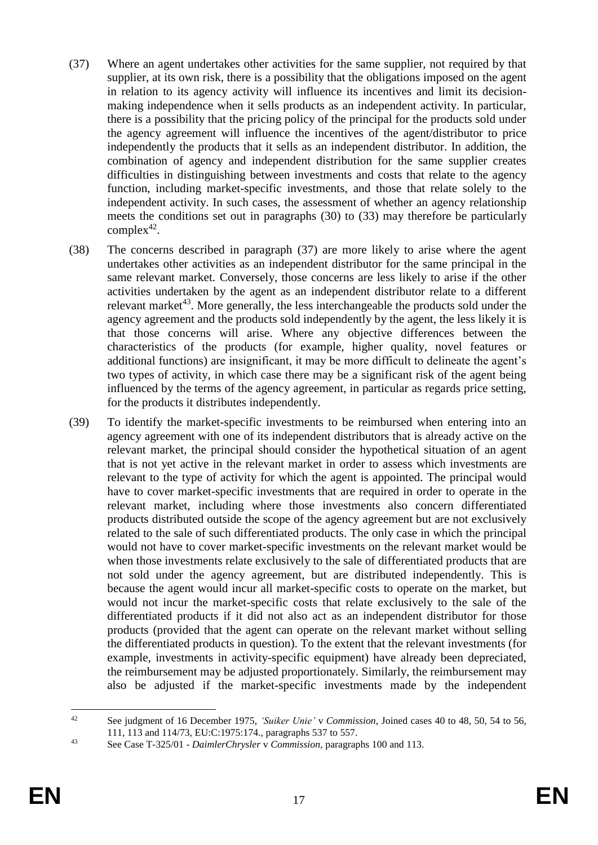- (37) Where an agent undertakes other activities for the same supplier, not required by that supplier, at its own risk, there is a possibility that the obligations imposed on the agent in relation to its agency activity will influence its incentives and limit its decisionmaking independence when it sells products as an independent activity. In particular, there is a possibility that the pricing policy of the principal for the products sold under the agency agreement will influence the incentives of the agent/distributor to price independently the products that it sells as an independent distributor. In addition, the combination of agency and independent distribution for the same supplier creates difficulties in distinguishing between investments and costs that relate to the agency function, including market-specific investments, and those that relate solely to the independent activity. In such cases, the assessment of whether an agency relationship meets the conditions set out in paragraphs (30) to (33) may therefore be particularly  $complex^{42}$ .
- (38) The concerns described in paragraph (37) are more likely to arise where the agent undertakes other activities as an independent distributor for the same principal in the same relevant market. Conversely, those concerns are less likely to arise if the other activities undertaken by the agent as an independent distributor relate to a different relevant market<sup>43</sup>. More generally, the less interchangeable the products sold under the agency agreement and the products sold independently by the agent, the less likely it is that those concerns will arise. Where any objective differences between the characteristics of the products (for example, higher quality, novel features or additional functions) are insignificant, it may be more difficult to delineate the agent's two types of activity, in which case there may be a significant risk of the agent being influenced by the terms of the agency agreement, in particular as regards price setting, for the products it distributes independently.
- (39) To identify the market-specific investments to be reimbursed when entering into an agency agreement with one of its independent distributors that is already active on the relevant market, the principal should consider the hypothetical situation of an agent that is not yet active in the relevant market in order to assess which investments are relevant to the type of activity for which the agent is appointed. The principal would have to cover market-specific investments that are required in order to operate in the relevant market, including where those investments also concern differentiated products distributed outside the scope of the agency agreement but are not exclusively related to the sale of such differentiated products. The only case in which the principal would not have to cover market-specific investments on the relevant market would be when those investments relate exclusively to the sale of differentiated products that are not sold under the agency agreement, but are distributed independently. This is because the agent would incur all market-specific costs to operate on the market, but would not incur the market-specific costs that relate exclusively to the sale of the differentiated products if it did not also act as an independent distributor for those products (provided that the agent can operate on the relevant market without selling the differentiated products in question). To the extent that the relevant investments (for example, investments in activity-specific equipment) have already been depreciated, the reimbursement may be adjusted proportionately. Similarly, the reimbursement may also be adjusted if the market-specific investments made by the independent

 $42$ <sup>42</sup> See judgment of 16 December 1975, *'Suiker Unie'* v *Commission*, Joined cases 40 to 48, 50, 54 to 56, 111, 113 and 114/73, EU:C:1975:174., paragraphs 537 to 557.

<sup>43</sup> See Case T-325/01 - *DaimlerChrysler* v *Commission*, paragraphs 100 and 113.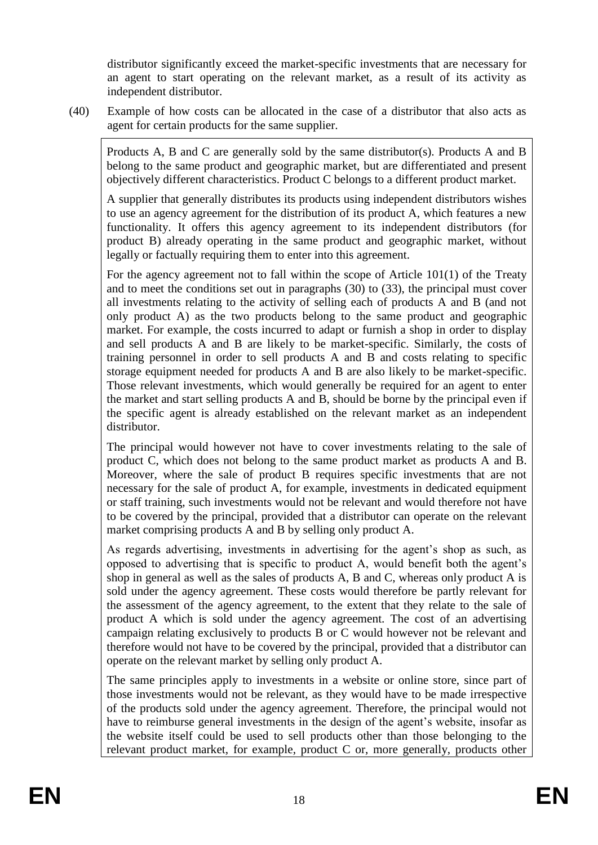distributor significantly exceed the market-specific investments that are necessary for an agent to start operating on the relevant market, as a result of its activity as independent distributor.

(40) Example of how costs can be allocated in the case of a distributor that also acts as agent for certain products for the same supplier.

Products A, B and C are generally sold by the same distributor(s). Products A and B belong to the same product and geographic market, but are differentiated and present objectively different characteristics. Product C belongs to a different product market.

A supplier that generally distributes its products using independent distributors wishes to use an agency agreement for the distribution of its product A, which features a new functionality. It offers this agency agreement to its independent distributors (for product B) already operating in the same product and geographic market, without legally or factually requiring them to enter into this agreement.

For the agency agreement not to fall within the scope of Article 101(1) of the Treaty and to meet the conditions set out in paragraphs (30) to (33), the principal must cover all investments relating to the activity of selling each of products A and B (and not only product A) as the two products belong to the same product and geographic market. For example, the costs incurred to adapt or furnish a shop in order to display and sell products A and B are likely to be market-specific. Similarly, the costs of training personnel in order to sell products A and B and costs relating to specific storage equipment needed for products A and B are also likely to be market-specific. Those relevant investments, which would generally be required for an agent to enter the market and start selling products A and B, should be borne by the principal even if the specific agent is already established on the relevant market as an independent distributor.

The principal would however not have to cover investments relating to the sale of product C, which does not belong to the same product market as products A and B. Moreover, where the sale of product B requires specific investments that are not necessary for the sale of product A, for example, investments in dedicated equipment or staff training, such investments would not be relevant and would therefore not have to be covered by the principal, provided that a distributor can operate on the relevant market comprising products A and B by selling only product A.

As regards advertising, investments in advertising for the agent's shop as such, as opposed to advertising that is specific to product A, would benefit both the agent's shop in general as well as the sales of products A, B and C, whereas only product A is sold under the agency agreement. These costs would therefore be partly relevant for the assessment of the agency agreement, to the extent that they relate to the sale of product A which is sold under the agency agreement. The cost of an advertising campaign relating exclusively to products B or C would however not be relevant and therefore would not have to be covered by the principal, provided that a distributor can operate on the relevant market by selling only product A.

The same principles apply to investments in a website or online store, since part of those investments would not be relevant, as they would have to be made irrespective of the products sold under the agency agreement. Therefore, the principal would not have to reimburse general investments in the design of the agent's website, insofar as the website itself could be used to sell products other than those belonging to the relevant product market, for example, product C or, more generally, products other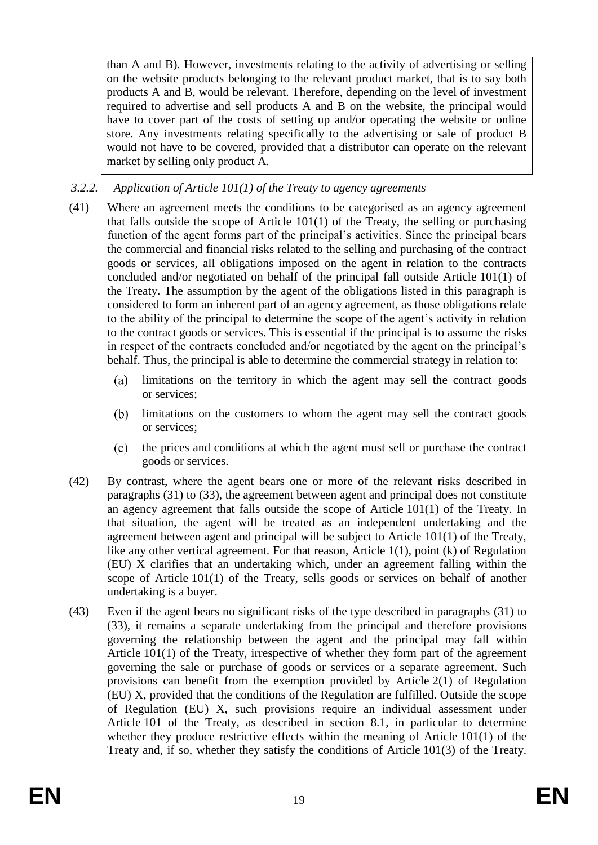than A and B). However, investments relating to the activity of advertising or selling on the website products belonging to the relevant product market, that is to say both products A and B, would be relevant. Therefore, depending on the level of investment required to advertise and sell products A and B on the website, the principal would have to cover part of the costs of setting up and/or operating the website or online store. Any investments relating specifically to the advertising or sale of product B would not have to be covered, provided that a distributor can operate on the relevant market by selling only product A.

# <span id="page-19-0"></span>*3.2.2. Application of Article 101(1) of the Treaty to agency agreements*

- (41) Where an agreement meets the conditions to be categorised as an agency agreement that falls outside the scope of Article 101(1) of the Treaty, the selling or purchasing function of the agent forms part of the principal's activities. Since the principal bears the commercial and financial risks related to the selling and purchasing of the contract goods or services, all obligations imposed on the agent in relation to the contracts concluded and/or negotiated on behalf of the principal fall outside Article 101(1) of the Treaty. The assumption by the agent of the obligations listed in this paragraph is considered to form an inherent part of an agency agreement, as those obligations relate to the ability of the principal to determine the scope of the agent's activity in relation to the contract goods or services. This is essential if the principal is to assume the risks in respect of the contracts concluded and/or negotiated by the agent on the principal's behalf. Thus, the principal is able to determine the commercial strategy in relation to:
	- limitations on the territory in which the agent may sell the contract goods  $(a)$ or services;
	- $(b)$ limitations on the customers to whom the agent may sell the contract goods or services;
	- the prices and conditions at which the agent must sell or purchase the contract  $(c)$ goods or services.
- (42) By contrast, where the agent bears one or more of the relevant risks described in paragraphs (31) to (33), the agreement between agent and principal does not constitute an agency agreement that falls outside the scope of Article 101(1) of the Treaty. In that situation, the agent will be treated as an independent undertaking and the agreement between agent and principal will be subject to Article 101(1) of the Treaty, like any other vertical agreement. For that reason, Article 1(1), point (k) of Regulation (EU) X clarifies that an undertaking which, under an agreement falling within the scope of Article 101(1) of the Treaty, sells goods or services on behalf of another undertaking is a buyer.
- (43) Even if the agent bears no significant risks of the type described in paragraphs (31) to (33), it remains a separate undertaking from the principal and therefore provisions governing the relationship between the agent and the principal may fall within Article 101(1) of the Treaty, irrespective of whether they form part of the agreement governing the sale or purchase of goods or services or a separate agreement. Such provisions can benefit from the exemption provided by Article 2(1) of Regulation (EU) X, provided that the conditions of the Regulation are fulfilled. Outside the scope of Regulation (EU) X, such provisions require an individual assessment under Article 101 of the Treaty, as described in section 8.1, in particular to determine whether they produce restrictive effects within the meaning of Article 101(1) of the Treaty and, if so, whether they satisfy the conditions of Article 101(3) of the Treaty.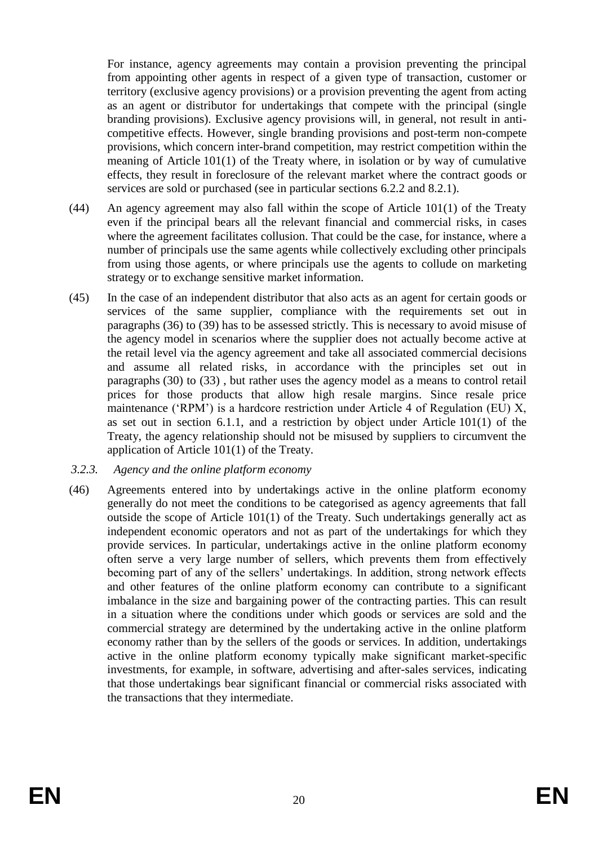For instance, agency agreements may contain a provision preventing the principal from appointing other agents in respect of a given type of transaction, customer or territory (exclusive agency provisions) or a provision preventing the agent from acting as an agent or distributor for undertakings that compete with the principal (single branding provisions). Exclusive agency provisions will, in general, not result in anticompetitive effects. However, single branding provisions and post-term non-compete provisions, which concern inter-brand competition, may restrict competition within the meaning of Article 101(1) of the Treaty where, in isolation or by way of cumulative effects, they result in foreclosure of the relevant market where the contract goods or services are sold or purchased (see in particular sections 6.2.2 and 8.2.1).

- (44) An agency agreement may also fall within the scope of Article 101(1) of the Treaty even if the principal bears all the relevant financial and commercial risks, in cases where the agreement facilitates collusion. That could be the case, for instance, where a number of principals use the same agents while collectively excluding other principals from using those agents, or where principals use the agents to collude on marketing strategy or to exchange sensitive market information.
- (45) In the case of an independent distributor that also acts as an agent for certain goods or services of the same supplier, compliance with the requirements set out in paragraphs (36) to (39) has to be assessed strictly. This is necessary to avoid misuse of the agency model in scenarios where the supplier does not actually become active at the retail level via the agency agreement and take all associated commercial decisions and assume all related risks, in accordance with the principles set out in paragraphs (30) to (33) , but rather uses the agency model as a means to control retail prices for those products that allow high resale margins. Since resale price maintenance ('RPM') is a hardcore restriction under Article 4 of Regulation (EU) X, as set out in section 6.1.1, and a restriction by object under Article 101(1) of the Treaty, the agency relationship should not be misused by suppliers to circumvent the application of Article 101(1) of the Treaty.

#### <span id="page-20-0"></span>*3.2.3. Agency and the online platform economy*

(46) Agreements entered into by undertakings active in the online platform economy generally do not meet the conditions to be categorised as agency agreements that fall outside the scope of Article 101(1) of the Treaty. Such undertakings generally act as independent economic operators and not as part of the undertakings for which they provide services. In particular, undertakings active in the online platform economy often serve a very large number of sellers, which prevents them from effectively becoming part of any of the sellers' undertakings. In addition, strong network effects and other features of the online platform economy can contribute to a significant imbalance in the size and bargaining power of the contracting parties. This can result in a situation where the conditions under which goods or services are sold and the commercial strategy are determined by the undertaking active in the online platform economy rather than by the sellers of the goods or services. In addition, undertakings active in the online platform economy typically make significant market-specific investments, for example, in software, advertising and after-sales services, indicating that those undertakings bear significant financial or commercial risks associated with the transactions that they intermediate.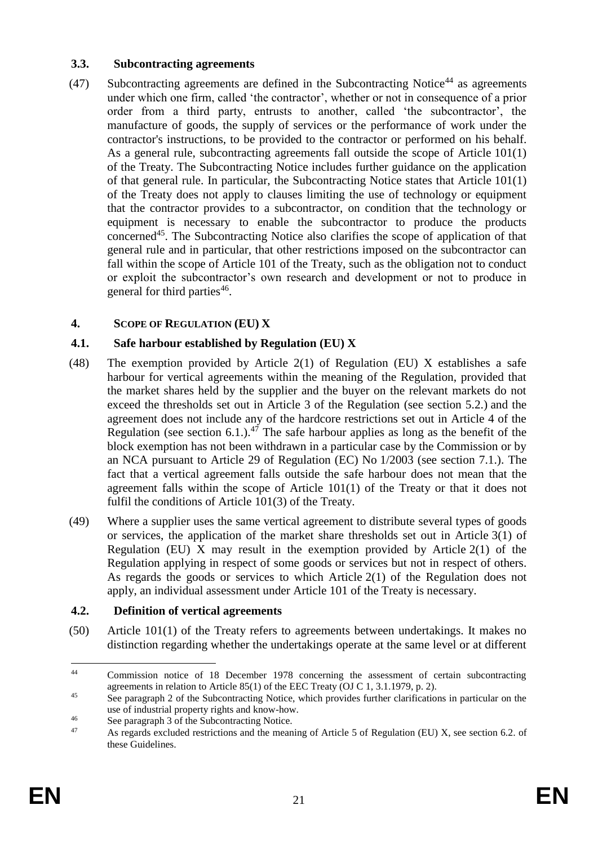## <span id="page-21-0"></span>**3.3. Subcontracting agreements**

(47) Subcontracting agreements are defined in the Subcontracting Notice<sup>44</sup> as agreements under which one firm, called 'the contractor', whether or not in consequence of a prior order from a third party, entrusts to another, called 'the subcontractor', the manufacture of goods, the supply of services or the performance of work under the contractor's instructions, to be provided to the contractor or performed on his behalf. As a general rule, subcontracting agreements fall outside the scope of Article 101(1) of the Treaty. The Subcontracting Notice includes further guidance on the application of that general rule. In particular, the Subcontracting Notice states that Article 101(1) of the Treaty does not apply to clauses limiting the use of technology or equipment that the contractor provides to a subcontractor, on condition that the technology or equipment is necessary to enable the subcontractor to produce the products concerned<sup>45</sup>. The Subcontracting Notice also clarifies the scope of application of that general rule and in particular, that other restrictions imposed on the subcontractor can fall within the scope of Article 101 of the Treaty, such as the obligation not to conduct or exploit the subcontractor's own research and development or not to produce in general for third parties<sup>46</sup>.

# <span id="page-21-1"></span>**4. SCOPE OF REGULATION (EU) X**

## <span id="page-21-2"></span>**4.1. Safe harbour established by Regulation (EU) X**

- (48) The exemption provided by Article 2(1) of Regulation (EU) X establishes a safe harbour for vertical agreements within the meaning of the Regulation, provided that the market shares held by the supplier and the buyer on the relevant markets do not exceed the thresholds set out in Article 3 of the Regulation (see section 5.2.) and the agreement does not include any of the hardcore restrictions set out in Article 4 of the Regulation (see section 6.1.).<sup>47</sup> The safe harbour applies as long as the benefit of the block exemption has not been withdrawn in a particular case by the Commission or by an NCA pursuant to Article 29 of Regulation (EC) No 1/2003 (see section 7.1.). The fact that a vertical agreement falls outside the safe harbour does not mean that the agreement falls within the scope of Article 101(1) of the Treaty or that it does not fulfil the conditions of Article 101(3) of the Treaty.
- (49) Where a supplier uses the same vertical agreement to distribute several types of goods or services, the application of the market share thresholds set out in Article 3(1) of Regulation (EU) X may result in the exemption provided by Article  $2(1)$  of the Regulation applying in respect of some goods or services but not in respect of others. As regards the goods or services to which Article 2(1) of the Regulation does not apply, an individual assessment under Article 101 of the Treaty is necessary.

# <span id="page-21-3"></span>**4.2. Definition of vertical agreements**

(50) Article 101(1) of the Treaty refers to agreements between undertakings. It makes no distinction regarding whether the undertakings operate at the same level or at different

<sup>&</sup>lt;u>.</u> <sup>44</sup> Commission notice of 18 December 1978 concerning the assessment of certain subcontracting agreements in relation to Article 85(1) of the EEC Treaty (OJ C 1, 3.1.1979, p. 2).

<sup>&</sup>lt;sup>45</sup> See paragraph 2 of the Subcontracting Notice, which provides further clarifications in particular on the use of industrial property rights and know-how.

 $\frac{46}{47}$  See paragraph 3 of the Subcontracting Notice.

<sup>47</sup> As regards excluded restrictions and the meaning of Article 5 of Regulation (EU) X, see section 6.2. of these Guidelines.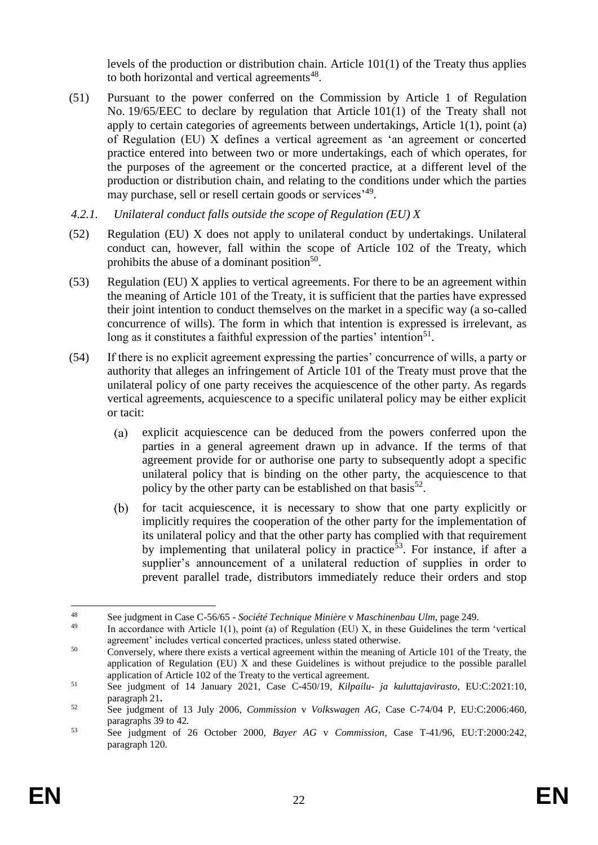levels of the production or distribution chain. Article 101(1) of the Treaty thus applies to both horizontal and vertical agreements<sup>48</sup>.

- (51) Pursuant to the power conferred on the Commission by Article 1 of Regulation No. 19/65/EEC to declare by regulation that Article 101(1) of the Treaty shall not apply to certain categories of agreements between undertakings, Article 1(1), point (a) of Regulation (EU) X defines a vertical agreement as 'an agreement or concerted practice entered into between two or more undertakings, each of which operates, for the purposes of the agreement or the concerted practice, at a different level of the production or distribution chain, and relating to the conditions under which the parties may purchase, sell or resell certain goods or services<sup>,49</sup>.
- <span id="page-22-0"></span>*4.2.1. Unilateral conduct falls outside the scope of Regulation (EU) X*
- (52) Regulation (EU) X does not apply to unilateral conduct by undertakings. Unilateral conduct can, however, fall within the scope of Article 102 of the Treaty, which prohibits the abuse of a dominant position<sup>50</sup>.
- (53) Regulation (EU) X applies to vertical agreements. For there to be an agreement within the meaning of Article 101 of the Treaty, it is sufficient that the parties have expressed their joint intention to conduct themselves on the market in a specific way (a so-called concurrence of wills). The form in which that intention is expressed is irrelevant, as long as it constitutes a faithful expression of the parties' intention<sup>51</sup>.
- (54) If there is no explicit agreement expressing the parties' concurrence of wills, a party or authority that alleges an infringement of Article 101 of the Treaty must prove that the unilateral policy of one party receives the acquiescence of the other party. As regards vertical agreements, acquiescence to a specific unilateral policy may be either explicit or tacit:
	- $(a)$ explicit acquiescence can be deduced from the powers conferred upon the parties in a general agreement drawn up in advance. If the terms of that agreement provide for or authorise one party to subsequently adopt a specific unilateral policy that is binding on the other party, the acquiescence to that policy by the other party can be established on that basis<sup>52</sup>.
	- $(b)$ for tacit acquiescence, it is necessary to show that one party explicitly or implicitly requires the cooperation of the other party for the implementation of its unilateral policy and that the other party has complied with that requirement by implementing that unilateral policy in practice<sup>53</sup>. For instance, if after a supplier's announcement of a unilateral reduction of supplies in order to prevent parallel trade, distributors immediately reduce their orders and stop

 $\overline{48}$ <sup>48</sup> See judgment in Case C-56/65 - *Société Technique Minière* v *Maschinenbau Ulm*, page 249.

 $^{49}$  In accordance with Article 1(1), point (a) of Regulation (EU) X, in these Guidelines the term 'vertical agreement' includes vertical concerted practices, unless stated otherwise.

<sup>&</sup>lt;sup>50</sup> Conversely, where there exists a vertical agreement within the meaning of Article 101 of the Treaty, the application of Regulation (EU)  $X$  and these Guidelines is without prejudice to the possible parallel application of Article 102 of the Treaty to the vertical agreement.

<sup>51</sup> See judgment of 14 January 2021, Case C-450/19, *Kilpailu- ja kuluttajavirasto*, EU:C:2021:10, paragraph 21**.**

<sup>52</sup> See judgment of 13 July 2006, *Commission* v *Volkswagen AG,* Case C-74/04 P, EU:C:2006:460, paragraphs 39 to 42*.*

<sup>53</sup> See judgment of 26 October 2000, *Bayer AG* v *Commission,* Case T-41/96, EU:T:2000:242, paragraph 120*.*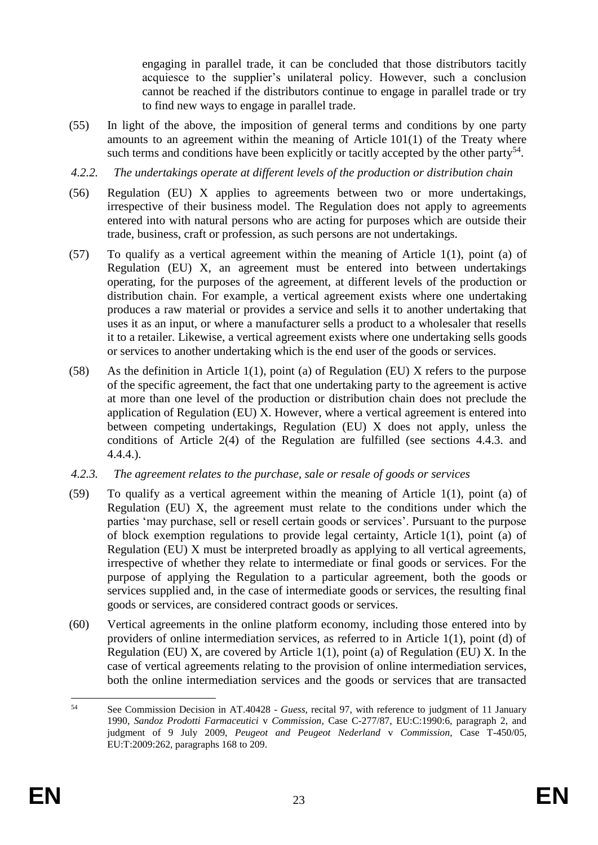engaging in parallel trade, it can be concluded that those distributors tacitly acquiesce to the supplier's unilateral policy. However, such a conclusion cannot be reached if the distributors continue to engage in parallel trade or try to find new ways to engage in parallel trade.

- (55) In light of the above, the imposition of general terms and conditions by one party amounts to an agreement within the meaning of Article 101(1) of the Treaty where such terms and conditions have been explicitly or tacitly accepted by the other party<sup>54</sup>.
- <span id="page-23-0"></span>*4.2.2. The undertakings operate at different levels of the production or distribution chain*
- (56) Regulation (EU) X applies to agreements between two or more undertakings, irrespective of their business model. The Regulation does not apply to agreements entered into with natural persons who are acting for purposes which are outside their trade, business, craft or profession, as such persons are not undertakings.
- (57) To qualify as a vertical agreement within the meaning of Article 1(1), point (a) of Regulation (EU) X, an agreement must be entered into between undertakings operating, for the purposes of the agreement, at different levels of the production or distribution chain. For example, a vertical agreement exists where one undertaking produces a raw material or provides a service and sells it to another undertaking that uses it as an input, or where a manufacturer sells a product to a wholesaler that resells it to a retailer. Likewise, a vertical agreement exists where one undertaking sells goods or services to another undertaking which is the end user of the goods or services.
- (58) As the definition in Article 1(1), point (a) of Regulation (EU) X refers to the purpose of the specific agreement, the fact that one undertaking party to the agreement is active at more than one level of the production or distribution chain does not preclude the application of Regulation (EU) X. However, where a vertical agreement is entered into between competing undertakings, Regulation (EU) X does not apply, unless the conditions of Article 2(4) of the Regulation are fulfilled (see sections 4.4.3. and 4.4.4.).
- <span id="page-23-1"></span>*4.2.3. The agreement relates to the purchase, sale or resale of goods or services*
- (59) To qualify as a vertical agreement within the meaning of Article 1(1), point (a) of Regulation (EU) X, the agreement must relate to the conditions under which the parties 'may purchase, sell or resell certain goods or services'. Pursuant to the purpose of block exemption regulations to provide legal certainty, Article 1(1), point (a) of Regulation (EU) X must be interpreted broadly as applying to all vertical agreements, irrespective of whether they relate to intermediate or final goods or services. For the purpose of applying the Regulation to a particular agreement, both the goods or services supplied and, in the case of intermediate goods or services, the resulting final goods or services, are considered contract goods or services.
- (60) Vertical agreements in the online platform economy, including those entered into by providers of online intermediation services, as referred to in Article 1(1), point (d) of Regulation (EU) X, are covered by Article  $1(1)$ , point (a) of Regulation (EU) X. In the case of vertical agreements relating to the provision of online intermediation services, both the online intermediation services and the goods or services that are transacted

<sup>54</sup> <sup>54</sup> See Commission Decision in AT.40428 - *Guess*, recital 97, with reference to judgment of 11 January 1990, *Sandoz Prodotti Farmaceutici* v *Commission*, Case C-277/87, EU:C:1990:6, paragraph 2, and judgment of 9 July 2009, *Peugeot and Peugeot Nederland* v *Commission*, Case T-450/05, EU:T:2009:262, paragraphs 168 to 209.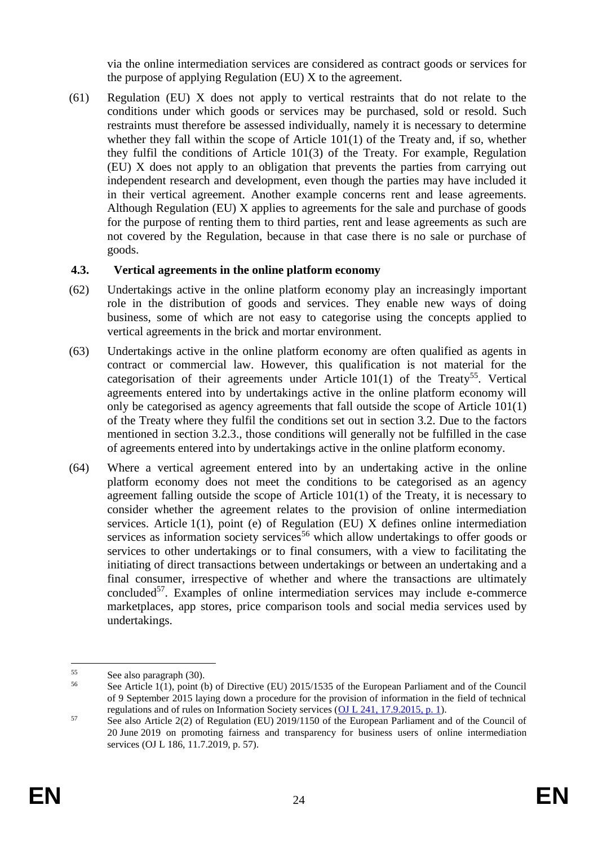via the online intermediation services are considered as contract goods or services for the purpose of applying Regulation (EU) X to the agreement.

(61) Regulation (EU) X does not apply to vertical restraints that do not relate to the conditions under which goods or services may be purchased, sold or resold. Such restraints must therefore be assessed individually, namely it is necessary to determine whether they fall within the scope of Article 101(1) of the Treaty and, if so, whether they fulfil the conditions of Article 101(3) of the Treaty. For example, Regulation (EU) X does not apply to an obligation that prevents the parties from carrying out independent research and development, even though the parties may have included it in their vertical agreement. Another example concerns rent and lease agreements. Although Regulation (EU) X applies to agreements for the sale and purchase of goods for the purpose of renting them to third parties, rent and lease agreements as such are not covered by the Regulation, because in that case there is no sale or purchase of goods.

## <span id="page-24-0"></span>**4.3. Vertical agreements in the online platform economy**

- (62) Undertakings active in the online platform economy play an increasingly important role in the distribution of goods and services. They enable new ways of doing business, some of which are not easy to categorise using the concepts applied to vertical agreements in the brick and mortar environment.
- (63) Undertakings active in the online platform economy are often qualified as agents in contract or commercial law. However, this qualification is not material for the categorisation of their agreements under Article  $101(1)$  of the Treaty<sup>55</sup>. Vertical agreements entered into by undertakings active in the online platform economy will only be categorised as agency agreements that fall outside the scope of Article 101(1) of the Treaty where they fulfil the conditions set out in section 3.2. Due to the factors mentioned in section 3.2.3., those conditions will generally not be fulfilled in the case of agreements entered into by undertakings active in the online platform economy.
- (64) Where a vertical agreement entered into by an undertaking active in the online platform economy does not meet the conditions to be categorised as an agency agreement falling outside the scope of Article  $101(1)$  of the Treaty, it is necessary to consider whether the agreement relates to the provision of online intermediation services. Article  $1(1)$ , point (e) of Regulation (EU) X defines online intermediation services as information society services<sup>56</sup> which allow undertakings to offer goods or services to other undertakings or to final consumers, with a view to facilitating the initiating of direct transactions between undertakings or between an undertaking and a final consumer, irrespective of whether and where the transactions are ultimately concluded<sup>57</sup>. Examples of online intermediation services may include e-commerce marketplaces, app stores, price comparison tools and social media services used by undertakings.

<sup>&</sup>lt;u>.</u>  $55$  See also paragraph (30).

See Article 1(1), point (b) of Directive (EU) 2015/1535 of the European Parliament and of the Council of 9 September 2015 laying down a procedure for the provision of information in the field of technical regulations and of rules on Information Society services [\(OJ L 241, 17.9.2015, p. 1\)](https://eur-lex.europa.eu/legal-content/EN/AUTO/?uri=OJ:L:2015:241:TOC).

<sup>57</sup> See also Article 2(2) of Regulation (EU) 2019/1150 of the European Parliament and of the Council of 20 June 2019 on promoting fairness and transparency for business users of online intermediation services (OJ L 186, 11.7.2019, p. 57).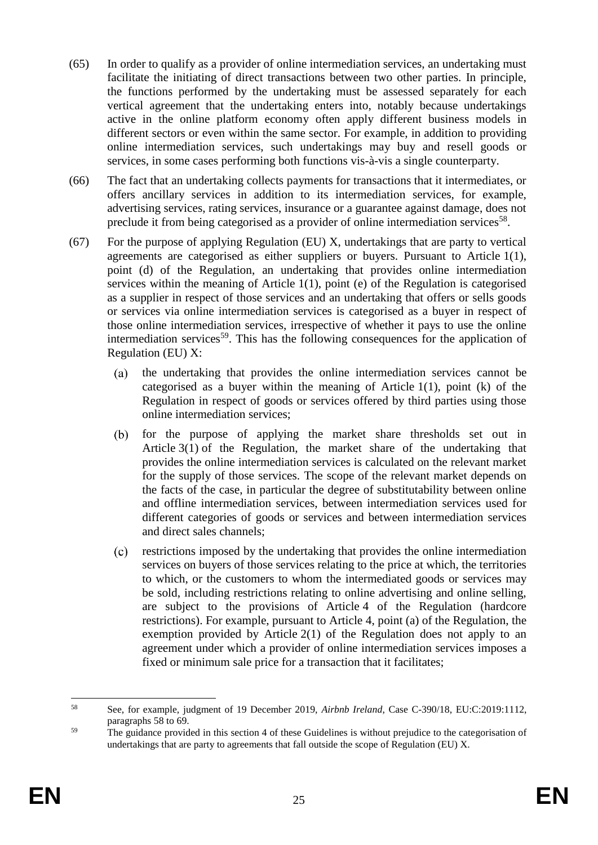- (65) In order to qualify as a provider of online intermediation services, an undertaking must facilitate the initiating of direct transactions between two other parties. In principle, the functions performed by the undertaking must be assessed separately for each vertical agreement that the undertaking enters into, notably because undertakings active in the online platform economy often apply different business models in different sectors or even within the same sector. For example, in addition to providing online intermediation services, such undertakings may buy and resell goods or services, in some cases performing both functions vis-à-vis a single counterparty.
- (66) The fact that an undertaking collects payments for transactions that it intermediates, or offers ancillary services in addition to its intermediation services, for example, advertising services, rating services, insurance or a guarantee against damage, does not preclude it from being categorised as a provider of online intermediation services<sup>58</sup>.
- (67) For the purpose of applying Regulation (EU) X, undertakings that are party to vertical agreements are categorised as either suppliers or buyers. Pursuant to Article 1(1), point (d) of the Regulation, an undertaking that provides online intermediation services within the meaning of Article 1(1), point (e) of the Regulation is categorised as a supplier in respect of those services and an undertaking that offers or sells goods or services via online intermediation services is categorised as a buyer in respect of those online intermediation services, irrespective of whether it pays to use the online intermediation services<sup>59</sup>. This has the following consequences for the application of Regulation (EU) X:
	- $(a)$ the undertaking that provides the online intermediation services cannot be categorised as a buyer within the meaning of Article  $1(1)$ , point  $(k)$  of the Regulation in respect of goods or services offered by third parties using those online intermediation services;
	- for the purpose of applying the market share thresholds set out in  $(b)$ Article 3(1) of the Regulation, the market share of the undertaking that provides the online intermediation services is calculated on the relevant market for the supply of those services. The scope of the relevant market depends on the facts of the case, in particular the degree of substitutability between online and offline intermediation services, between intermediation services used for different categories of goods or services and between intermediation services and direct sales channels;
	- $(c)$ restrictions imposed by the undertaking that provides the online intermediation services on buyers of those services relating to the price at which, the territories to which, or the customers to whom the intermediated goods or services may be sold, including restrictions relating to online advertising and online selling, are subject to the provisions of Article 4 of the Regulation (hardcore restrictions). For example, pursuant to Article 4, point (a) of the Regulation, the exemption provided by Article 2(1) of the Regulation does not apply to an agreement under which a provider of online intermediation services imposes a fixed or minimum sale price for a transaction that it facilitates;

<sup>58</sup> <sup>58</sup> See, for example, judgment of 19 December 2019, *Airbnb Ireland*, Case C-390/18, EU:C:2019:1112, paragraphs 58 to 69.

<sup>&</sup>lt;sup>59</sup> The guidance provided in this section 4 of these Guidelines is without prejudice to the categorisation of undertakings that are party to agreements that fall outside the scope of Regulation (EU) X.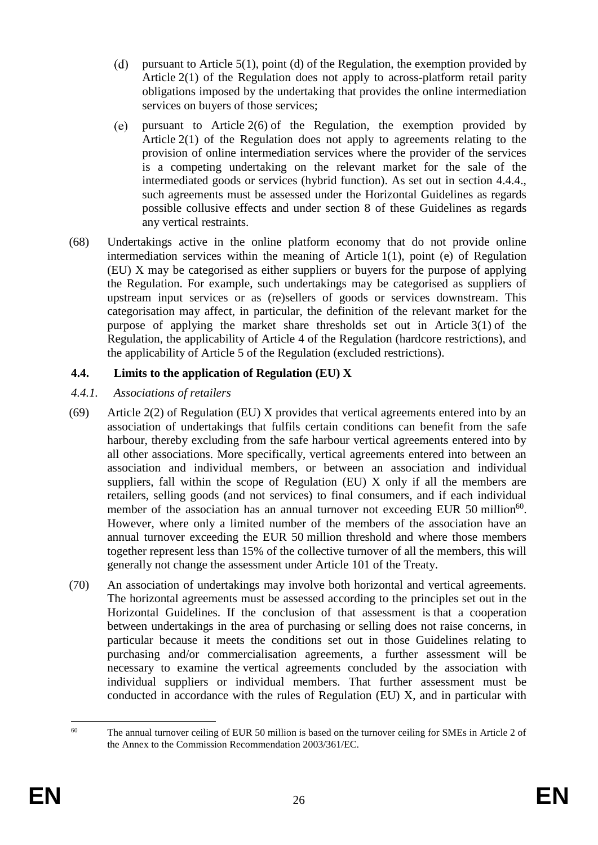- $(d)$ pursuant to Article 5(1), point (d) of the Regulation, the exemption provided by Article 2(1) of the Regulation does not apply to across-platform retail parity obligations imposed by the undertaking that provides the online intermediation services on buyers of those services;
- $(e)$ pursuant to Article 2(6) of the Regulation, the exemption provided by Article 2(1) of the Regulation does not apply to agreements relating to the provision of online intermediation services where the provider of the services is a competing undertaking on the relevant market for the sale of the intermediated goods or services (hybrid function). As set out in section 4.4.4., such agreements must be assessed under the Horizontal Guidelines as regards possible collusive effects and under section 8 of these Guidelines as regards any vertical restraints.
- (68) Undertakings active in the online platform economy that do not provide online intermediation services within the meaning of Article 1(1), point (e) of Regulation (EU) X may be categorised as either suppliers or buyers for the purpose of applying the Regulation. For example, such undertakings may be categorised as suppliers of upstream input services or as (re)sellers of goods or services downstream. This categorisation may affect, in particular, the definition of the relevant market for the purpose of applying the market share thresholds set out in Article 3(1) of the Regulation, the applicability of Article 4 of the Regulation (hardcore restrictions), and the applicability of Article 5 of the Regulation (excluded restrictions).

# <span id="page-26-0"></span>**4.4. Limits to the application of Regulation (EU) X**

# <span id="page-26-1"></span>*4.4.1. Associations of retailers*

- (69) Article 2(2) of Regulation (EU) X provides that vertical agreements entered into by an association of undertakings that fulfils certain conditions can benefit from the safe harbour, thereby excluding from the safe harbour vertical agreements entered into by all other associations. More specifically, vertical agreements entered into between an association and individual members, or between an association and individual suppliers, fall within the scope of Regulation (EU) X only if all the members are retailers, selling goods (and not services) to final consumers, and if each individual member of the association has an annual turnover not exceeding EUR 50 million<sup>60</sup>. However, where only a limited number of the members of the association have an annual turnover exceeding the EUR 50 million threshold and where those members together represent less than 15% of the collective turnover of all the members, this will generally not change the assessment under Article 101 of the Treaty.
- (70) An association of undertakings may involve both horizontal and vertical agreements. The horizontal agreements must be assessed according to the principles set out in the Horizontal Guidelines. If the conclusion of that assessment is that a cooperation between undertakings in the area of purchasing or selling does not raise concerns, in particular because it meets the conditions set out in those Guidelines relating to purchasing and/or commercialisation agreements, a further assessment will be necessary to examine the vertical agreements concluded by the association with individual suppliers or individual members. That further assessment must be conducted in accordance with the rules of Regulation (EU) X, and in particular with

<sup>60</sup> The annual turnover ceiling of EUR 50 million is based on the turnover ceiling for SMEs in Article 2 of the Annex to the Commission Recommendation 2003/361/EC.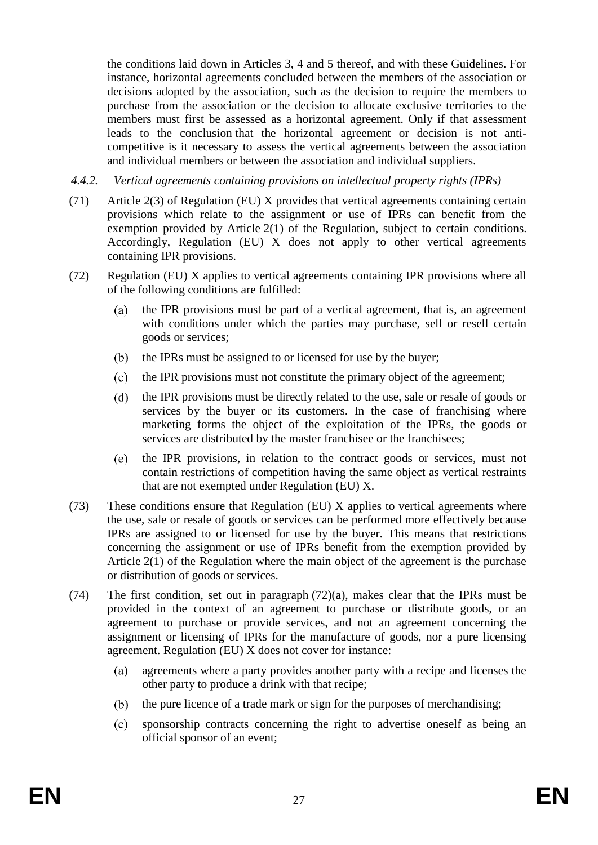the conditions laid down in Articles 3, 4 and 5 thereof, and with these Guidelines. For instance, horizontal agreements concluded between the members of the association or decisions adopted by the association, such as the decision to require the members to purchase from the association or the decision to allocate exclusive territories to the members must first be assessed as a horizontal agreement. Only if that assessment leads to the conclusion that the horizontal agreement or decision is not anticompetitive is it necessary to assess the vertical agreements between the association and individual members or between the association and individual suppliers.

#### <span id="page-27-0"></span>*4.4.2. Vertical agreements containing provisions on intellectual property rights (IPRs)*

- (71) Article 2(3) of Regulation (EU) X provides that vertical agreements containing certain provisions which relate to the assignment or use of IPRs can benefit from the exemption provided by Article 2(1) of the Regulation, subject to certain conditions. Accordingly, Regulation (EU) X does not apply to other vertical agreements containing IPR provisions.
- (72) Regulation (EU) X applies to vertical agreements containing IPR provisions where all of the following conditions are fulfilled:
	- the IPR provisions must be part of a vertical agreement, that is, an agreement  $(a)$ with conditions under which the parties may purchase, sell or resell certain goods or services;
	- $(b)$ the IPRs must be assigned to or licensed for use by the buyer;
	- $(c)$ the IPR provisions must not constitute the primary object of the agreement;
	- the IPR provisions must be directly related to the use, sale or resale of goods or  $(d)$ services by the buyer or its customers. In the case of franchising where marketing forms the object of the exploitation of the IPRs, the goods or services are distributed by the master franchisee or the franchisees;
	- the IPR provisions, in relation to the contract goods or services, must not  $(e)$ contain restrictions of competition having the same object as vertical restraints that are not exempted under Regulation (EU) X.
- (73) These conditions ensure that Regulation (EU) X applies to vertical agreements where the use, sale or resale of goods or services can be performed more effectively because IPRs are assigned to or licensed for use by the buyer. This means that restrictions concerning the assignment or use of IPRs benefit from the exemption provided by Article 2(1) of the Regulation where the main object of the agreement is the purchase or distribution of goods or services.
- (74) The first condition, set out in paragraph (72)(a), makes clear that the IPRs must be provided in the context of an agreement to purchase or distribute goods, or an agreement to purchase or provide services, and not an agreement concerning the assignment or licensing of IPRs for the manufacture of goods, nor a pure licensing agreement. Regulation (EU) X does not cover for instance:
	- $(a)$ agreements where a party provides another party with a recipe and licenses the other party to produce a drink with that recipe;
	- $(b)$ the pure licence of a trade mark or sign for the purposes of merchandising;
	- sponsorship contracts concerning the right to advertise oneself as being an  $(c)$ official sponsor of an event;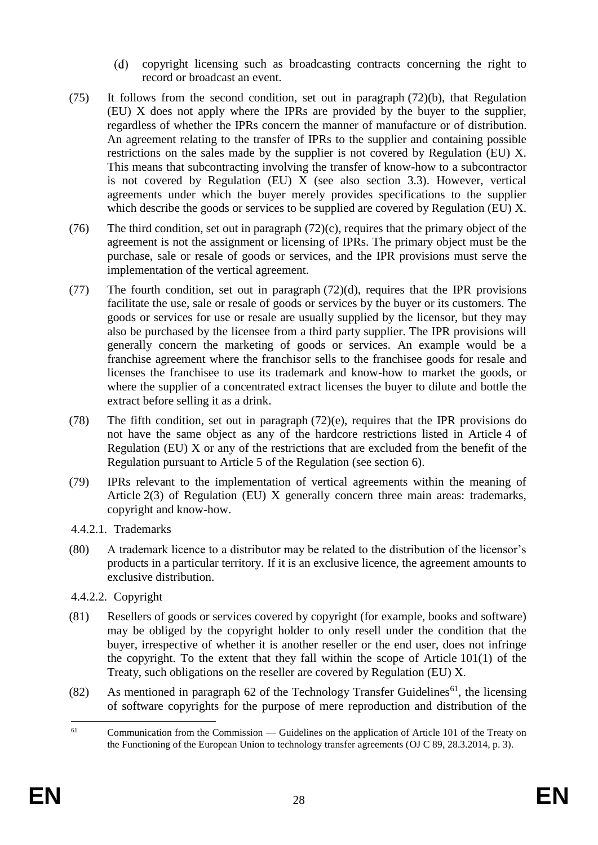- $(d)$ copyright licensing such as broadcasting contracts concerning the right to record or broadcast an event.
- (75) It follows from the second condition, set out in paragraph (72)(b), that Regulation (EU) X does not apply where the IPRs are provided by the buyer to the supplier, regardless of whether the IPRs concern the manner of manufacture or of distribution. An agreement relating to the transfer of IPRs to the supplier and containing possible restrictions on the sales made by the supplier is not covered by Regulation (EU) X. This means that subcontracting involving the transfer of know-how to a subcontractor is not covered by Regulation (EU) X (see also section 3.3). However, vertical agreements under which the buyer merely provides specifications to the supplier which describe the goods or services to be supplied are covered by Regulation (EU) X.
- (76) The third condition, set out in paragraph (72)(c), requires that the primary object of the agreement is not the assignment or licensing of IPRs. The primary object must be the purchase, sale or resale of goods or services, and the IPR provisions must serve the implementation of the vertical agreement.
- (77) The fourth condition, set out in paragraph (72)(d), requires that the IPR provisions facilitate the use, sale or resale of goods or services by the buyer or its customers. The goods or services for use or resale are usually supplied by the licensor, but they may also be purchased by the licensee from a third party supplier. The IPR provisions will generally concern the marketing of goods or services. An example would be a franchise agreement where the franchisor sells to the franchisee goods for resale and licenses the franchisee to use its trademark and know-how to market the goods, or where the supplier of a concentrated extract licenses the buyer to dilute and bottle the extract before selling it as a drink.
- (78) The fifth condition, set out in paragraph (72)(e), requires that the IPR provisions do not have the same object as any of the hardcore restrictions listed in Article 4 of Regulation (EU) X or any of the restrictions that are excluded from the benefit of the Regulation pursuant to Article 5 of the Regulation (see section 6).
- (79) IPRs relevant to the implementation of vertical agreements within the meaning of Article 2(3) of Regulation (EU) X generally concern three main areas: trademarks, copyright and know-how.
- 4.4.2.1. Trademarks
- (80) A trademark licence to a distributor may be related to the distribution of the licensor's products in a particular territory. If it is an exclusive licence, the agreement amounts to exclusive distribution.
- 4.4.2.2. Copyright
- (81) Resellers of goods or services covered by copyright (for example, books and software) may be obliged by the copyright holder to only resell under the condition that the buyer, irrespective of whether it is another reseller or the end user, does not infringe the copyright. To the extent that they fall within the scope of Article 101(1) of the Treaty, such obligations on the reseller are covered by Regulation (EU) X.
- (82) As mentioned in paragraph 62 of the Technology Transfer Guidelines<sup>61</sup>, the licensing of software copyrights for the purpose of mere reproduction and distribution of the

 $61$ <sup>61</sup> Communication from the Commission — Guidelines on the application of Article 101 of the Treaty on the Functioning of the European Union to technology transfer agreements (OJ C 89, 28.3.2014, p. 3).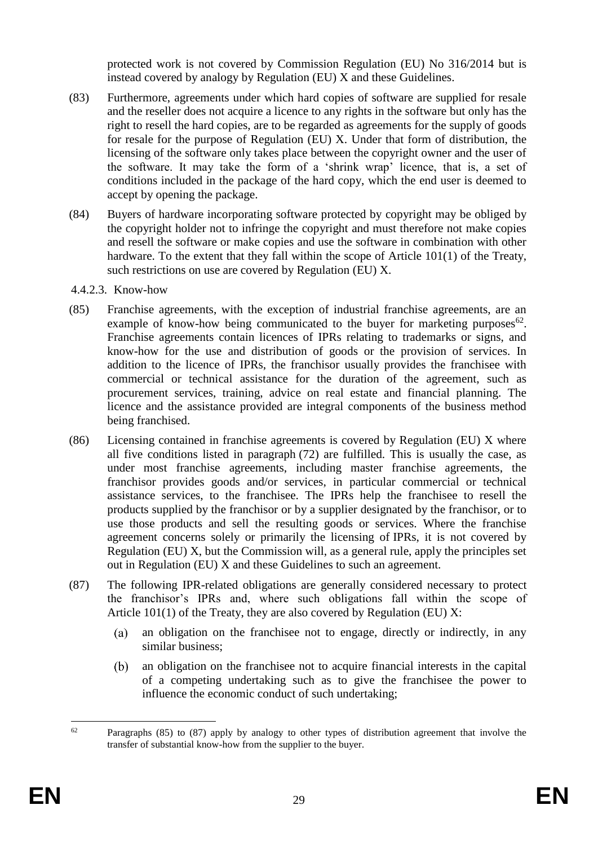protected work is not covered by Commission Regulation (EU) No 316/2014 but is instead covered by analogy by Regulation (EU) X and these Guidelines.

- (83) Furthermore, agreements under which hard copies of software are supplied for resale and the reseller does not acquire a licence to any rights in the software but only has the right to resell the hard copies, are to be regarded as agreements for the supply of goods for resale for the purpose of Regulation (EU) X. Under that form of distribution, the licensing of the software only takes place between the copyright owner and the user of the software. It may take the form of a 'shrink wrap' licence, that is, a set of conditions included in the package of the hard copy, which the end user is deemed to accept by opening the package.
- (84) Buyers of hardware incorporating software protected by copyright may be obliged by the copyright holder not to infringe the copyright and must therefore not make copies and resell the software or make copies and use the software in combination with other hardware. To the extent that they fall within the scope of Article 101(1) of the Treaty, such restrictions on use are covered by Regulation (EU) X.
- 4.4.2.3. Know-how
- (85) Franchise agreements, with the exception of industrial franchise agreements, are an example of know-how being communicated to the buyer for marketing purposes  $62$ . Franchise agreements contain licences of IPRs relating to trademarks or signs, and know-how for the use and distribution of goods or the provision of services. In addition to the licence of IPRs, the franchisor usually provides the franchisee with commercial or technical assistance for the duration of the agreement, such as procurement services, training, advice on real estate and financial planning. The licence and the assistance provided are integral components of the business method being franchised.
- (86) Licensing contained in franchise agreements is covered by Regulation (EU) X where all five conditions listed in paragraph (72) are fulfilled. This is usually the case, as under most franchise agreements, including master franchise agreements, the franchisor provides goods and/or services, in particular commercial or technical assistance services, to the franchisee. The IPRs help the franchisee to resell the products supplied by the franchisor or by a supplier designated by the franchisor, or to use those products and sell the resulting goods or services. Where the franchise agreement concerns solely or primarily the licensing of IPRs, it is not covered by Regulation (EU) X, but the Commission will, as a general rule, apply the principles set out in Regulation (EU) X and these Guidelines to such an agreement.
- (87) The following IPR-related obligations are generally considered necessary to protect the franchisor's IPRs and, where such obligations fall within the scope of Article  $101(1)$  of the Treaty, they are also covered by Regulation (EU) X:
	- $(a)$ an obligation on the franchisee not to engage, directly or indirectly, in any similar business;
	- $(b)$ an obligation on the franchisee not to acquire financial interests in the capital of a competing undertaking such as to give the franchisee the power to influence the economic conduct of such undertaking;

 $62$ Paragraphs (85) to (87) apply by analogy to other types of distribution agreement that involve the transfer of substantial know-how from the supplier to the buyer.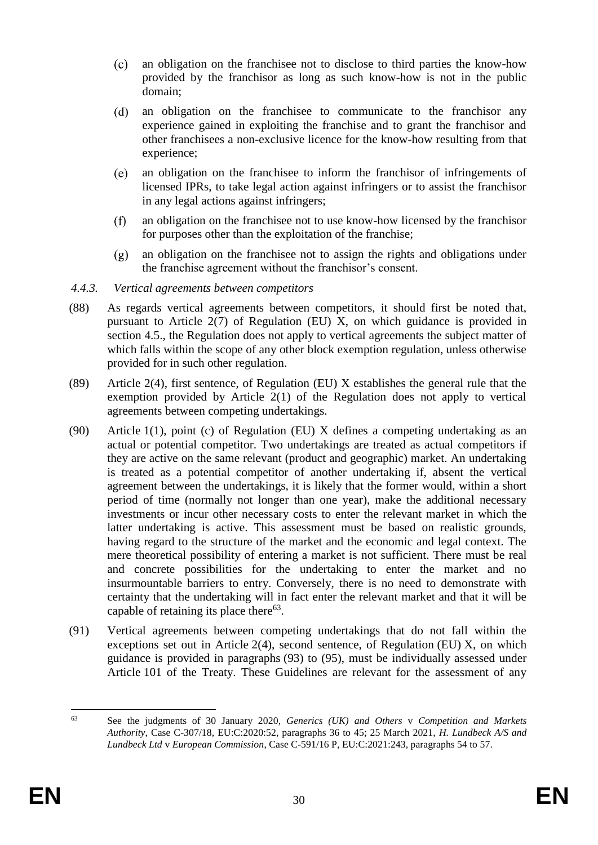- $(c)$ an obligation on the franchisee not to disclose to third parties the know-how provided by the franchisor as long as such know-how is not in the public domain;
- an obligation on the franchisee to communicate to the franchisor any  $(d)$ experience gained in exploiting the franchise and to grant the franchisor and other franchisees a non-exclusive licence for the know-how resulting from that experience;
- $(e)$ an obligation on the franchisee to inform the franchisor of infringements of licensed IPRs, to take legal action against infringers or to assist the franchisor in any legal actions against infringers;
- $(f)$ an obligation on the franchisee not to use know-how licensed by the franchisor for purposes other than the exploitation of the franchise;
- an obligation on the franchisee not to assign the rights and obligations under  $(g)$ the franchise agreement without the franchisor's consent.

#### <span id="page-30-0"></span>*4.4.3. Vertical agreements between competitors*

- (88) As regards vertical agreements between competitors, it should first be noted that, pursuant to Article 2(7) of Regulation (EU) X, on which guidance is provided in section 4.5., the Regulation does not apply to vertical agreements the subject matter of which falls within the scope of any other block exemption regulation, unless otherwise provided for in such other regulation.
- (89) Article 2(4), first sentence, of Regulation (EU) X establishes the general rule that the exemption provided by Article 2(1) of the Regulation does not apply to vertical agreements between competing undertakings.
- (90) Article 1(1), point (c) of Regulation (EU) X defines a competing undertaking as an actual or potential competitor. Two undertakings are treated as actual competitors if they are active on the same relevant (product and geographic) market. An undertaking is treated as a potential competitor of another undertaking if, absent the vertical agreement between the undertakings, it is likely that the former would, within a short period of time (normally not longer than one year), make the additional necessary investments or incur other necessary costs to enter the relevant market in which the latter undertaking is active. This assessment must be based on realistic grounds, having regard to the structure of the market and the economic and legal context. The mere theoretical possibility of entering a market is not sufficient. There must be real and concrete possibilities for the undertaking to enter the market and no insurmountable barriers to entry. Conversely, there is no need to demonstrate with certainty that the undertaking will in fact enter the relevant market and that it will be capable of retaining its place there $63$ .
- (91) Vertical agreements between competing undertakings that do not fall within the exceptions set out in Article 2(4), second sentence, of Regulation (EU) X, on which guidance is provided in paragraphs (93) to (95), must be individually assessed under Article 101 of the Treaty. These Guidelines are relevant for the assessment of any

<sup>63</sup> <sup>63</sup> See the judgments of 30 January 2020, *Generics (UK) and Others* v *Competition and Markets Authority*, Case C-307/18, EU:C:2020:52, paragraphs 36 to 45; 25 March 2021, *H. Lundbeck A/S and Lundbeck Ltd* v *European Commission*, Case C-591/16 P, EU:C:2021:243, paragraphs 54 to 57.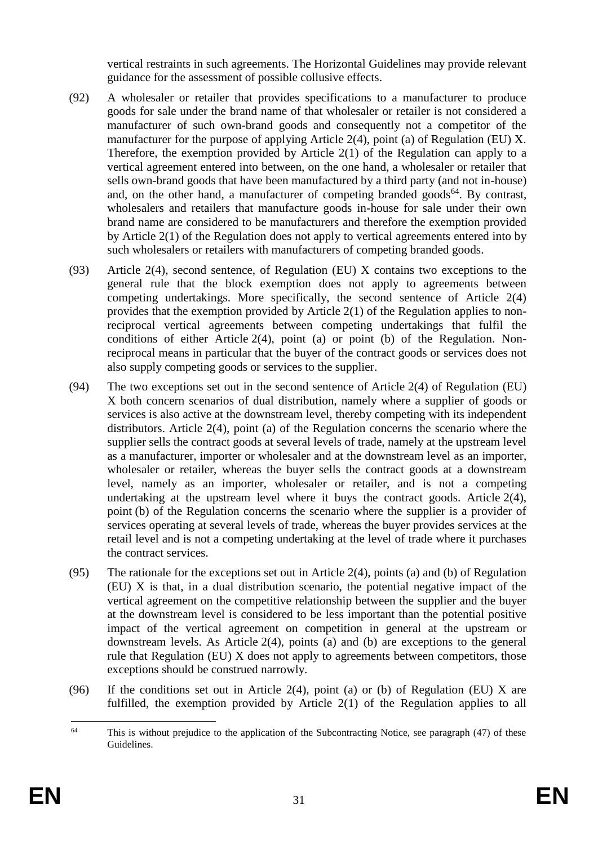vertical restraints in such agreements. The Horizontal Guidelines may provide relevant guidance for the assessment of possible collusive effects.

- (92) A wholesaler or retailer that provides specifications to a manufacturer to produce goods for sale under the brand name of that wholesaler or retailer is not considered a manufacturer of such own-brand goods and consequently not a competitor of the manufacturer for the purpose of applying Article 2(4), point (a) of Regulation (EU) X. Therefore, the exemption provided by Article 2(1) of the Regulation can apply to a vertical agreement entered into between, on the one hand, a wholesaler or retailer that sells own-brand goods that have been manufactured by a third party (and not in-house) and, on the other hand, a manufacturer of competing branded goods<sup> $64$ </sup>. By contrast, wholesalers and retailers that manufacture goods in-house for sale under their own brand name are considered to be manufacturers and therefore the exemption provided by Article 2(1) of the Regulation does not apply to vertical agreements entered into by such wholesalers or retailers with manufacturers of competing branded goods.
- (93) Article 2(4), second sentence, of Regulation (EU) X contains two exceptions to the general rule that the block exemption does not apply to agreements between competing undertakings. More specifically, the second sentence of Article 2(4) provides that the exemption provided by Article 2(1) of the Regulation applies to nonreciprocal vertical agreements between competing undertakings that fulfil the conditions of either Article 2(4), point (a) or point (b) of the Regulation. Nonreciprocal means in particular that the buyer of the contract goods or services does not also supply competing goods or services to the supplier.
- (94) The two exceptions set out in the second sentence of Article 2(4) of Regulation (EU) X both concern scenarios of dual distribution, namely where a supplier of goods or services is also active at the downstream level, thereby competing with its independent distributors. Article 2(4), point (a) of the Regulation concerns the scenario where the supplier sells the contract goods at several levels of trade, namely at the upstream level as a manufacturer, importer or wholesaler and at the downstream level as an importer, wholesaler or retailer, whereas the buyer sells the contract goods at a downstream level, namely as an importer, wholesaler or retailer, and is not a competing undertaking at the upstream level where it buys the contract goods. Article 2(4), point (b) of the Regulation concerns the scenario where the supplier is a provider of services operating at several levels of trade, whereas the buyer provides services at the retail level and is not a competing undertaking at the level of trade where it purchases the contract services.
- (95) The rationale for the exceptions set out in Article 2(4), points (a) and (b) of Regulation (EU) X is that, in a dual distribution scenario, the potential negative impact of the vertical agreement on the competitive relationship between the supplier and the buyer at the downstream level is considered to be less important than the potential positive impact of the vertical agreement on competition in general at the upstream or downstream levels. As Article 2(4), points (a) and (b) are exceptions to the general rule that Regulation (EU) X does not apply to agreements between competitors, those exceptions should be construed narrowly.
- (96) If the conditions set out in Article 2(4), point (a) or (b) of Regulation (EU) X are fulfilled, the exemption provided by Article 2(1) of the Regulation applies to all

<sup>64</sup> This is without prejudice to the application of the Subcontracting Notice, see paragraph (47) of these Guidelines.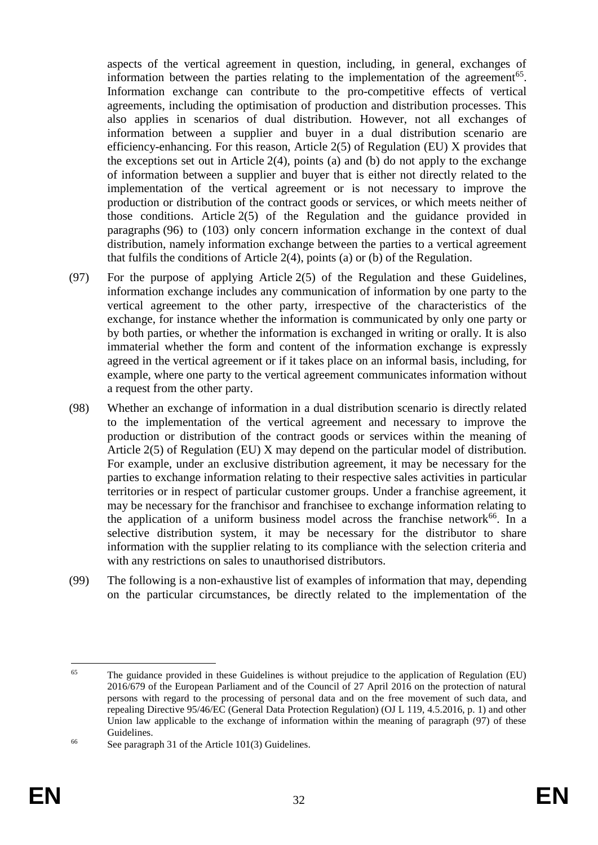aspects of the vertical agreement in question, including, in general, exchanges of information between the parties relating to the implementation of the agreement<sup>65</sup>. Information exchange can contribute to the pro-competitive effects of vertical agreements, including the optimisation of production and distribution processes. This also applies in scenarios of dual distribution. However, not all exchanges of information between a supplier and buyer in a dual distribution scenario are efficiency-enhancing. For this reason, Article 2(5) of Regulation (EU) X provides that the exceptions set out in Article  $2(4)$ , points (a) and (b) do not apply to the exchange of information between a supplier and buyer that is either not directly related to the implementation of the vertical agreement or is not necessary to improve the production or distribution of the contract goods or services, or which meets neither of those conditions. Article  $2(5)$  of the Regulation and the guidance provided in paragraphs (96) to (103) only concern information exchange in the context of dual distribution, namely information exchange between the parties to a vertical agreement that fulfils the conditions of Article 2(4), points (a) or (b) of the Regulation.

- (97) For the purpose of applying Article 2(5) of the Regulation and these Guidelines, information exchange includes any communication of information by one party to the vertical agreement to the other party, irrespective of the characteristics of the exchange, for instance whether the information is communicated by only one party or by both parties, or whether the information is exchanged in writing or orally. It is also immaterial whether the form and content of the information exchange is expressly agreed in the vertical agreement or if it takes place on an informal basis, including, for example, where one party to the vertical agreement communicates information without a request from the other party.
- (98) Whether an exchange of information in a dual distribution scenario is directly related to the implementation of the vertical agreement and necessary to improve the production or distribution of the contract goods or services within the meaning of Article 2(5) of Regulation (EU) X may depend on the particular model of distribution. For example, under an exclusive distribution agreement, it may be necessary for the parties to exchange information relating to their respective sales activities in particular territories or in respect of particular customer groups. Under a franchise agreement, it may be necessary for the franchisor and franchisee to exchange information relating to the application of a uniform business model across the franchise network<sup>66</sup>. In a selective distribution system, it may be necessary for the distributor to share information with the supplier relating to its compliance with the selection criteria and with any restrictions on sales to unauthorised distributors.
- (99) The following is a non-exhaustive list of examples of information that may, depending on the particular circumstances, be directly related to the implementation of the

<sup>&</sup>lt;u>.</u> <sup>65</sup> The guidance provided in these Guidelines is without prejudice to the application of Regulation (EU) 2016/679 of the European Parliament and of the Council of 27 April 2016 on the protection of natural persons with regard to the processing of personal data and on the free movement of such data, and repealing Directive 95/46/EC (General Data Protection Regulation) (OJ L 119, 4.5.2016, p. 1) and other Union law applicable to the exchange of information within the meaning of paragraph (97) of these Guidelines.

<sup>66</sup> See paragraph 31 of the Article 101(3) Guidelines.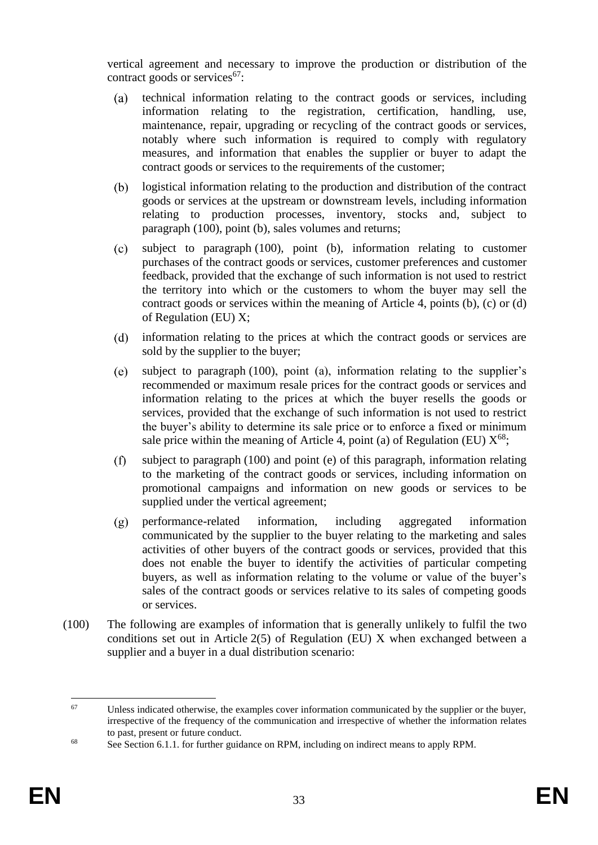vertical agreement and necessary to improve the production or distribution of the contract goods or services $67$ :

- $(a)$ technical information relating to the contract goods or services, including information relating to the registration, certification, handling, use, maintenance, repair, upgrading or recycling of the contract goods or services, notably where such information is required to comply with regulatory measures, and information that enables the supplier or buyer to adapt the contract goods or services to the requirements of the customer;
- logistical information relating to the production and distribution of the contract  $(b)$ goods or services at the upstream or downstream levels, including information relating to production processes, inventory, stocks and, subject to paragraph (100), point (b), sales volumes and returns;
- $(c)$ subject to paragraph (100), point (b), information relating to customer purchases of the contract goods or services, customer preferences and customer feedback, provided that the exchange of such information is not used to restrict the territory into which or the customers to whom the buyer may sell the contract goods or services within the meaning of Article 4, points (b), (c) or (d) of Regulation (EU) X;
- information relating to the prices at which the contract goods or services are  $(d)$ sold by the supplier to the buyer;
- subject to paragraph (100), point (a), information relating to the supplier's  $(e)$ recommended or maximum resale prices for the contract goods or services and information relating to the prices at which the buyer resells the goods or services, provided that the exchange of such information is not used to restrict the buyer's ability to determine its sale price or to enforce a fixed or minimum sale price within the meaning of Article 4, point (a) of Regulation (EU)  $X^{68}$ ;
- $(f)$ subject to paragraph (100) and point (e) of this paragraph, information relating to the marketing of the contract goods or services, including information on promotional campaigns and information on new goods or services to be supplied under the vertical agreement;
- $(g)$ performance-related information, including aggregated information communicated by the supplier to the buyer relating to the marketing and sales activities of other buyers of the contract goods or services, provided that this does not enable the buyer to identify the activities of particular competing buyers, as well as information relating to the volume or value of the buyer's sales of the contract goods or services relative to its sales of competing goods or services.
- (100) The following are examples of information that is generally unlikely to fulfil the two conditions set out in Article 2(5) of Regulation (EU) X when exchanged between a supplier and a buyer in a dual distribution scenario:

<sup>67</sup> Unless indicated otherwise, the examples cover information communicated by the supplier or the buyer, irrespective of the frequency of the communication and irrespective of whether the information relates to past, present or future conduct.

<sup>&</sup>lt;sup>68</sup> See Section 6.1.1. for further guidance on RPM, including on indirect means to apply RPM.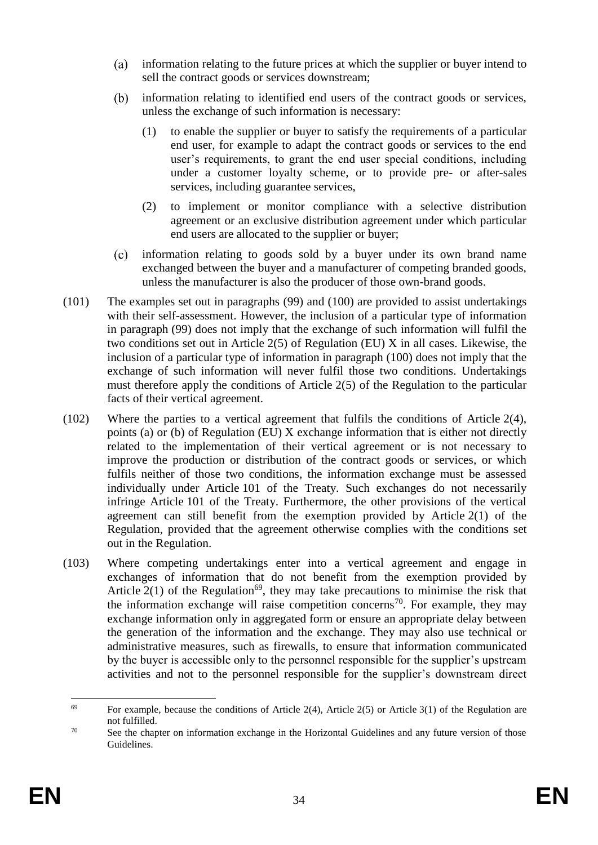- information relating to the future prices at which the supplier or buyer intend to  $(a)$ sell the contract goods or services downstream;
- $(b)$ information relating to identified end users of the contract goods or services, unless the exchange of such information is necessary:
	- (1) to enable the supplier or buyer to satisfy the requirements of a particular end user, for example to adapt the contract goods or services to the end user's requirements, to grant the end user special conditions, including under a customer loyalty scheme, or to provide pre- or after-sales services, including guarantee services,
	- (2) to implement or monitor compliance with a selective distribution agreement or an exclusive distribution agreement under which particular end users are allocated to the supplier or buyer;
- information relating to goods sold by a buyer under its own brand name  $(c)$ exchanged between the buyer and a manufacturer of competing branded goods, unless the manufacturer is also the producer of those own-brand goods.
- (101) The examples set out in paragraphs (99) and (100) are provided to assist undertakings with their self-assessment. However, the inclusion of a particular type of information in paragraph (99) does not imply that the exchange of such information will fulfil the two conditions set out in Article 2(5) of Regulation (EU) X in all cases. Likewise, the inclusion of a particular type of information in paragraph (100) does not imply that the exchange of such information will never fulfil those two conditions. Undertakings must therefore apply the conditions of Article 2(5) of the Regulation to the particular facts of their vertical agreement.
- $(102)$  Where the parties to a vertical agreement that fulfils the conditions of Article 2(4), points (a) or (b) of Regulation (EU) X exchange information that is either not directly related to the implementation of their vertical agreement or is not necessary to improve the production or distribution of the contract goods or services, or which fulfils neither of those two conditions, the information exchange must be assessed individually under Article 101 of the Treaty. Such exchanges do not necessarily infringe Article 101 of the Treaty. Furthermore, the other provisions of the vertical agreement can still benefit from the exemption provided by Article 2(1) of the Regulation, provided that the agreement otherwise complies with the conditions set out in the Regulation.
- (103) Where competing undertakings enter into a vertical agreement and engage in exchanges of information that do not benefit from the exemption provided by Article  $2(1)$  of the Regulation<sup>69</sup>, they may take precautions to minimise the risk that the information exchange will raise competition concerns<sup>70</sup>. For example, they may exchange information only in aggregated form or ensure an appropriate delay between the generation of the information and the exchange. They may also use technical or administrative measures, such as firewalls, to ensure that information communicated by the buyer is accessible only to the personnel responsible for the supplier's upstream activities and not to the personnel responsible for the supplier's downstream direct

<sup>69</sup> For example, because the conditions of Article 2(4), Article 2(5) or Article  $3(1)$  of the Regulation are not fulfilled.

<sup>&</sup>lt;sup>70</sup> See the chapter on information exchange in the Horizontal Guidelines and any future version of those Guidelines.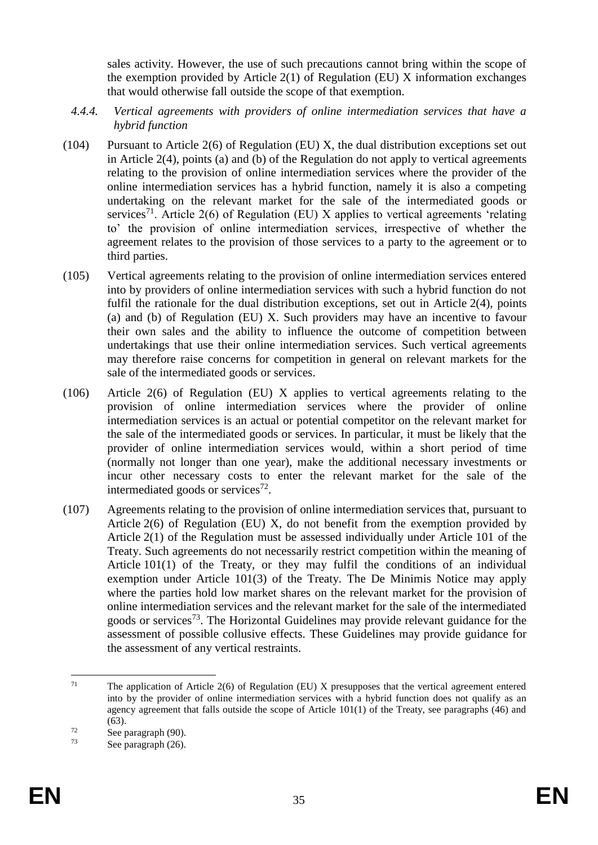sales activity. However, the use of such precautions cannot bring within the scope of the exemption provided by Article 2(1) of Regulation (EU) X information exchanges that would otherwise fall outside the scope of that exemption.

- <span id="page-35-0"></span>*4.4.4. Vertical agreements with providers of online intermediation services that have a hybrid function*
- (104) Pursuant to Article 2(6) of Regulation (EU) X, the dual distribution exceptions set out in Article 2(4), points (a) and (b) of the Regulation do not apply to vertical agreements relating to the provision of online intermediation services where the provider of the online intermediation services has a hybrid function, namely it is also a competing undertaking on the relevant market for the sale of the intermediated goods or services<sup>71</sup>. Article 2(6) of Regulation (EU) X applies to vertical agreements 'relating to' the provision of online intermediation services, irrespective of whether the agreement relates to the provision of those services to a party to the agreement or to third parties.
- (105) Vertical agreements relating to the provision of online intermediation services entered into by providers of online intermediation services with such a hybrid function do not fulfil the rationale for the dual distribution exceptions, set out in Article 2(4), points (a) and (b) of Regulation (EU) X. Such providers may have an incentive to favour their own sales and the ability to influence the outcome of competition between undertakings that use their online intermediation services. Such vertical agreements may therefore raise concerns for competition in general on relevant markets for the sale of the intermediated goods or services.
- (106) Article 2(6) of Regulation (EU) X applies to vertical agreements relating to the provision of online intermediation services where the provider of online intermediation services is an actual or potential competitor on the relevant market for the sale of the intermediated goods or services. In particular, it must be likely that the provider of online intermediation services would, within a short period of time (normally not longer than one year), make the additional necessary investments or incur other necessary costs to enter the relevant market for the sale of the intermediated goods or services $^{72}$ .
- (107) Agreements relating to the provision of online intermediation services that, pursuant to Article 2(6) of Regulation (EU) X, do not benefit from the exemption provided by Article 2(1) of the Regulation must be assessed individually under Article 101 of the Treaty. Such agreements do not necessarily restrict competition within the meaning of Article 101(1) of the Treaty, or they may fulfil the conditions of an individual exemption under Article 101(3) of the Treaty. The De Minimis Notice may apply where the parties hold low market shares on the relevant market for the provision of online intermediation services and the relevant market for the sale of the intermediated goods or services<sup>73</sup>. The Horizontal Guidelines may provide relevant guidance for the assessment of possible collusive effects. These Guidelines may provide guidance for the assessment of any vertical restraints.

<sup>71</sup> The application of Article  $2(6)$  of Regulation (EU) X presupposes that the vertical agreement entered into by the provider of online intermediation services with a hybrid function does not qualify as an agency agreement that falls outside the scope of Article 101(1) of the Treaty, see paragraphs (46) and (63).

 $\frac{72}{73}$  See paragraph (90).

See paragraph (26).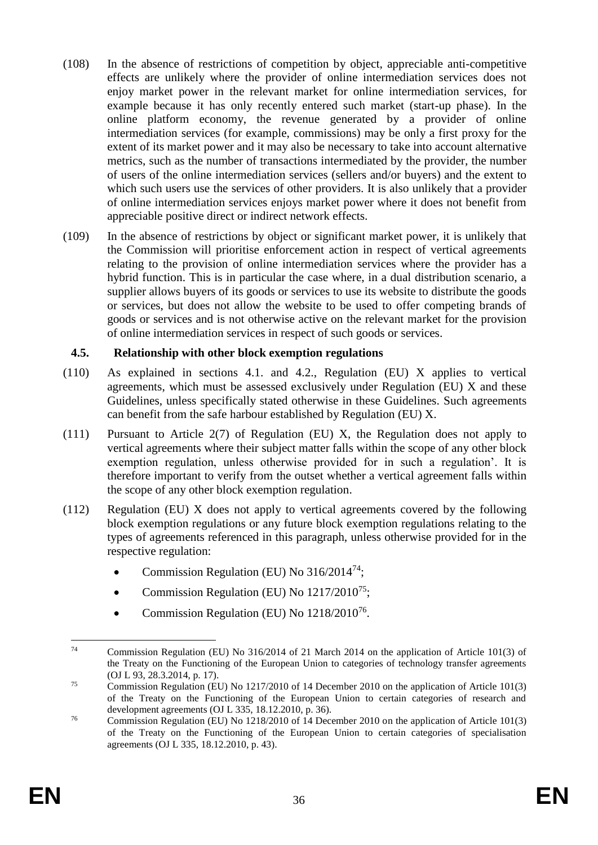- (108) In the absence of restrictions of competition by object, appreciable anti-competitive effects are unlikely where the provider of online intermediation services does not enjoy market power in the relevant market for online intermediation services, for example because it has only recently entered such market (start-up phase). In the online platform economy, the revenue generated by a provider of online intermediation services (for example, commissions) may be only a first proxy for the extent of its market power and it may also be necessary to take into account alternative metrics, such as the number of transactions intermediated by the provider, the number of users of the online intermediation services (sellers and/or buyers) and the extent to which such users use the services of other providers. It is also unlikely that a provider of online intermediation services enjoys market power where it does not benefit from appreciable positive direct or indirect network effects.
- (109) In the absence of restrictions by object or significant market power, it is unlikely that the Commission will prioritise enforcement action in respect of vertical agreements relating to the provision of online intermediation services where the provider has a hybrid function. This is in particular the case where, in a dual distribution scenario, a supplier allows buyers of its goods or services to use its website to distribute the goods or services, but does not allow the website to be used to offer competing brands of goods or services and is not otherwise active on the relevant market for the provision of online intermediation services in respect of such goods or services.

#### **4.5. Relationship with other block exemption regulations**

- (110) As explained in sections 4.1. and 4.2., Regulation (EU) X applies to vertical agreements, which must be assessed exclusively under Regulation (EU) X and these Guidelines, unless specifically stated otherwise in these Guidelines. Such agreements can benefit from the safe harbour established by Regulation (EU) X.
- (111) Pursuant to Article 2(7) of Regulation (EU) X, the Regulation does not apply to vertical agreements where their subject matter falls within the scope of any other block exemption regulation, unless otherwise provided for in such a regulation'. It is therefore important to verify from the outset whether a vertical agreement falls within the scope of any other block exemption regulation.
- (112) Regulation (EU) X does not apply to vertical agreements covered by the following block exemption regulations or any future block exemption regulations relating to the types of agreements referenced in this paragraph, unless otherwise provided for in the respective regulation:
	- Commission Regulation (EU) No  $316/2014^{74}$ ;
	- Commission Regulation (EU) No  $1217/2010^{75}$ ;
	- Commission Regulation (EU) No 1218/2010<sup>76</sup>.

 $74$ <sup>74</sup> Commission Regulation (EU) No 316/2014 of 21 March 2014 on the application of Article 101(3) of the Treaty on the Functioning of the European Union to categories of technology transfer agreements (OJ L 93, 28.3.2014, p. 17).

<sup>&</sup>lt;sup>75</sup> Commission Regulation (EU) No 1217/2010 of 14 December 2010 on the application of Article 101(3) of the Treaty on the Functioning of the European Union to certain categories of research and development agreements (OJ L 335, 18.12.2010, p. 36).

<sup>&</sup>lt;sup>76</sup> Commission Regulation (EU) No 1218/2010 of 14 December 2010 on the application of Article 101(3) of the Treaty on the Functioning of the European Union to certain categories of specialisation agreements (OJ L 335, 18.12.2010, p. 43).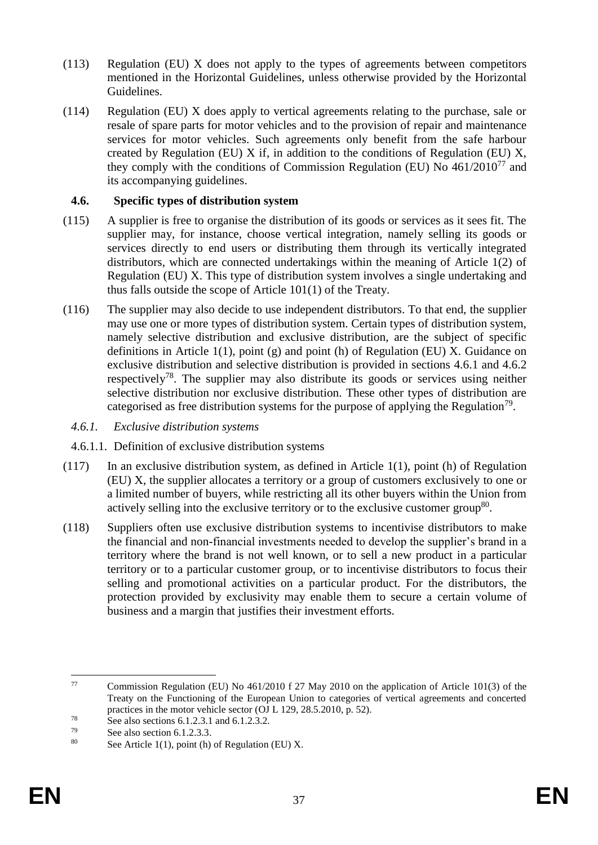- (113) Regulation (EU) X does not apply to the types of agreements between competitors mentioned in the Horizontal Guidelines, unless otherwise provided by the Horizontal Guidelines.
- (114) Regulation (EU) X does apply to vertical agreements relating to the purchase, sale or resale of spare parts for motor vehicles and to the provision of repair and maintenance services for motor vehicles. Such agreements only benefit from the safe harbour created by Regulation (EU) X if, in addition to the conditions of Regulation (EU) X, they comply with the conditions of Commission Regulation (EU) No  $461/2010^{77}$  and its accompanying guidelines.

#### **4.6. Specific types of distribution system**

- (115) A supplier is free to organise the distribution of its goods or services as it sees fit. The supplier may, for instance, choose vertical integration, namely selling its goods or services directly to end users or distributing them through its vertically integrated distributors, which are connected undertakings within the meaning of Article 1(2) of Regulation (EU) X. This type of distribution system involves a single undertaking and thus falls outside the scope of Article 101(1) of the Treaty.
- (116) The supplier may also decide to use independent distributors. To that end, the supplier may use one or more types of distribution system. Certain types of distribution system, namely selective distribution and exclusive distribution, are the subject of specific definitions in Article 1(1), point (g) and point (h) of Regulation (EU) X. Guidance on exclusive distribution and selective distribution is provided in sections 4.6.1 and 4.6.2 respectively<sup>78</sup>. The supplier may also distribute its goods or services using neither selective distribution nor exclusive distribution. These other types of distribution are categorised as free distribution systems for the purpose of applying the Regulation<sup>79</sup>.
	- *4.6.1. Exclusive distribution systems*
- 4.6.1.1. Definition of exclusive distribution systems
- (117) In an exclusive distribution system, as defined in Article 1(1), point (h) of Regulation (EU) X, the supplier allocates a territory or a group of customers exclusively to one or a limited number of buyers, while restricting all its other buyers within the Union from actively selling into the exclusive territory or to the exclusive customer group<sup>80</sup>.
- (118) Suppliers often use exclusive distribution systems to incentivise distributors to make the financial and non-financial investments needed to develop the supplier's brand in a territory where the brand is not well known, or to sell a new product in a particular territory or to a particular customer group, or to incentivise distributors to focus their selling and promotional activities on a particular product. For the distributors, the protection provided by exclusivity may enable them to secure a certain volume of business and a margin that justifies their investment efforts.

<sup>1</sup> <sup>77</sup> Commission Regulation (EU) No  $461/2010$  f 27 May 2010 on the application of Article 101(3) of the Treaty on the Functioning of the European Union to categories of vertical agreements and concerted practices in the motor vehicle sector (OJ L 129, 28.5.2010, p. 52).

 $^{78}$  See also sections 6.1.2.3.1 and 6.1.2.3.2.

 $79$  See also section 6.1.2.3.3.<br>80

See Article 1(1), point (h) of Regulation (EU)  $X$ .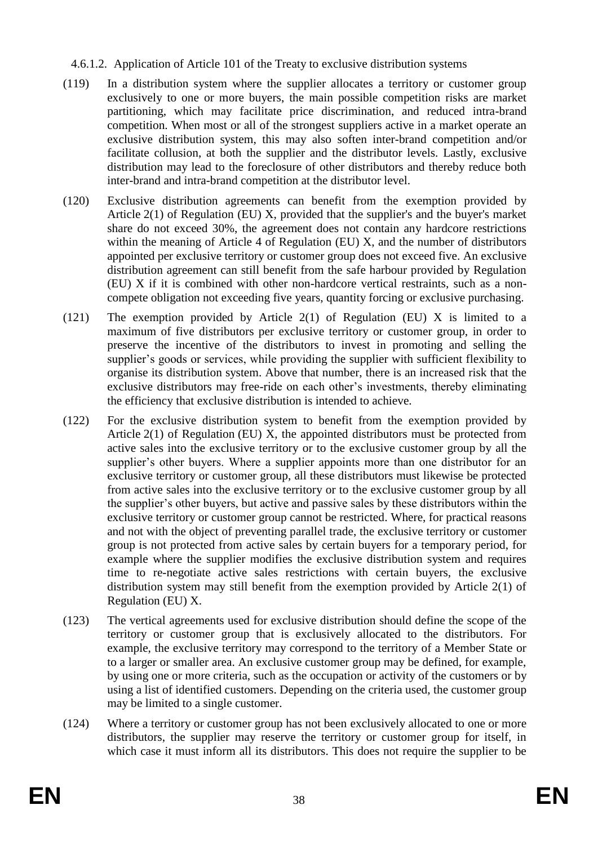#### 4.6.1.2. Application of Article 101 of the Treaty to exclusive distribution systems

- (119) In a distribution system where the supplier allocates a territory or customer group exclusively to one or more buyers, the main possible competition risks are market partitioning, which may facilitate price discrimination, and reduced intra-brand competition. When most or all of the strongest suppliers active in a market operate an exclusive distribution system, this may also soften inter-brand competition and/or facilitate collusion, at both the supplier and the distributor levels. Lastly, exclusive distribution may lead to the foreclosure of other distributors and thereby reduce both inter-brand and intra-brand competition at the distributor level.
- (120) Exclusive distribution agreements can benefit from the exemption provided by Article 2(1) of Regulation (EU) X, provided that the supplier's and the buyer's market share do not exceed 30%, the agreement does not contain any hardcore restrictions within the meaning of Article 4 of Regulation (EU) X, and the number of distributors appointed per exclusive territory or customer group does not exceed five. An exclusive distribution agreement can still benefit from the safe harbour provided by Regulation (EU) X if it is combined with other non-hardcore vertical restraints, such as a noncompete obligation not exceeding five years, quantity forcing or exclusive purchasing.
- (121) The exemption provided by Article 2(1) of Regulation (EU) X is limited to a maximum of five distributors per exclusive territory or customer group, in order to preserve the incentive of the distributors to invest in promoting and selling the supplier's goods or services, while providing the supplier with sufficient flexibility to organise its distribution system. Above that number, there is an increased risk that the exclusive distributors may free-ride on each other's investments, thereby eliminating the efficiency that exclusive distribution is intended to achieve.
- (122) For the exclusive distribution system to benefit from the exemption provided by Article 2(1) of Regulation (EU) X, the appointed distributors must be protected from active sales into the exclusive territory or to the exclusive customer group by all the supplier's other buyers. Where a supplier appoints more than one distributor for an exclusive territory or customer group, all these distributors must likewise be protected from active sales into the exclusive territory or to the exclusive customer group by all the supplier's other buyers, but active and passive sales by these distributors within the exclusive territory or customer group cannot be restricted. Where, for practical reasons and not with the object of preventing parallel trade, the exclusive territory or customer group is not protected from active sales by certain buyers for a temporary period, for example where the supplier modifies the exclusive distribution system and requires time to re-negotiate active sales restrictions with certain buyers, the exclusive distribution system may still benefit from the exemption provided by Article 2(1) of Regulation (EU) X.
- (123) The vertical agreements used for exclusive distribution should define the scope of the territory or customer group that is exclusively allocated to the distributors. For example, the exclusive territory may correspond to the territory of a Member State or to a larger or smaller area. An exclusive customer group may be defined, for example, by using one or more criteria, such as the occupation or activity of the customers or by using a list of identified customers. Depending on the criteria used, the customer group may be limited to a single customer.
- (124) Where a territory or customer group has not been exclusively allocated to one or more distributors, the supplier may reserve the territory or customer group for itself, in which case it must inform all its distributors. This does not require the supplier to be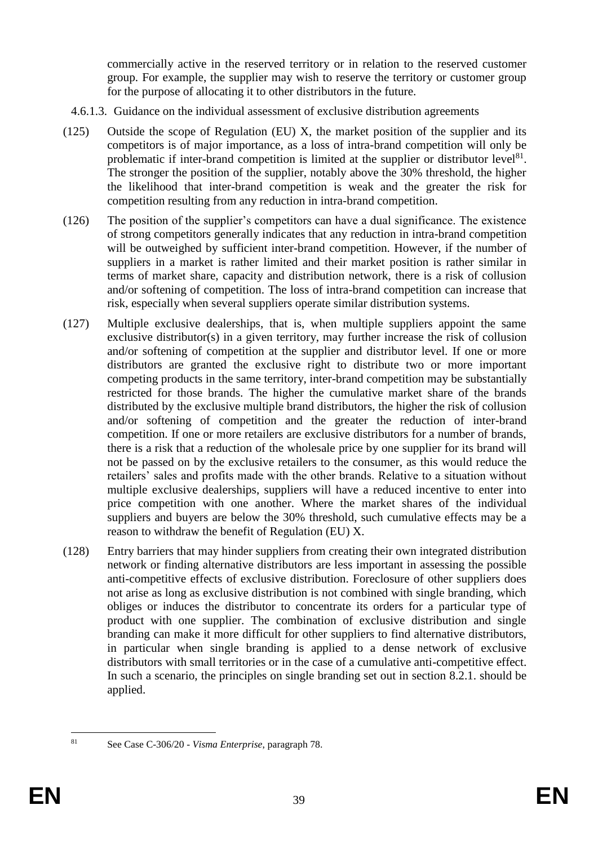commercially active in the reserved territory or in relation to the reserved customer group. For example, the supplier may wish to reserve the territory or customer group for the purpose of allocating it to other distributors in the future.

- 4.6.1.3. Guidance on the individual assessment of exclusive distribution agreements
- (125) Outside the scope of Regulation (EU) X, the market position of the supplier and its competitors is of major importance, as a loss of intra-brand competition will only be problematic if inter-brand competition is limited at the supplier or distributor level $81$ . The stronger the position of the supplier, notably above the 30% threshold, the higher the likelihood that inter-brand competition is weak and the greater the risk for competition resulting from any reduction in intra-brand competition.
- (126) The position of the supplier's competitors can have a dual significance. The existence of strong competitors generally indicates that any reduction in intra-brand competition will be outweighed by sufficient inter-brand competition. However, if the number of suppliers in a market is rather limited and their market position is rather similar in terms of market share, capacity and distribution network, there is a risk of collusion and/or softening of competition. The loss of intra-brand competition can increase that risk, especially when several suppliers operate similar distribution systems.
- (127) Multiple exclusive dealerships, that is, when multiple suppliers appoint the same exclusive distributor(s) in a given territory, may further increase the risk of collusion and/or softening of competition at the supplier and distributor level. If one or more distributors are granted the exclusive right to distribute two or more important competing products in the same territory, inter-brand competition may be substantially restricted for those brands. The higher the cumulative market share of the brands distributed by the exclusive multiple brand distributors, the higher the risk of collusion and/or softening of competition and the greater the reduction of inter-brand competition. If one or more retailers are exclusive distributors for a number of brands, there is a risk that a reduction of the wholesale price by one supplier for its brand will not be passed on by the exclusive retailers to the consumer, as this would reduce the retailers' sales and profits made with the other brands. Relative to a situation without multiple exclusive dealerships, suppliers will have a reduced incentive to enter into price competition with one another. Where the market shares of the individual suppliers and buyers are below the 30% threshold, such cumulative effects may be a reason to withdraw the benefit of Regulation (EU) X.
- (128) Entry barriers that may hinder suppliers from creating their own integrated distribution network or finding alternative distributors are less important in assessing the possible anti-competitive effects of exclusive distribution. Foreclosure of other suppliers does not arise as long as exclusive distribution is not combined with single branding, which obliges or induces the distributor to concentrate its orders for a particular type of product with one supplier. The combination of exclusive distribution and single branding can make it more difficult for other suppliers to find alternative distributors, in particular when single branding is applied to a dense network of exclusive distributors with small territories or in the case of a cumulative anti-competitive effect. In such a scenario, the principles on single branding set out in section 8.2.1. should be applied.

 $81$ 

<sup>81</sup> See Case C-306/20 - *Visma Enterprise*, paragraph 78.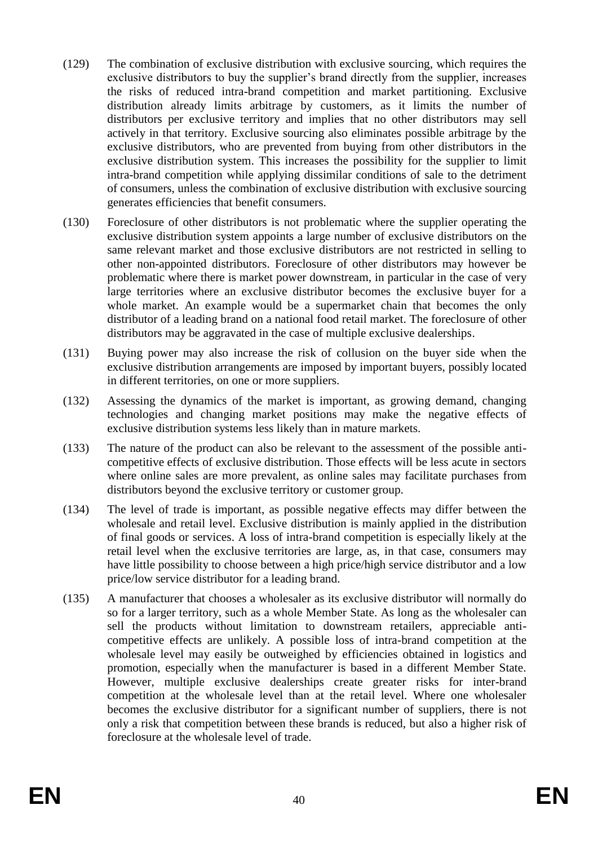- (129) The combination of exclusive distribution with exclusive sourcing, which requires the exclusive distributors to buy the supplier's brand directly from the supplier, increases the risks of reduced intra-brand competition and market partitioning. Exclusive distribution already limits arbitrage by customers, as it limits the number of distributors per exclusive territory and implies that no other distributors may sell actively in that territory. Exclusive sourcing also eliminates possible arbitrage by the exclusive distributors, who are prevented from buying from other distributors in the exclusive distribution system. This increases the possibility for the supplier to limit intra-brand competition while applying dissimilar conditions of sale to the detriment of consumers, unless the combination of exclusive distribution with exclusive sourcing generates efficiencies that benefit consumers.
- (130) Foreclosure of other distributors is not problematic where the supplier operating the exclusive distribution system appoints a large number of exclusive distributors on the same relevant market and those exclusive distributors are not restricted in selling to other non-appointed distributors. Foreclosure of other distributors may however be problematic where there is market power downstream, in particular in the case of very large territories where an exclusive distributor becomes the exclusive buyer for a whole market. An example would be a supermarket chain that becomes the only distributor of a leading brand on a national food retail market. The foreclosure of other distributors may be aggravated in the case of multiple exclusive dealerships.
- (131) Buying power may also increase the risk of collusion on the buyer side when the exclusive distribution arrangements are imposed by important buyers, possibly located in different territories, on one or more suppliers.
- (132) Assessing the dynamics of the market is important, as growing demand, changing technologies and changing market positions may make the negative effects of exclusive distribution systems less likely than in mature markets.
- (133) The nature of the product can also be relevant to the assessment of the possible anticompetitive effects of exclusive distribution. Those effects will be less acute in sectors where online sales are more prevalent, as online sales may facilitate purchases from distributors beyond the exclusive territory or customer group.
- (134) The level of trade is important, as possible negative effects may differ between the wholesale and retail level. Exclusive distribution is mainly applied in the distribution of final goods or services. A loss of intra-brand competition is especially likely at the retail level when the exclusive territories are large, as, in that case, consumers may have little possibility to choose between a high price/high service distributor and a low price/low service distributor for a leading brand.
- (135) A manufacturer that chooses a wholesaler as its exclusive distributor will normally do so for a larger territory, such as a whole Member State. As long as the wholesaler can sell the products without limitation to downstream retailers, appreciable anticompetitive effects are unlikely. A possible loss of intra-brand competition at the wholesale level may easily be outweighed by efficiencies obtained in logistics and promotion, especially when the manufacturer is based in a different Member State. However, multiple exclusive dealerships create greater risks for inter-brand competition at the wholesale level than at the retail level. Where one wholesaler becomes the exclusive distributor for a significant number of suppliers, there is not only a risk that competition between these brands is reduced, but also a higher risk of foreclosure at the wholesale level of trade.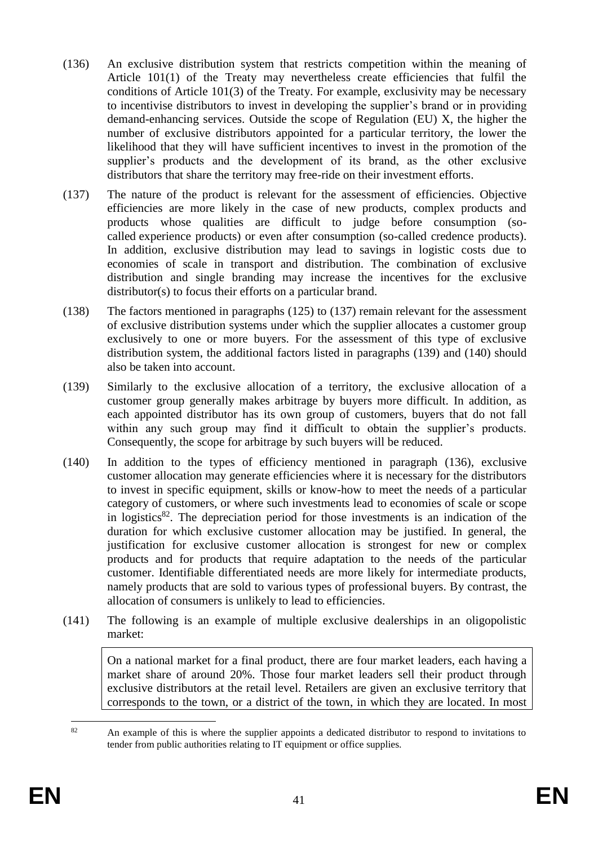- (136) An exclusive distribution system that restricts competition within the meaning of Article 101(1) of the Treaty may nevertheless create efficiencies that fulfil the conditions of Article 101(3) of the Treaty. For example, exclusivity may be necessary to incentivise distributors to invest in developing the supplier's brand or in providing demand-enhancing services. Outside the scope of Regulation (EU) X, the higher the number of exclusive distributors appointed for a particular territory, the lower the likelihood that they will have sufficient incentives to invest in the promotion of the supplier's products and the development of its brand, as the other exclusive distributors that share the territory may free-ride on their investment efforts.
- (137) The nature of the product is relevant for the assessment of efficiencies. Objective efficiencies are more likely in the case of new products, complex products and products whose qualities are difficult to judge before consumption (socalled experience products) or even after consumption (so-called credence products). In addition, exclusive distribution may lead to savings in logistic costs due to economies of scale in transport and distribution. The combination of exclusive distribution and single branding may increase the incentives for the exclusive distributor(s) to focus their efforts on a particular brand.
- (138) The factors mentioned in paragraphs (125) to (137) remain relevant for the assessment of exclusive distribution systems under which the supplier allocates a customer group exclusively to one or more buyers. For the assessment of this type of exclusive distribution system, the additional factors listed in paragraphs (139) and (140) should also be taken into account.
- (139) Similarly to the exclusive allocation of a territory, the exclusive allocation of a customer group generally makes arbitrage by buyers more difficult. In addition, as each appointed distributor has its own group of customers, buyers that do not fall within any such group may find it difficult to obtain the supplier's products. Consequently, the scope for arbitrage by such buyers will be reduced.
- (140) In addition to the types of efficiency mentioned in paragraph (136), exclusive customer allocation may generate efficiencies where it is necessary for the distributors to invest in specific equipment, skills or know-how to meet the needs of a particular category of customers, or where such investments lead to economies of scale or scope in logistics $82$ . The depreciation period for those investments is an indication of the duration for which exclusive customer allocation may be justified. In general, the justification for exclusive customer allocation is strongest for new or complex products and for products that require adaptation to the needs of the particular customer. Identifiable differentiated needs are more likely for intermediate products, namely products that are sold to various types of professional buyers. By contrast, the allocation of consumers is unlikely to lead to efficiencies.
- (141) The following is an example of multiple exclusive dealerships in an oligopolistic market:

On a national market for a final product, there are four market leaders, each having a market share of around 20%. Those four market leaders sell their product through exclusive distributors at the retail level. Retailers are given an exclusive territory that corresponds to the town, or a district of the town, in which they are located. In most

 $82$ <sup>82</sup> An example of this is where the supplier appoints a dedicated distributor to respond to invitations to tender from public authorities relating to IT equipment or office supplies.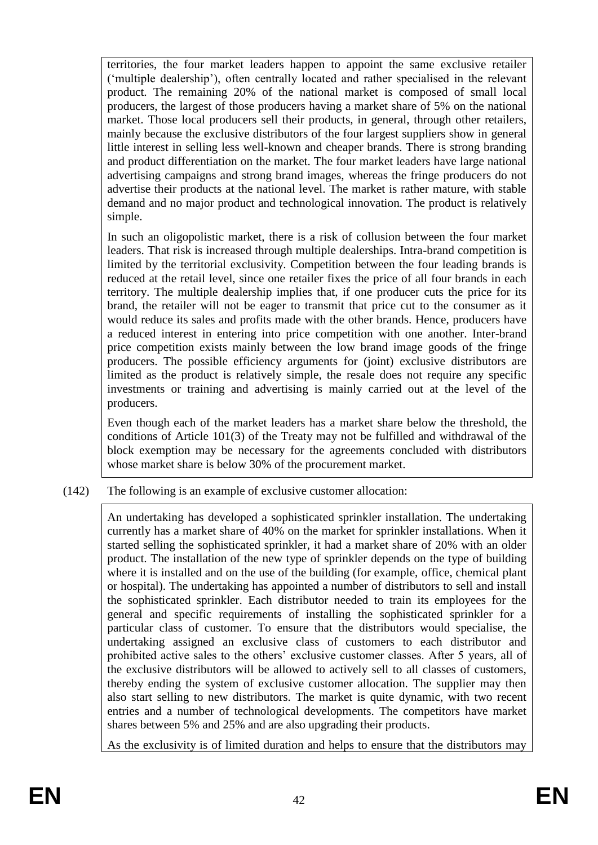territories, the four market leaders happen to appoint the same exclusive retailer ('multiple dealership'), often centrally located and rather specialised in the relevant product. The remaining 20% of the national market is composed of small local producers, the largest of those producers having a market share of 5% on the national market. Those local producers sell their products, in general, through other retailers, mainly because the exclusive distributors of the four largest suppliers show in general little interest in selling less well-known and cheaper brands. There is strong branding and product differentiation on the market. The four market leaders have large national advertising campaigns and strong brand images, whereas the fringe producers do not advertise their products at the national level. The market is rather mature, with stable demand and no major product and technological innovation. The product is relatively simple.

In such an oligopolistic market, there is a risk of collusion between the four market leaders. That risk is increased through multiple dealerships. Intra-brand competition is limited by the territorial exclusivity. Competition between the four leading brands is reduced at the retail level, since one retailer fixes the price of all four brands in each territory. The multiple dealership implies that, if one producer cuts the price for its brand, the retailer will not be eager to transmit that price cut to the consumer as it would reduce its sales and profits made with the other brands. Hence, producers have a reduced interest in entering into price competition with one another. Inter-brand price competition exists mainly between the low brand image goods of the fringe producers. The possible efficiency arguments for (joint) exclusive distributors are limited as the product is relatively simple, the resale does not require any specific investments or training and advertising is mainly carried out at the level of the producers.

Even though each of the market leaders has a market share below the threshold, the conditions of Article 101(3) of the Treaty may not be fulfilled and withdrawal of the block exemption may be necessary for the agreements concluded with distributors whose market share is below 30% of the procurement market.

(142) The following is an example of exclusive customer allocation:

An undertaking has developed a sophisticated sprinkler installation. The undertaking currently has a market share of 40% on the market for sprinkler installations. When it started selling the sophisticated sprinkler, it had a market share of 20% with an older product. The installation of the new type of sprinkler depends on the type of building where it is installed and on the use of the building (for example, office, chemical plant or hospital). The undertaking has appointed a number of distributors to sell and install the sophisticated sprinkler. Each distributor needed to train its employees for the general and specific requirements of installing the sophisticated sprinkler for a particular class of customer. To ensure that the distributors would specialise, the undertaking assigned an exclusive class of customers to each distributor and prohibited active sales to the others' exclusive customer classes. After 5 years, all of the exclusive distributors will be allowed to actively sell to all classes of customers, thereby ending the system of exclusive customer allocation. The supplier may then also start selling to new distributors. The market is quite dynamic, with two recent entries and a number of technological developments. The competitors have market shares between 5% and 25% and are also upgrading their products.

As the exclusivity is of limited duration and helps to ensure that the distributors may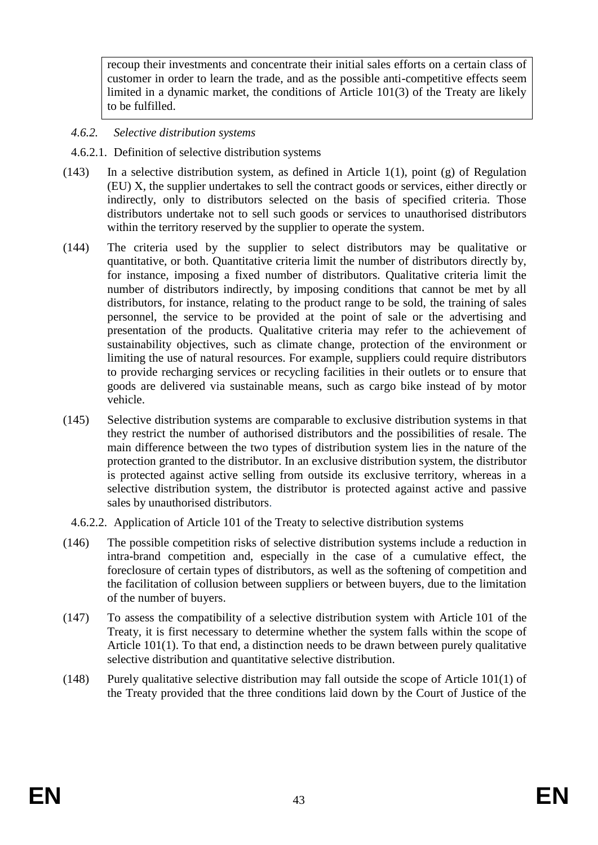recoup their investments and concentrate their initial sales efforts on a certain class of customer in order to learn the trade, and as the possible anti-competitive effects seem limited in a dynamic market, the conditions of Article 101(3) of the Treaty are likely to be fulfilled.

- *4.6.2. Selective distribution systems*
- 4.6.2.1. Definition of selective distribution systems
- (143) In a selective distribution system, as defined in Article 1(1), point (g) of Regulation (EU) X, the supplier undertakes to sell the contract goods or services, either directly or indirectly, only to distributors selected on the basis of specified criteria. Those distributors undertake not to sell such goods or services to unauthorised distributors within the territory reserved by the supplier to operate the system.
- (144) The criteria used by the supplier to select distributors may be qualitative or quantitative, or both. Quantitative criteria limit the number of distributors directly by, for instance, imposing a fixed number of distributors. Qualitative criteria limit the number of distributors indirectly, by imposing conditions that cannot be met by all distributors, for instance, relating to the product range to be sold, the training of sales personnel, the service to be provided at the point of sale or the advertising and presentation of the products. Qualitative criteria may refer to the achievement of sustainability objectives, such as climate change, protection of the environment or limiting the use of natural resources. For example, suppliers could require distributors to provide recharging services or recycling facilities in their outlets or to ensure that goods are delivered via sustainable means, such as cargo bike instead of by motor vehicle.
- (145) Selective distribution systems are comparable to exclusive distribution systems in that they restrict the number of authorised distributors and the possibilities of resale. The main difference between the two types of distribution system lies in the nature of the protection granted to the distributor. In an exclusive distribution system, the distributor is protected against active selling from outside its exclusive territory, whereas in a selective distribution system, the distributor is protected against active and passive sales by unauthorised distributors.
- 4.6.2.2. Application of Article 101 of the Treaty to selective distribution systems
- (146) The possible competition risks of selective distribution systems include a reduction in intra-brand competition and, especially in the case of a cumulative effect, the foreclosure of certain types of distributors, as well as the softening of competition and the facilitation of collusion between suppliers or between buyers, due to the limitation of the number of buyers.
- (147) To assess the compatibility of a selective distribution system with Article 101 of the Treaty, it is first necessary to determine whether the system falls within the scope of Article 101(1). To that end, a distinction needs to be drawn between purely qualitative selective distribution and quantitative selective distribution.
- (148) Purely qualitative selective distribution may fall outside the scope of Article 101(1) of the Treaty provided that the three conditions laid down by the Court of Justice of the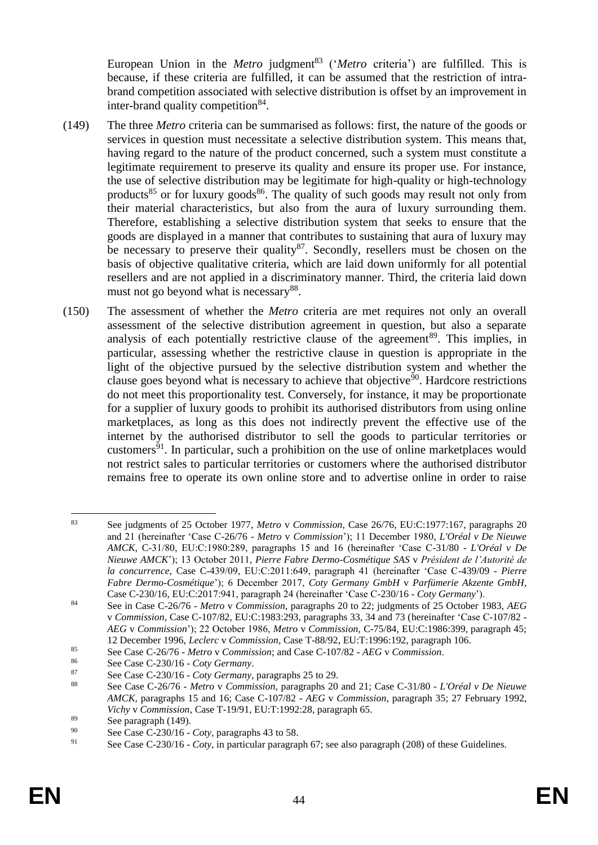European Union in the *Metro* judgment<sup>83</sup> ('*Metro* criteria') are fulfilled. This is because, if these criteria are fulfilled, it can be assumed that the restriction of intrabrand competition associated with selective distribution is offset by an improvement in inter-brand quality competition<sup>84</sup>.

- (149) The three *Metro* criteria can be summarised as follows: first, the nature of the goods or services in question must necessitate a selective distribution system. This means that, having regard to the nature of the product concerned, such a system must constitute a legitimate requirement to preserve its quality and ensure its proper use. For instance, the use of selective distribution may be legitimate for high-quality or high-technology products<sup>85</sup> or for luxury goods<sup>86</sup>. The quality of such goods may result not only from their material characteristics, but also from the aura of luxury surrounding them. Therefore, establishing a selective distribution system that seeks to ensure that the goods are displayed in a manner that contributes to sustaining that aura of luxury may be necessary to preserve their quality<sup>87</sup>. Secondly, resellers must be chosen on the basis of objective qualitative criteria, which are laid down uniformly for all potential resellers and are not applied in a discriminatory manner. Third, the criteria laid down must not go beyond what is necessary<sup>88</sup>.
- (150) The assessment of whether the *Metro* criteria are met requires not only an overall assessment of the selective distribution agreement in question, but also a separate analysis of each potentially restrictive clause of the agreement<sup>89</sup>. This implies, in particular, assessing whether the restrictive clause in question is appropriate in the light of the objective pursued by the selective distribution system and whether the clause goes beyond what is necessary to achieve that objective<sup>90</sup>. Hardcore restrictions do not meet this proportionality test. Conversely, for instance, it may be proportionate for a supplier of luxury goods to prohibit its authorised distributors from using online marketplaces, as long as this does not indirectly prevent the effective use of the internet by the authorised distributor to sell the goods to particular territories or customers $91$ . In particular, such a prohibition on the use of online marketplaces would not restrict sales to particular territories or customers where the authorised distributor remains free to operate its own online store and to advertise online in order to raise

<sup>83</sup> <sup>83</sup> See judgments of 25 October 1977, *Metro* v *Commission,* Case 26/76, EU:C:1977:167, paragraphs 20 and 21 (hereinafter 'Case C-26/76 - *Metro* v *Commission*'); 11 December 1980, *L'Oréal v De Nieuwe AMCK,* C-31/80, EU:C:1980:289, paragraphs 15 and 16 (hereinafter 'Case C-31/80 - *L'Oréal v De Nieuwe AMCK*'); 13 October 2011, *Pierre Fabre Dermo-Cosmétique SAS* v *Président de l'Autorité de la concurrence,* Case C-439/09, EU:C:2011:649, paragraph 41 (hereinafter 'Case C-439/09 - *Pierre Fabre Dermo-Cosmétique*'); 6 December 2017, *Coty Germany GmbH* v *Parfümerie Akzente GmbH,*  Case C-230/16, EU:C:2017:941, paragraph 24 (hereinafter 'Case C-230/16 - *Coty Germany*').

<sup>84</sup> See in Case C-26/76 - *Metro* v *Commission*, paragraphs 20 to 22; judgments of 25 October 1983, *AEG*  v *Commission,* Case C-107/82, EU:C:1983:293, paragraphs 33, 34 and 73 (hereinafter 'Case C-107/82 - *AEG* v *Commission*'); 22 October 1986, *Metro* v *Commission*, C-75/84, EU:C:1986:399, paragraph 45; 12 December 1996, *Leclerc* v *Commission,* Case T-88/92, EU:T:1996:192, paragraph 106.

<sup>85</sup> See Case C-26/76 - *Metro* v *Commission*; and Case C-107/82 - *AEG* v *Commission*.

<sup>86</sup> See Case C-230/16 - *Coty Germany*.

<sup>87</sup> See Case C-230/16 - *Coty Germany*, paragraphs 25 to 29.

<sup>88</sup> See Case C-26/76 - *Metro* v *Commission*, paragraphs 20 and 21; Case C-31/80 - *L'Oréal v De Nieuwe AMCK*, paragraphs 15 and 16; Case C-107/82 - *AEG* v *Commission*, paragraph 35; 27 February 1992, *Vichy* v *Commission,* Case T-19/91, EU:T:1992:28, paragraph 65.

 $\frac{89}{20}$  See paragraph (149).

<sup>90</sup> See Case C-230/16 - *Coty*, paragraphs 43 to 58.

See Case C-230/16 - *Coty*, in particular paragraph 67; see also paragraph (208) of these Guidelines.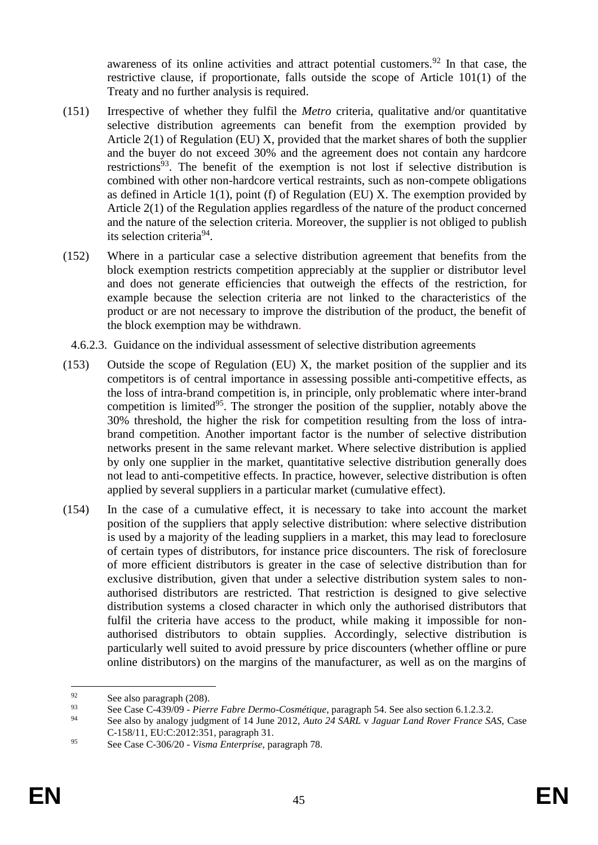awareness of its online activities and attract potential customers.<sup>92</sup> In that case, the restrictive clause, if proportionate, falls outside the scope of Article 101(1) of the Treaty and no further analysis is required.

- (151) Irrespective of whether they fulfil the *Metro* criteria, qualitative and/or quantitative selective distribution agreements can benefit from the exemption provided by Article  $2(1)$  of Regulation (EU) X, provided that the market shares of both the supplier and the buyer do not exceed 30% and the agreement does not contain any hardcore restrictions<sup>93</sup>. The benefit of the exemption is not lost if selective distribution is combined with other non-hardcore vertical restraints, such as non-compete obligations as defined in Article  $1(1)$ , point (f) of Regulation (EU) X. The exemption provided by Article 2(1) of the Regulation applies regardless of the nature of the product concerned and the nature of the selection criteria. Moreover, the supplier is not obliged to publish its selection criteria<sup>94</sup>.
- (152) Where in a particular case a selective distribution agreement that benefits from the block exemption restricts competition appreciably at the supplier or distributor level and does not generate efficiencies that outweigh the effects of the restriction, for example because the selection criteria are not linked to the characteristics of the product or are not necessary to improve the distribution of the product, the benefit of the block exemption may be withdrawn.
- 4.6.2.3. Guidance on the individual assessment of selective distribution agreements
- (153) Outside the scope of Regulation (EU) X, the market position of the supplier and its competitors is of central importance in assessing possible anti-competitive effects, as the loss of intra-brand competition is, in principle, only problematic where inter-brand competition is limited<sup>95</sup>. The stronger the position of the supplier, notably above the 30% threshold, the higher the risk for competition resulting from the loss of intrabrand competition. Another important factor is the number of selective distribution networks present in the same relevant market. Where selective distribution is applied by only one supplier in the market, quantitative selective distribution generally does not lead to anti-competitive effects. In practice, however, selective distribution is often applied by several suppliers in a particular market (cumulative effect).
- (154) In the case of a cumulative effect, it is necessary to take into account the market position of the suppliers that apply selective distribution: where selective distribution is used by a majority of the leading suppliers in a market, this may lead to foreclosure of certain types of distributors, for instance price discounters. The risk of foreclosure of more efficient distributors is greater in the case of selective distribution than for exclusive distribution, given that under a selective distribution system sales to nonauthorised distributors are restricted. That restriction is designed to give selective distribution systems a closed character in which only the authorised distributors that fulfil the criteria have access to the product, while making it impossible for nonauthorised distributors to obtain supplies. Accordingly, selective distribution is particularly well suited to avoid pressure by price discounters (whether offline or pure online distributors) on the margins of the manufacturer, as well as on the margins of

<sup>1</sup> <sup>92</sup> See also paragraph (208).<br><sup>93</sup> See Cese C 420/00 Biam

<sup>93</sup> See Case C-439/09 - *Pierre Fabre Dermo-Cosmétique*, paragraph 54. See also section 6.1.2.3.2.

<sup>94</sup> See also by analogy judgment of 14 June 2012, *Auto 24 SARL* v *Jaguar Land Rover France SAS,* Case C-158/11, EU:C:2012:351, paragraph 31.

<sup>95</sup> See Case C-306/20 - *Visma Enterprise*, paragraph 78.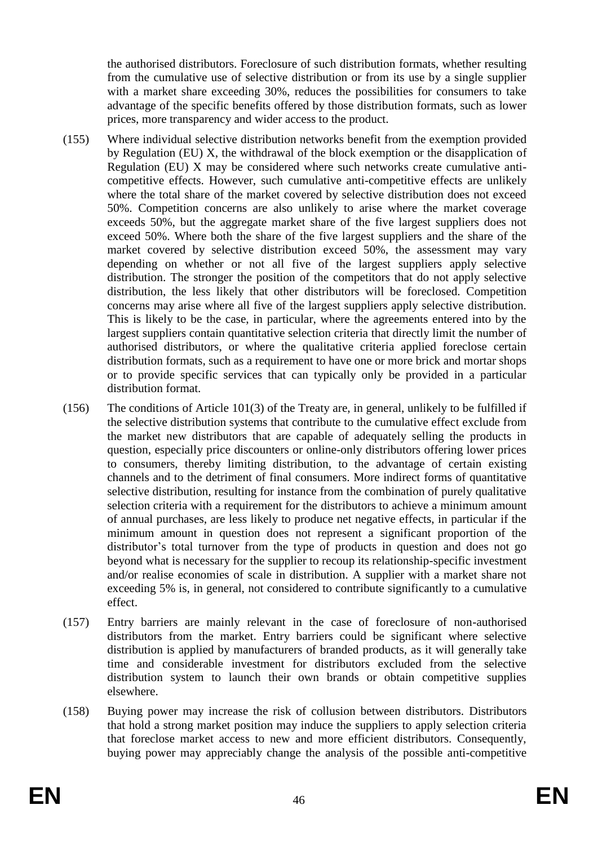the authorised distributors. Foreclosure of such distribution formats, whether resulting from the cumulative use of selective distribution or from its use by a single supplier with a market share exceeding 30%, reduces the possibilities for consumers to take advantage of the specific benefits offered by those distribution formats, such as lower prices, more transparency and wider access to the product.

- (155) Where individual selective distribution networks benefit from the exemption provided by Regulation (EU) X, the withdrawal of the block exemption or the disapplication of Regulation (EU) X may be considered where such networks create cumulative anticompetitive effects. However, such cumulative anti-competitive effects are unlikely where the total share of the market covered by selective distribution does not exceed 50%. Competition concerns are also unlikely to arise where the market coverage exceeds 50%, but the aggregate market share of the five largest suppliers does not exceed 50%. Where both the share of the five largest suppliers and the share of the market covered by selective distribution exceed 50%, the assessment may vary depending on whether or not all five of the largest suppliers apply selective distribution. The stronger the position of the competitors that do not apply selective distribution, the less likely that other distributors will be foreclosed. Competition concerns may arise where all five of the largest suppliers apply selective distribution. This is likely to be the case, in particular, where the agreements entered into by the largest suppliers contain quantitative selection criteria that directly limit the number of authorised distributors, or where the qualitative criteria applied foreclose certain distribution formats, such as a requirement to have one or more brick and mortar shops or to provide specific services that can typically only be provided in a particular distribution format.
- (156) The conditions of Article 101(3) of the Treaty are, in general, unlikely to be fulfilled if the selective distribution systems that contribute to the cumulative effect exclude from the market new distributors that are capable of adequately selling the products in question, especially price discounters or online-only distributors offering lower prices to consumers, thereby limiting distribution, to the advantage of certain existing channels and to the detriment of final consumers. More indirect forms of quantitative selective distribution, resulting for instance from the combination of purely qualitative selection criteria with a requirement for the distributors to achieve a minimum amount of annual purchases, are less likely to produce net negative effects, in particular if the minimum amount in question does not represent a significant proportion of the distributor's total turnover from the type of products in question and does not go beyond what is necessary for the supplier to recoup its relationship-specific investment and/or realise economies of scale in distribution. A supplier with a market share not exceeding 5% is, in general, not considered to contribute significantly to a cumulative effect.
- (157) Entry barriers are mainly relevant in the case of foreclosure of non-authorised distributors from the market. Entry barriers could be significant where selective distribution is applied by manufacturers of branded products, as it will generally take time and considerable investment for distributors excluded from the selective distribution system to launch their own brands or obtain competitive supplies elsewhere.
- (158) Buying power may increase the risk of collusion between distributors. Distributors that hold a strong market position may induce the suppliers to apply selection criteria that foreclose market access to new and more efficient distributors. Consequently, buying power may appreciably change the analysis of the possible anti-competitive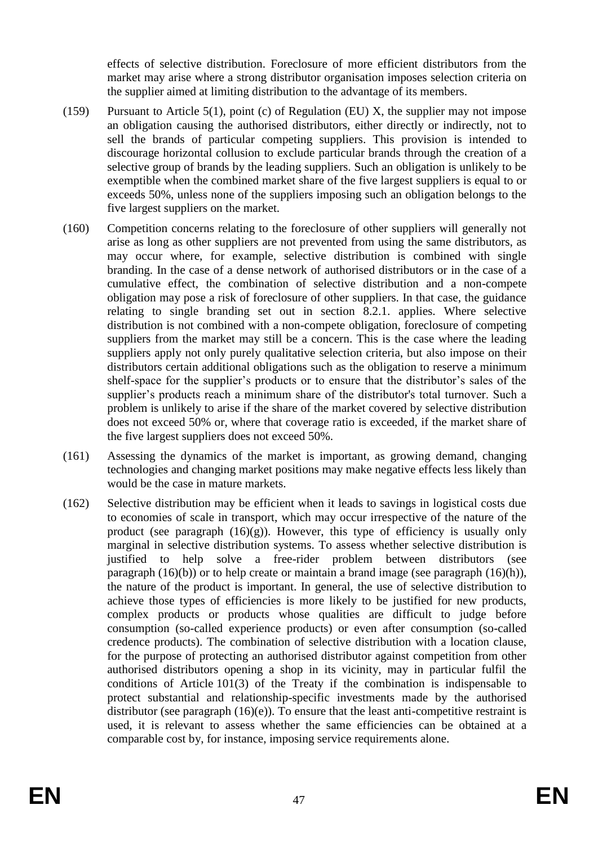effects of selective distribution. Foreclosure of more efficient distributors from the market may arise where a strong distributor organisation imposes selection criteria on the supplier aimed at limiting distribution to the advantage of its members.

- (159) Pursuant to Article 5(1), point (c) of Regulation (EU) X, the supplier may not impose an obligation causing the authorised distributors, either directly or indirectly, not to sell the brands of particular competing suppliers. This provision is intended to discourage horizontal collusion to exclude particular brands through the creation of a selective group of brands by the leading suppliers. Such an obligation is unlikely to be exemptible when the combined market share of the five largest suppliers is equal to or exceeds 50%, unless none of the suppliers imposing such an obligation belongs to the five largest suppliers on the market.
- (160) Competition concerns relating to the foreclosure of other suppliers will generally not arise as long as other suppliers are not prevented from using the same distributors, as may occur where, for example, selective distribution is combined with single branding. In the case of a dense network of authorised distributors or in the case of a cumulative effect, the combination of selective distribution and a non-compete obligation may pose a risk of foreclosure of other suppliers. In that case, the guidance relating to single branding set out in section 8.2.1. applies. Where selective distribution is not combined with a non-compete obligation, foreclosure of competing suppliers from the market may still be a concern. This is the case where the leading suppliers apply not only purely qualitative selection criteria, but also impose on their distributors certain additional obligations such as the obligation to reserve a minimum shelf-space for the supplier's products or to ensure that the distributor's sales of the supplier's products reach a minimum share of the distributor's total turnover. Such a problem is unlikely to arise if the share of the market covered by selective distribution does not exceed 50% or, where that coverage ratio is exceeded, if the market share of the five largest suppliers does not exceed 50%.
- (161) Assessing the dynamics of the market is important, as growing demand, changing technologies and changing market positions may make negative effects less likely than would be the case in mature markets.
- (162) Selective distribution may be efficient when it leads to savings in logistical costs due to economies of scale in transport, which may occur irrespective of the nature of the product (see paragraph  $(16)(g)$ ). However, this type of efficiency is usually only marginal in selective distribution systems. To assess whether selective distribution is justified to help solve a free-rider problem between distributors (see paragraph (16)(b)) or to help create or maintain a brand image (see paragraph (16)(h)), the nature of the product is important. In general, the use of selective distribution to achieve those types of efficiencies is more likely to be justified for new products, complex products or products whose qualities are difficult to judge before consumption (so-called experience products) or even after consumption (so-called credence products). The combination of selective distribution with a location clause, for the purpose of protecting an authorised distributor against competition from other authorised distributors opening a shop in its vicinity, may in particular fulfil the conditions of Article 101(3) of the Treaty if the combination is indispensable to protect substantial and relationship-specific investments made by the authorised distributor (see paragraph  $(16)(e)$ ). To ensure that the least anti-competitive restraint is used, it is relevant to assess whether the same efficiencies can be obtained at a comparable cost by, for instance, imposing service requirements alone.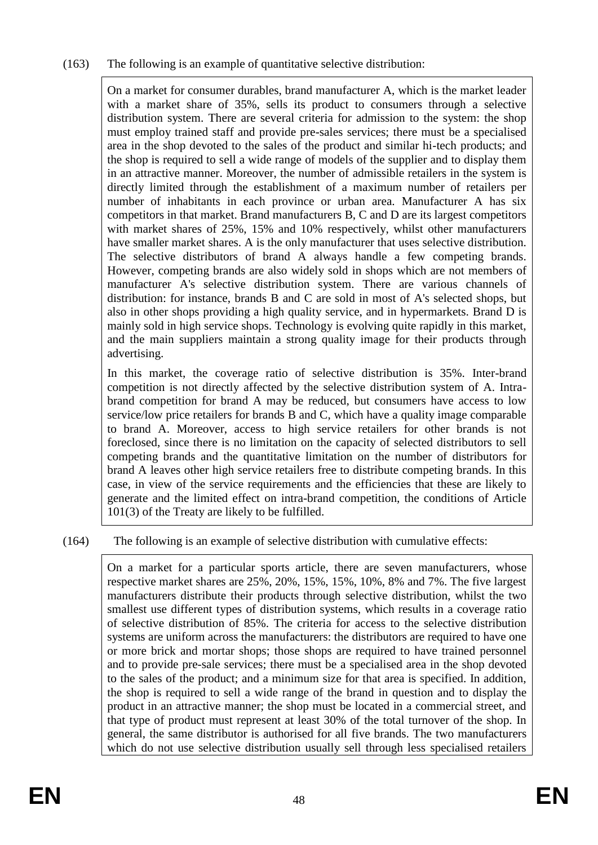### (163) The following is an example of quantitative selective distribution:

On a market for consumer durables, brand manufacturer A, which is the market leader with a market share of 35%, sells its product to consumers through a selective distribution system. There are several criteria for admission to the system: the shop must employ trained staff and provide pre-sales services; there must be a specialised area in the shop devoted to the sales of the product and similar hi-tech products; and the shop is required to sell a wide range of models of the supplier and to display them in an attractive manner. Moreover, the number of admissible retailers in the system is directly limited through the establishment of a maximum number of retailers per number of inhabitants in each province or urban area. Manufacturer A has six competitors in that market. Brand manufacturers B, C and D are its largest competitors with market shares of 25%, 15% and 10% respectively, whilst other manufacturers have smaller market shares. A is the only manufacturer that uses selective distribution. The selective distributors of brand A always handle a few competing brands. However, competing brands are also widely sold in shops which are not members of manufacturer A's selective distribution system. There are various channels of distribution: for instance, brands B and C are sold in most of A's selected shops, but also in other shops providing a high quality service, and in hypermarkets. Brand D is mainly sold in high service shops. Technology is evolving quite rapidly in this market, and the main suppliers maintain a strong quality image for their products through advertising.

In this market, the coverage ratio of selective distribution is 35%. Inter-brand competition is not directly affected by the selective distribution system of A. Intrabrand competition for brand A may be reduced, but consumers have access to low service/low price retailers for brands B and C, which have a quality image comparable to brand A. Moreover, access to high service retailers for other brands is not foreclosed, since there is no limitation on the capacity of selected distributors to sell competing brands and the quantitative limitation on the number of distributors for brand A leaves other high service retailers free to distribute competing brands. In this case, in view of the service requirements and the efficiencies that these are likely to generate and the limited effect on intra-brand competition, the conditions of Article 101(3) of the Treaty are likely to be fulfilled.

(164) The following is an example of selective distribution with cumulative effects:

On a market for a particular sports article, there are seven manufacturers, whose respective market shares are 25%, 20%, 15%, 15%, 10%, 8% and 7%. The five largest manufacturers distribute their products through selective distribution, whilst the two smallest use different types of distribution systems, which results in a coverage ratio of selective distribution of 85%. The criteria for access to the selective distribution systems are uniform across the manufacturers: the distributors are required to have one or more brick and mortar shops; those shops are required to have trained personnel and to provide pre-sale services; there must be a specialised area in the shop devoted to the sales of the product; and a minimum size for that area is specified. In addition, the shop is required to sell a wide range of the brand in question and to display the product in an attractive manner; the shop must be located in a commercial street, and that type of product must represent at least 30% of the total turnover of the shop. In general, the same distributor is authorised for all five brands. The two manufacturers which do not use selective distribution usually sell through less specialised retailers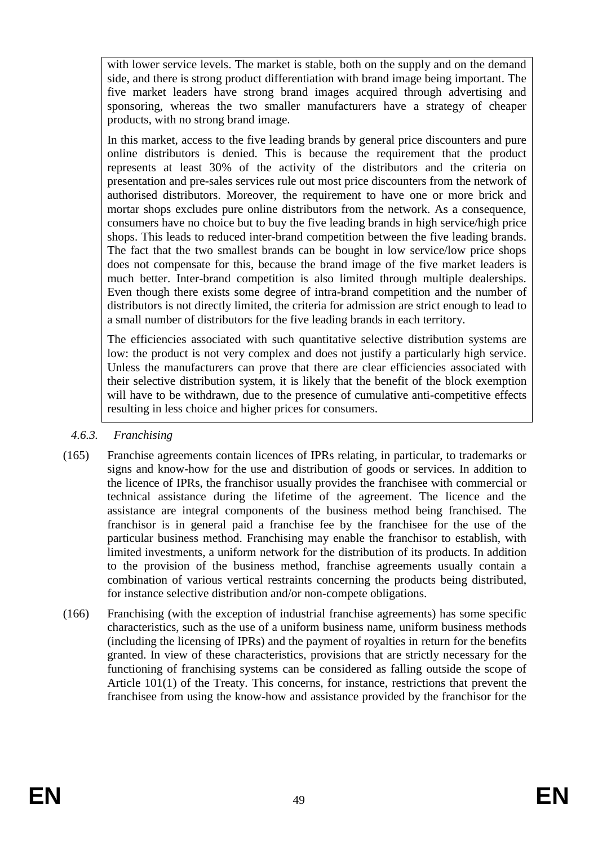with lower service levels. The market is stable, both on the supply and on the demand side, and there is strong product differentiation with brand image being important. The five market leaders have strong brand images acquired through advertising and sponsoring, whereas the two smaller manufacturers have a strategy of cheaper products, with no strong brand image.

In this market, access to the five leading brands by general price discounters and pure online distributors is denied. This is because the requirement that the product represents at least 30% of the activity of the distributors and the criteria on presentation and pre-sales services rule out most price discounters from the network of authorised distributors. Moreover, the requirement to have one or more brick and mortar shops excludes pure online distributors from the network. As a consequence, consumers have no choice but to buy the five leading brands in high service/high price shops. This leads to reduced inter-brand competition between the five leading brands. The fact that the two smallest brands can be bought in low service/low price shops does not compensate for this, because the brand image of the five market leaders is much better. Inter-brand competition is also limited through multiple dealerships. Even though there exists some degree of intra-brand competition and the number of distributors is not directly limited, the criteria for admission are strict enough to lead to a small number of distributors for the five leading brands in each territory.

The efficiencies associated with such quantitative selective distribution systems are low: the product is not very complex and does not justify a particularly high service. Unless the manufacturers can prove that there are clear efficiencies associated with their selective distribution system, it is likely that the benefit of the block exemption will have to be withdrawn, due to the presence of cumulative anti-competitive effects resulting in less choice and higher prices for consumers.

- *4.6.3. Franchising*
- (165) Franchise agreements contain licences of IPRs relating, in particular, to trademarks or signs and know-how for the use and distribution of goods or services. In addition to the licence of IPRs, the franchisor usually provides the franchisee with commercial or technical assistance during the lifetime of the agreement. The licence and the assistance are integral components of the business method being franchised. The franchisor is in general paid a franchise fee by the franchisee for the use of the particular business method. Franchising may enable the franchisor to establish, with limited investments, a uniform network for the distribution of its products. In addition to the provision of the business method, franchise agreements usually contain a combination of various vertical restraints concerning the products being distributed, for instance selective distribution and/or non-compete obligations.
- (166) Franchising (with the exception of industrial franchise agreements) has some specific characteristics, such as the use of a uniform business name, uniform business methods (including the licensing of IPRs) and the payment of royalties in return for the benefits granted. In view of these characteristics, provisions that are strictly necessary for the functioning of franchising systems can be considered as falling outside the scope of Article 101(1) of the Treaty. This concerns, for instance, restrictions that prevent the franchisee from using the know-how and assistance provided by the franchisor for the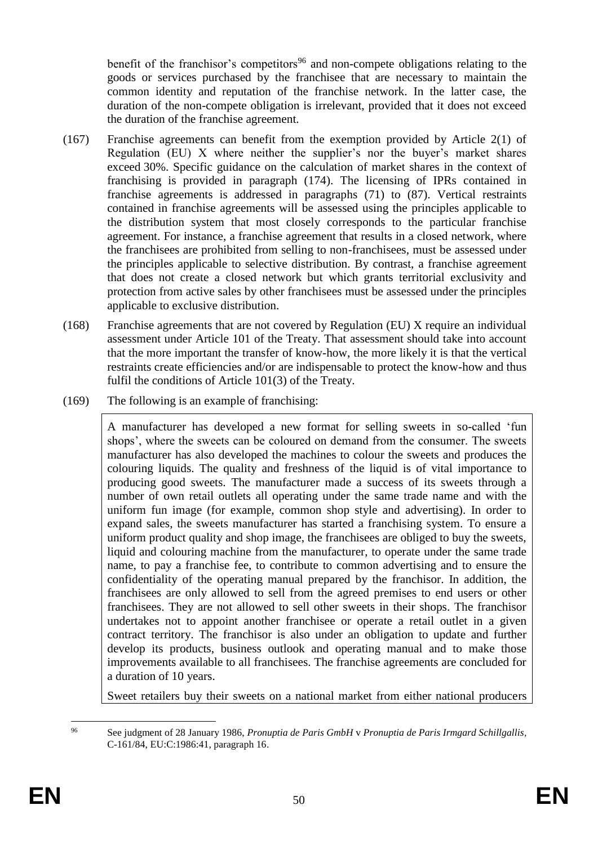benefit of the franchisor's competitors<sup>96</sup> and non-compete obligations relating to the goods or services purchased by the franchisee that are necessary to maintain the common identity and reputation of the franchise network. In the latter case, the duration of the non-compete obligation is irrelevant, provided that it does not exceed the duration of the franchise agreement.

- (167) Franchise agreements can benefit from the exemption provided by Article 2(1) of Regulation (EU) X where neither the supplier's nor the buyer's market shares exceed 30%. Specific guidance on the calculation of market shares in the context of franchising is provided in paragraph (174). The licensing of IPRs contained in franchise agreements is addressed in paragraphs (71) to (87). Vertical restraints contained in franchise agreements will be assessed using the principles applicable to the distribution system that most closely corresponds to the particular franchise agreement. For instance, a franchise agreement that results in a closed network, where the franchisees are prohibited from selling to non-franchisees, must be assessed under the principles applicable to selective distribution. By contrast, a franchise agreement that does not create a closed network but which grants territorial exclusivity and protection from active sales by other franchisees must be assessed under the principles applicable to exclusive distribution.
- (168) Franchise agreements that are not covered by Regulation (EU) X require an individual assessment under Article 101 of the Treaty. That assessment should take into account that the more important the transfer of know-how, the more likely it is that the vertical restraints create efficiencies and/or are indispensable to protect the know-how and thus fulfil the conditions of Article 101(3) of the Treaty.
- (169) The following is an example of franchising:

A manufacturer has developed a new format for selling sweets in so-called 'fun shops', where the sweets can be coloured on demand from the consumer. The sweets manufacturer has also developed the machines to colour the sweets and produces the colouring liquids. The quality and freshness of the liquid is of vital importance to producing good sweets. The manufacturer made a success of its sweets through a number of own retail outlets all operating under the same trade name and with the uniform fun image (for example, common shop style and advertising). In order to expand sales, the sweets manufacturer has started a franchising system. To ensure a uniform product quality and shop image, the franchisees are obliged to buy the sweets, liquid and colouring machine from the manufacturer, to operate under the same trade name, to pay a franchise fee, to contribute to common advertising and to ensure the confidentiality of the operating manual prepared by the franchisor. In addition, the franchisees are only allowed to sell from the agreed premises to end users or other franchisees. They are not allowed to sell other sweets in their shops. The franchisor undertakes not to appoint another franchisee or operate a retail outlet in a given contract territory. The franchisor is also under an obligation to update and further develop its products, business outlook and operating manual and to make those improvements available to all franchisees. The franchise agreements are concluded for a duration of 10 years.

Sweet retailers buy their sweets on a national market from either national producers

96

<sup>96</sup> See judgment of 28 January 1986, *Pronuptia de Paris GmbH* v *Pronuptia de Paris Irmgard Schillgallis,*  C-161/84, EU:C:1986:41, paragraph 16.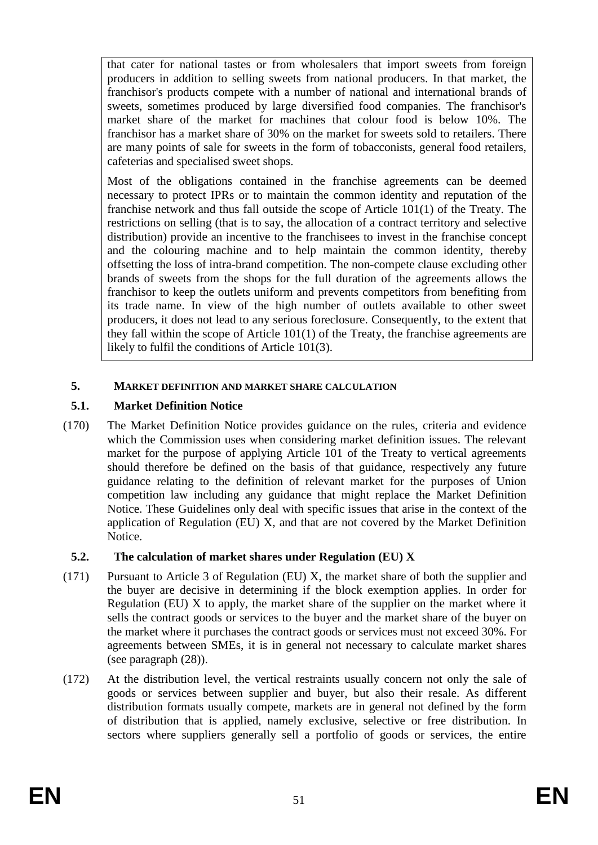that cater for national tastes or from wholesalers that import sweets from foreign producers in addition to selling sweets from national producers. In that market, the franchisor's products compete with a number of national and international brands of sweets, sometimes produced by large diversified food companies. The franchisor's market share of the market for machines that colour food is below 10%. The franchisor has a market share of 30% on the market for sweets sold to retailers. There are many points of sale for sweets in the form of tobacconists, general food retailers, cafeterias and specialised sweet shops.

Most of the obligations contained in the franchise agreements can be deemed necessary to protect IPRs or to maintain the common identity and reputation of the franchise network and thus fall outside the scope of Article 101(1) of the Treaty. The restrictions on selling (that is to say, the allocation of a contract territory and selective distribution) provide an incentive to the franchisees to invest in the franchise concept and the colouring machine and to help maintain the common identity, thereby offsetting the loss of intra-brand competition. The non-compete clause excluding other brands of sweets from the shops for the full duration of the agreements allows the franchisor to keep the outlets uniform and prevents competitors from benefiting from its trade name. In view of the high number of outlets available to other sweet producers, it does not lead to any serious foreclosure. Consequently, to the extent that they fall within the scope of Article 101(1) of the Treaty, the franchise agreements are likely to fulfil the conditions of Article 101(3).

### **5. MARKET DEFINITION AND MARKET SHARE CALCULATION**

# **5.1. Market Definition Notice**

(170) The Market Definition Notice provides guidance on the rules, criteria and evidence which the Commission uses when considering market definition issues. The relevant market for the purpose of applying Article 101 of the Treaty to vertical agreements should therefore be defined on the basis of that guidance, respectively any future guidance relating to the definition of relevant market for the purposes of Union competition law including any guidance that might replace the Market Definition Notice. These Guidelines only deal with specific issues that arise in the context of the application of Regulation (EU) X, and that are not covered by the Market Definition Notice.

# **5.2. The calculation of market shares under Regulation (EU) X**

- (171) Pursuant to Article 3 of Regulation (EU) X, the market share of both the supplier and the buyer are decisive in determining if the block exemption applies. In order for Regulation (EU) X to apply, the market share of the supplier on the market where it sells the contract goods or services to the buyer and the market share of the buyer on the market where it purchases the contract goods or services must not exceed 30%. For agreements between SMEs, it is in general not necessary to calculate market shares (see paragraph (28)).
- (172) At the distribution level, the vertical restraints usually concern not only the sale of goods or services between supplier and buyer, but also their resale. As different distribution formats usually compete, markets are in general not defined by the form of distribution that is applied, namely exclusive, selective or free distribution. In sectors where suppliers generally sell a portfolio of goods or services, the entire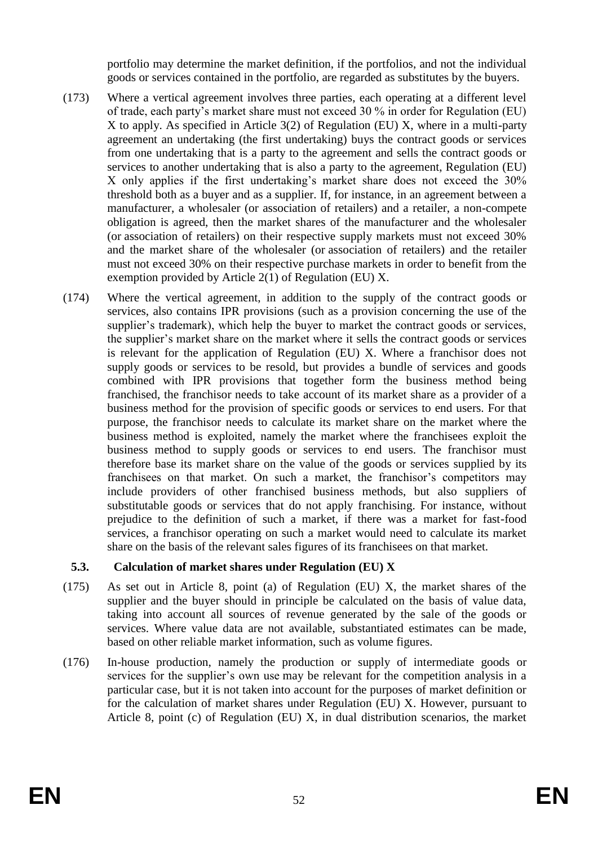portfolio may determine the market definition, if the portfolios, and not the individual goods or services contained in the portfolio, are regarded as substitutes by the buyers.

- (173) Where a vertical agreement involves three parties, each operating at a different level of trade, each party's market share must not exceed 30 % in order for Regulation (EU) X to apply. As specified in Article 3(2) of Regulation (EU) X, where in a multi-party agreement an undertaking (the first undertaking) buys the contract goods or services from one undertaking that is a party to the agreement and sells the contract goods or services to another undertaking that is also a party to the agreement, Regulation (EU) X only applies if the first undertaking's market share does not exceed the 30% threshold both as a buyer and as a supplier. If, for instance, in an agreement between a manufacturer, a wholesaler (or association of retailers) and a retailer, a non-compete obligation is agreed, then the market shares of the manufacturer and the wholesaler (or association of retailers) on their respective supply markets must not exceed 30% and the market share of the wholesaler (or association of retailers) and the retailer must not exceed 30% on their respective purchase markets in order to benefit from the exemption provided by Article 2(1) of Regulation (EU) X.
- (174) Where the vertical agreement, in addition to the supply of the contract goods or services, also contains IPR provisions (such as a provision concerning the use of the supplier's trademark), which help the buyer to market the contract goods or services, the supplier's market share on the market where it sells the contract goods or services is relevant for the application of Regulation (EU) X. Where a franchisor does not supply goods or services to be resold, but provides a bundle of services and goods combined with IPR provisions that together form the business method being franchised, the franchisor needs to take account of its market share as a provider of a business method for the provision of specific goods or services to end users. For that purpose, the franchisor needs to calculate its market share on the market where the business method is exploited, namely the market where the franchisees exploit the business method to supply goods or services to end users. The franchisor must therefore base its market share on the value of the goods or services supplied by its franchisees on that market. On such a market, the franchisor's competitors may include providers of other franchised business methods, but also suppliers of substitutable goods or services that do not apply franchising. For instance, without prejudice to the definition of such a market, if there was a market for fast-food services, a franchisor operating on such a market would need to calculate its market share on the basis of the relevant sales figures of its franchisees on that market.

# **5.3. Calculation of market shares under Regulation (EU) X**

- (175) As set out in Article 8, point (a) of Regulation (EU) X, the market shares of the supplier and the buyer should in principle be calculated on the basis of value data, taking into account all sources of revenue generated by the sale of the goods or services. Where value data are not available, substantiated estimates can be made, based on other reliable market information, such as volume figures.
- (176) In-house production, namely the production or supply of intermediate goods or services for the supplier's own use may be relevant for the competition analysis in a particular case, but it is not taken into account for the purposes of market definition or for the calculation of market shares under Regulation (EU) X. However, pursuant to Article 8, point (c) of Regulation (EU) X, in dual distribution scenarios, the market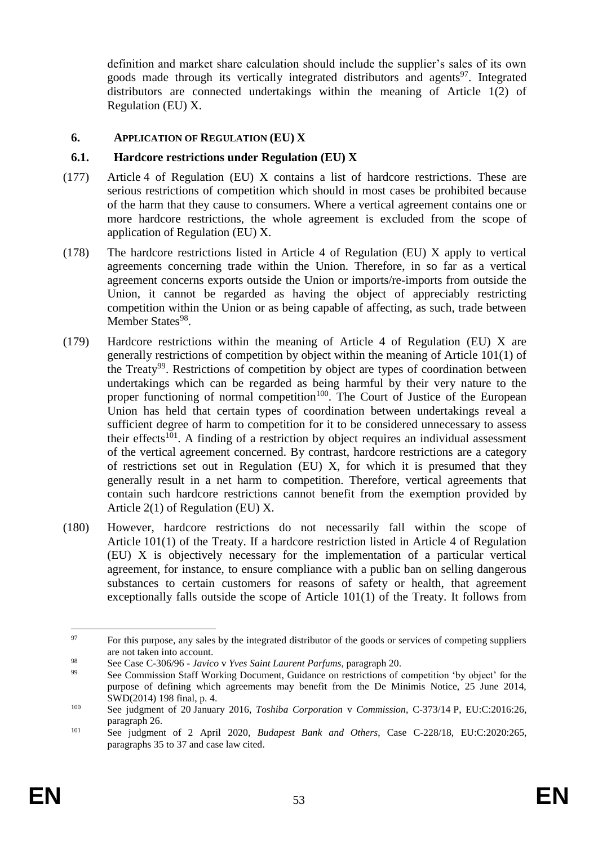definition and market share calculation should include the supplier's sales of its own goods made through its vertically integrated distributors and agents $97$ . Integrated distributors are connected undertakings within the meaning of Article 1(2) of Regulation (EU) X.

#### **6. APPLICATION OF REGULATION (EU) X**

#### **6.1. Hardcore restrictions under Regulation (EU) X**

- (177) Article 4 of Regulation (EU) X contains a list of hardcore restrictions. These are serious restrictions of competition which should in most cases be prohibited because of the harm that they cause to consumers. Where a vertical agreement contains one or more hardcore restrictions, the whole agreement is excluded from the scope of application of Regulation (EU) X.
- (178) The hardcore restrictions listed in Article 4 of Regulation (EU) X apply to vertical agreements concerning trade within the Union. Therefore, in so far as a vertical agreement concerns exports outside the Union or imports/re-imports from outside the Union, it cannot be regarded as having the object of appreciably restricting competition within the Union or as being capable of affecting, as such, trade between Member States<sup>98</sup>.
- (179) Hardcore restrictions within the meaning of Article 4 of Regulation (EU) X are generally restrictions of competition by object within the meaning of Article 101(1) of the Treaty<sup>99</sup>. Restrictions of competition by object are types of coordination between undertakings which can be regarded as being harmful by their very nature to the proper functioning of normal competition<sup>100</sup>. The Court of Justice of the European Union has held that certain types of coordination between undertakings reveal a sufficient degree of harm to competition for it to be considered unnecessary to assess their effects<sup> $101$ </sup>. A finding of a restriction by object requires an individual assessment of the vertical agreement concerned. By contrast, hardcore restrictions are a category of restrictions set out in Regulation (EU) X, for which it is presumed that they generally result in a net harm to competition. Therefore, vertical agreements that contain such hardcore restrictions cannot benefit from the exemption provided by Article 2(1) of Regulation (EU) X.
- (180) However, hardcore restrictions do not necessarily fall within the scope of Article 101(1) of the Treaty. If a hardcore restriction listed in Article 4 of Regulation (EU) X is objectively necessary for the implementation of a particular vertical agreement, for instance, to ensure compliance with a public ban on selling dangerous substances to certain customers for reasons of safety or health, that agreement exceptionally falls outside the scope of Article 101(1) of the Treaty. It follows from

<sup>&</sup>lt;u>.</u> <sup>97</sup> For this purpose, any sales by the integrated distributor of the goods or services of competing suppliers are not taken into account.

<sup>98</sup> See Case C-306/96 - *Javico* v *Yves Saint Laurent Parfums*, paragraph 20.

See Commission Staff Working Document, Guidance on restrictions of competition 'by object' for the purpose of defining which agreements may benefit from the De Minimis Notice, 25 June 2014, SWD(2014) 198 final, p. 4.

<sup>100</sup> See judgment of 20 January 2016, *Toshiba Corporation* v *Commission*, C-373/14 P, EU:C:2016:26, paragraph 26.

<sup>101</sup> See judgment of 2 April 2020, *Budapest Bank and Others*, Case C-228/18, EU:C:2020:265, paragraphs 35 to 37 and case law cited.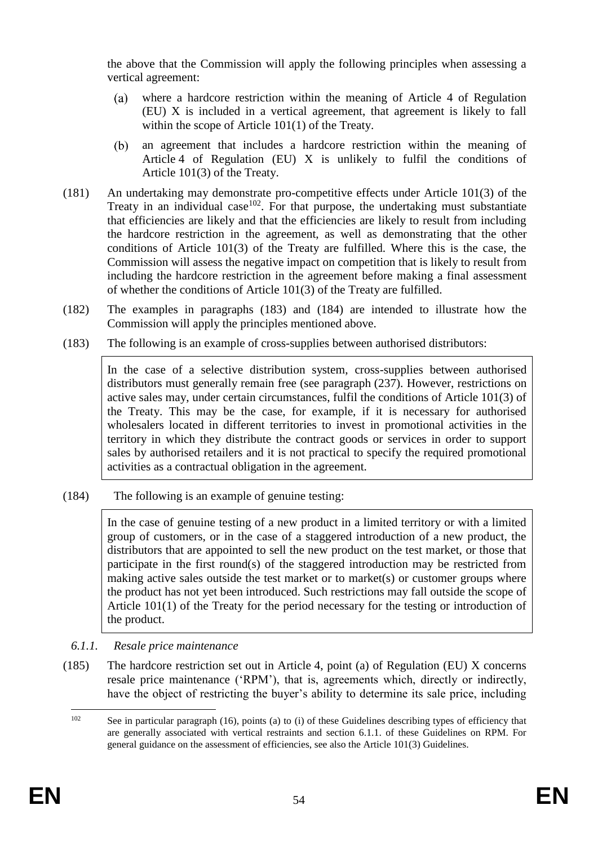the above that the Commission will apply the following principles when assessing a vertical agreement:

- where a hardcore restriction within the meaning of Article 4 of Regulation  $(a)$ (EU) X is included in a vertical agreement, that agreement is likely to fall within the scope of Article 101(1) of the Treaty.
- an agreement that includes a hardcore restriction within the meaning of  $(b)$ Article 4 of Regulation (EU) X is unlikely to fulfil the conditions of Article 101(3) of the Treaty.
- (181) An undertaking may demonstrate pro-competitive effects under Article 101(3) of the Treaty in an individual case<sup>102</sup>. For that purpose, the undertaking must substantiate that efficiencies are likely and that the efficiencies are likely to result from including the hardcore restriction in the agreement, as well as demonstrating that the other conditions of Article 101(3) of the Treaty are fulfilled. Where this is the case, the Commission will assess the negative impact on competition that is likely to result from including the hardcore restriction in the agreement before making a final assessment of whether the conditions of Article 101(3) of the Treaty are fulfilled.
- (182) The examples in paragraphs (183) and (184) are intended to illustrate how the Commission will apply the principles mentioned above.
- (183) The following is an example of cross-supplies between authorised distributors:

In the case of a selective distribution system, cross-supplies between authorised distributors must generally remain free (see paragraph (237). However, restrictions on active sales may, under certain circumstances, fulfil the conditions of Article 101(3) of the Treaty. This may be the case, for example, if it is necessary for authorised wholesalers located in different territories to invest in promotional activities in the territory in which they distribute the contract goods or services in order to support sales by authorised retailers and it is not practical to specify the required promotional activities as a contractual obligation in the agreement.

(184) The following is an example of genuine testing:

In the case of genuine testing of a new product in a limited territory or with a limited group of customers, or in the case of a staggered introduction of a new product, the distributors that are appointed to sell the new product on the test market, or those that participate in the first round(s) of the staggered introduction may be restricted from making active sales outside the test market or to market(s) or customer groups where the product has not yet been introduced. Such restrictions may fall outside the scope of Article 101(1) of the Treaty for the period necessary for the testing or introduction of the product.

# *6.1.1. Resale price maintenance*

(185) The hardcore restriction set out in Article 4, point (a) of Regulation (EU) X concerns resale price maintenance ('RPM'), that is, agreements which, directly or indirectly, have the object of restricting the buyer's ability to determine its sale price, including

<sup>102</sup> See in particular paragraph (16), points (a) to (i) of these Guidelines describing types of efficiency that are generally associated with vertical restraints and section 6.1.1. of these Guidelines on RPM. For general guidance on the assessment of efficiencies, see also the Article 101(3) Guidelines.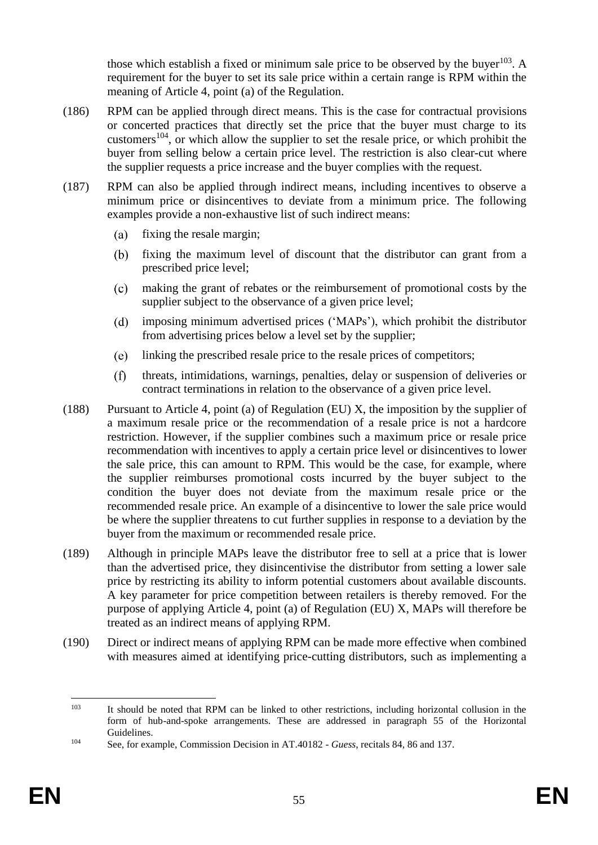those which establish a fixed or minimum sale price to be observed by the buyer<sup>103</sup>. A requirement for the buyer to set its sale price within a certain range is RPM within the meaning of Article 4, point (a) of the Regulation.

- (186) RPM can be applied through direct means. This is the case for contractual provisions or concerted practices that directly set the price that the buyer must charge to its customers<sup>104</sup>, or which allow the supplier to set the resale price, or which prohibit the buyer from selling below a certain price level. The restriction is also clear-cut where the supplier requests a price increase and the buyer complies with the request.
- (187) RPM can also be applied through indirect means, including incentives to observe a minimum price or disincentives to deviate from a minimum price. The following examples provide a non-exhaustive list of such indirect means:
	- $(a)$ fixing the resale margin;
	- $(b)$ fixing the maximum level of discount that the distributor can grant from a prescribed price level;
	- making the grant of rebates or the reimbursement of promotional costs by the  $(c)$ supplier subject to the observance of a given price level;
	- imposing minimum advertised prices ('MAPs'), which prohibit the distributor  $(d)$ from advertising prices below a level set by the supplier;
	- $(e)$ linking the prescribed resale price to the resale prices of competitors;
	- $(f)$ threats, intimidations, warnings, penalties, delay or suspension of deliveries or contract terminations in relation to the observance of a given price level.
- (188) Pursuant to Article 4, point (a) of Regulation (EU) X, the imposition by the supplier of a maximum resale price or the recommendation of a resale price is not a hardcore restriction. However, if the supplier combines such a maximum price or resale price recommendation with incentives to apply a certain price level or disincentives to lower the sale price, this can amount to RPM. This would be the case, for example, where the supplier reimburses promotional costs incurred by the buyer subject to the condition the buyer does not deviate from the maximum resale price or the recommended resale price. An example of a disincentive to lower the sale price would be where the supplier threatens to cut further supplies in response to a deviation by the buyer from the maximum or recommended resale price.
- (189) Although in principle MAPs leave the distributor free to sell at a price that is lower than the advertised price, they disincentivise the distributor from setting a lower sale price by restricting its ability to inform potential customers about available discounts. A key parameter for price competition between retailers is thereby removed. For the purpose of applying Article 4, point (a) of Regulation (EU) X, MAPs will therefore be treated as an indirect means of applying RPM.
- (190) Direct or indirect means of applying RPM can be made more effective when combined with measures aimed at identifying price-cutting distributors, such as implementing a

<sup>103</sup> It should be noted that RPM can be linked to other restrictions, including horizontal collusion in the form of hub-and-spoke arrangements. These are addressed in paragraph 55 of the Horizontal Guidelines.

<sup>104</sup> See, for example, Commission Decision in AT.40182 - *Guess*, recitals 84, 86 and 137.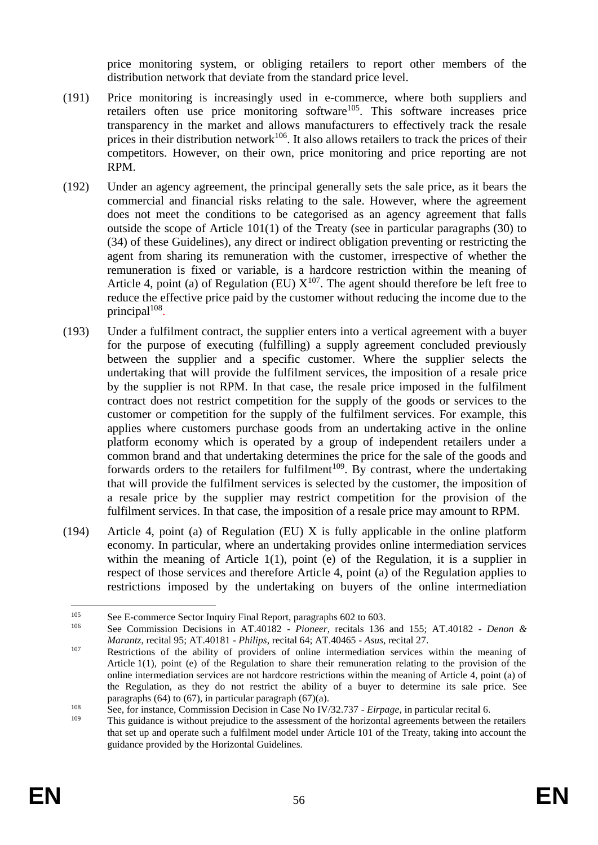price monitoring system, or obliging retailers to report other members of the distribution network that deviate from the standard price level.

- (191) Price monitoring is increasingly used in e-commerce, where both suppliers and retailers often use price monitoring software<sup>105</sup>. This software increases price transparency in the market and allows manufacturers to effectively track the resale prices in their distribution network<sup>106</sup>. It also allows retailers to track the prices of their competitors. However, on their own, price monitoring and price reporting are not RPM.
- (192) Under an agency agreement, the principal generally sets the sale price, as it bears the commercial and financial risks relating to the sale. However, where the agreement does not meet the conditions to be categorised as an agency agreement that falls outside the scope of Article 101(1) of the Treaty (see in particular paragraphs (30) to (34) of these Guidelines), any direct or indirect obligation preventing or restricting the agent from sharing its remuneration with the customer, irrespective of whether the remuneration is fixed or variable, is a hardcore restriction within the meaning of Article 4, point (a) of Regulation (EU)  $X^{107}$ . The agent should therefore be left free to reduce the effective price paid by the customer without reducing the income due to the principal<sup>108</sup>.
- (193) Under a fulfilment contract, the supplier enters into a vertical agreement with a buyer for the purpose of executing (fulfilling) a supply agreement concluded previously between the supplier and a specific customer. Where the supplier selects the undertaking that will provide the fulfilment services, the imposition of a resale price by the supplier is not RPM. In that case, the resale price imposed in the fulfilment contract does not restrict competition for the supply of the goods or services to the customer or competition for the supply of the fulfilment services. For example, this applies where customers purchase goods from an undertaking active in the online platform economy which is operated by a group of independent retailers under a common brand and that undertaking determines the price for the sale of the goods and forwards orders to the retailers for fulfilment<sup>109</sup>. By contrast, where the undertaking that will provide the fulfilment services is selected by the customer, the imposition of a resale price by the supplier may restrict competition for the provision of the fulfilment services. In that case, the imposition of a resale price may amount to RPM.
- (194) Article 4, point (a) of Regulation (EU) X is fully applicable in the online platform economy. In particular, where an undertaking provides online intermediation services within the meaning of Article 1(1), point (e) of the Regulation, it is a supplier in respect of those services and therefore Article 4, point (a) of the Regulation applies to restrictions imposed by the undertaking on buyers of the online intermediation

 $105$ See E-commerce Sector Inquiry Final Report, paragraphs 602 to 603.

<sup>106</sup> See Commission Decisions in AT.40182 - *Pioneer*, recitals 136 and 155; AT.40182 - *Denon & Marantz*, recital 95; AT.40181 - *Philips*, recital 64; AT.40465 - *Asus*, recital 27.

<sup>&</sup>lt;sup>107</sup> Restrictions of the ability of providers of online intermediation services within the meaning of Article 1(1), point (e) of the Regulation to share their remuneration relating to the provision of the online intermediation services are not hardcore restrictions within the meaning of Article 4, point (a) of the Regulation, as they do not restrict the ability of a buyer to determine its sale price. See paragraphs (64) to (67), in particular paragraph (67)(a).

<sup>108</sup> See, for instance, Commission Decision in Case No IV/32.737 - *Eirpage*, in particular recital 6.

This guidance is without prejudice to the assessment of the horizontal agreements between the retailers that set up and operate such a fulfilment model under Article 101 of the Treaty, taking into account the guidance provided by the Horizontal Guidelines.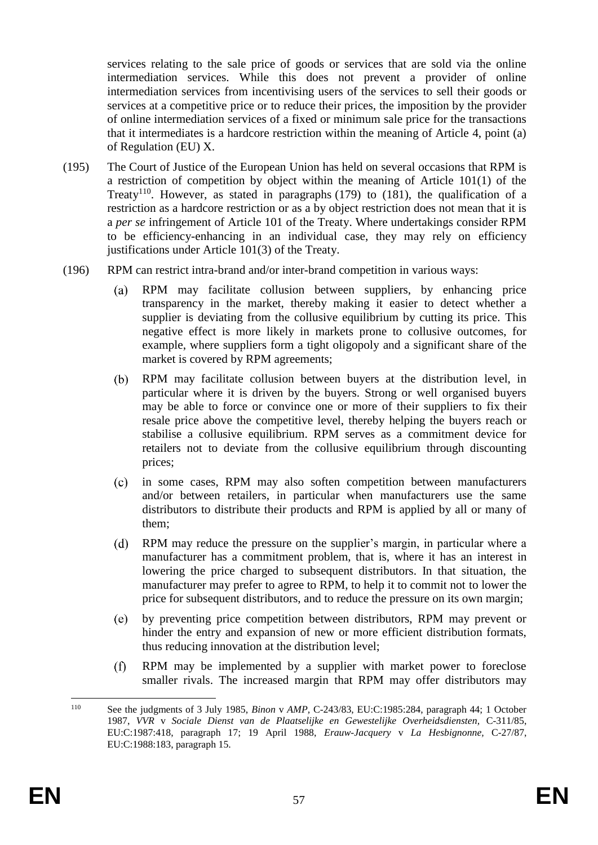services relating to the sale price of goods or services that are sold via the online intermediation services. While this does not prevent a provider of online intermediation services from incentivising users of the services to sell their goods or services at a competitive price or to reduce their prices, the imposition by the provider of online intermediation services of a fixed or minimum sale price for the transactions that it intermediates is a hardcore restriction within the meaning of Article 4, point (a) of Regulation (EU) X.

- (195) The Court of Justice of the European Union has held on several occasions that RPM is a restriction of competition by object within the meaning of Article 101(1) of the Treaty<sup>110</sup>. However, as stated in paragraphs  $(179)$  to  $(181)$ , the qualification of a restriction as a hardcore restriction or as a by object restriction does not mean that it is a *per se* infringement of Article 101 of the Treaty. Where undertakings consider RPM to be efficiency-enhancing in an individual case, they may rely on efficiency justifications under Article 101(3) of the Treaty.
- (196) RPM can restrict intra-brand and/or inter-brand competition in various ways:
	- $(a)$ RPM may facilitate collusion between suppliers, by enhancing price transparency in the market, thereby making it easier to detect whether a supplier is deviating from the collusive equilibrium by cutting its price. This negative effect is more likely in markets prone to collusive outcomes, for example, where suppliers form a tight oligopoly and a significant share of the market is covered by RPM agreements;
	- RPM may facilitate collusion between buyers at the distribution level, in  $(b)$ particular where it is driven by the buyers. Strong or well organised buyers may be able to force or convince one or more of their suppliers to fix their resale price above the competitive level, thereby helping the buyers reach or stabilise a collusive equilibrium. RPM serves as a commitment device for retailers not to deviate from the collusive equilibrium through discounting prices;
	- $(c)$ in some cases, RPM may also soften competition between manufacturers and/or between retailers, in particular when manufacturers use the same distributors to distribute their products and RPM is applied by all or many of them;
	- $(d)$ RPM may reduce the pressure on the supplier's margin, in particular where a manufacturer has a commitment problem, that is, where it has an interest in lowering the price charged to subsequent distributors. In that situation, the manufacturer may prefer to agree to RPM, to help it to commit not to lower the price for subsequent distributors, and to reduce the pressure on its own margin;
	- by preventing price competition between distributors, RPM may prevent or  $(e)$ hinder the entry and expansion of new or more efficient distribution formats, thus reducing innovation at the distribution level;
	- $(f)$ RPM may be implemented by a supplier with market power to foreclose smaller rivals. The increased margin that RPM may offer distributors may

<sup>110</sup> <sup>110</sup> See the judgments of 3 July 1985, *Binon* v *AMP,* C-243/83, EU:C:1985:284, paragraph 44; 1 October 1987, *VVR* v *Sociale Dienst van de Plaatselijke en Gewestelijke Overheidsdiensten,* C-311/85, EU:C:1987:418, paragraph 17; 19 April 1988, *Erauw-Jacquery* v *La Hesbignonne,* C-27/87, EU:C:1988:183, paragraph 15.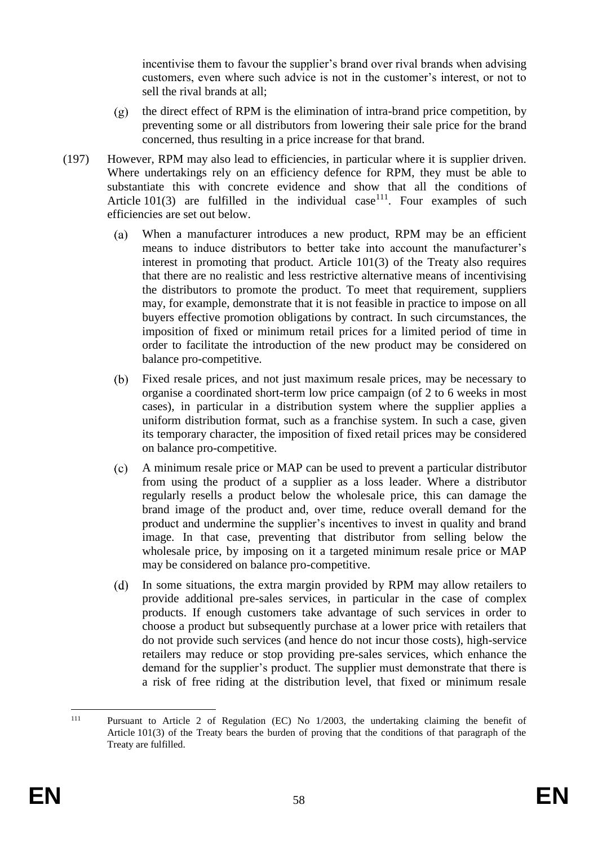incentivise them to favour the supplier's brand over rival brands when advising customers, even where such advice is not in the customer's interest, or not to sell the rival brands at all;

- the direct effect of RPM is the elimination of intra-brand price competition, by  $(g)$ preventing some or all distributors from lowering their sale price for the brand concerned, thus resulting in a price increase for that brand.
- (197) However, RPM may also lead to efficiencies, in particular where it is supplier driven. Where undertakings rely on an efficiency defence for RPM, they must be able to substantiate this with concrete evidence and show that all the conditions of Article  $101(3)$  are fulfilled in the individual case<sup>111</sup>. Four examples of such efficiencies are set out below.
	- When a manufacturer introduces a new product, RPM may be an efficient  $(a)$ means to induce distributors to better take into account the manufacturer's interest in promoting that product. Article 101(3) of the Treaty also requires that there are no realistic and less restrictive alternative means of incentivising the distributors to promote the product. To meet that requirement, suppliers may, for example, demonstrate that it is not feasible in practice to impose on all buyers effective promotion obligations by contract. In such circumstances, the imposition of fixed or minimum retail prices for a limited period of time in order to facilitate the introduction of the new product may be considered on balance pro-competitive.
	- Fixed resale prices, and not just maximum resale prices, may be necessary to  $(b)$ organise a coordinated short-term low price campaign (of 2 to 6 weeks in most cases), in particular in a distribution system where the supplier applies a uniform distribution format, such as a franchise system. In such a case, given its temporary character, the imposition of fixed retail prices may be considered on balance pro-competitive.
	- A minimum resale price or MAP can be used to prevent a particular distributor  $(c)$ from using the product of a supplier as a loss leader. Where a distributor regularly resells a product below the wholesale price, this can damage the brand image of the product and, over time, reduce overall demand for the product and undermine the supplier's incentives to invest in quality and brand image. In that case, preventing that distributor from selling below the wholesale price, by imposing on it a targeted minimum resale price or MAP may be considered on balance pro-competitive.
	- $(d)$ In some situations, the extra margin provided by RPM may allow retailers to provide additional pre-sales services, in particular in the case of complex products. If enough customers take advantage of such services in order to choose a product but subsequently purchase at a lower price with retailers that do not provide such services (and hence do not incur those costs), high-service retailers may reduce or stop providing pre-sales services, which enhance the demand for the supplier's product. The supplier must demonstrate that there is a risk of free riding at the distribution level, that fixed or minimum resale

 $111$ Pursuant to Article 2 of Regulation (EC) No 1/2003, the undertaking claiming the benefit of Article 101(3) of the Treaty bears the burden of proving that the conditions of that paragraph of the Treaty are fulfilled.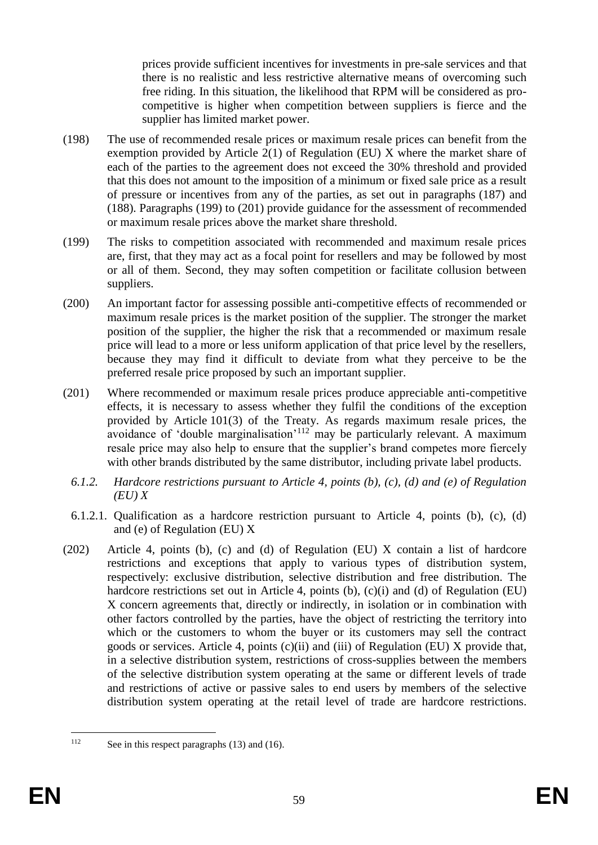prices provide sufficient incentives for investments in pre-sale services and that there is no realistic and less restrictive alternative means of overcoming such free riding. In this situation, the likelihood that RPM will be considered as procompetitive is higher when competition between suppliers is fierce and the supplier has limited market power.

- (198) The use of recommended resale prices or maximum resale prices can benefit from the exemption provided by Article 2(1) of Regulation (EU) X where the market share of each of the parties to the agreement does not exceed the 30% threshold and provided that this does not amount to the imposition of a minimum or fixed sale price as a result of pressure or incentives from any of the parties, as set out in paragraphs (187) and (188). Paragraphs (199) to (201) provide guidance for the assessment of recommended or maximum resale prices above the market share threshold.
- (199) The risks to competition associated with recommended and maximum resale prices are, first, that they may act as a focal point for resellers and may be followed by most or all of them. Second, they may soften competition or facilitate collusion between suppliers.
- (200) An important factor for assessing possible anti-competitive effects of recommended or maximum resale prices is the market position of the supplier. The stronger the market position of the supplier, the higher the risk that a recommended or maximum resale price will lead to a more or less uniform application of that price level by the resellers, because they may find it difficult to deviate from what they perceive to be the preferred resale price proposed by such an important supplier.
- (201) Where recommended or maximum resale prices produce appreciable anti-competitive effects, it is necessary to assess whether they fulfil the conditions of the exception provided by Article 101(3) of the Treaty. As regards maximum resale prices, the avoidance of 'double marginalisation'<sup>112</sup> may be particularly relevant. A maximum resale price may also help to ensure that the supplier's brand competes more fiercely with other brands distributed by the same distributor, including private label products.
	- *6.1.2. Hardcore restrictions pursuant to Article 4, points (b), (c), (d) and (e) of Regulation (EU) X*
	- 6.1.2.1. Qualification as a hardcore restriction pursuant to Article 4, points (b), (c), (d) and (e) of Regulation (EU) X
- (202) Article 4, points (b), (c) and (d) of Regulation (EU) X contain a list of hardcore restrictions and exceptions that apply to various types of distribution system, respectively: exclusive distribution, selective distribution and free distribution. The hardcore restrictions set out in Article 4, points (b), (c)(i) and (d) of Regulation (EU) X concern agreements that, directly or indirectly, in isolation or in combination with other factors controlled by the parties, have the object of restricting the territory into which or the customers to whom the buyer or its customers may sell the contract goods or services. Article 4, points (c)(ii) and (iii) of Regulation (EU) X provide that, in a selective distribution system, restrictions of cross-supplies between the members of the selective distribution system operating at the same or different levels of trade and restrictions of active or passive sales to end users by members of the selective distribution system operating at the retail level of trade are hardcore restrictions.

<sup>112</sup> See in this respect paragraphs  $(13)$  and  $(16)$ .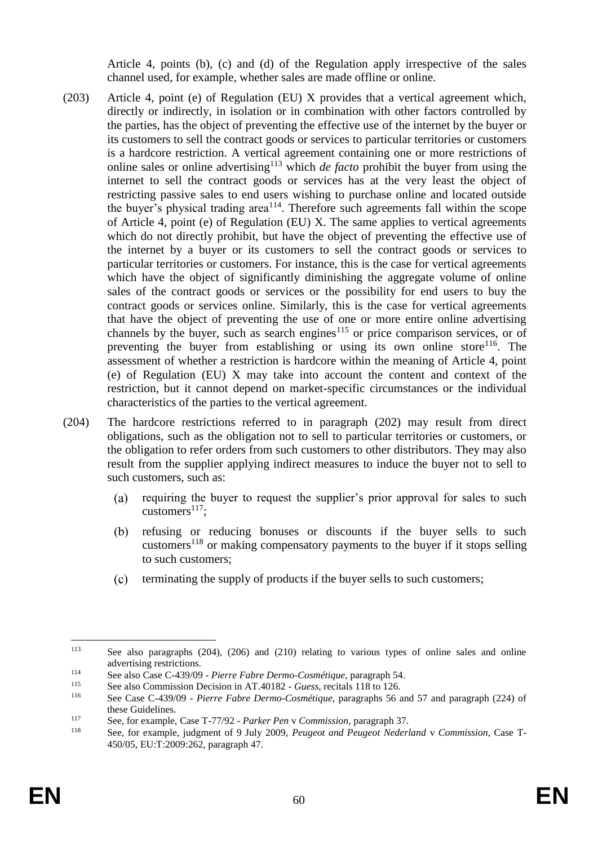Article 4, points (b), (c) and (d) of the Regulation apply irrespective of the sales channel used, for example, whether sales are made offline or online.

- (203) Article 4, point (e) of Regulation (EU) X provides that a vertical agreement which, directly or indirectly, in isolation or in combination with other factors controlled by the parties, has the object of preventing the effective use of the internet by the buyer or its customers to sell the contract goods or services to particular territories or customers is a hardcore restriction. A vertical agreement containing one or more restrictions of online sales or online advertising<sup>113</sup> which *de facto* prohibit the buyer from using the internet to sell the contract goods or services has at the very least the object of restricting passive sales to end users wishing to purchase online and located outside the buyer's physical trading area<sup>114</sup>. Therefore such agreements fall within the scope of Article 4, point (e) of Regulation (EU) X. The same applies to vertical agreements which do not directly prohibit, but have the object of preventing the effective use of the internet by a buyer or its customers to sell the contract goods or services to particular territories or customers. For instance, this is the case for vertical agreements which have the object of significantly diminishing the aggregate volume of online sales of the contract goods or services or the possibility for end users to buy the contract goods or services online. Similarly, this is the case for vertical agreements that have the object of preventing the use of one or more entire online advertising channels by the buyer, such as search engines<sup>115</sup> or price comparison services, or of preventing the buyer from establishing or using its own online store<sup>116</sup>. The assessment of whether a restriction is hardcore within the meaning of Article 4, point (e) of Regulation (EU) X may take into account the content and context of the restriction, but it cannot depend on market-specific circumstances or the individual characteristics of the parties to the vertical agreement.
- (204) The hardcore restrictions referred to in paragraph (202) may result from direct obligations, such as the obligation not to sell to particular territories or customers, or the obligation to refer orders from such customers to other distributors. They may also result from the supplier applying indirect measures to induce the buyer not to sell to such customers, such as:
	- $(a)$ requiring the buyer to request the supplier's prior approval for sales to such customers $^{117}$ :
	- $(b)$ refusing or reducing bonuses or discounts if the buyer sells to such customers<sup>118</sup> or making compensatory payments to the buyer if it stops selling to such customers;
	- $(c)$ terminating the supply of products if the buyer sells to such customers;

<sup>1</sup> <sup>113</sup> See also paragraphs (204), (206) and (210) relating to various types of online sales and online advertising restrictions.

<sup>114</sup> See also Case C-439/09 - *Pierre Fabre Dermo-Cosmétique*, paragraph 54.

<sup>115</sup> See also Commission Decision in AT.40182 - *Guess*, recitals 118 to 126. <sup>116</sup> See Case C-439/09 - *Pierre Fabre Dermo-Cosmétique*, paragraphs 56 and 57 and paragraph (224) of these Guidelines.

<sup>117</sup> See, for example, Case T-77/92 - *Parker Pen* v *Commission*, paragraph 37.

<sup>118</sup> See, for example, judgment of 9 July 2009, *Peugeot and Peugeot Nederland* v *Commission*, Case T-450/05, EU:T:2009:262, paragraph 47.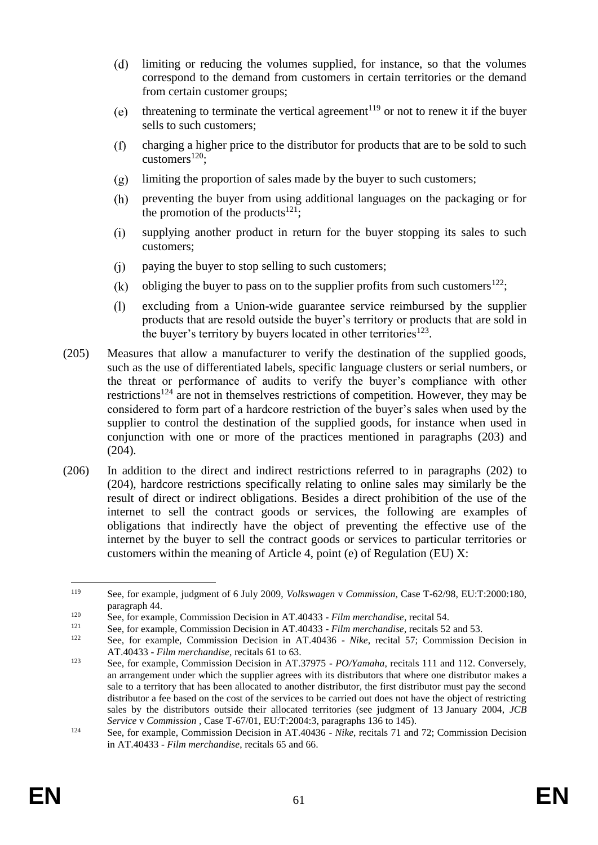- $(d)$ limiting or reducing the volumes supplied, for instance, so that the volumes correspond to the demand from customers in certain territories or the demand from certain customer groups;
- threatening to terminate the vertical agreement<sup>119</sup> or not to renew it if the buyer  $(e)$ sells to such customers;
- charging a higher price to the distributor for products that are to be sold to such  $(f)$ customers<sup>120</sup>:
- limiting the proportion of sales made by the buyer to such customers;  $(g)$
- preventing the buyer from using additional languages on the packaging or for  $(h)$ the promotion of the products<sup>121</sup>;
- $(i)$ supplying another product in return for the buyer stopping its sales to such customers;
- paying the buyer to stop selling to such customers;  $(i)$
- obliging the buyer to pass on to the supplier profits from such customers<sup>122</sup>;  $(k)$
- $(1)$ excluding from a Union-wide guarantee service reimbursed by the supplier products that are resold outside the buyer's territory or products that are sold in the buyer's territory by buyers located in other territories<sup>123</sup>.
- (205) Measures that allow a manufacturer to verify the destination of the supplied goods, such as the use of differentiated labels, specific language clusters or serial numbers, or the threat or performance of audits to verify the buyer's compliance with other restrictions<sup>124</sup> are not in themselves restrictions of competition. However, they may be considered to form part of a hardcore restriction of the buyer's sales when used by the supplier to control the destination of the supplied goods, for instance when used in conjunction with one or more of the practices mentioned in paragraphs (203) and (204).
- (206) In addition to the direct and indirect restrictions referred to in paragraphs (202) to (204), hardcore restrictions specifically relating to online sales may similarly be the result of direct or indirect obligations. Besides a direct prohibition of the use of the internet to sell the contract goods or services, the following are examples of obligations that indirectly have the object of preventing the effective use of the internet by the buyer to sell the contract goods or services to particular territories or customers within the meaning of Article 4, point (e) of Regulation (EU) X:

<sup>119</sup> <sup>119</sup> See, for example, judgment of 6 July 2009, *Volkswagen* v *Commission,* Case T-62/98, EU:T:2000:180, paragraph 44.

<sup>120</sup> See, for example, Commission Decision in AT.40433 - *Film merchandise*, recital 54.

<sup>121</sup> See, for example, Commission Decision in AT.40433 - *Film merchandise*, recitals 52 and 53.

<sup>122</sup> See, for example, Commission Decision in AT.40436 - *Nike*, recital 57; Commission Decision in AT.40433 - *Film merchandise*, recitals 61 to 63.

<sup>123</sup> See, for example, Commission Decision in AT.37975 - *PO/Yamaha*, recitals 111 and 112. Conversely, an arrangement under which the supplier agrees with its distributors that where one distributor makes a sale to a territory that has been allocated to another distributor, the first distributor must pay the second distributor a fee based on the cost of the services to be carried out does not have the object of restricting sales by the distributors outside their allocated territories (see judgment of 13 January 2004, *JCB Service* v *Commission ,* Case T-67/01, EU:T:2004:3, paragraphs 136 to 145).

<sup>124</sup> See, for example, Commission Decision in AT.40436 - *Nike*, recitals 71 and 72; Commission Decision in AT.40433 - *Film merchandise*, recitals 65 and 66.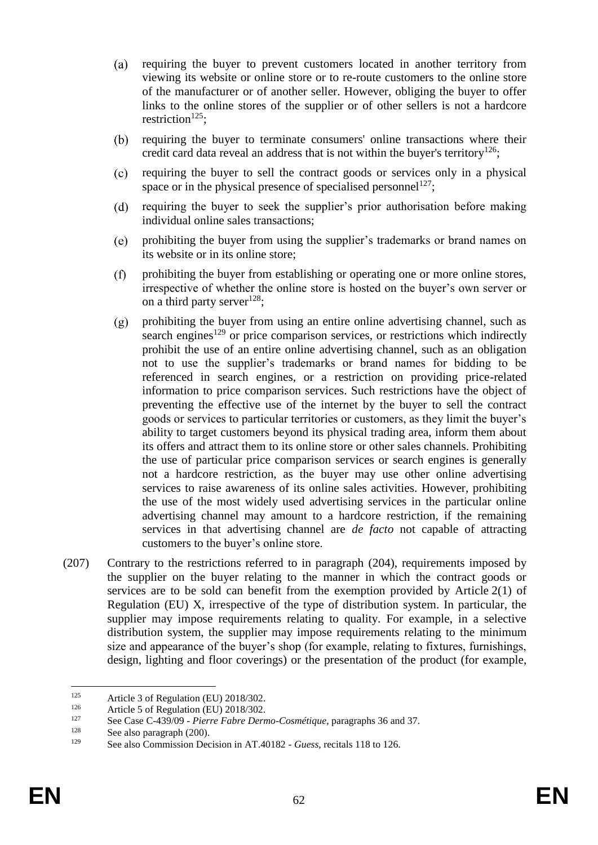- requiring the buyer to prevent customers located in another territory from  $(a)$ viewing its website or online store or to re-route customers to the online store of the manufacturer or of another seller. However, obliging the buyer to offer links to the online stores of the supplier or of other sellers is not a hardcore restriction<sup>125</sup>:
- $(b)$ requiring the buyer to terminate consumers' online transactions where their credit card data reveal an address that is not within the buyer's territory<sup>126</sup>;
- $(c)$ requiring the buyer to sell the contract goods or services only in a physical space or in the physical presence of specialised personnel<sup>127</sup>;
- $(d)$ requiring the buyer to seek the supplier's prior authorisation before making individual online sales transactions;
- $(e)$ prohibiting the buyer from using the supplier's trademarks or brand names on its website or in its online store;
- $(f)$ prohibiting the buyer from establishing or operating one or more online stores, irrespective of whether the online store is hosted on the buyer's own server or on a third party server<sup>128</sup>:
- prohibiting the buyer from using an entire online advertising channel, such as  $(g)$ search engines<sup>129</sup> or price comparison services, or restrictions which indirectly prohibit the use of an entire online advertising channel, such as an obligation not to use the supplier's trademarks or brand names for bidding to be referenced in search engines, or a restriction on providing price-related information to price comparison services. Such restrictions have the object of preventing the effective use of the internet by the buyer to sell the contract goods or services to particular territories or customers, as they limit the buyer's ability to target customers beyond its physical trading area, inform them about its offers and attract them to its online store or other sales channels. Prohibiting the use of particular price comparison services or search engines is generally not a hardcore restriction, as the buyer may use other online advertising services to raise awareness of its online sales activities. However, prohibiting the use of the most widely used advertising services in the particular online advertising channel may amount to a hardcore restriction, if the remaining services in that advertising channel are *de facto* not capable of attracting customers to the buyer's online store.
- (207) Contrary to the restrictions referred to in paragraph (204), requirements imposed by the supplier on the buyer relating to the manner in which the contract goods or services are to be sold can benefit from the exemption provided by Article 2(1) of Regulation (EU) X, irrespective of the type of distribution system. In particular, the supplier may impose requirements relating to quality. For example, in a selective distribution system, the supplier may impose requirements relating to the minimum size and appearance of the buyer's shop (for example, relating to fixtures, furnishings, design, lighting and floor coverings) or the presentation of the product (for example,

<sup>1</sup> <sup>125</sup> Article 3 of Regulation (EU) 2018/302.<br><sup>126</sup> Article 5 of Bombine (EU) 2018/202.

<sup>&</sup>lt;sup>126</sup> Article 5 of Regulation (EU) 2018/302.

<sup>&</sup>lt;sup>127</sup> See Case C-439/09 - *Pierre Fabre Dermo-Cosmétique*, paragraphs 36 and 37.

<sup>&</sup>lt;sup>128</sup> See also paragraph  $(200)$ .<br><sup>129</sup> See also Commission Dec

See also Commission Decision in AT.40182 - *Guess*, recitals 118 to 126.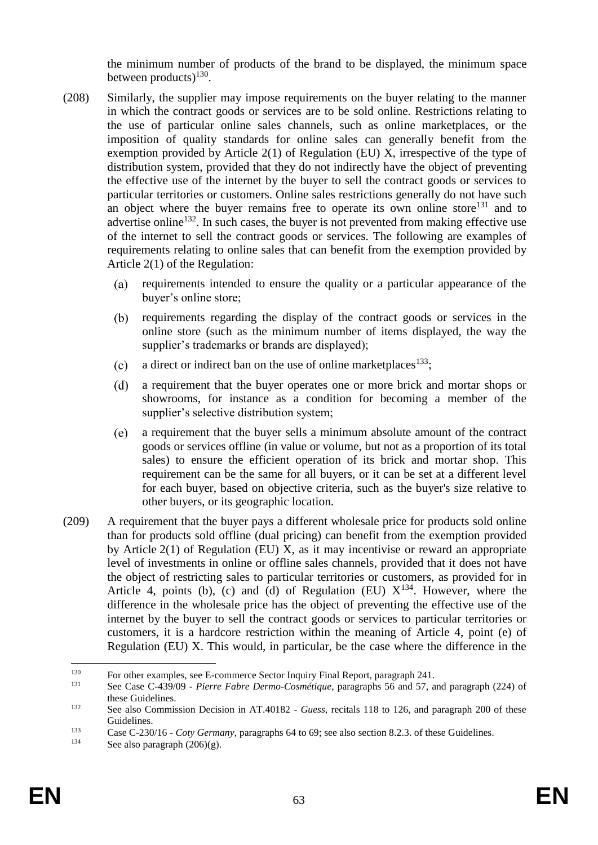the minimum number of products of the brand to be displayed, the minimum space between products) $130$ .

- (208) Similarly, the supplier may impose requirements on the buyer relating to the manner in which the contract goods or services are to be sold online. Restrictions relating to the use of particular online sales channels, such as online marketplaces, or the imposition of quality standards for online sales can generally benefit from the exemption provided by Article 2(1) of Regulation (EU) X, irrespective of the type of distribution system, provided that they do not indirectly have the object of preventing the effective use of the internet by the buyer to sell the contract goods or services to particular territories or customers. Online sales restrictions generally do not have such an object where the buyer remains free to operate its own online store<sup>131</sup> and to advertise online<sup>132</sup>. In such cases, the buyer is not prevented from making effective use of the internet to sell the contract goods or services. The following are examples of requirements relating to online sales that can benefit from the exemption provided by Article 2(1) of the Regulation:
	- requirements intended to ensure the quality or a particular appearance of the  $(a)$ buyer's online store;
	- requirements regarding the display of the contract goods or services in the  $(b)$ online store (such as the minimum number of items displayed, the way the supplier's trademarks or brands are displayed);
	- $(c)$ a direct or indirect ban on the use of online marketplaces $^{133}$ ;
	- a requirement that the buyer operates one or more brick and mortar shops or  $(d)$ showrooms, for instance as a condition for becoming a member of the supplier's selective distribution system;
	- $(e)$ a requirement that the buyer sells a minimum absolute amount of the contract goods or services offline (in value or volume, but not as a proportion of its total sales) to ensure the efficient operation of its brick and mortar shop. This requirement can be the same for all buyers, or it can be set at a different level for each buyer, based on objective criteria, such as the buyer's size relative to other buyers, or its geographic location.
- (209) A requirement that the buyer pays a different wholesale price for products sold online than for products sold offline (dual pricing) can benefit from the exemption provided by Article 2(1) of Regulation (EU) X, as it may incentivise or reward an appropriate level of investments in online or offline sales channels, provided that it does not have the object of restricting sales to particular territories or customers, as provided for in Article 4, points (b), (c) and (d) of Regulation (EU)  $X^{134}$ . However, where the difference in the wholesale price has the object of preventing the effective use of the internet by the buyer to sell the contract goods or services to particular territories or customers, it is a hardcore restriction within the meaning of Article 4, point (e) of Regulation (EU) X. This would, in particular, be the case where the difference in the

<sup>&</sup>lt;u>.</u> <sup>130</sup> For other examples, see E-commerce Sector Inquiry Final Report, paragraph 241.<br><sup>131</sup> See Case C 439/09 *Pierre Fabre Dermo Cosmétique*, paragraphs 56 and 57, a

<sup>131</sup> See Case C-439/09 - *Pierre Fabre Dermo-Cosmétique*, paragraphs 56 and 57, and paragraph (224) of these Guidelines.

<sup>132</sup> See also Commission Decision in AT.40182 - *Guess*, recitals 118 to 126, and paragraph 200 of these Guidelines.

<sup>133</sup> Case C-230/16 - *Coty Germany*, paragraphs 64 to 69; see also section 8.2.3. of these Guidelines.

See also paragraph  $(206)(g)$ .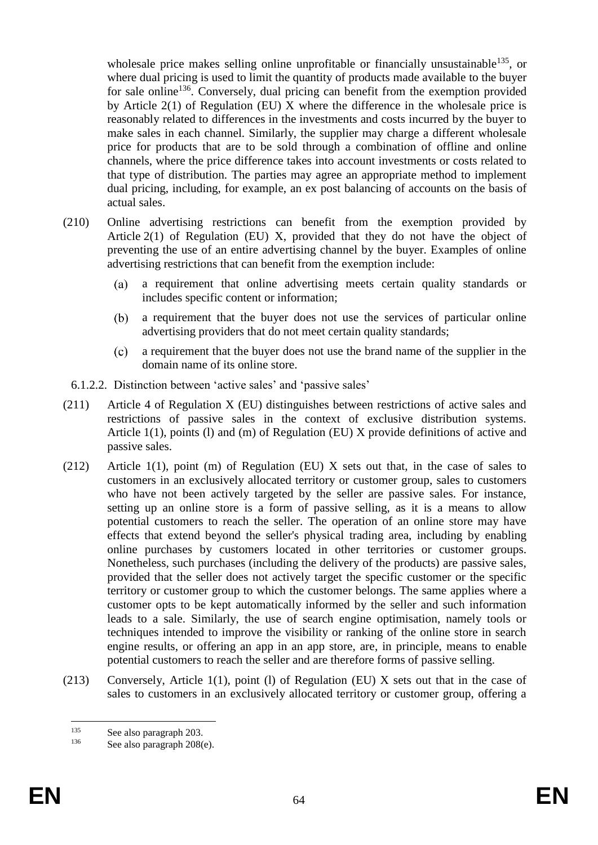wholesale price makes selling online unprofitable or financially unsustainable<sup>135</sup>, or where dual pricing is used to limit the quantity of products made available to the buyer for sale online<sup>136</sup>. Conversely, dual pricing can benefit from the exemption provided by Article 2(1) of Regulation (EU) X where the difference in the wholesale price is reasonably related to differences in the investments and costs incurred by the buyer to make sales in each channel. Similarly, the supplier may charge a different wholesale price for products that are to be sold through a combination of offline and online channels, where the price difference takes into account investments or costs related to that type of distribution. The parties may agree an appropriate method to implement dual pricing, including, for example, an ex post balancing of accounts on the basis of actual sales.

- (210) Online advertising restrictions can benefit from the exemption provided by Article 2(1) of Regulation (EU) X, provided that they do not have the object of preventing the use of an entire advertising channel by the buyer. Examples of online advertising restrictions that can benefit from the exemption include:
	- a requirement that online advertising meets certain quality standards or  $(a)$ includes specific content or information;
	- $(b)$ a requirement that the buyer does not use the services of particular online advertising providers that do not meet certain quality standards;
	- a requirement that the buyer does not use the brand name of the supplier in the  $(c)$ domain name of its online store.
- 6.1.2.2. Distinction between 'active sales' and 'passive sales'
- (211) Article 4 of Regulation X (EU) distinguishes between restrictions of active sales and restrictions of passive sales in the context of exclusive distribution systems. Article 1(1), points (l) and (m) of Regulation (EU) X provide definitions of active and passive sales.
- (212) Article 1(1), point (m) of Regulation (EU) X sets out that, in the case of sales to customers in an exclusively allocated territory or customer group, sales to customers who have not been actively targeted by the seller are passive sales. For instance, setting up an online store is a form of passive selling, as it is a means to allow potential customers to reach the seller. The operation of an online store may have effects that extend beyond the seller's physical trading area, including by enabling online purchases by customers located in other territories or customer groups. Nonetheless, such purchases (including the delivery of the products) are passive sales, provided that the seller does not actively target the specific customer or the specific territory or customer group to which the customer belongs. The same applies where a customer opts to be kept automatically informed by the seller and such information leads to a sale. Similarly, the use of search engine optimisation, namely tools or techniques intended to improve the visibility or ranking of the online store in search engine results, or offering an app in an app store, are, in principle, means to enable potential customers to reach the seller and are therefore forms of passive selling.
- (213) Conversely, Article 1(1), point (l) of Regulation (EU) X sets out that in the case of sales to customers in an exclusively allocated territory or customer group, offering a

<sup>135</sup>  $\frac{135}{136}$  See also paragraph 203.

See also paragraph 208(e).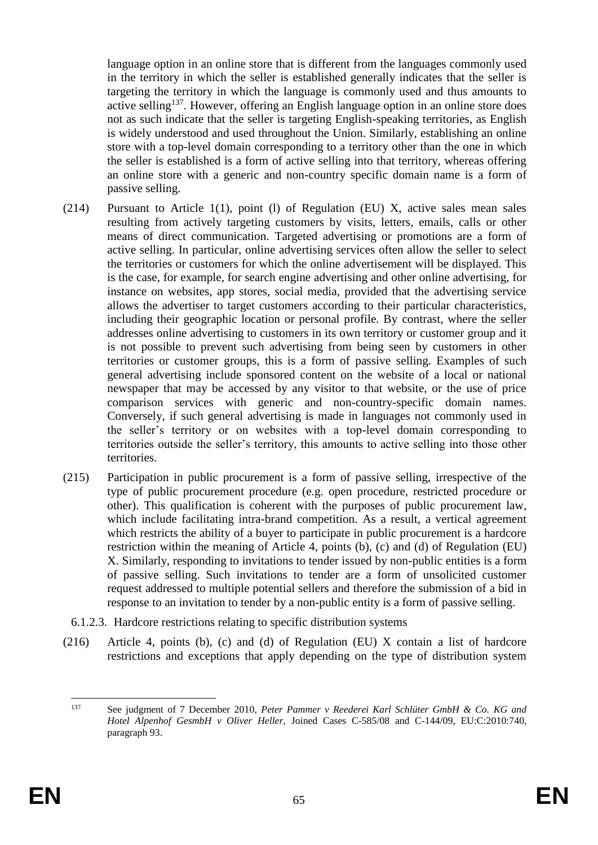language option in an online store that is different from the languages commonly used in the territory in which the seller is established generally indicates that the seller is targeting the territory in which the language is commonly used and thus amounts to active selling<sup>137</sup>. However, offering an English language option in an online store does not as such indicate that the seller is targeting English-speaking territories, as English is widely understood and used throughout the Union. Similarly, establishing an online store with a top-level domain corresponding to a territory other than the one in which the seller is established is a form of active selling into that territory, whereas offering an online store with a generic and non-country specific domain name is a form of passive selling.

- (214) Pursuant to Article 1(1), point (l) of Regulation (EU) X, active sales mean sales resulting from actively targeting customers by visits, letters, emails, calls or other means of direct communication. Targeted advertising or promotions are a form of active selling. In particular, online advertising services often allow the seller to select the territories or customers for which the online advertisement will be displayed. This is the case, for example, for search engine advertising and other online advertising, for instance on websites, app stores, social media, provided that the advertising service allows the advertiser to target customers according to their particular characteristics, including their geographic location or personal profile. By contrast, where the seller addresses online advertising to customers in its own territory or customer group and it is not possible to prevent such advertising from being seen by customers in other territories or customer groups, this is a form of passive selling. Examples of such general advertising include sponsored content on the website of a local or national newspaper that may be accessed by any visitor to that website, or the use of price comparison services with generic and non-country-specific domain names. Conversely, if such general advertising is made in languages not commonly used in the seller's territory or on websites with a top-level domain corresponding to territories outside the seller's territory, this amounts to active selling into those other territories.
- (215) Participation in public procurement is a form of passive selling, irrespective of the type of public procurement procedure (e.g. open procedure, restricted procedure or other). This qualification is coherent with the purposes of public procurement law, which include facilitating intra-brand competition. As a result, a vertical agreement which restricts the ability of a buyer to participate in public procurement is a hardcore restriction within the meaning of Article 4, points (b), (c) and (d) of Regulation (EU) X. Similarly, responding to invitations to tender issued by non-public entities is a form of passive selling. Such invitations to tender are a form of unsolicited customer request addressed to multiple potential sellers and therefore the submission of a bid in response to an invitation to tender by a non-public entity is a form of passive selling.
	- 6.1.2.3. Hardcore restrictions relating to specific distribution systems
- (216) Article 4, points (b), (c) and (d) of Regulation (EU) X contain a list of hardcore restrictions and exceptions that apply depending on the type of distribution system

<sup>137</sup> <sup>137</sup> See judgment of 7 December 2010, *Peter Pammer v Reederei Karl Schlüter GmbH & Co. KG and Hotel Alpenhof GesmbH v Oliver Heller,* Joined Cases C-585/08 and C-144/09*,* EU:C:2010:740, paragraph 93.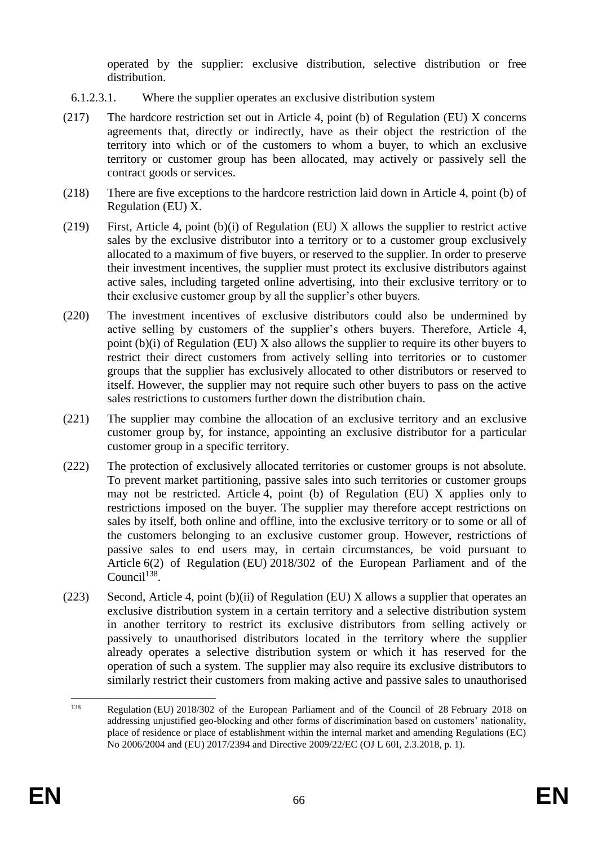operated by the supplier: exclusive distribution, selective distribution or free distribution.

- 6.1.2.3.1. Where the supplier operates an exclusive distribution system
- (217) The hardcore restriction set out in Article 4, point (b) of Regulation (EU) X concerns agreements that, directly or indirectly, have as their object the restriction of the territory into which or of the customers to whom a buyer, to which an exclusive territory or customer group has been allocated, may actively or passively sell the contract goods or services.
- (218) There are five exceptions to the hardcore restriction laid down in Article 4, point (b) of Regulation (EU) X.
- (219) First, Article 4, point (b)(i) of Regulation (EU) X allows the supplier to restrict active sales by the exclusive distributor into a territory or to a customer group exclusively allocated to a maximum of five buyers, or reserved to the supplier. In order to preserve their investment incentives, the supplier must protect its exclusive distributors against active sales, including targeted online advertising, into their exclusive territory or to their exclusive customer group by all the supplier's other buyers.
- (220) The investment incentives of exclusive distributors could also be undermined by active selling by customers of the supplier's others buyers. Therefore, Article 4, point (b)(i) of Regulation (EU) X also allows the supplier to require its other buyers to restrict their direct customers from actively selling into territories or to customer groups that the supplier has exclusively allocated to other distributors or reserved to itself. However, the supplier may not require such other buyers to pass on the active sales restrictions to customers further down the distribution chain.
- (221) The supplier may combine the allocation of an exclusive territory and an exclusive customer group by, for instance, appointing an exclusive distributor for a particular customer group in a specific territory.
- (222) The protection of exclusively allocated territories or customer groups is not absolute. To prevent market partitioning, passive sales into such territories or customer groups may not be restricted. Article 4, point (b) of Regulation (EU) X applies only to restrictions imposed on the buyer. The supplier may therefore accept restrictions on sales by itself, both online and offline, into the exclusive territory or to some or all of the customers belonging to an exclusive customer group. However, restrictions of passive sales to end users may, in certain circumstances, be void pursuant to Article 6(2) of Regulation (EU) 2018/302 of the European Parliament and of the Council $138$ .
- (223) Second, Article 4, point (b)(ii) of Regulation (EU) X allows a supplier that operates an exclusive distribution system in a certain territory and a selective distribution system in another territory to restrict its exclusive distributors from selling actively or passively to unauthorised distributors located in the territory where the supplier already operates a selective distribution system or which it has reserved for the operation of such a system. The supplier may also require its exclusive distributors to similarly restrict their customers from making active and passive sales to unauthorised

<sup>138</sup> Regulation (EU) 2018/302 of the European Parliament and of the Council of 28 February 2018 on addressing unjustified geo-blocking and other forms of discrimination based on customers' nationality, place of residence or place of establishment within the internal market and amending Regulations (EC) No 2006/2004 and (EU) 2017/2394 and Directive 2009/22/EC (OJ L 60I, 2.3.2018, p. 1).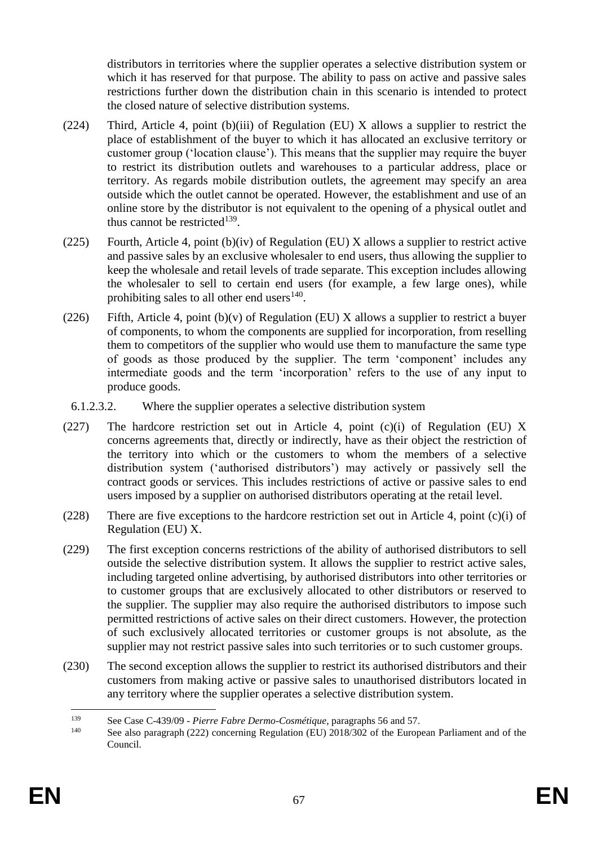distributors in territories where the supplier operates a selective distribution system or which it has reserved for that purpose. The ability to pass on active and passive sales restrictions further down the distribution chain in this scenario is intended to protect the closed nature of selective distribution systems.

- (224) Third, Article 4, point (b)(iii) of Regulation (EU) X allows a supplier to restrict the place of establishment of the buyer to which it has allocated an exclusive territory or customer group ('location clause'). This means that the supplier may require the buyer to restrict its distribution outlets and warehouses to a particular address, place or territory. As regards mobile distribution outlets, the agreement may specify an area outside which the outlet cannot be operated. However, the establishment and use of an online store by the distributor is not equivalent to the opening of a physical outlet and thus cannot be restricted<sup>139</sup>.
- (225) Fourth, Article 4, point (b)(iv) of Regulation (EU) X allows a supplier to restrict active and passive sales by an exclusive wholesaler to end users, thus allowing the supplier to keep the wholesale and retail levels of trade separate. This exception includes allowing the wholesaler to sell to certain end users (for example, a few large ones), while prohibiting sales to all other end users $140$ .
- (226) Fifth, Article 4, point (b)(v) of Regulation (EU) X allows a supplier to restrict a buyer of components, to whom the components are supplied for incorporation, from reselling them to competitors of the supplier who would use them to manufacture the same type of goods as those produced by the supplier. The term 'component' includes any intermediate goods and the term 'incorporation' refers to the use of any input to produce goods.
- 6.1.2.3.2. Where the supplier operates a selective distribution system
- (227) The hardcore restriction set out in Article 4, point (c)(i) of Regulation (EU) X concerns agreements that, directly or indirectly, have as their object the restriction of the territory into which or the customers to whom the members of a selective distribution system ('authorised distributors') may actively or passively sell the contract goods or services. This includes restrictions of active or passive sales to end users imposed by a supplier on authorised distributors operating at the retail level.
- (228) There are five exceptions to the hardcore restriction set out in Article 4, point (c)(i) of Regulation (EU) X.
- (229) The first exception concerns restrictions of the ability of authorised distributors to sell outside the selective distribution system. It allows the supplier to restrict active sales, including targeted online advertising, by authorised distributors into other territories or to customer groups that are exclusively allocated to other distributors or reserved to the supplier. The supplier may also require the authorised distributors to impose such permitted restrictions of active sales on their direct customers. However, the protection of such exclusively allocated territories or customer groups is not absolute, as the supplier may not restrict passive sales into such territories or to such customer groups.
- (230) The second exception allows the supplier to restrict its authorised distributors and their customers from making active or passive sales to unauthorised distributors located in any territory where the supplier operates a selective distribution system.

<sup>139</sup> <sup>139</sup> See Case C-439/09 - *Pierre Fabre Dermo-Cosmétique*, paragraphs 56 and 57.

See also paragraph (222) concerning Regulation (EU) 2018/302 of the European Parliament and of the Council.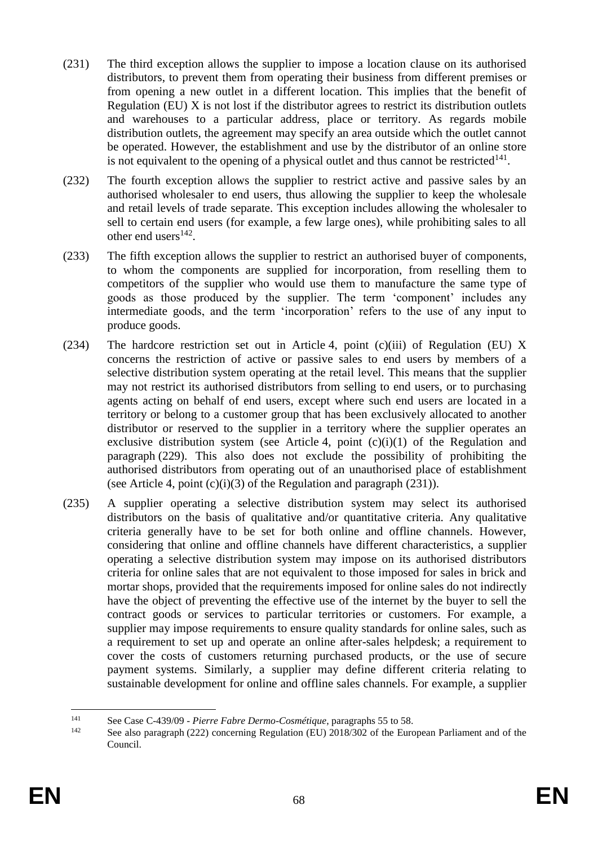- (231) The third exception allows the supplier to impose a location clause on its authorised distributors, to prevent them from operating their business from different premises or from opening a new outlet in a different location. This implies that the benefit of Regulation (EU) X is not lost if the distributor agrees to restrict its distribution outlets and warehouses to a particular address, place or territory. As regards mobile distribution outlets, the agreement may specify an area outside which the outlet cannot be operated. However, the establishment and use by the distributor of an online store is not equivalent to the opening of a physical outlet and thus cannot be restricted $141$ .
- (232) The fourth exception allows the supplier to restrict active and passive sales by an authorised wholesaler to end users, thus allowing the supplier to keep the wholesale and retail levels of trade separate. This exception includes allowing the wholesaler to sell to certain end users (for example, a few large ones), while prohibiting sales to all other end users $^{142}$ .
- (233) The fifth exception allows the supplier to restrict an authorised buyer of components, to whom the components are supplied for incorporation, from reselling them to competitors of the supplier who would use them to manufacture the same type of goods as those produced by the supplier. The term 'component' includes any intermediate goods, and the term 'incorporation' refers to the use of any input to produce goods.
- (234) The hardcore restriction set out in Article 4, point (c)(iii) of Regulation (EU) X concerns the restriction of active or passive sales to end users by members of a selective distribution system operating at the retail level. This means that the supplier may not restrict its authorised distributors from selling to end users, or to purchasing agents acting on behalf of end users, except where such end users are located in a territory or belong to a customer group that has been exclusively allocated to another distributor or reserved to the supplier in a territory where the supplier operates an exclusive distribution system (see Article 4, point  $(c)(i)(1)$  of the Regulation and paragraph (229). This also does not exclude the possibility of prohibiting the authorised distributors from operating out of an unauthorised place of establishment (see Article 4, point  $(c)(i)(3)$  of the Regulation and paragraph (231)).
- (235) A supplier operating a selective distribution system may select its authorised distributors on the basis of qualitative and/or quantitative criteria. Any qualitative criteria generally have to be set for both online and offline channels. However, considering that online and offline channels have different characteristics, a supplier operating a selective distribution system may impose on its authorised distributors criteria for online sales that are not equivalent to those imposed for sales in brick and mortar shops, provided that the requirements imposed for online sales do not indirectly have the object of preventing the effective use of the internet by the buyer to sell the contract goods or services to particular territories or customers. For example, a supplier may impose requirements to ensure quality standards for online sales, such as a requirement to set up and operate an online after-sales helpdesk; a requirement to cover the costs of customers returning purchased products, or the use of secure payment systems. Similarly, a supplier may define different criteria relating to sustainable development for online and offline sales channels. For example, a supplier

<sup>141</sup> <sup>141</sup> See Case C-439/09 - *Pierre Fabre Dermo-Cosmétique*, paragraphs 55 to 58.

See also paragraph (222) concerning Regulation (EU) 2018/302 of the European Parliament and of the Council.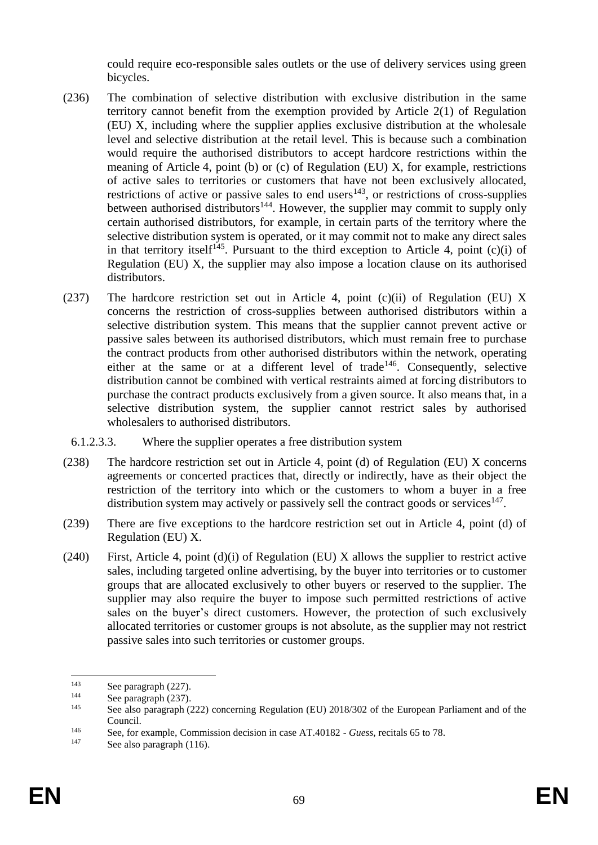could require eco-responsible sales outlets or the use of delivery services using green bicycles.

- (236) The combination of selective distribution with exclusive distribution in the same territory cannot benefit from the exemption provided by Article 2(1) of Regulation (EU) X, including where the supplier applies exclusive distribution at the wholesale level and selective distribution at the retail level. This is because such a combination would require the authorised distributors to accept hardcore restrictions within the meaning of Article 4, point (b) or (c) of Regulation (EU) X, for example, restrictions of active sales to territories or customers that have not been exclusively allocated, restrictions of active or passive sales to end users<sup>143</sup>, or restrictions of cross-supplies between authorised distributors<sup>144</sup>. However, the supplier may commit to supply only certain authorised distributors, for example, in certain parts of the territory where the selective distribution system is operated, or it may commit not to make any direct sales in that territory itself<sup>145</sup>. Pursuant to the third exception to Article 4, point (c)(i) of Regulation (EU) X, the supplier may also impose a location clause on its authorised distributors.
- (237) The hardcore restriction set out in Article 4, point (c)(ii) of Regulation (EU) X concerns the restriction of cross-supplies between authorised distributors within a selective distribution system. This means that the supplier cannot prevent active or passive sales between its authorised distributors, which must remain free to purchase the contract products from other authorised distributors within the network, operating either at the same or at a different level of trade<sup>146</sup>. Consequently, selective distribution cannot be combined with vertical restraints aimed at forcing distributors to purchase the contract products exclusively from a given source. It also means that, in a selective distribution system, the supplier cannot restrict sales by authorised wholesalers to authorised distributors.
- 6.1.2.3.3. Where the supplier operates a free distribution system
- (238) The hardcore restriction set out in Article 4, point (d) of Regulation (EU) X concerns agreements or concerted practices that, directly or indirectly, have as their object the restriction of the territory into which or the customers to whom a buyer in a free distribution system may actively or passively sell the contract goods or services $147$ .
- (239) There are five exceptions to the hardcore restriction set out in Article 4, point (d) of Regulation (EU) X.
- (240) First, Article 4, point (d)(i) of Regulation (EU) X allows the supplier to restrict active sales, including targeted online advertising, by the buyer into territories or to customer groups that are allocated exclusively to other buyers or reserved to the supplier. The supplier may also require the buyer to impose such permitted restrictions of active sales on the buyer's direct customers. However, the protection of such exclusively allocated territories or customer groups is not absolute, as the supplier may not restrict passive sales into such territories or customer groups.

1

<sup>&</sup>lt;sup>143</sup> See paragraph  $(227)$ .<br><sup>144</sup> See paragraph  $(237)$ 

 $\frac{144}{145}$  See paragraph (237).

See also paragraph (222) concerning Regulation (EU) 2018/302 of the European Parliament and of the Council.

<sup>146</sup> See, for example, Commission decision in case AT.40182 - *Guess*, recitals 65 to 78.

See also paragraph (116).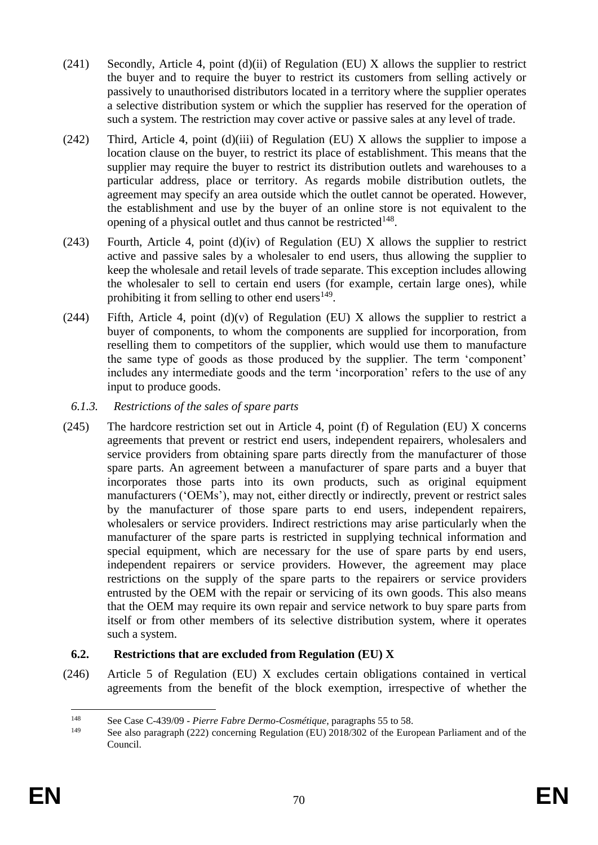- (241) Secondly, Article 4, point (d)(ii) of Regulation (EU) X allows the supplier to restrict the buyer and to require the buyer to restrict its customers from selling actively or passively to unauthorised distributors located in a territory where the supplier operates a selective distribution system or which the supplier has reserved for the operation of such a system. The restriction may cover active or passive sales at any level of trade.
- (242) Third, Article 4, point (d)(iii) of Regulation (EU) X allows the supplier to impose a location clause on the buyer, to restrict its place of establishment. This means that the supplier may require the buyer to restrict its distribution outlets and warehouses to a particular address, place or territory. As regards mobile distribution outlets, the agreement may specify an area outside which the outlet cannot be operated. However, the establishment and use by the buyer of an online store is not equivalent to the opening of a physical outlet and thus cannot be restricted<sup>148</sup>.
- (243) Fourth, Article 4, point (d)(iv) of Regulation (EU) X allows the supplier to restrict active and passive sales by a wholesaler to end users, thus allowing the supplier to keep the wholesale and retail levels of trade separate. This exception includes allowing the wholesaler to sell to certain end users (for example, certain large ones), while prohibiting it from selling to other end users $^{149}$ .
- (244) Fifth, Article 4, point  $(d)(v)$  of Regulation (EU) X allows the supplier to restrict a buyer of components, to whom the components are supplied for incorporation, from reselling them to competitors of the supplier, which would use them to manufacture the same type of goods as those produced by the supplier. The term 'component' includes any intermediate goods and the term 'incorporation' refers to the use of any input to produce goods.
- *6.1.3. Restrictions of the sales of spare parts*
- (245) The hardcore restriction set out in Article 4, point (f) of Regulation (EU) X concerns agreements that prevent or restrict end users, independent repairers, wholesalers and service providers from obtaining spare parts directly from the manufacturer of those spare parts. An agreement between a manufacturer of spare parts and a buyer that incorporates those parts into its own products, such as original equipment manufacturers ('OEMs'), may not, either directly or indirectly, prevent or restrict sales by the manufacturer of those spare parts to end users, independent repairers, wholesalers or service providers. Indirect restrictions may arise particularly when the manufacturer of the spare parts is restricted in supplying technical information and special equipment, which are necessary for the use of spare parts by end users, independent repairers or service providers. However, the agreement may place restrictions on the supply of the spare parts to the repairers or service providers entrusted by the OEM with the repair or servicing of its own goods. This also means that the OEM may require its own repair and service network to buy spare parts from itself or from other members of its selective distribution system, where it operates such a system.

# **6.2. Restrictions that are excluded from Regulation (EU) X**

(246) Article 5 of Regulation (EU) X excludes certain obligations contained in vertical agreements from the benefit of the block exemption, irrespective of whether the

<sup>148</sup> <sup>148</sup> See Case C-439/09 - *Pierre Fabre Dermo-Cosmétique*, paragraphs 55 to 58.

See also paragraph (222) concerning Regulation (EU) 2018/302 of the European Parliament and of the Council.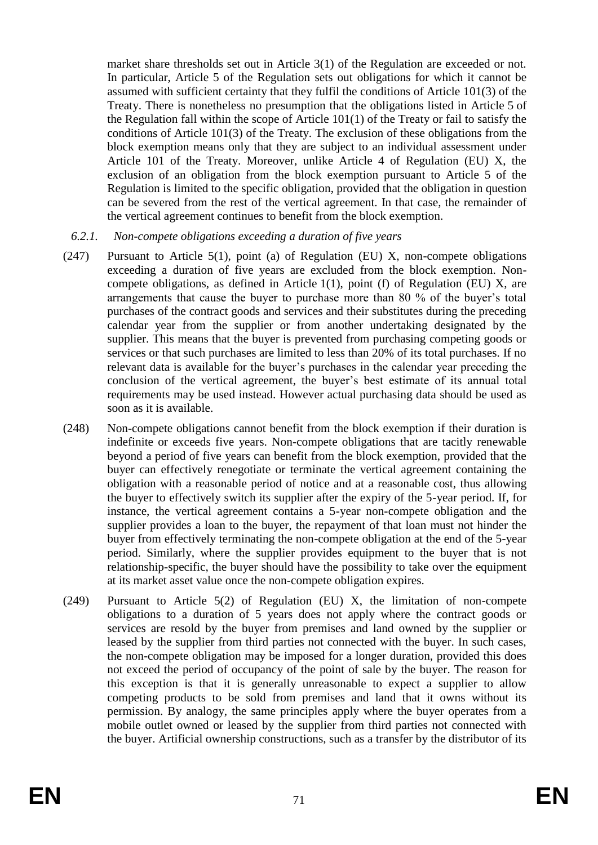market share thresholds set out in Article 3(1) of the Regulation are exceeded or not. In particular, Article 5 of the Regulation sets out obligations for which it cannot be assumed with sufficient certainty that they fulfil the conditions of Article 101(3) of the Treaty. There is nonetheless no presumption that the obligations listed in Article 5 of the Regulation fall within the scope of Article 101(1) of the Treaty or fail to satisfy the conditions of Article 101(3) of the Treaty. The exclusion of these obligations from the block exemption means only that they are subject to an individual assessment under Article 101 of the Treaty. Moreover, unlike Article 4 of Regulation (EU) X, the exclusion of an obligation from the block exemption pursuant to Article 5 of the Regulation is limited to the specific obligation, provided that the obligation in question can be severed from the rest of the vertical agreement. In that case, the remainder of the vertical agreement continues to benefit from the block exemption.

- *6.2.1. Non-compete obligations exceeding a duration of five years*
- (247) Pursuant to Article 5(1), point (a) of Regulation (EU) X, non-compete obligations exceeding a duration of five years are excluded from the block exemption. Noncompete obligations, as defined in Article 1(1), point (f) of Regulation (EU) X, are arrangements that cause the buyer to purchase more than 80 % of the buyer's total purchases of the contract goods and services and their substitutes during the preceding calendar year from the supplier or from another undertaking designated by the supplier. This means that the buyer is prevented from purchasing competing goods or services or that such purchases are limited to less than 20% of its total purchases. If no relevant data is available for the buyer's purchases in the calendar year preceding the conclusion of the vertical agreement, the buyer's best estimate of its annual total requirements may be used instead. However actual purchasing data should be used as soon as it is available.
- (248) Non-compete obligations cannot benefit from the block exemption if their duration is indefinite or exceeds five years. Non-compete obligations that are tacitly renewable beyond a period of five years can benefit from the block exemption, provided that the buyer can effectively renegotiate or terminate the vertical agreement containing the obligation with a reasonable period of notice and at a reasonable cost, thus allowing the buyer to effectively switch its supplier after the expiry of the 5-year period. If, for instance, the vertical agreement contains a 5-year non-compete obligation and the supplier provides a loan to the buyer, the repayment of that loan must not hinder the buyer from effectively terminating the non-compete obligation at the end of the 5-year period. Similarly, where the supplier provides equipment to the buyer that is not relationship-specific, the buyer should have the possibility to take over the equipment at its market asset value once the non-compete obligation expires.
- (249) Pursuant to Article 5(2) of Regulation (EU) X, the limitation of non-compete obligations to a duration of 5 years does not apply where the contract goods or services are resold by the buyer from premises and land owned by the supplier or leased by the supplier from third parties not connected with the buyer. In such cases, the non-compete obligation may be imposed for a longer duration, provided this does not exceed the period of occupancy of the point of sale by the buyer. The reason for this exception is that it is generally unreasonable to expect a supplier to allow competing products to be sold from premises and land that it owns without its permission. By analogy, the same principles apply where the buyer operates from a mobile outlet owned or leased by the supplier from third parties not connected with the buyer. Artificial ownership constructions, such as a transfer by the distributor of its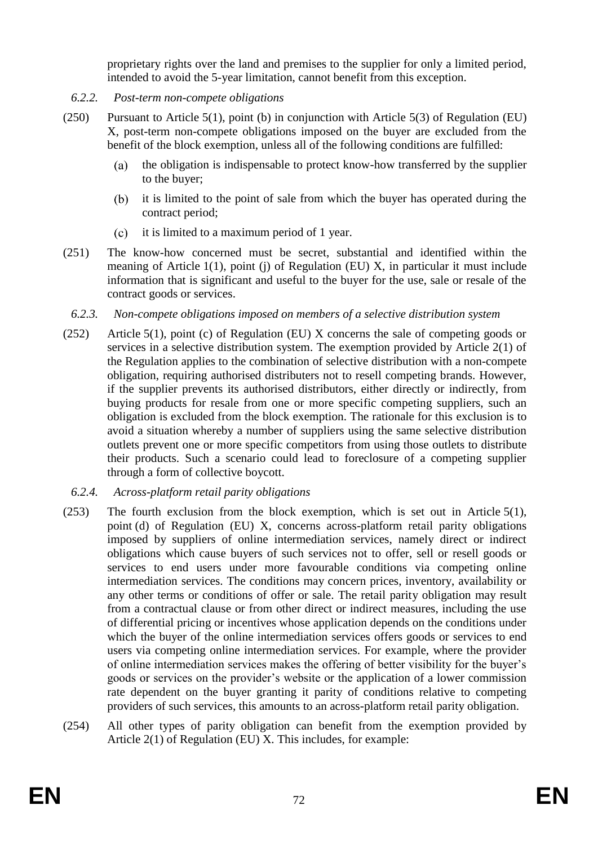proprietary rights over the land and premises to the supplier for only a limited period, intended to avoid the 5-year limitation, cannot benefit from this exception.

- *6.2.2. Post-term non-compete obligations*
- (250) Pursuant to Article 5(1), point (b) in conjunction with Article 5(3) of Regulation (EU) X, post-term non-compete obligations imposed on the buyer are excluded from the benefit of the block exemption, unless all of the following conditions are fulfilled:
	- the obligation is indispensable to protect know-how transferred by the supplier  $(a)$ to the buyer;
	- $(b)$ it is limited to the point of sale from which the buyer has operated during the contract period;
	- $(c)$ it is limited to a maximum period of 1 year.
- (251) The know-how concerned must be secret, substantial and identified within the meaning of Article  $1(1)$ , point (j) of Regulation (EU) X, in particular it must include information that is significant and useful to the buyer for the use, sale or resale of the contract goods or services.

#### *6.2.3. Non-compete obligations imposed on members of a selective distribution system*

(252) Article 5(1), point (c) of Regulation (EU) X concerns the sale of competing goods or services in a selective distribution system. The exemption provided by Article 2(1) of the Regulation applies to the combination of selective distribution with a non-compete obligation, requiring authorised distributers not to resell competing brands. However, if the supplier prevents its authorised distributors, either directly or indirectly, from buying products for resale from one or more specific competing suppliers, such an obligation is excluded from the block exemption. The rationale for this exclusion is to avoid a situation whereby a number of suppliers using the same selective distribution outlets prevent one or more specific competitors from using those outlets to distribute their products. Such a scenario could lead to foreclosure of a competing supplier through a form of collective boycott.

#### *6.2.4. Across-platform retail parity obligations*

- (253) The fourth exclusion from the block exemption, which is set out in Article 5(1), point (d) of Regulation (EU) X, concerns across-platform retail parity obligations imposed by suppliers of online intermediation services, namely direct or indirect obligations which cause buyers of such services not to offer, sell or resell goods or services to end users under more favourable conditions via competing online intermediation services. The conditions may concern prices, inventory, availability or any other terms or conditions of offer or sale. The retail parity obligation may result from a contractual clause or from other direct or indirect measures, including the use of differential pricing or incentives whose application depends on the conditions under which the buyer of the online intermediation services offers goods or services to end users via competing online intermediation services. For example, where the provider of online intermediation services makes the offering of better visibility for the buyer's goods or services on the provider's website or the application of a lower commission rate dependent on the buyer granting it parity of conditions relative to competing providers of such services, this amounts to an across-platform retail parity obligation.
- (254) All other types of parity obligation can benefit from the exemption provided by Article 2(1) of Regulation (EU) X. This includes, for example: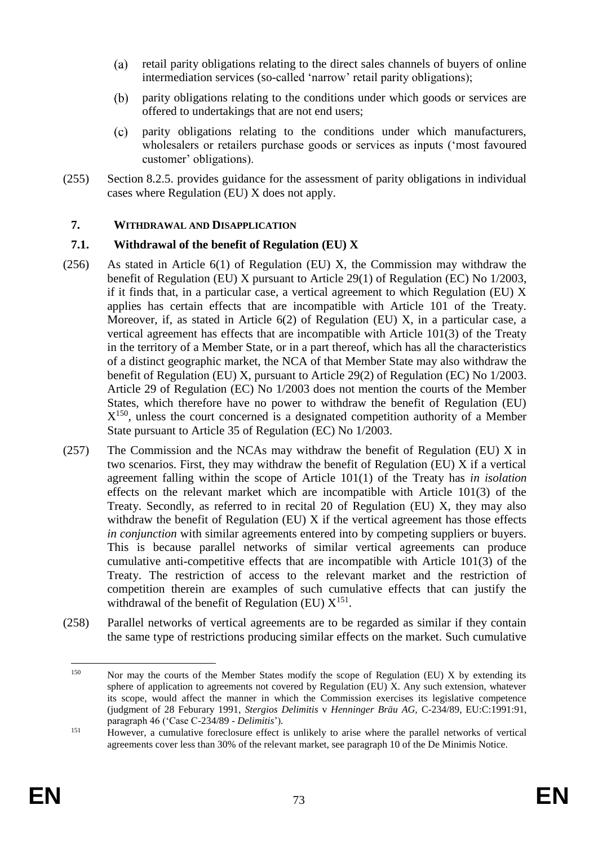- retail parity obligations relating to the direct sales channels of buyers of online  $(a)$ intermediation services (so-called 'narrow' retail parity obligations);
- $(b)$ parity obligations relating to the conditions under which goods or services are offered to undertakings that are not end users;
- parity obligations relating to the conditions under which manufacturers,  $(c)$ wholesalers or retailers purchase goods or services as inputs ('most favoured customer' obligations).
- (255) Section 8.2.5. provides guidance for the assessment of parity obligations in individual cases where Regulation (EU) X does not apply.

# **7. WITHDRAWAL AND DISAPPLICATION**

### **7.1. Withdrawal of the benefit of Regulation (EU) X**

- (256) As stated in Article 6(1) of Regulation (EU) X, the Commission may withdraw the benefit of Regulation (EU) X pursuant to Article 29(1) of Regulation (EC) No 1/2003, if it finds that, in a particular case, a vertical agreement to which Regulation (EU) X applies has certain effects that are incompatible with Article 101 of the Treaty. Moreover, if, as stated in Article 6(2) of Regulation (EU) X, in a particular case, a vertical agreement has effects that are incompatible with Article 101(3) of the Treaty in the territory of a Member State, or in a part thereof, which has all the characteristics of a distinct geographic market, the NCA of that Member State may also withdraw the benefit of Regulation (EU) X, pursuant to Article 29(2) of Regulation (EC) No 1/2003. Article 29 of Regulation (EC) No 1/2003 does not mention the courts of the Member States, which therefore have no power to withdraw the benefit of Regulation (EU)  $X<sup>150</sup>$ , unless the court concerned is a designated competition authority of a Member State pursuant to Article 35 of Regulation (EC) No 1/2003.
- (257) The Commission and the NCAs may withdraw the benefit of Regulation (EU) X in two scenarios. First, they may withdraw the benefit of Regulation (EU) X if a vertical agreement falling within the scope of Article 101(1) of the Treaty has *in isolation* effects on the relevant market which are incompatible with Article 101(3) of the Treaty. Secondly, as referred to in recital 20 of Regulation (EU) X, they may also withdraw the benefit of Regulation (EU) X if the vertical agreement has those effects *in conjunction* with similar agreements entered into by competing suppliers or buyers. This is because parallel networks of similar vertical agreements can produce cumulative anti-competitive effects that are incompatible with Article 101(3) of the Treaty. The restriction of access to the relevant market and the restriction of competition therein are examples of such cumulative effects that can justify the withdrawal of the benefit of Regulation (EU)  $X^{151}$ .
- (258) Parallel networks of vertical agreements are to be regarded as similar if they contain the same type of restrictions producing similar effects on the market. Such cumulative

<sup>&</sup>lt;u>.</u> <sup>150</sup> Nor may the courts of the Member States modify the scope of Regulation (EU) X by extending its sphere of application to agreements not covered by Regulation (EU)  $\overline{X}$ . Any such extension, whatever its scope, would affect the manner in which the Commission exercises its legislative competence (judgment of 28 Feburary 1991, *Stergios Delimitis* v *Henninger Bräu AG,* C-234/89, EU:C:1991:91, paragraph 46 ('Case C-234/89 - *Delimitis*')*.*

<sup>&</sup>lt;sup>151</sup> However, a cumulative foreclosure effect is unlikely to arise where the parallel networks of vertical agreements cover less than 30% of the relevant market, see paragraph 10 of the De Minimis Notice.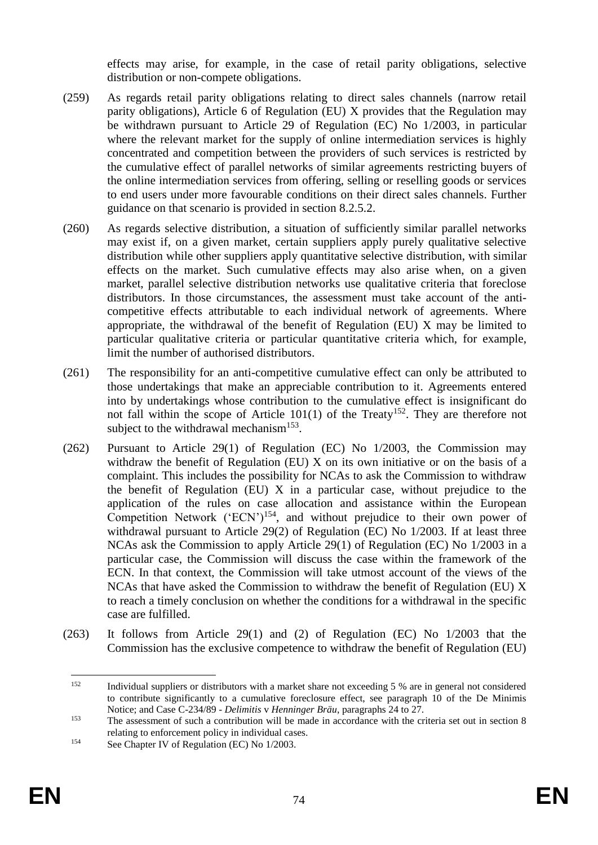effects may arise, for example, in the case of retail parity obligations, selective distribution or non-compete obligations.

- (259) As regards retail parity obligations relating to direct sales channels (narrow retail parity obligations), Article 6 of Regulation (EU) X provides that the Regulation may be withdrawn pursuant to Article 29 of Regulation (EC) No 1/2003, in particular where the relevant market for the supply of online intermediation services is highly concentrated and competition between the providers of such services is restricted by the cumulative effect of parallel networks of similar agreements restricting buyers of the online intermediation services from offering, selling or reselling goods or services to end users under more favourable conditions on their direct sales channels. Further guidance on that scenario is provided in section 8.2.5.2.
- (260) As regards selective distribution, a situation of sufficiently similar parallel networks may exist if, on a given market, certain suppliers apply purely qualitative selective distribution while other suppliers apply quantitative selective distribution, with similar effects on the market. Such cumulative effects may also arise when, on a given market, parallel selective distribution networks use qualitative criteria that foreclose distributors. In those circumstances, the assessment must take account of the anticompetitive effects attributable to each individual network of agreements. Where appropriate, the withdrawal of the benefit of Regulation (EU) X may be limited to particular qualitative criteria or particular quantitative criteria which, for example, limit the number of authorised distributors.
- (261) The responsibility for an anti-competitive cumulative effect can only be attributed to those undertakings that make an appreciable contribution to it. Agreements entered into by undertakings whose contribution to the cumulative effect is insignificant do not fall within the scope of Article 101(1) of the Treaty<sup>152</sup>. They are therefore not subject to the withdrawal mechanism $153$ .
- (262) Pursuant to Article 29(1) of Regulation (EC) No 1/2003, the Commission may withdraw the benefit of Regulation (EU) X on its own initiative or on the basis of a complaint. This includes the possibility for NCAs to ask the Commission to withdraw the benefit of Regulation (EU) X in a particular case, without prejudice to the application of the rules on case allocation and assistance within the European Competition Network  $(ECN')^{154}$ , and without prejudice to their own power of withdrawal pursuant to Article 29(2) of Regulation (EC) No 1/2003. If at least three NCAs ask the Commission to apply Article 29(1) of Regulation (EC) No 1/2003 in a particular case, the Commission will discuss the case within the framework of the ECN. In that context, the Commission will take utmost account of the views of the NCAs that have asked the Commission to withdraw the benefit of Regulation (EU) X to reach a timely conclusion on whether the conditions for a withdrawal in the specific case are fulfilled.
- (263) It follows from Article 29(1) and (2) of Regulation (EC) No 1/2003 that the Commission has the exclusive competence to withdraw the benefit of Regulation (EU)

<sup>1</sup> <sup>152</sup> Individual suppliers or distributors with a market share not exceeding 5 % are in general not considered to contribute significantly to a cumulative foreclosure effect, see paragraph 10 of the De Minimis Notice; and Case C-234/89 - *Delimitis* v *Henninger Bräu*, paragraphs 24 to 27*.*

<sup>&</sup>lt;sup>153</sup> The assessment of such a contribution will be made in accordance with the criteria set out in section 8 relating to enforcement policy in individual cases.

<sup>154</sup> See Chapter IV of Regulation (EC) No 1/2003.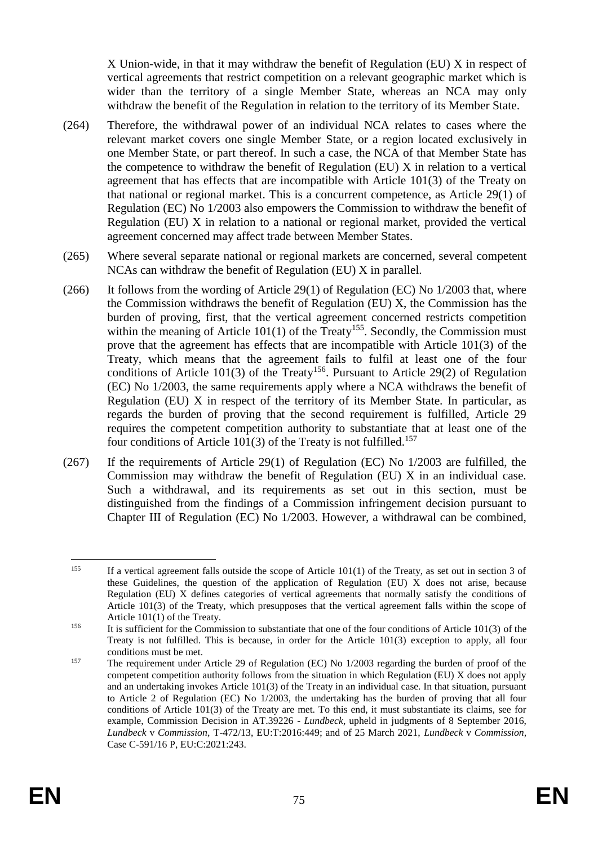X Union-wide, in that it may withdraw the benefit of Regulation (EU) X in respect of vertical agreements that restrict competition on a relevant geographic market which is wider than the territory of a single Member State, whereas an NCA may only withdraw the benefit of the Regulation in relation to the territory of its Member State.

- (264) Therefore, the withdrawal power of an individual NCA relates to cases where the relevant market covers one single Member State, or a region located exclusively in one Member State, or part thereof. In such a case, the NCA of that Member State has the competence to withdraw the benefit of Regulation (EU) X in relation to a vertical agreement that has effects that are incompatible with Article 101(3) of the Treaty on that national or regional market. This is a concurrent competence, as Article 29(1) of Regulation (EC) No 1/2003 also empowers the Commission to withdraw the benefit of Regulation (EU) X in relation to a national or regional market, provided the vertical agreement concerned may affect trade between Member States.
- (265) Where several separate national or regional markets are concerned, several competent NCAs can withdraw the benefit of Regulation (EU) X in parallel.
- (266) It follows from the wording of Article 29(1) of Regulation (EC) No 1/2003 that, where the Commission withdraws the benefit of Regulation (EU) X, the Commission has the burden of proving, first, that the vertical agreement concerned restricts competition within the meaning of Article 101(1) of the Treaty<sup>155</sup>. Secondly, the Commission must prove that the agreement has effects that are incompatible with Article 101(3) of the Treaty, which means that the agreement fails to fulfil at least one of the four conditions of Article 101(3) of the Treaty<sup>156</sup>. Pursuant to Article 29(2) of Regulation (EC) No 1/2003, the same requirements apply where a NCA withdraws the benefit of Regulation (EU) X in respect of the territory of its Member State. In particular, as regards the burden of proving that the second requirement is fulfilled, Article 29 requires the competent competition authority to substantiate that at least one of the four conditions of Article 101(3) of the Treaty is not fulfilled.<sup>157</sup>
- (267) If the requirements of Article 29(1) of Regulation (EC) No 1/2003 are fulfilled, the Commission may withdraw the benefit of Regulation (EU) X in an individual case. Such a withdrawal, and its requirements as set out in this section, must be distinguished from the findings of a Commission infringement decision pursuant to Chapter III of Regulation (EC) No 1/2003. However, a withdrawal can be combined,

<sup>&</sup>lt;u>.</u> <sup>155</sup> If a vertical agreement falls outside the scope of Article 101(1) of the Treaty, as set out in section 3 of these Guidelines, the question of the application of Regulation (EU) X does not arise, because Regulation (EU) X defines categories of vertical agreements that normally satisfy the conditions of Article 101(3) of the Treaty, which presupposes that the vertical agreement falls within the scope of Article 101(1) of the Treaty.

<sup>&</sup>lt;sup>156</sup> It is sufficient for the Commission to substantiate that one of the four conditions of Article 101(3) of the Treaty is not fulfilled. This is because, in order for the Article 101(3) exception to apply, all four conditions must be met.

<sup>&</sup>lt;sup>157</sup> The requirement under Article 29 of Regulation (EC) No 1/2003 regarding the burden of proof of the competent competition authority follows from the situation in which Regulation (EU) X does not apply and an undertaking invokes Article 101(3) of the Treaty in an individual case. In that situation, pursuant to Article 2 of Regulation (EC) No 1/2003, the undertaking has the burden of proving that all four conditions of Article 101(3) of the Treaty are met. To this end, it must substantiate its claims, see for example, Commission Decision in AT.39226 - *Lundbeck*, upheld in judgments of 8 September 2016, *Lundbeck* v *Commission,* T-472/13, EU:T:2016:449; and of 25 March 2021, *Lundbeck* v *Commission,*  Case C-591/16 P, EU:C:2021:243.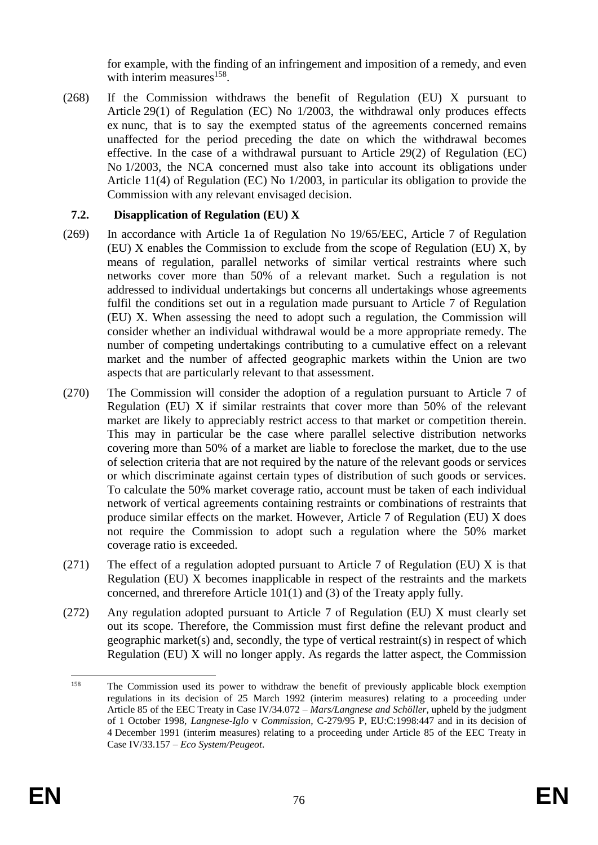for example, with the finding of an infringement and imposition of a remedy, and even with interim measures<sup>158</sup>.

(268) If the Commission withdraws the benefit of Regulation (EU) X pursuant to Article 29(1) of Regulation (EC) No 1/2003, the withdrawal only produces effects ex nunc, that is to say the exempted status of the agreements concerned remains unaffected for the period preceding the date on which the withdrawal becomes effective. In the case of a withdrawal pursuant to Article 29(2) of Regulation (EC) No 1/2003, the NCA concerned must also take into account its obligations under Article 11(4) of Regulation (EC) No 1/2003, in particular its obligation to provide the Commission with any relevant envisaged decision.

# **7.2. Disapplication of Regulation (EU) X**

- (269) In accordance with Article 1a of Regulation No 19/65/EEC, Article 7 of Regulation (EU) X enables the Commission to exclude from the scope of Regulation (EU) X, by means of regulation, parallel networks of similar vertical restraints where such networks cover more than 50% of a relevant market. Such a regulation is not addressed to individual undertakings but concerns all undertakings whose agreements fulfil the conditions set out in a regulation made pursuant to Article 7 of Regulation (EU) X. When assessing the need to adopt such a regulation, the Commission will consider whether an individual withdrawal would be a more appropriate remedy. The number of competing undertakings contributing to a cumulative effect on a relevant market and the number of affected geographic markets within the Union are two aspects that are particularly relevant to that assessment.
- (270) The Commission will consider the adoption of a regulation pursuant to Article 7 of Regulation (EU) X if similar restraints that cover more than 50% of the relevant market are likely to appreciably restrict access to that market or competition therein. This may in particular be the case where parallel selective distribution networks covering more than 50% of a market are liable to foreclose the market, due to the use of selection criteria that are not required by the nature of the relevant goods or services or which discriminate against certain types of distribution of such goods or services. To calculate the 50% market coverage ratio, account must be taken of each individual network of vertical agreements containing restraints or combinations of restraints that produce similar effects on the market. However, Article 7 of Regulation (EU) X does not require the Commission to adopt such a regulation where the 50% market coverage ratio is exceeded.
- (271) The effect of a regulation adopted pursuant to Article 7 of Regulation (EU) X is that Regulation (EU) X becomes inapplicable in respect of the restraints and the markets concerned, and threrefore Article 101(1) and (3) of the Treaty apply fully.
- (272) Any regulation adopted pursuant to Article 7 of Regulation (EU) X must clearly set out its scope. Therefore, the Commission must first define the relevant product and geographic market(s) and, secondly, the type of vertical restraint(s) in respect of which Regulation (EU) X will no longer apply. As regards the latter aspect, the Commission

<sup>158</sup> <sup>158</sup> The Commission used its power to withdraw the benefit of previously applicable block exemption regulations in its decision of 25 March 1992 (interim measures) relating to a proceeding under Article 85 of the EEC Treaty in Case IV/34.072 – *Mars/Langnese and Schöller*, upheld by the judgment of 1 October 1998, *Langnese-Iglo* v *Commission,* C-279/95 P, EU:C:1998:447 and in its decision of 4 December 1991 (interim measures) relating to a proceeding under Article 85 of the EEC Treaty in Case IV/33.157 – *Eco System/Peugeot*.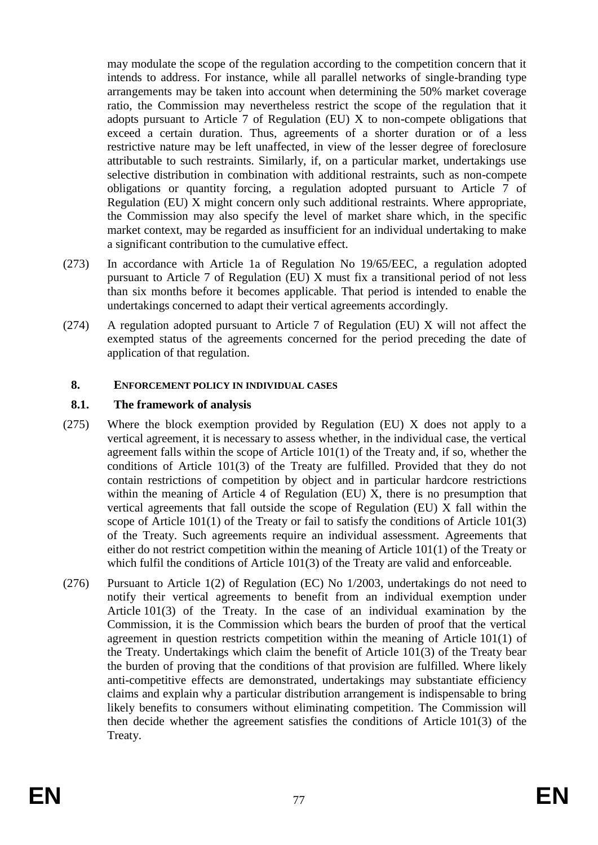may modulate the scope of the regulation according to the competition concern that it intends to address. For instance, while all parallel networks of single-branding type arrangements may be taken into account when determining the 50% market coverage ratio, the Commission may nevertheless restrict the scope of the regulation that it adopts pursuant to Article 7 of Regulation (EU) X to non-compete obligations that exceed a certain duration. Thus, agreements of a shorter duration or of a less restrictive nature may be left unaffected, in view of the lesser degree of foreclosure attributable to such restraints. Similarly, if, on a particular market, undertakings use selective distribution in combination with additional restraints, such as non-compete obligations or quantity forcing, a regulation adopted pursuant to Article 7 of Regulation (EU) X might concern only such additional restraints. Where appropriate, the Commission may also specify the level of market share which, in the specific market context, may be regarded as insufficient for an individual undertaking to make a significant contribution to the cumulative effect.

- (273) In accordance with Article 1a of Regulation No 19/65/EEC, a regulation adopted pursuant to Article 7 of Regulation (EU) X must fix a transitional period of not less than six months before it becomes applicable. That period is intended to enable the undertakings concerned to adapt their vertical agreements accordingly.
- (274) A regulation adopted pursuant to Article 7 of Regulation (EU) X will not affect the exempted status of the agreements concerned for the period preceding the date of application of that regulation.

### **8. ENFORCEMENT POLICY IN INDIVIDUAL CASES**

### **8.1. The framework of analysis**

- (275) Where the block exemption provided by Regulation (EU) X does not apply to a vertical agreement, it is necessary to assess whether, in the individual case, the vertical agreement falls within the scope of Article 101(1) of the Treaty and, if so, whether the conditions of Article 101(3) of the Treaty are fulfilled. Provided that they do not contain restrictions of competition by object and in particular hardcore restrictions within the meaning of Article 4 of Regulation (EU) X, there is no presumption that vertical agreements that fall outside the scope of Regulation (EU) X fall within the scope of Article 101(1) of the Treaty or fail to satisfy the conditions of Article 101(3) of the Treaty. Such agreements require an individual assessment. Agreements that either do not restrict competition within the meaning of Article 101(1) of the Treaty or which fulfil the conditions of Article 101(3) of the Treaty are valid and enforceable.
- (276) Pursuant to Article 1(2) of Regulation (EC) No 1/2003, undertakings do not need to notify their vertical agreements to benefit from an individual exemption under Article 101(3) of the Treaty. In the case of an individual examination by the Commission, it is the Commission which bears the burden of proof that the vertical agreement in question restricts competition within the meaning of Article 101(1) of the Treaty. Undertakings which claim the benefit of Article 101(3) of the Treaty bear the burden of proving that the conditions of that provision are fulfilled. Where likely anti-competitive effects are demonstrated, undertakings may substantiate efficiency claims and explain why a particular distribution arrangement is indispensable to bring likely benefits to consumers without eliminating competition. The Commission will then decide whether the agreement satisfies the conditions of Article 101(3) of the Treaty.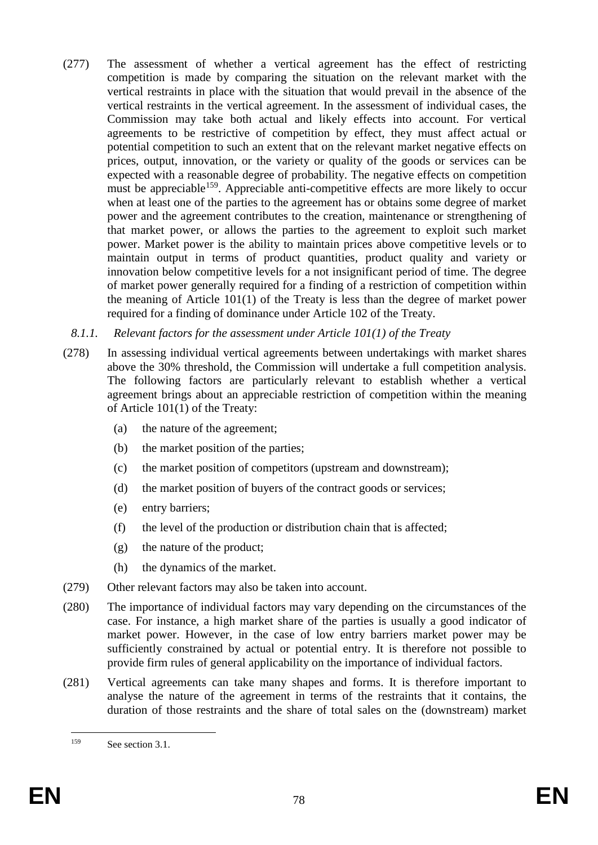- (277) The assessment of whether a vertical agreement has the effect of restricting competition is made by comparing the situation on the relevant market with the vertical restraints in place with the situation that would prevail in the absence of the vertical restraints in the vertical agreement. In the assessment of individual cases, the Commission may take both actual and likely effects into account. For vertical agreements to be restrictive of competition by effect, they must affect actual or potential competition to such an extent that on the relevant market negative effects on prices, output, innovation, or the variety or quality of the goods or services can be expected with a reasonable degree of probability. The negative effects on competition must be appreciable<sup>159</sup>. Appreciable anti-competitive effects are more likely to occur when at least one of the parties to the agreement has or obtains some degree of market power and the agreement contributes to the creation, maintenance or strengthening of that market power, or allows the parties to the agreement to exploit such market power. Market power is the ability to maintain prices above competitive levels or to maintain output in terms of product quantities, product quality and variety or innovation below competitive levels for a not insignificant period of time. The degree of market power generally required for a finding of a restriction of competition within the meaning of Article 101(1) of the Treaty is less than the degree of market power required for a finding of dominance under Article 102 of the Treaty.
- *8.1.1. Relevant factors for the assessment under Article 101(1) of the Treaty*
- (278) In assessing individual vertical agreements between undertakings with market shares above the 30% threshold, the Commission will undertake a full competition analysis. The following factors are particularly relevant to establish whether a vertical agreement brings about an appreciable restriction of competition within the meaning of Article 101(1) of the Treaty:
	- (a) the nature of the agreement;
	- (b) the market position of the parties;
	- (c) the market position of competitors (upstream and downstream);
	- (d) the market position of buyers of the contract goods or services;
	- (e) entry barriers;
	- (f) the level of the production or distribution chain that is affected;
	- (g) the nature of the product;
	- (h) the dynamics of the market.
- (279) Other relevant factors may also be taken into account.
- (280) The importance of individual factors may vary depending on the circumstances of the case. For instance, a high market share of the parties is usually a good indicator of market power. However, in the case of low entry barriers market power may be sufficiently constrained by actual or potential entry. It is therefore not possible to provide firm rules of general applicability on the importance of individual factors.
- (281) Vertical agreements can take many shapes and forms. It is therefore important to analyse the nature of the agreement in terms of the restraints that it contains, the duration of those restraints and the share of total sales on the (downstream) market

<sup>159</sup> See section 3.1.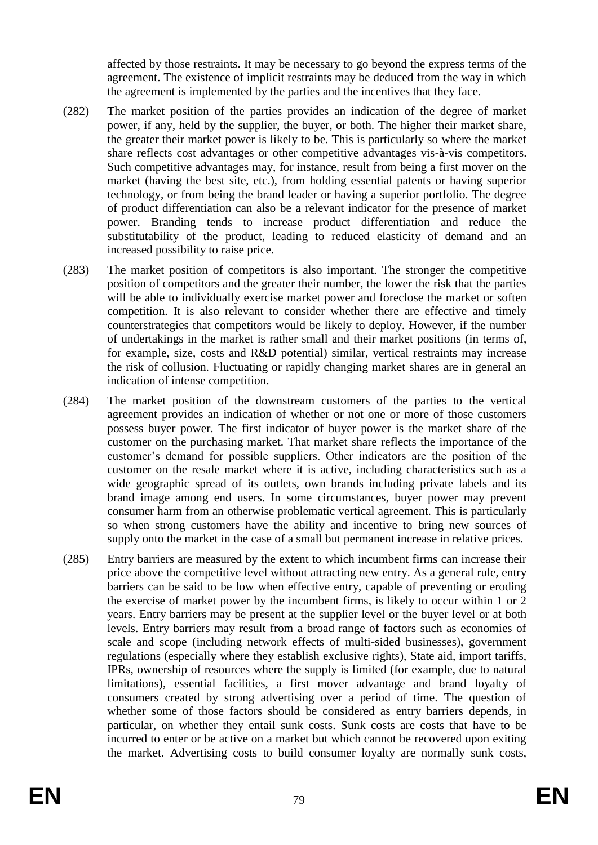affected by those restraints. It may be necessary to go beyond the express terms of the agreement. The existence of implicit restraints may be deduced from the way in which the agreement is implemented by the parties and the incentives that they face.

- (282) The market position of the parties provides an indication of the degree of market power, if any, held by the supplier, the buyer, or both. The higher their market share, the greater their market power is likely to be. This is particularly so where the market share reflects cost advantages or other competitive advantages vis-à-vis competitors. Such competitive advantages may, for instance, result from being a first mover on the market (having the best site, etc.), from holding essential patents or having superior technology, or from being the brand leader or having a superior portfolio. The degree of product differentiation can also be a relevant indicator for the presence of market power. Branding tends to increase product differentiation and reduce the substitutability of the product, leading to reduced elasticity of demand and an increased possibility to raise price.
- (283) The market position of competitors is also important. The stronger the competitive position of competitors and the greater their number, the lower the risk that the parties will be able to individually exercise market power and foreclose the market or soften competition. It is also relevant to consider whether there are effective and timely counterstrategies that competitors would be likely to deploy. However, if the number of undertakings in the market is rather small and their market positions (in terms of, for example, size, costs and R&D potential) similar, vertical restraints may increase the risk of collusion. Fluctuating or rapidly changing market shares are in general an indication of intense competition.
- (284) The market position of the downstream customers of the parties to the vertical agreement provides an indication of whether or not one or more of those customers possess buyer power. The first indicator of buyer power is the market share of the customer on the purchasing market. That market share reflects the importance of the customer's demand for possible suppliers. Other indicators are the position of the customer on the resale market where it is active, including characteristics such as a wide geographic spread of its outlets, own brands including private labels and its brand image among end users. In some circumstances, buyer power may prevent consumer harm from an otherwise problematic vertical agreement. This is particularly so when strong customers have the ability and incentive to bring new sources of supply onto the market in the case of a small but permanent increase in relative prices.
- (285) Entry barriers are measured by the extent to which incumbent firms can increase their price above the competitive level without attracting new entry. As a general rule, entry barriers can be said to be low when effective entry, capable of preventing or eroding the exercise of market power by the incumbent firms, is likely to occur within 1 or 2 years. Entry barriers may be present at the supplier level or the buyer level or at both levels. Entry barriers may result from a broad range of factors such as economies of scale and scope (including network effects of multi-sided businesses), government regulations (especially where they establish exclusive rights), State aid, import tariffs, IPRs, ownership of resources where the supply is limited (for example, due to natural limitations), essential facilities, a first mover advantage and brand loyalty of consumers created by strong advertising over a period of time. The question of whether some of those factors should be considered as entry barriers depends, in particular, on whether they entail sunk costs. Sunk costs are costs that have to be incurred to enter or be active on a market but which cannot be recovered upon exiting the market. Advertising costs to build consumer loyalty are normally sunk costs,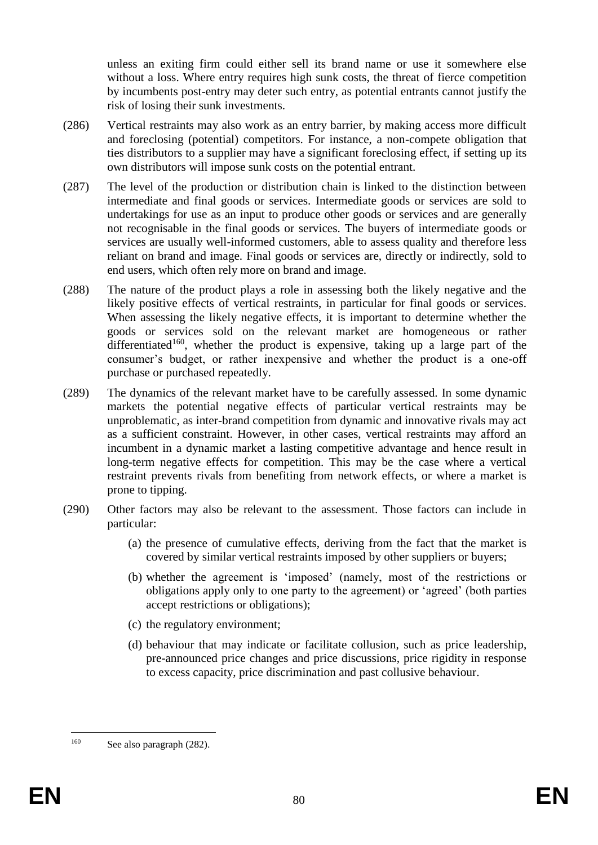unless an exiting firm could either sell its brand name or use it somewhere else without a loss. Where entry requires high sunk costs, the threat of fierce competition by incumbents post-entry may deter such entry, as potential entrants cannot justify the risk of losing their sunk investments.

- (286) Vertical restraints may also work as an entry barrier, by making access more difficult and foreclosing (potential) competitors. For instance, a non-compete obligation that ties distributors to a supplier may have a significant foreclosing effect, if setting up its own distributors will impose sunk costs on the potential entrant.
- (287) The level of the production or distribution chain is linked to the distinction between intermediate and final goods or services. Intermediate goods or services are sold to undertakings for use as an input to produce other goods or services and are generally not recognisable in the final goods or services. The buyers of intermediate goods or services are usually well-informed customers, able to assess quality and therefore less reliant on brand and image. Final goods or services are, directly or indirectly, sold to end users, which often rely more on brand and image.
- (288) The nature of the product plays a role in assessing both the likely negative and the likely positive effects of vertical restraints, in particular for final goods or services. When assessing the likely negative effects, it is important to determine whether the goods or services sold on the relevant market are homogeneous or rather differentiated<sup>160</sup>, whether the product is expensive, taking up a large part of the consumer's budget, or rather inexpensive and whether the product is a one-off purchase or purchased repeatedly.
- (289) The dynamics of the relevant market have to be carefully assessed. In some dynamic markets the potential negative effects of particular vertical restraints may be unproblematic, as inter-brand competition from dynamic and innovative rivals may act as a sufficient constraint. However, in other cases, vertical restraints may afford an incumbent in a dynamic market a lasting competitive advantage and hence result in long-term negative effects for competition. This may be the case where a vertical restraint prevents rivals from benefiting from network effects, or where a market is prone to tipping.
- (290) Other factors may also be relevant to the assessment. Those factors can include in particular:
	- (a) the presence of cumulative effects, deriving from the fact that the market is covered by similar vertical restraints imposed by other suppliers or buyers;
	- (b) whether the agreement is 'imposed' (namely, most of the restrictions or obligations apply only to one party to the agreement) or 'agreed' (both parties accept restrictions or obligations);
	- (c) the regulatory environment;
	- (d) behaviour that may indicate or facilitate collusion, such as price leadership, pre-announced price changes and price discussions, price rigidity in response to excess capacity, price discrimination and past collusive behaviour.

<sup>160</sup> See also paragraph (282).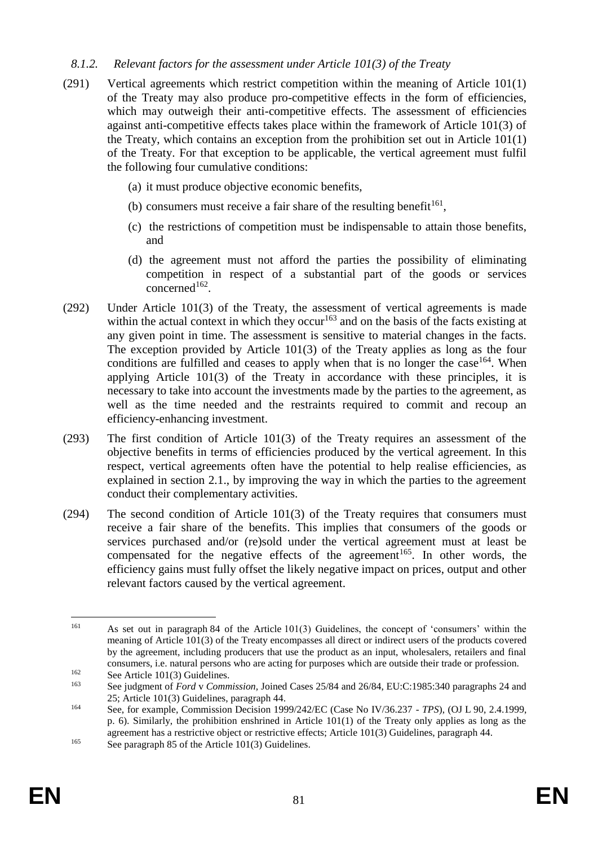## *8.1.2. Relevant factors for the assessment under Article 101(3) of the Treaty*

- (291) Vertical agreements which restrict competition within the meaning of Article 101(1) of the Treaty may also produce pro-competitive effects in the form of efficiencies, which may outweigh their anti-competitive effects. The assessment of efficiencies against anti-competitive effects takes place within the framework of Article 101(3) of the Treaty, which contains an exception from the prohibition set out in Article 101(1) of the Treaty. For that exception to be applicable, the vertical agreement must fulfil the following four cumulative conditions:
	- (a) it must produce objective economic benefits,
	- (b) consumers must receive a fair share of the resulting benefit<sup>161</sup>,
	- (c) the restrictions of competition must be indispensable to attain those benefits, and
	- (d) the agreement must not afford the parties the possibility of eliminating competition in respect of a substantial part of the goods or services  $concerned<sup>162</sup>$ .
- (292) Under Article 101(3) of the Treaty, the assessment of vertical agreements is made within the actual context in which they occur<sup>163</sup> and on the basis of the facts existing at any given point in time. The assessment is sensitive to material changes in the facts. The exception provided by Article 101(3) of the Treaty applies as long as the four conditions are fulfilled and ceases to apply when that is no longer the case  $164$ . When applying Article 101(3) of the Treaty in accordance with these principles, it is necessary to take into account the investments made by the parties to the agreement, as well as the time needed and the restraints required to commit and recoup an efficiency-enhancing investment.
- (293) The first condition of Article 101(3) of the Treaty requires an assessment of the objective benefits in terms of efficiencies produced by the vertical agreement. In this respect, vertical agreements often have the potential to help realise efficiencies, as explained in section 2.1., by improving the way in which the parties to the agreement conduct their complementary activities.
- (294) The second condition of Article 101(3) of the Treaty requires that consumers must receive a fair share of the benefits. This implies that consumers of the goods or services purchased and/or (re)sold under the vertical agreement must at least be compensated for the negative effects of the agreement<sup>165</sup>. In other words, the efficiency gains must fully offset the likely negative impact on prices, output and other relevant factors caused by the vertical agreement.

<sup>1</sup> <sup>161</sup> As set out in paragraph 84 of the Article 101(3) Guidelines, the concept of 'consumers' within the meaning of Article 101(3) of the Treaty encompasses all direct or indirect users of the products covered by the agreement, including producers that use the product as an input, wholesalers, retailers and final consumers, i.e. natural persons who are acting for purposes which are outside their trade or profession.

<sup>&</sup>lt;sup>162</sup> See Article 101(3) Guidelines.

<sup>163</sup> See judgment of *Ford* v *Commission,* Joined Cases 25/84 and 26/84, EU:C:1985:340 paragraphs 24 and 25; Article 101(3) Guidelines, paragraph 44.

<sup>164</sup> See, for example, Commission Decision 1999/242/EC (Case No IV/36.237 - *TPS*), (OJ L 90, 2.4.1999, p. 6). Similarly, the prohibition enshrined in Article 101(1) of the Treaty only applies as long as the agreement has a restrictive object or restrictive effects; Article 101(3) Guidelines, paragraph 44. <sup>165</sup> See paragraph 85 of the Article 101(3) Guidelines.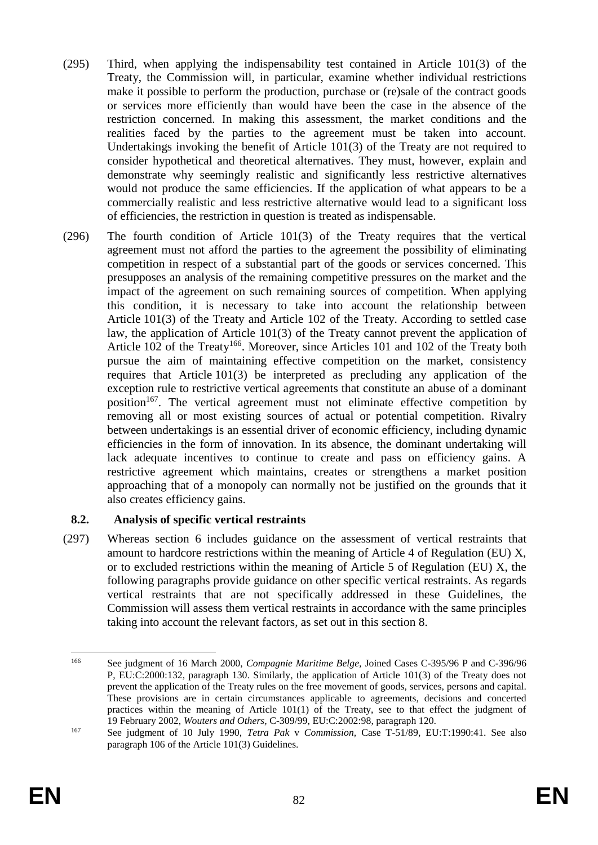- (295) Third, when applying the indispensability test contained in Article 101(3) of the Treaty, the Commission will, in particular, examine whether individual restrictions make it possible to perform the production, purchase or (re)sale of the contract goods or services more efficiently than would have been the case in the absence of the restriction concerned. In making this assessment, the market conditions and the realities faced by the parties to the agreement must be taken into account. Undertakings invoking the benefit of Article 101(3) of the Treaty are not required to consider hypothetical and theoretical alternatives. They must, however, explain and demonstrate why seemingly realistic and significantly less restrictive alternatives would not produce the same efficiencies. If the application of what appears to be a commercially realistic and less restrictive alternative would lead to a significant loss of efficiencies, the restriction in question is treated as indispensable.
- (296) The fourth condition of Article 101(3) of the Treaty requires that the vertical agreement must not afford the parties to the agreement the possibility of eliminating competition in respect of a substantial part of the goods or services concerned. This presupposes an analysis of the remaining competitive pressures on the market and the impact of the agreement on such remaining sources of competition. When applying this condition, it is necessary to take into account the relationship between Article 101(3) of the Treaty and Article 102 of the Treaty. According to settled case law, the application of Article 101(3) of the Treaty cannot prevent the application of Article  $102$  of the Treaty<sup>166</sup>. Moreover, since Articles 101 and 102 of the Treaty both pursue the aim of maintaining effective competition on the market, consistency requires that Article 101(3) be interpreted as precluding any application of the exception rule to restrictive vertical agreements that constitute an abuse of a dominant position<sup>167</sup>. The vertical agreement must not eliminate effective competition by removing all or most existing sources of actual or potential competition. Rivalry between undertakings is an essential driver of economic efficiency, including dynamic efficiencies in the form of innovation. In its absence, the dominant undertaking will lack adequate incentives to continue to create and pass on efficiency gains. A restrictive agreement which maintains, creates or strengthens a market position approaching that of a monopoly can normally not be justified on the grounds that it also creates efficiency gains.

# **8.2. Analysis of specific vertical restraints**

(297) Whereas section 6 includes guidance on the assessment of vertical restraints that amount to hardcore restrictions within the meaning of Article 4 of Regulation (EU) X, or to excluded restrictions within the meaning of Article 5 of Regulation (EU) X, the following paragraphs provide guidance on other specific vertical restraints. As regards vertical restraints that are not specifically addressed in these Guidelines, the Commission will assess them vertical restraints in accordance with the same principles taking into account the relevant factors, as set out in this section 8.

<sup>1</sup> <sup>166</sup> See judgment of 16 March 2000, *Compagnie Maritime Belge,* Joined Cases C-395/96 P and C-396/96 P, EU:C:2000:132, paragraph 130. Similarly, the application of Article 101(3) of the Treaty does not prevent the application of the Treaty rules on the free movement of goods, services, persons and capital. These provisions are in certain circumstances applicable to agreements, decisions and concerted practices within the meaning of Article 101(1) of the Treaty, see to that effect the judgment of 19 February 2002, *Wouters and Others,* C-309/99, EU:C:2002:98, paragraph 120.

<sup>167</sup> See judgment of 10 July 1990, *Tetra Pak* v *Commission,* Case T-51/89, EU:T:1990:41. See also paragraph 106 of the Article 101(3) Guidelines.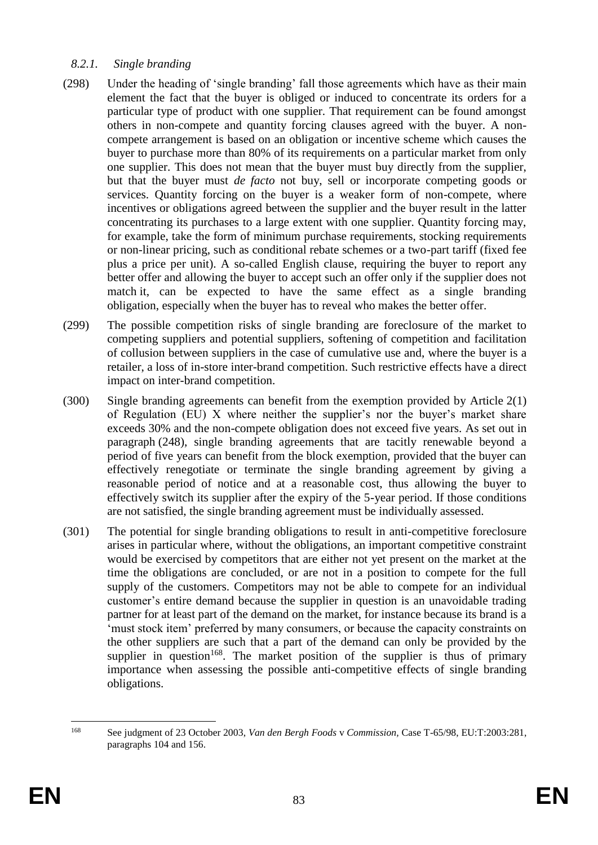## *8.2.1. Single branding*

- (298) Under the heading of 'single branding' fall those agreements which have as their main element the fact that the buyer is obliged or induced to concentrate its orders for a particular type of product with one supplier. That requirement can be found amongst others in non-compete and quantity forcing clauses agreed with the buyer. A noncompete arrangement is based on an obligation or incentive scheme which causes the buyer to purchase more than 80% of its requirements on a particular market from only one supplier. This does not mean that the buyer must buy directly from the supplier, but that the buyer must *de facto* not buy, sell or incorporate competing goods or services. Quantity forcing on the buyer is a weaker form of non-compete, where incentives or obligations agreed between the supplier and the buyer result in the latter concentrating its purchases to a large extent with one supplier. Quantity forcing may, for example, take the form of minimum purchase requirements, stocking requirements or non-linear pricing, such as conditional rebate schemes or a two-part tariff (fixed fee plus a price per unit). A so-called English clause, requiring the buyer to report any better offer and allowing the buyer to accept such an offer only if the supplier does not match it, can be expected to have the same effect as a single branding obligation, especially when the buyer has to reveal who makes the better offer.
- (299) The possible competition risks of single branding are foreclosure of the market to competing suppliers and potential suppliers, softening of competition and facilitation of collusion between suppliers in the case of cumulative use and, where the buyer is a retailer, a loss of in-store inter-brand competition. Such restrictive effects have a direct impact on inter-brand competition.
- (300) Single branding agreements can benefit from the exemption provided by Article 2(1) of Regulation (EU) X where neither the supplier's nor the buyer's market share exceeds 30% and the non-compete obligation does not exceed five years. As set out in paragraph (248), single branding agreements that are tacitly renewable beyond a period of five years can benefit from the block exemption, provided that the buyer can effectively renegotiate or terminate the single branding agreement by giving a reasonable period of notice and at a reasonable cost, thus allowing the buyer to effectively switch its supplier after the expiry of the 5-year period. If those conditions are not satisfied, the single branding agreement must be individually assessed.
- (301) The potential for single branding obligations to result in anti-competitive foreclosure arises in particular where, without the obligations, an important competitive constraint would be exercised by competitors that are either not yet present on the market at the time the obligations are concluded, or are not in a position to compete for the full supply of the customers. Competitors may not be able to compete for an individual customer's entire demand because the supplier in question is an unavoidable trading partner for at least part of the demand on the market, for instance because its brand is a 'must stock item' preferred by many consumers, or because the capacity constraints on the other suppliers are such that a part of the demand can only be provided by the supplier in question<sup>168</sup>. The market position of the supplier is thus of primary importance when assessing the possible anti-competitive effects of single branding obligations.

<sup>168</sup> <sup>168</sup> See judgment of 23 October 2003, *Van den Bergh Foods* v *Commission,* Case T-65/98, EU:T:2003:281, paragraphs 104 and 156.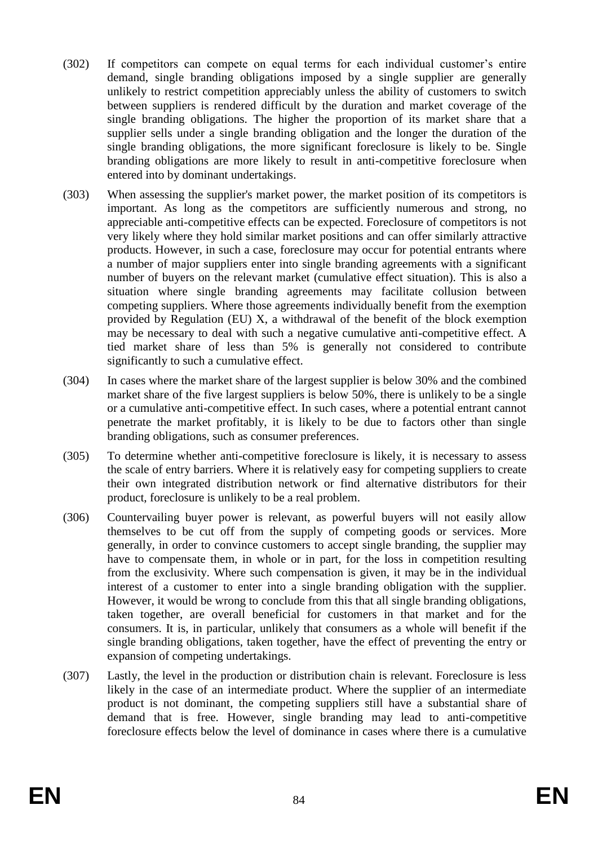- (302) If competitors can compete on equal terms for each individual customer's entire demand, single branding obligations imposed by a single supplier are generally unlikely to restrict competition appreciably unless the ability of customers to switch between suppliers is rendered difficult by the duration and market coverage of the single branding obligations. The higher the proportion of its market share that a supplier sells under a single branding obligation and the longer the duration of the single branding obligations, the more significant foreclosure is likely to be. Single branding obligations are more likely to result in anti-competitive foreclosure when entered into by dominant undertakings.
- (303) When assessing the supplier's market power, the market position of its competitors is important. As long as the competitors are sufficiently numerous and strong, no appreciable anti-competitive effects can be expected. Foreclosure of competitors is not very likely where they hold similar market positions and can offer similarly attractive products. However, in such a case, foreclosure may occur for potential entrants where a number of major suppliers enter into single branding agreements with a significant number of buyers on the relevant market (cumulative effect situation). This is also a situation where single branding agreements may facilitate collusion between competing suppliers. Where those agreements individually benefit from the exemption provided by Regulation (EU) X, a withdrawal of the benefit of the block exemption may be necessary to deal with such a negative cumulative anti-competitive effect. A tied market share of less than 5% is generally not considered to contribute significantly to such a cumulative effect.
- (304) In cases where the market share of the largest supplier is below 30% and the combined market share of the five largest suppliers is below 50%, there is unlikely to be a single or a cumulative anti-competitive effect. In such cases, where a potential entrant cannot penetrate the market profitably, it is likely to be due to factors other than single branding obligations, such as consumer preferences.
- (305) To determine whether anti-competitive foreclosure is likely, it is necessary to assess the scale of entry barriers. Where it is relatively easy for competing suppliers to create their own integrated distribution network or find alternative distributors for their product, foreclosure is unlikely to be a real problem.
- (306) Countervailing buyer power is relevant, as powerful buyers will not easily allow themselves to be cut off from the supply of competing goods or services. More generally, in order to convince customers to accept single branding, the supplier may have to compensate them, in whole or in part, for the loss in competition resulting from the exclusivity. Where such compensation is given, it may be in the individual interest of a customer to enter into a single branding obligation with the supplier. However, it would be wrong to conclude from this that all single branding obligations, taken together, are overall beneficial for customers in that market and for the consumers. It is, in particular, unlikely that consumers as a whole will benefit if the single branding obligations, taken together, have the effect of preventing the entry or expansion of competing undertakings.
- (307) Lastly, the level in the production or distribution chain is relevant. Foreclosure is less likely in the case of an intermediate product. Where the supplier of an intermediate product is not dominant, the competing suppliers still have a substantial share of demand that is free. However, single branding may lead to anti-competitive foreclosure effects below the level of dominance in cases where there is a cumulative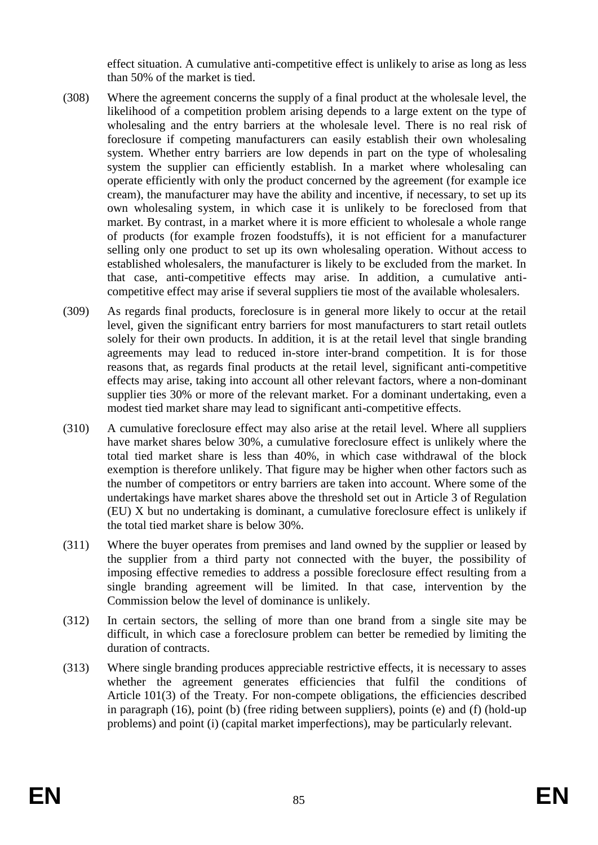effect situation. A cumulative anti-competitive effect is unlikely to arise as long as less than 50% of the market is tied.

- (308) Where the agreement concerns the supply of a final product at the wholesale level, the likelihood of a competition problem arising depends to a large extent on the type of wholesaling and the entry barriers at the wholesale level. There is no real risk of foreclosure if competing manufacturers can easily establish their own wholesaling system. Whether entry barriers are low depends in part on the type of wholesaling system the supplier can efficiently establish. In a market where wholesaling can operate efficiently with only the product concerned by the agreement (for example ice cream), the manufacturer may have the ability and incentive, if necessary, to set up its own wholesaling system, in which case it is unlikely to be foreclosed from that market. By contrast, in a market where it is more efficient to wholesale a whole range of products (for example frozen foodstuffs), it is not efficient for a manufacturer selling only one product to set up its own wholesaling operation. Without access to established wholesalers, the manufacturer is likely to be excluded from the market. In that case, anti-competitive effects may arise. In addition, a cumulative anticompetitive effect may arise if several suppliers tie most of the available wholesalers.
- (309) As regards final products, foreclosure is in general more likely to occur at the retail level, given the significant entry barriers for most manufacturers to start retail outlets solely for their own products. In addition, it is at the retail level that single branding agreements may lead to reduced in-store inter-brand competition. It is for those reasons that, as regards final products at the retail level, significant anti-competitive effects may arise, taking into account all other relevant factors, where a non-dominant supplier ties 30% or more of the relevant market. For a dominant undertaking, even a modest tied market share may lead to significant anti-competitive effects.
- (310) A cumulative foreclosure effect may also arise at the retail level. Where all suppliers have market shares below 30%, a cumulative foreclosure effect is unlikely where the total tied market share is less than 40%, in which case withdrawal of the block exemption is therefore unlikely. That figure may be higher when other factors such as the number of competitors or entry barriers are taken into account. Where some of the undertakings have market shares above the threshold set out in Article 3 of Regulation (EU) X but no undertaking is dominant, a cumulative foreclosure effect is unlikely if the total tied market share is below 30%.
- (311) Where the buyer operates from premises and land owned by the supplier or leased by the supplier from a third party not connected with the buyer, the possibility of imposing effective remedies to address a possible foreclosure effect resulting from a single branding agreement will be limited. In that case, intervention by the Commission below the level of dominance is unlikely.
- (312) In certain sectors, the selling of more than one brand from a single site may be difficult, in which case a foreclosure problem can better be remedied by limiting the duration of contracts.
- (313) Where single branding produces appreciable restrictive effects, it is necessary to asses whether the agreement generates efficiencies that fulfil the conditions of Article 101(3) of the Treaty. For non-compete obligations, the efficiencies described in paragraph (16), point (b) (free riding between suppliers), points (e) and (f) (hold-up problems) and point (i) (capital market imperfections), may be particularly relevant.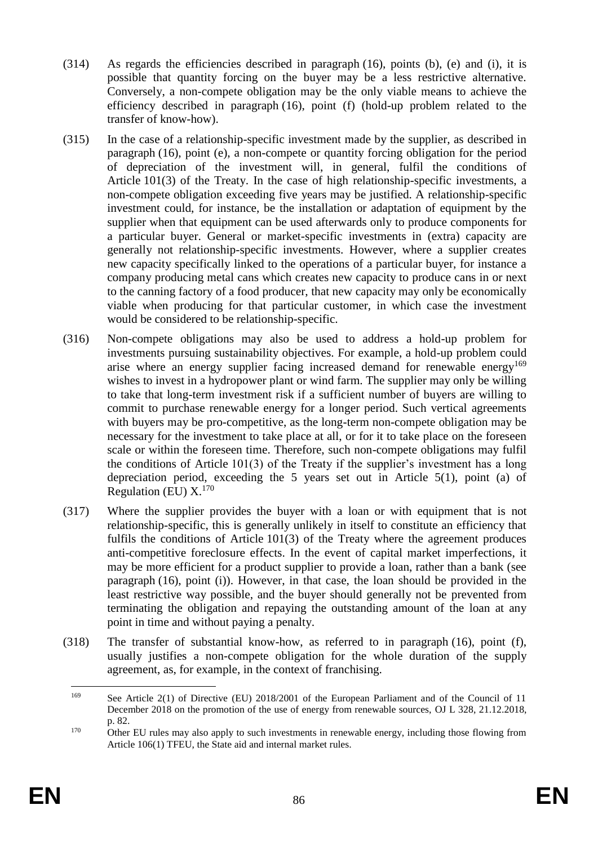- (314) As regards the efficiencies described in paragraph (16), points (b), (e) and (i), it is possible that quantity forcing on the buyer may be a less restrictive alternative. Conversely, a non-compete obligation may be the only viable means to achieve the efficiency described in paragraph (16), point (f) (hold-up problem related to the transfer of know-how).
- (315) In the case of a relationship-specific investment made by the supplier, as described in paragraph (16), point (e), a non-compete or quantity forcing obligation for the period of depreciation of the investment will, in general, fulfil the conditions of Article 101(3) of the Treaty. In the case of high relationship-specific investments, a non-compete obligation exceeding five years may be justified. A relationship-specific investment could, for instance, be the installation or adaptation of equipment by the supplier when that equipment can be used afterwards only to produce components for a particular buyer. General or market-specific investments in (extra) capacity are generally not relationship-specific investments. However, where a supplier creates new capacity specifically linked to the operations of a particular buyer, for instance a company producing metal cans which creates new capacity to produce cans in or next to the canning factory of a food producer, that new capacity may only be economically viable when producing for that particular customer, in which case the investment would be considered to be relationship-specific.
- (316) Non-compete obligations may also be used to address a hold-up problem for investments pursuing sustainability objectives. For example, a hold-up problem could arise where an energy supplier facing increased demand for renewable energy<sup>169</sup> wishes to invest in a hydropower plant or wind farm. The supplier may only be willing to take that long-term investment risk if a sufficient number of buyers are willing to commit to purchase renewable energy for a longer period. Such vertical agreements with buyers may be pro-competitive, as the long-term non-compete obligation may be necessary for the investment to take place at all, or for it to take place on the foreseen scale or within the foreseen time. Therefore, such non-compete obligations may fulfil the conditions of Article 101(3) of the Treaty if the supplier's investment has a long depreciation period, exceeding the 5 years set out in Article 5(1), point (a) of Regulation (EU)  $X^{170}$
- (317) Where the supplier provides the buyer with a loan or with equipment that is not relationship-specific, this is generally unlikely in itself to constitute an efficiency that fulfils the conditions of Article 101(3) of the Treaty where the agreement produces anti-competitive foreclosure effects. In the event of capital market imperfections, it may be more efficient for a product supplier to provide a loan, rather than a bank (see paragraph (16), point (i)). However, in that case, the loan should be provided in the least restrictive way possible, and the buyer should generally not be prevented from terminating the obligation and repaying the outstanding amount of the loan at any point in time and without paying a penalty.
- (318) The transfer of substantial know-how, as referred to in paragraph (16), point (f), usually justifies a non-compete obligation for the whole duration of the supply agreement, as, for example, in the context of franchising.

<sup>169</sup> See Article 2(1) of Directive (EU) 2018/2001 of the European Parliament and of the Council of 11 December 2018 on the promotion of the use of energy from renewable sources, OJ L 328, 21.12.2018, p. 82.

<sup>&</sup>lt;sup>170</sup> Other EU rules may also apply to such investments in renewable energy, including those flowing from Article 106(1) TFEU, the State aid and internal market rules.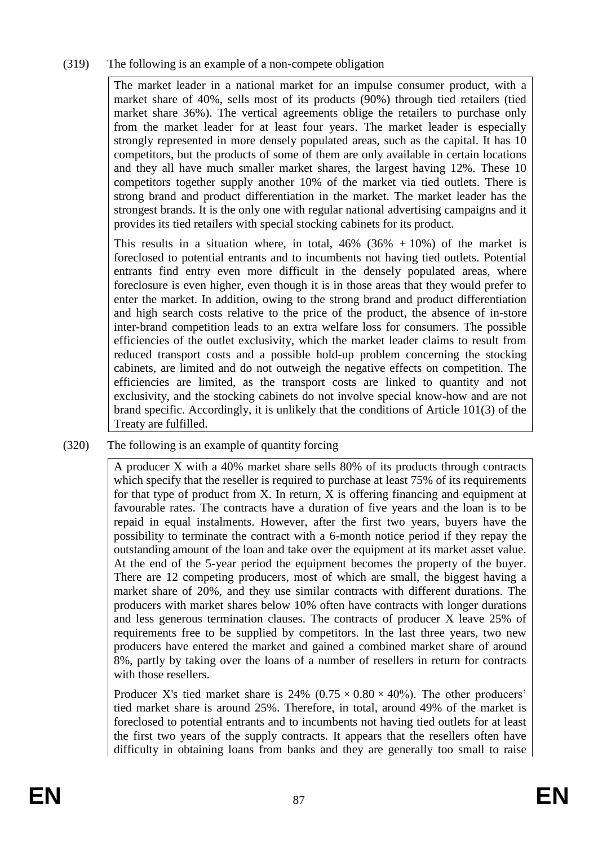# (319) The following is an example of a non-compete obligation

The market leader in a national market for an impulse consumer product, with a market share of 40%, sells most of its products (90%) through tied retailers (tied market share 36%). The vertical agreements oblige the retailers to purchase only from the market leader for at least four years. The market leader is especially strongly represented in more densely populated areas, such as the capital. It has 10 competitors, but the products of some of them are only available in certain locations and they all have much smaller market shares, the largest having 12%. These 10 competitors together supply another 10% of the market via tied outlets. There is strong brand and product differentiation in the market. The market leader has the strongest brands. It is the only one with regular national advertising campaigns and it provides its tied retailers with special stocking cabinets for its product.

This results in a situation where, in total,  $46\%$  ( $36\%$  +  $10\%$ ) of the market is foreclosed to potential entrants and to incumbents not having tied outlets. Potential entrants find entry even more difficult in the densely populated areas, where foreclosure is even higher, even though it is in those areas that they would prefer to enter the market. In addition, owing to the strong brand and product differentiation and high search costs relative to the price of the product, the absence of in-store inter-brand competition leads to an extra welfare loss for consumers. The possible efficiencies of the outlet exclusivity, which the market leader claims to result from reduced transport costs and a possible hold-up problem concerning the stocking cabinets, are limited and do not outweigh the negative effects on competition. The efficiencies are limited, as the transport costs are linked to quantity and not exclusivity, and the stocking cabinets do not involve special know-how and are not brand specific. Accordingly, it is unlikely that the conditions of Article 101(3) of the Treaty are fulfilled.

# (320) The following is an example of quantity forcing

A producer X with a 40% market share sells 80% of its products through contracts which specify that the reseller is required to purchase at least 75% of its requirements for that type of product from X. In return, X is offering financing and equipment at favourable rates. The contracts have a duration of five years and the loan is to be repaid in equal instalments. However, after the first two years, buyers have the possibility to terminate the contract with a 6-month notice period if they repay the outstanding amount of the loan and take over the equipment at its market asset value. At the end of the 5-year period the equipment becomes the property of the buyer. There are 12 competing producers, most of which are small, the biggest having a market share of 20%, and they use similar contracts with different durations. The producers with market shares below 10% often have contracts with longer durations and less generous termination clauses. The contracts of producer X leave 25% of requirements free to be supplied by competitors. In the last three years, two new producers have entered the market and gained a combined market share of around 8%, partly by taking over the loans of a number of resellers in return for contracts with those resellers.

Producer X's tied market share is  $24\%$  (0.75  $\times$  0.80  $\times$  40%). The other producers' tied market share is around 25%. Therefore, in total, around 49% of the market is foreclosed to potential entrants and to incumbents not having tied outlets for at least the first two years of the supply contracts. It appears that the resellers often have difficulty in obtaining loans from banks and they are generally too small to raise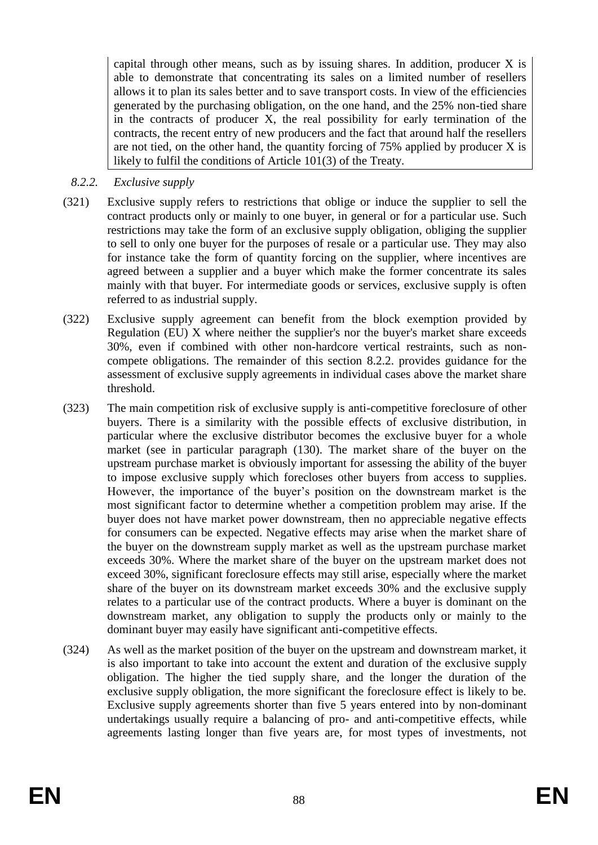capital through other means, such as by issuing shares. In addition, producer X is able to demonstrate that concentrating its sales on a limited number of resellers allows it to plan its sales better and to save transport costs. In view of the efficiencies generated by the purchasing obligation, on the one hand, and the 25% non-tied share in the contracts of producer X, the real possibility for early termination of the contracts, the recent entry of new producers and the fact that around half the resellers are not tied, on the other hand, the quantity forcing of 75% applied by producer X is likely to fulfil the conditions of Article 101(3) of the Treaty.

- *8.2.2. Exclusive supply*
- (321) Exclusive supply refers to restrictions that oblige or induce the supplier to sell the contract products only or mainly to one buyer, in general or for a particular use. Such restrictions may take the form of an exclusive supply obligation, obliging the supplier to sell to only one buyer for the purposes of resale or a particular use. They may also for instance take the form of quantity forcing on the supplier, where incentives are agreed between a supplier and a buyer which make the former concentrate its sales mainly with that buyer. For intermediate goods or services, exclusive supply is often referred to as industrial supply.
- (322) Exclusive supply agreement can benefit from the block exemption provided by Regulation (EU) X where neither the supplier's nor the buyer's market share exceeds 30%, even if combined with other non-hardcore vertical restraints, such as noncompete obligations. The remainder of this section 8.2.2. provides guidance for the assessment of exclusive supply agreements in individual cases above the market share threshold.
- (323) The main competition risk of exclusive supply is anti-competitive foreclosure of other buyers. There is a similarity with the possible effects of exclusive distribution, in particular where the exclusive distributor becomes the exclusive buyer for a whole market (see in particular paragraph (130). The market share of the buyer on the upstream purchase market is obviously important for assessing the ability of the buyer to impose exclusive supply which forecloses other buyers from access to supplies. However, the importance of the buyer's position on the downstream market is the most significant factor to determine whether a competition problem may arise. If the buyer does not have market power downstream, then no appreciable negative effects for consumers can be expected. Negative effects may arise when the market share of the buyer on the downstream supply market as well as the upstream purchase market exceeds 30%. Where the market share of the buyer on the upstream market does not exceed 30%, significant foreclosure effects may still arise, especially where the market share of the buyer on its downstream market exceeds 30% and the exclusive supply relates to a particular use of the contract products. Where a buyer is dominant on the downstream market, any obligation to supply the products only or mainly to the dominant buyer may easily have significant anti-competitive effects.
- (324) As well as the market position of the buyer on the upstream and downstream market, it is also important to take into account the extent and duration of the exclusive supply obligation. The higher the tied supply share, and the longer the duration of the exclusive supply obligation, the more significant the foreclosure effect is likely to be. Exclusive supply agreements shorter than five 5 years entered into by non-dominant undertakings usually require a balancing of pro- and anti-competitive effects, while agreements lasting longer than five years are, for most types of investments, not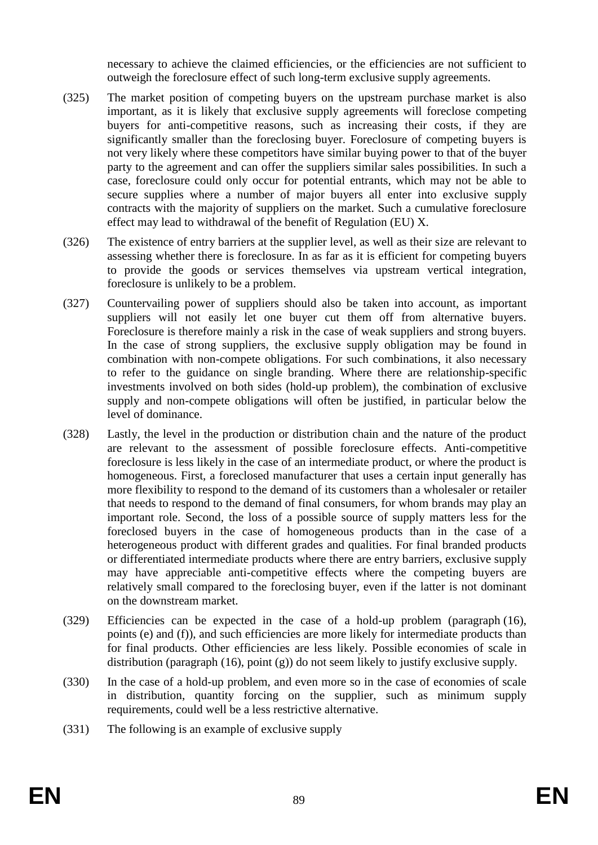necessary to achieve the claimed efficiencies, or the efficiencies are not sufficient to outweigh the foreclosure effect of such long-term exclusive supply agreements.

- (325) The market position of competing buyers on the upstream purchase market is also important, as it is likely that exclusive supply agreements will foreclose competing buyers for anti-competitive reasons, such as increasing their costs, if they are significantly smaller than the foreclosing buyer. Foreclosure of competing buyers is not very likely where these competitors have similar buying power to that of the buyer party to the agreement and can offer the suppliers similar sales possibilities. In such a case, foreclosure could only occur for potential entrants, which may not be able to secure supplies where a number of major buyers all enter into exclusive supply contracts with the majority of suppliers on the market. Such a cumulative foreclosure effect may lead to withdrawal of the benefit of Regulation (EU) X.
- (326) The existence of entry barriers at the supplier level, as well as their size are relevant to assessing whether there is foreclosure. In as far as it is efficient for competing buyers to provide the goods or services themselves via upstream vertical integration, foreclosure is unlikely to be a problem.
- (327) Countervailing power of suppliers should also be taken into account, as important suppliers will not easily let one buyer cut them off from alternative buyers. Foreclosure is therefore mainly a risk in the case of weak suppliers and strong buyers. In the case of strong suppliers, the exclusive supply obligation may be found in combination with non-compete obligations. For such combinations, it also necessary to refer to the guidance on single branding. Where there are relationship-specific investments involved on both sides (hold-up problem), the combination of exclusive supply and non-compete obligations will often be justified, in particular below the level of dominance.
- (328) Lastly, the level in the production or distribution chain and the nature of the product are relevant to the assessment of possible foreclosure effects. Anti-competitive foreclosure is less likely in the case of an intermediate product, or where the product is homogeneous. First, a foreclosed manufacturer that uses a certain input generally has more flexibility to respond to the demand of its customers than a wholesaler or retailer that needs to respond to the demand of final consumers, for whom brands may play an important role. Second, the loss of a possible source of supply matters less for the foreclosed buyers in the case of homogeneous products than in the case of a heterogeneous product with different grades and qualities. For final branded products or differentiated intermediate products where there are entry barriers, exclusive supply may have appreciable anti-competitive effects where the competing buyers are relatively small compared to the foreclosing buyer, even if the latter is not dominant on the downstream market.
- (329) Efficiencies can be expected in the case of a hold-up problem (paragraph (16), points (e) and (f)), and such efficiencies are more likely for intermediate products than for final products. Other efficiencies are less likely. Possible economies of scale in distribution (paragraph (16), point (g)) do not seem likely to justify exclusive supply.
- (330) In the case of a hold-up problem, and even more so in the case of economies of scale in distribution, quantity forcing on the supplier, such as minimum supply requirements, could well be a less restrictive alternative.
- (331) The following is an example of exclusive supply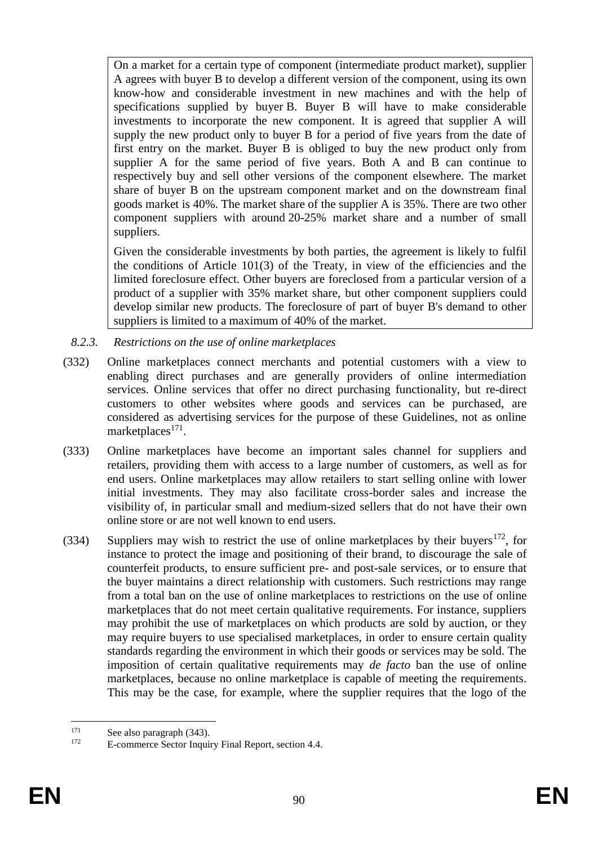On a market for a certain type of component (intermediate product market), supplier A agrees with buyer B to develop a different version of the component, using its own know-how and considerable investment in new machines and with the help of specifications supplied by buyer B. Buyer B will have to make considerable investments to incorporate the new component. It is agreed that supplier A will supply the new product only to buyer B for a period of five years from the date of first entry on the market. Buyer B is obliged to buy the new product only from supplier A for the same period of five years. Both A and B can continue to respectively buy and sell other versions of the component elsewhere. The market share of buyer B on the upstream component market and on the downstream final goods market is 40%. The market share of the supplier A is 35%. There are two other component suppliers with around 20-25% market share and a number of small suppliers.

Given the considerable investments by both parties, the agreement is likely to fulfil the conditions of Article 101(3) of the Treaty, in view of the efficiencies and the limited foreclosure effect. Other buyers are foreclosed from a particular version of a product of a supplier with 35% market share, but other component suppliers could develop similar new products. The foreclosure of part of buyer B's demand to other suppliers is limited to a maximum of 40% of the market.

- *8.2.3. Restrictions on the use of online marketplaces*
- (332) Online marketplaces connect merchants and potential customers with a view to enabling direct purchases and are generally providers of online intermediation services. Online services that offer no direct purchasing functionality, but re-direct customers to other websites where goods and services can be purchased, are considered as advertising services for the purpose of these Guidelines, not as online marketplaces<sup>171</sup>.
- (333) Online marketplaces have become an important sales channel for suppliers and retailers, providing them with access to a large number of customers, as well as for end users. Online marketplaces may allow retailers to start selling online with lower initial investments. They may also facilitate cross-border sales and increase the visibility of, in particular small and medium-sized sellers that do not have their own online store or are not well known to end users.
- (334) Suppliers may wish to restrict the use of online marketplaces by their buyers<sup>172</sup>, for instance to protect the image and positioning of their brand, to discourage the sale of counterfeit products, to ensure sufficient pre- and post-sale services, or to ensure that the buyer maintains a direct relationship with customers. Such restrictions may range from a total ban on the use of online marketplaces to restrictions on the use of online marketplaces that do not meet certain qualitative requirements. For instance, suppliers may prohibit the use of marketplaces on which products are sold by auction, or they may require buyers to use specialised marketplaces, in order to ensure certain quality standards regarding the environment in which their goods or services may be sold. The imposition of certain qualitative requirements may *de facto* ban the use of online marketplaces, because no online marketplace is capable of meeting the requirements. This may be the case, for example, where the supplier requires that the logo of the

 $171$ <sup>171</sup> See also paragraph  $(343)$ .<br><sup>172</sup> E commerce Sector Insuit

E-commerce Sector Inquiry Final Report, section 4.4.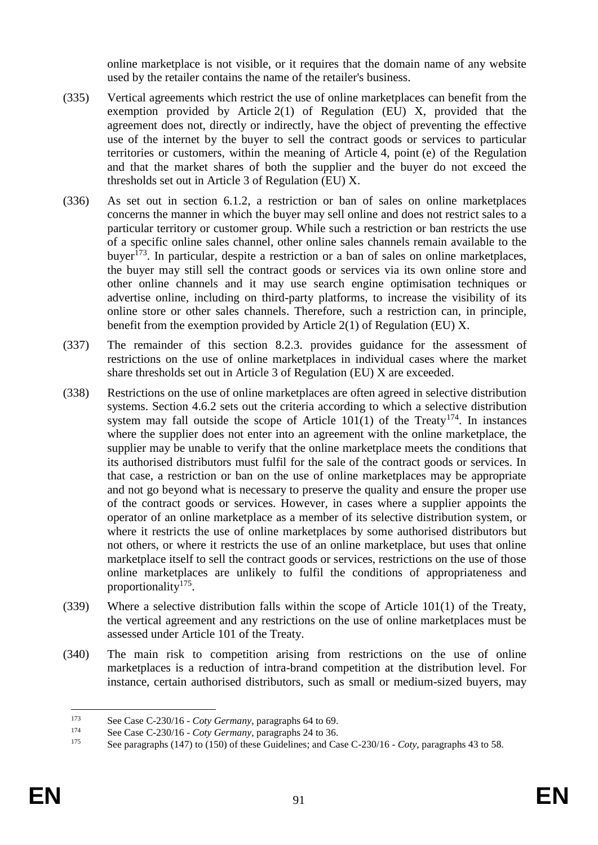online marketplace is not visible, or it requires that the domain name of any website used by the retailer contains the name of the retailer's business.

- (335) Vertical agreements which restrict the use of online marketplaces can benefit from the exemption provided by Article 2(1) of Regulation (EU) X, provided that the agreement does not, directly or indirectly, have the object of preventing the effective use of the internet by the buyer to sell the contract goods or services to particular territories or customers, within the meaning of Article 4, point (e) of the Regulation and that the market shares of both the supplier and the buyer do not exceed the thresholds set out in Article 3 of Regulation (EU) X.
- (336) As set out in section 6.1.2, a restriction or ban of sales on online marketplaces concerns the manner in which the buyer may sell online and does not restrict sales to a particular territory or customer group. While such a restriction or ban restricts the use of a specific online sales channel, other online sales channels remain available to the buyer<sup>173</sup>. In particular, despite a restriction or a ban of sales on online marketplaces, the buyer may still sell the contract goods or services via its own online store and other online channels and it may use search engine optimisation techniques or advertise online, including on third-party platforms, to increase the visibility of its online store or other sales channels. Therefore, such a restriction can, in principle, benefit from the exemption provided by Article 2(1) of Regulation (EU) X.
- (337) The remainder of this section 8.2.3. provides guidance for the assessment of restrictions on the use of online marketplaces in individual cases where the market share thresholds set out in Article 3 of Regulation (EU) X are exceeded.
- (338) Restrictions on the use of online marketplaces are often agreed in selective distribution systems. Section 4.6.2 sets out the criteria according to which a selective distribution system may fall outside the scope of Article  $101(1)$  of the Treaty<sup>174</sup>. In instances where the supplier does not enter into an agreement with the online marketplace, the supplier may be unable to verify that the online marketplace meets the conditions that its authorised distributors must fulfil for the sale of the contract goods or services. In that case, a restriction or ban on the use of online marketplaces may be appropriate and not go beyond what is necessary to preserve the quality and ensure the proper use of the contract goods or services. However, in cases where a supplier appoints the operator of an online marketplace as a member of its selective distribution system, or where it restricts the use of online marketplaces by some authorised distributors but not others, or where it restricts the use of an online marketplace, but uses that online marketplace itself to sell the contract goods or services, restrictions on the use of those online marketplaces are unlikely to fulfil the conditions of appropriateness and proportionality<sup>175</sup>.
- (339) Where a selective distribution falls within the scope of Article 101(1) of the Treaty, the vertical agreement and any restrictions on the use of online marketplaces must be assessed under Article 101 of the Treaty.
- (340) The main risk to competition arising from restrictions on the use of online marketplaces is a reduction of intra-brand competition at the distribution level. For instance, certain authorised distributors, such as small or medium-sized buyers, may

<sup>173</sup> <sup>173</sup> See Case C-230/16 - *Coty Germany*, paragraphs 64 to 69.

<sup>174</sup> See Case C-230/16 - *Coty Germany*, paragraphs 24 to 36.

<sup>175</sup> See paragraphs (147) to (150) of these Guidelines; and Case C-230/16 - *Coty*, paragraphs 43 to 58.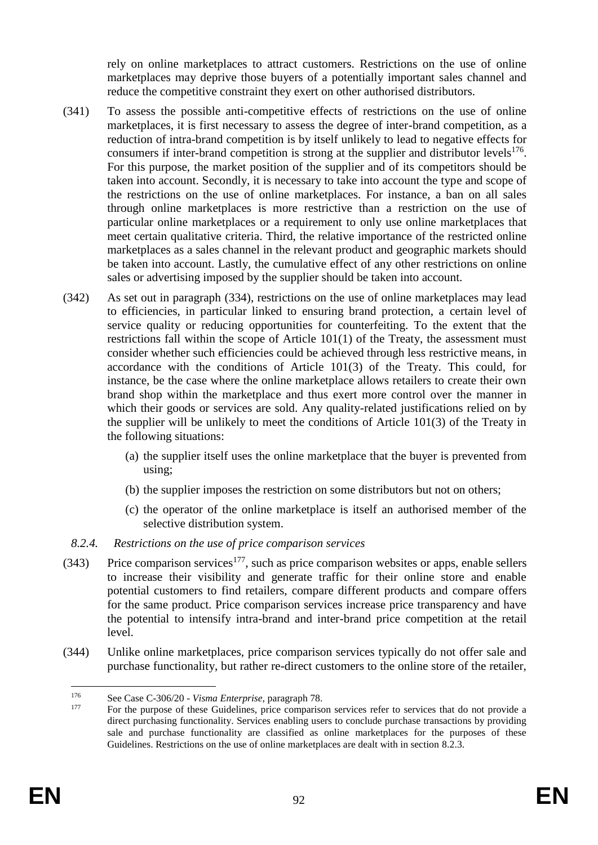rely on online marketplaces to attract customers. Restrictions on the use of online marketplaces may deprive those buyers of a potentially important sales channel and reduce the competitive constraint they exert on other authorised distributors.

- (341) To assess the possible anti-competitive effects of restrictions on the use of online marketplaces, it is first necessary to assess the degree of inter-brand competition, as a reduction of intra-brand competition is by itself unlikely to lead to negative effects for consumers if inter-brand competition is strong at the supplier and distributor levels $176$ . For this purpose, the market position of the supplier and of its competitors should be taken into account. Secondly, it is necessary to take into account the type and scope of the restrictions on the use of online marketplaces. For instance, a ban on all sales through online marketplaces is more restrictive than a restriction on the use of particular online marketplaces or a requirement to only use online marketplaces that meet certain qualitative criteria. Third, the relative importance of the restricted online marketplaces as a sales channel in the relevant product and geographic markets should be taken into account. Lastly, the cumulative effect of any other restrictions on online sales or advertising imposed by the supplier should be taken into account.
- (342) As set out in paragraph (334), restrictions on the use of online marketplaces may lead to efficiencies, in particular linked to ensuring brand protection, a certain level of service quality or reducing opportunities for counterfeiting. To the extent that the restrictions fall within the scope of Article 101(1) of the Treaty, the assessment must consider whether such efficiencies could be achieved through less restrictive means, in accordance with the conditions of Article 101(3) of the Treaty. This could, for instance, be the case where the online marketplace allows retailers to create their own brand shop within the marketplace and thus exert more control over the manner in which their goods or services are sold. Any quality-related justifications relied on by the supplier will be unlikely to meet the conditions of Article 101(3) of the Treaty in the following situations:
	- (a) the supplier itself uses the online marketplace that the buyer is prevented from using;
	- (b) the supplier imposes the restriction on some distributors but not on others;
	- (c) the operator of the online marketplace is itself an authorised member of the selective distribution system.
- *8.2.4. Restrictions on the use of price comparison services*
- (343) Price comparison services<sup>177</sup>, such as price comparison websites or apps, enable sellers to increase their visibility and generate traffic for their online store and enable potential customers to find retailers, compare different products and compare offers for the same product. Price comparison services increase price transparency and have the potential to intensify intra-brand and inter-brand price competition at the retail level.
- (344) Unlike online marketplaces, price comparison services typically do not offer sale and purchase functionality, but rather re-direct customers to the online store of the retailer,

<sup>176</sup> <sup>176</sup> See Case C-306/20 - *Visma Enterprise*, paragraph 78.

For the purpose of these Guidelines, price comparison services refer to services that do not provide a direct purchasing functionality. Services enabling users to conclude purchase transactions by providing sale and purchase functionality are classified as online marketplaces for the purposes of these Guidelines. Restrictions on the use of online marketplaces are dealt with in section 8.2.3.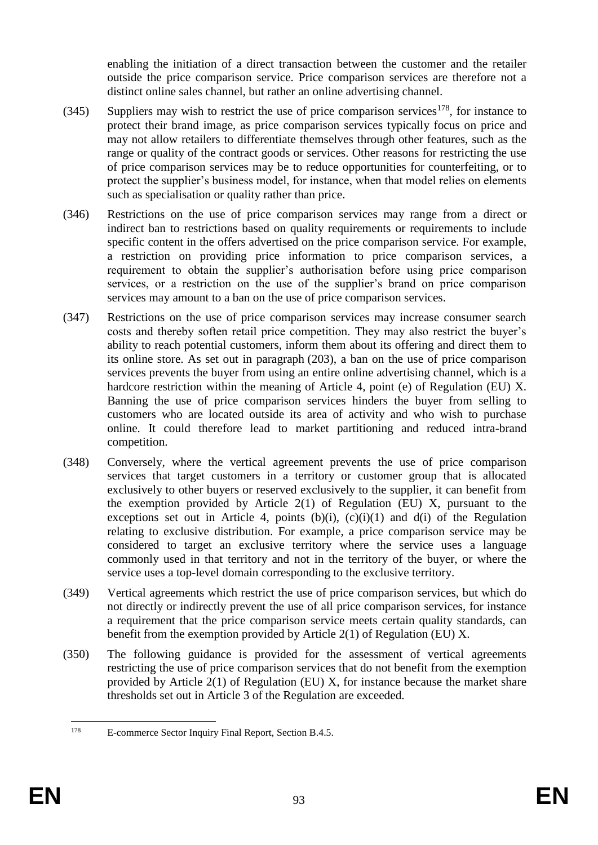enabling the initiation of a direct transaction between the customer and the retailer outside the price comparison service. Price comparison services are therefore not a distinct online sales channel, but rather an online advertising channel.

- (345) Suppliers may wish to restrict the use of price comparison services<sup>178</sup>, for instance to protect their brand image, as price comparison services typically focus on price and may not allow retailers to differentiate themselves through other features, such as the range or quality of the contract goods or services. Other reasons for restricting the use of price comparison services may be to reduce opportunities for counterfeiting, or to protect the supplier's business model, for instance, when that model relies on elements such as specialisation or quality rather than price.
- (346) Restrictions on the use of price comparison services may range from a direct or indirect ban to restrictions based on quality requirements or requirements to include specific content in the offers advertised on the price comparison service. For example, a restriction on providing price information to price comparison services, a requirement to obtain the supplier's authorisation before using price comparison services, or a restriction on the use of the supplier's brand on price comparison services may amount to a ban on the use of price comparison services.
- (347) Restrictions on the use of price comparison services may increase consumer search costs and thereby soften retail price competition. They may also restrict the buyer's ability to reach potential customers, inform them about its offering and direct them to its online store. As set out in paragraph (203), a ban on the use of price comparison services prevents the buyer from using an entire online advertising channel, which is a hardcore restriction within the meaning of Article 4, point (e) of Regulation (EU) X. Banning the use of price comparison services hinders the buyer from selling to customers who are located outside its area of activity and who wish to purchase online. It could therefore lead to market partitioning and reduced intra-brand competition.
- (348) Conversely, where the vertical agreement prevents the use of price comparison services that target customers in a territory or customer group that is allocated exclusively to other buyers or reserved exclusively to the supplier, it can benefit from the exemption provided by Article  $2(1)$  of Regulation (EU) X, pursuant to the exceptions set out in Article 4, points  $(b)(i)$ ,  $(c)(i)(1)$  and  $d(i)$  of the Regulation relating to exclusive distribution. For example, a price comparison service may be considered to target an exclusive territory where the service uses a language commonly used in that territory and not in the territory of the buyer, or where the service uses a top-level domain corresponding to the exclusive territory.
- (349) Vertical agreements which restrict the use of price comparison services, but which do not directly or indirectly prevent the use of all price comparison services, for instance a requirement that the price comparison service meets certain quality standards, can benefit from the exemption provided by Article 2(1) of Regulation (EU) X.
- (350) The following guidance is provided for the assessment of vertical agreements restricting the use of price comparison services that do not benefit from the exemption provided by Article 2(1) of Regulation (EU) X, for instance because the market share thresholds set out in Article 3 of the Regulation are exceeded.

<sup>178</sup> E-commerce Sector Inquiry Final Report, Section B.4.5.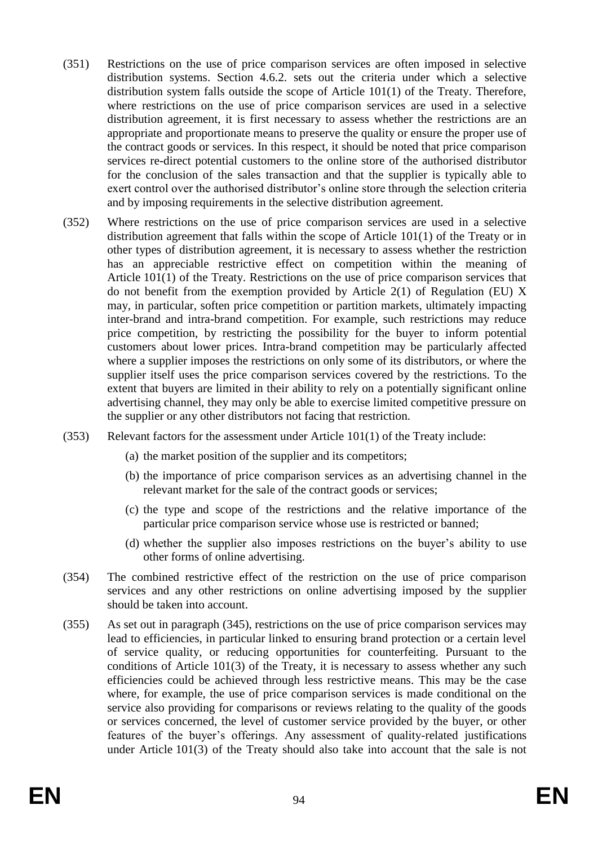- (351) Restrictions on the use of price comparison services are often imposed in selective distribution systems. Section 4.6.2. sets out the criteria under which a selective distribution system falls outside the scope of Article 101(1) of the Treaty. Therefore, where restrictions on the use of price comparison services are used in a selective distribution agreement, it is first necessary to assess whether the restrictions are an appropriate and proportionate means to preserve the quality or ensure the proper use of the contract goods or services. In this respect, it should be noted that price comparison services re-direct potential customers to the online store of the authorised distributor for the conclusion of the sales transaction and that the supplier is typically able to exert control over the authorised distributor's online store through the selection criteria and by imposing requirements in the selective distribution agreement.
- (352) Where restrictions on the use of price comparison services are used in a selective distribution agreement that falls within the scope of Article 101(1) of the Treaty or in other types of distribution agreement, it is necessary to assess whether the restriction has an appreciable restrictive effect on competition within the meaning of Article 101(1) of the Treaty. Restrictions on the use of price comparison services that do not benefit from the exemption provided by Article 2(1) of Regulation (EU) X may, in particular, soften price competition or partition markets, ultimately impacting inter-brand and intra-brand competition. For example, such restrictions may reduce price competition, by restricting the possibility for the buyer to inform potential customers about lower prices. Intra-brand competition may be particularly affected where a supplier imposes the restrictions on only some of its distributors, or where the supplier itself uses the price comparison services covered by the restrictions. To the extent that buyers are limited in their ability to rely on a potentially significant online advertising channel, they may only be able to exercise limited competitive pressure on the supplier or any other distributors not facing that restriction.
- (353) Relevant factors for the assessment under Article 101(1) of the Treaty include:
	- (a) the market position of the supplier and its competitors;
	- (b) the importance of price comparison services as an advertising channel in the relevant market for the sale of the contract goods or services;
	- (c) the type and scope of the restrictions and the relative importance of the particular price comparison service whose use is restricted or banned;
	- (d) whether the supplier also imposes restrictions on the buyer's ability to use other forms of online advertising.
- (354) The combined restrictive effect of the restriction on the use of price comparison services and any other restrictions on online advertising imposed by the supplier should be taken into account.
- (355) As set out in paragraph (345), restrictions on the use of price comparison services may lead to efficiencies, in particular linked to ensuring brand protection or a certain level of service quality, or reducing opportunities for counterfeiting. Pursuant to the conditions of Article 101(3) of the Treaty, it is necessary to assess whether any such efficiencies could be achieved through less restrictive means. This may be the case where, for example, the use of price comparison services is made conditional on the service also providing for comparisons or reviews relating to the quality of the goods or services concerned, the level of customer service provided by the buyer, or other features of the buyer's offerings. Any assessment of quality-related justifications under Article 101(3) of the Treaty should also take into account that the sale is not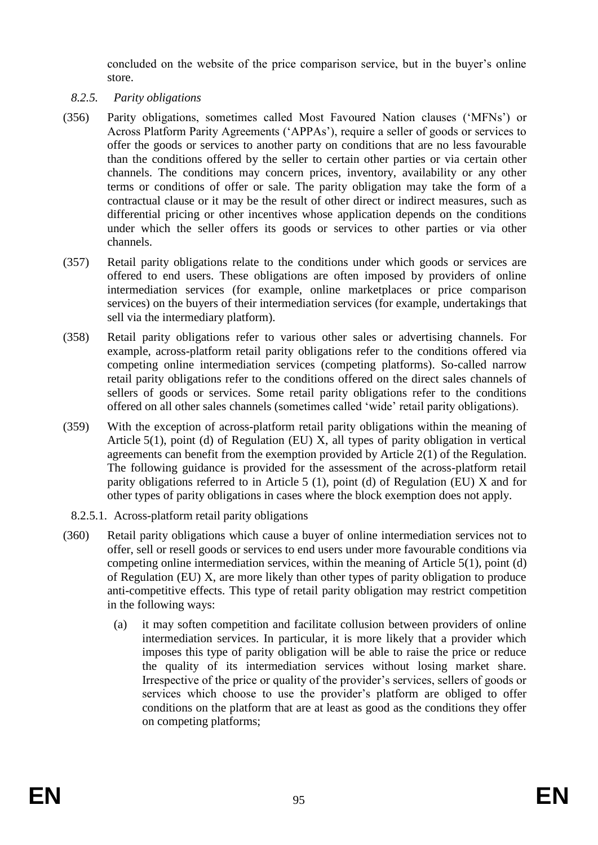concluded on the website of the price comparison service, but in the buyer's online store.

- *8.2.5. Parity obligations*
- (356) Parity obligations, sometimes called Most Favoured Nation clauses ('MFNs') or Across Platform Parity Agreements ('APPAs'), require a seller of goods or services to offer the goods or services to another party on conditions that are no less favourable than the conditions offered by the seller to certain other parties or via certain other channels. The conditions may concern prices, inventory, availability or any other terms or conditions of offer or sale. The parity obligation may take the form of a contractual clause or it may be the result of other direct or indirect measures, such as differential pricing or other incentives whose application depends on the conditions under which the seller offers its goods or services to other parties or via other channels.
- (357) Retail parity obligations relate to the conditions under which goods or services are offered to end users. These obligations are often imposed by providers of online intermediation services (for example, online marketplaces or price comparison services) on the buyers of their intermediation services (for example, undertakings that sell via the intermediary platform).
- (358) Retail parity obligations refer to various other sales or advertising channels. For example, across-platform retail parity obligations refer to the conditions offered via competing online intermediation services (competing platforms). So-called narrow retail parity obligations refer to the conditions offered on the direct sales channels of sellers of goods or services. Some retail parity obligations refer to the conditions offered on all other sales channels (sometimes called 'wide' retail parity obligations).
- (359) With the exception of across-platform retail parity obligations within the meaning of Article 5(1), point (d) of Regulation (EU) X, all types of parity obligation in vertical agreements can benefit from the exemption provided by Article 2(1) of the Regulation. The following guidance is provided for the assessment of the across-platform retail parity obligations referred to in Article 5 (1), point (d) of Regulation (EU) X and for other types of parity obligations in cases where the block exemption does not apply.
	- 8.2.5.1. Across-platform retail parity obligations
- (360) Retail parity obligations which cause a buyer of online intermediation services not to offer, sell or resell goods or services to end users under more favourable conditions via competing online intermediation services, within the meaning of Article 5(1), point (d) of Regulation (EU) X, are more likely than other types of parity obligation to produce anti-competitive effects. This type of retail parity obligation may restrict competition in the following ways:
	- (a) it may soften competition and facilitate collusion between providers of online intermediation services. In particular, it is more likely that a provider which imposes this type of parity obligation will be able to raise the price or reduce the quality of its intermediation services without losing market share. Irrespective of the price or quality of the provider's services, sellers of goods or services which choose to use the provider's platform are obliged to offer conditions on the platform that are at least as good as the conditions they offer on competing platforms;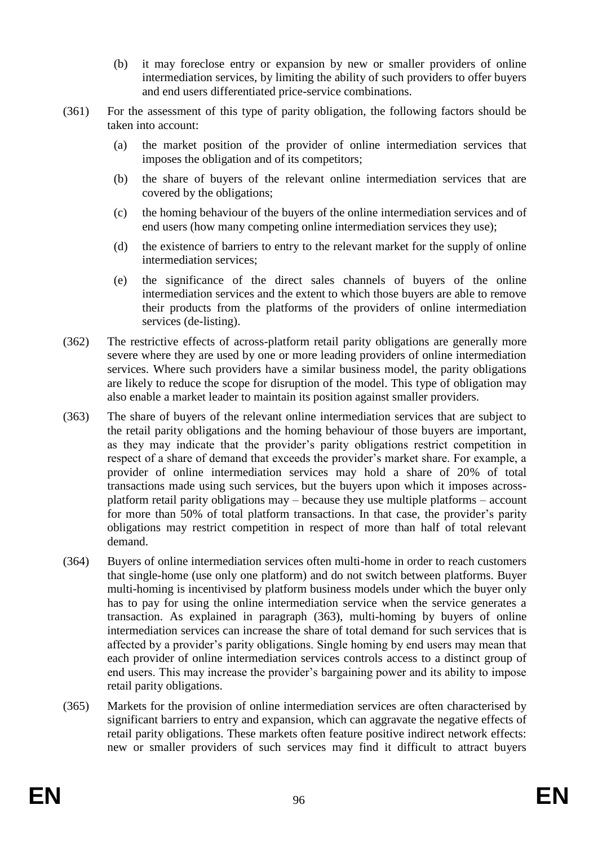- (b) it may foreclose entry or expansion by new or smaller providers of online intermediation services, by limiting the ability of such providers to offer buyers and end users differentiated price-service combinations.
- (361) For the assessment of this type of parity obligation, the following factors should be taken into account:
	- (a) the market position of the provider of online intermediation services that imposes the obligation and of its competitors;
	- (b) the share of buyers of the relevant online intermediation services that are covered by the obligations;
	- (c) the homing behaviour of the buyers of the online intermediation services and of end users (how many competing online intermediation services they use);
	- (d) the existence of barriers to entry to the relevant market for the supply of online intermediation services;
	- (e) the significance of the direct sales channels of buyers of the online intermediation services and the extent to which those buyers are able to remove their products from the platforms of the providers of online intermediation services (de-listing).
- (362) The restrictive effects of across-platform retail parity obligations are generally more severe where they are used by one or more leading providers of online intermediation services. Where such providers have a similar business model, the parity obligations are likely to reduce the scope for disruption of the model. This type of obligation may also enable a market leader to maintain its position against smaller providers.
- (363) The share of buyers of the relevant online intermediation services that are subject to the retail parity obligations and the homing behaviour of those buyers are important, as they may indicate that the provider's parity obligations restrict competition in respect of a share of demand that exceeds the provider's market share. For example, a provider of online intermediation services may hold a share of 20% of total transactions made using such services, but the buyers upon which it imposes acrossplatform retail parity obligations may – because they use multiple platforms – account for more than 50% of total platform transactions. In that case, the provider's parity obligations may restrict competition in respect of more than half of total relevant demand.
- (364) Buyers of online intermediation services often multi-home in order to reach customers that single-home (use only one platform) and do not switch between platforms. Buyer multi-homing is incentivised by platform business models under which the buyer only has to pay for using the online intermediation service when the service generates a transaction. As explained in paragraph (363), multi-homing by buyers of online intermediation services can increase the share of total demand for such services that is affected by a provider's parity obligations. Single homing by end users may mean that each provider of online intermediation services controls access to a distinct group of end users. This may increase the provider's bargaining power and its ability to impose retail parity obligations.
- (365) Markets for the provision of online intermediation services are often characterised by significant barriers to entry and expansion, which can aggravate the negative effects of retail parity obligations. These markets often feature positive indirect network effects: new or smaller providers of such services may find it difficult to attract buyers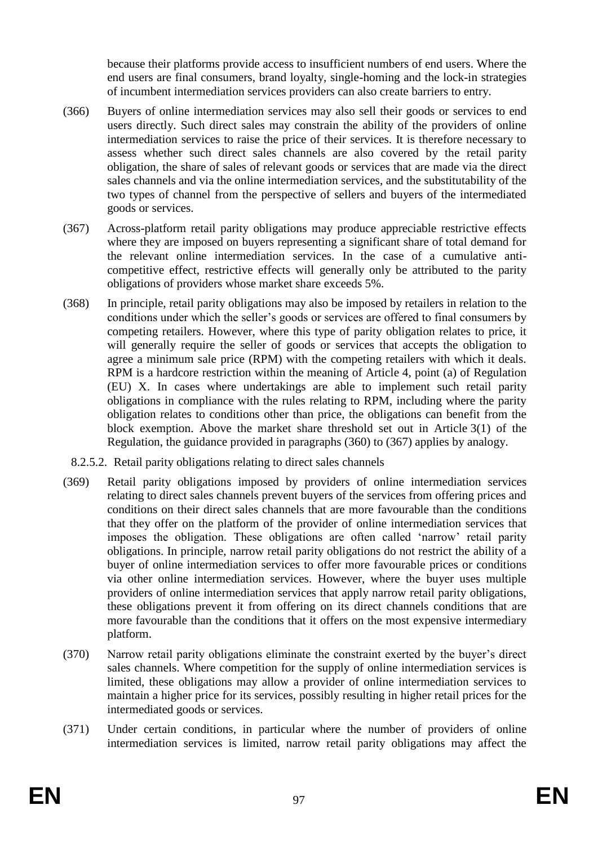because their platforms provide access to insufficient numbers of end users. Where the end users are final consumers, brand loyalty, single-homing and the lock-in strategies of incumbent intermediation services providers can also create barriers to entry.

- (366) Buyers of online intermediation services may also sell their goods or services to end users directly. Such direct sales may constrain the ability of the providers of online intermediation services to raise the price of their services. It is therefore necessary to assess whether such direct sales channels are also covered by the retail parity obligation, the share of sales of relevant goods or services that are made via the direct sales channels and via the online intermediation services, and the substitutability of the two types of channel from the perspective of sellers and buyers of the intermediated goods or services.
- (367) Across-platform retail parity obligations may produce appreciable restrictive effects where they are imposed on buyers representing a significant share of total demand for the relevant online intermediation services. In the case of a cumulative anticompetitive effect, restrictive effects will generally only be attributed to the parity obligations of providers whose market share exceeds 5%.
- (368) In principle, retail parity obligations may also be imposed by retailers in relation to the conditions under which the seller's goods or services are offered to final consumers by competing retailers. However, where this type of parity obligation relates to price, it will generally require the seller of goods or services that accepts the obligation to agree a minimum sale price (RPM) with the competing retailers with which it deals. RPM is a hardcore restriction within the meaning of Article 4, point (a) of Regulation (EU) X. In cases where undertakings are able to implement such retail parity obligations in compliance with the rules relating to RPM, including where the parity obligation relates to conditions other than price, the obligations can benefit from the block exemption. Above the market share threshold set out in Article 3(1) of the Regulation, the guidance provided in paragraphs (360) to (367) applies by analogy.
	- 8.2.5.2. Retail parity obligations relating to direct sales channels
- (369) Retail parity obligations imposed by providers of online intermediation services relating to direct sales channels prevent buyers of the services from offering prices and conditions on their direct sales channels that are more favourable than the conditions that they offer on the platform of the provider of online intermediation services that imposes the obligation. These obligations are often called 'narrow' retail parity obligations. In principle, narrow retail parity obligations do not restrict the ability of a buyer of online intermediation services to offer more favourable prices or conditions via other online intermediation services. However, where the buyer uses multiple providers of online intermediation services that apply narrow retail parity obligations, these obligations prevent it from offering on its direct channels conditions that are more favourable than the conditions that it offers on the most expensive intermediary platform.
- (370) Narrow retail parity obligations eliminate the constraint exerted by the buyer's direct sales channels. Where competition for the supply of online intermediation services is limited, these obligations may allow a provider of online intermediation services to maintain a higher price for its services, possibly resulting in higher retail prices for the intermediated goods or services.
- (371) Under certain conditions, in particular where the number of providers of online intermediation services is limited, narrow retail parity obligations may affect the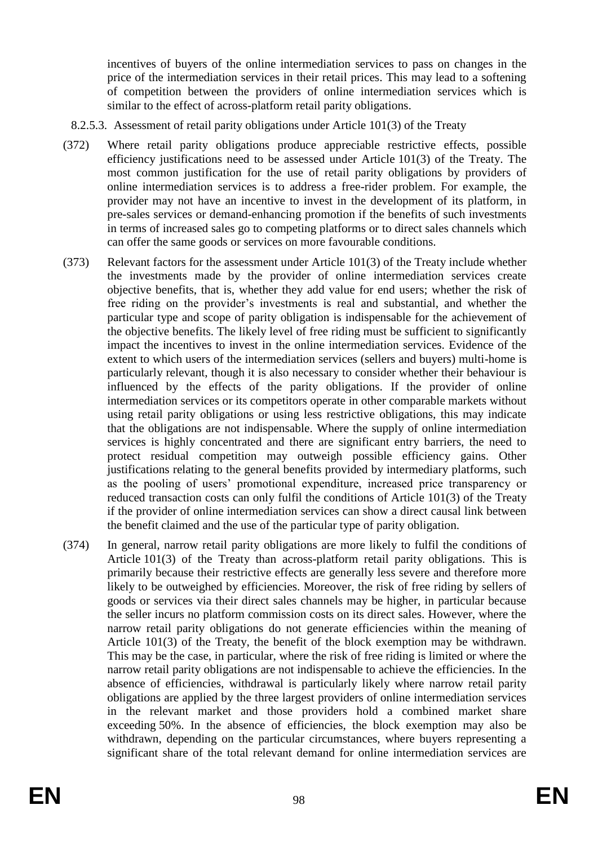incentives of buyers of the online intermediation services to pass on changes in the price of the intermediation services in their retail prices. This may lead to a softening of competition between the providers of online intermediation services which is similar to the effect of across-platform retail parity obligations.

- 8.2.5.3. Assessment of retail parity obligations under Article 101(3) of the Treaty
- (372) Where retail parity obligations produce appreciable restrictive effects, possible efficiency justifications need to be assessed under Article 101(3) of the Treaty. The most common justification for the use of retail parity obligations by providers of online intermediation services is to address a free-rider problem. For example, the provider may not have an incentive to invest in the development of its platform, in pre-sales services or demand-enhancing promotion if the benefits of such investments in terms of increased sales go to competing platforms or to direct sales channels which can offer the same goods or services on more favourable conditions.
- (373) Relevant factors for the assessment under Article 101(3) of the Treaty include whether the investments made by the provider of online intermediation services create objective benefits, that is, whether they add value for end users; whether the risk of free riding on the provider's investments is real and substantial, and whether the particular type and scope of parity obligation is indispensable for the achievement of the objective benefits. The likely level of free riding must be sufficient to significantly impact the incentives to invest in the online intermediation services. Evidence of the extent to which users of the intermediation services (sellers and buyers) multi-home is particularly relevant, though it is also necessary to consider whether their behaviour is influenced by the effects of the parity obligations. If the provider of online intermediation services or its competitors operate in other comparable markets without using retail parity obligations or using less restrictive obligations, this may indicate that the obligations are not indispensable. Where the supply of online intermediation services is highly concentrated and there are significant entry barriers, the need to protect residual competition may outweigh possible efficiency gains. Other justifications relating to the general benefits provided by intermediary platforms, such as the pooling of users' promotional expenditure, increased price transparency or reduced transaction costs can only fulfil the conditions of Article 101(3) of the Treaty if the provider of online intermediation services can show a direct causal link between the benefit claimed and the use of the particular type of parity obligation.
- (374) In general, narrow retail parity obligations are more likely to fulfil the conditions of Article 101(3) of the Treaty than across-platform retail parity obligations. This is primarily because their restrictive effects are generally less severe and therefore more likely to be outweighed by efficiencies. Moreover, the risk of free riding by sellers of goods or services via their direct sales channels may be higher, in particular because the seller incurs no platform commission costs on its direct sales. However, where the narrow retail parity obligations do not generate efficiencies within the meaning of Article 101(3) of the Treaty, the benefit of the block exemption may be withdrawn. This may be the case, in particular, where the risk of free riding is limited or where the narrow retail parity obligations are not indispensable to achieve the efficiencies. In the absence of efficiencies, withdrawal is particularly likely where narrow retail parity obligations are applied by the three largest providers of online intermediation services in the relevant market and those providers hold a combined market share exceeding 50%. In the absence of efficiencies, the block exemption may also be withdrawn, depending on the particular circumstances, where buyers representing a significant share of the total relevant demand for online intermediation services are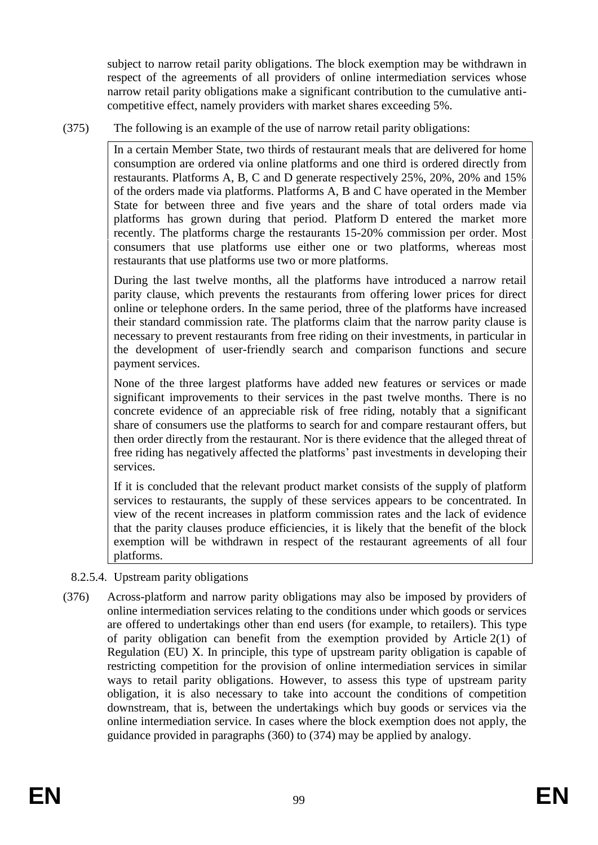subject to narrow retail parity obligations. The block exemption may be withdrawn in respect of the agreements of all providers of online intermediation services whose narrow retail parity obligations make a significant contribution to the cumulative anticompetitive effect, namely providers with market shares exceeding 5%.

(375) The following is an example of the use of narrow retail parity obligations:

In a certain Member State, two thirds of restaurant meals that are delivered for home consumption are ordered via online platforms and one third is ordered directly from restaurants. Platforms A, B, C and D generate respectively 25%, 20%, 20% and 15% of the orders made via platforms. Platforms A, B and C have operated in the Member State for between three and five years and the share of total orders made via platforms has grown during that period. Platform D entered the market more recently. The platforms charge the restaurants 15-20% commission per order. Most consumers that use platforms use either one or two platforms, whereas most restaurants that use platforms use two or more platforms.

During the last twelve months, all the platforms have introduced a narrow retail parity clause, which prevents the restaurants from offering lower prices for direct online or telephone orders. In the same period, three of the platforms have increased their standard commission rate. The platforms claim that the narrow parity clause is necessary to prevent restaurants from free riding on their investments, in particular in the development of user-friendly search and comparison functions and secure payment services.

None of the three largest platforms have added new features or services or made significant improvements to their services in the past twelve months. There is no concrete evidence of an appreciable risk of free riding, notably that a significant share of consumers use the platforms to search for and compare restaurant offers, but then order directly from the restaurant. Nor is there evidence that the alleged threat of free riding has negatively affected the platforms' past investments in developing their services.

If it is concluded that the relevant product market consists of the supply of platform services to restaurants, the supply of these services appears to be concentrated. In view of the recent increases in platform commission rates and the lack of evidence that the parity clauses produce efficiencies, it is likely that the benefit of the block exemption will be withdrawn in respect of the restaurant agreements of all four platforms.

- 8.2.5.4. Upstream parity obligations
- (376) Across-platform and narrow parity obligations may also be imposed by providers of online intermediation services relating to the conditions under which goods or services are offered to undertakings other than end users (for example, to retailers). This type of parity obligation can benefit from the exemption provided by Article 2(1) of Regulation (EU) X. In principle, this type of upstream parity obligation is capable of restricting competition for the provision of online intermediation services in similar ways to retail parity obligations. However, to assess this type of upstream parity obligation, it is also necessary to take into account the conditions of competition downstream, that is, between the undertakings which buy goods or services via the online intermediation service. In cases where the block exemption does not apply, the guidance provided in paragraphs (360) to (374) may be applied by analogy.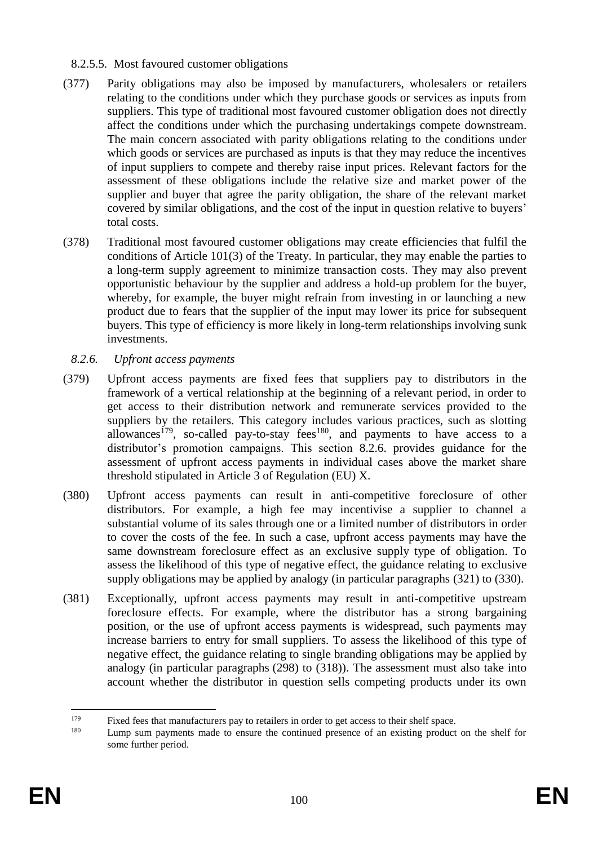## 8.2.5.5. Most favoured customer obligations

- (377) Parity obligations may also be imposed by manufacturers, wholesalers or retailers relating to the conditions under which they purchase goods or services as inputs from suppliers. This type of traditional most favoured customer obligation does not directly affect the conditions under which the purchasing undertakings compete downstream. The main concern associated with parity obligations relating to the conditions under which goods or services are purchased as inputs is that they may reduce the incentives of input suppliers to compete and thereby raise input prices. Relevant factors for the assessment of these obligations include the relative size and market power of the supplier and buyer that agree the parity obligation, the share of the relevant market covered by similar obligations, and the cost of the input in question relative to buyers' total costs.
- (378) Traditional most favoured customer obligations may create efficiencies that fulfil the conditions of Article 101(3) of the Treaty. In particular, they may enable the parties to a long-term supply agreement to minimize transaction costs. They may also prevent opportunistic behaviour by the supplier and address a hold-up problem for the buyer, whereby, for example, the buyer might refrain from investing in or launching a new product due to fears that the supplier of the input may lower its price for subsequent buyers. This type of efficiency is more likely in long-term relationships involving sunk investments.

# *8.2.6. Upfront access payments*

- (379) Upfront access payments are fixed fees that suppliers pay to distributors in the framework of a vertical relationship at the beginning of a relevant period, in order to get access to their distribution network and remunerate services provided to the suppliers by the retailers. This category includes various practices, such as slotting allowances<sup>179</sup>, so-called pay-to-stay fees<sup>180</sup>, and payments to have access to a distributor's promotion campaigns. This section 8.2.6. provides guidance for the assessment of upfront access payments in individual cases above the market share threshold stipulated in Article 3 of Regulation (EU) X.
- (380) Upfront access payments can result in anti-competitive foreclosure of other distributors. For example, a high fee may incentivise a supplier to channel a substantial volume of its sales through one or a limited number of distributors in order to cover the costs of the fee. In such a case, upfront access payments may have the same downstream foreclosure effect as an exclusive supply type of obligation. To assess the likelihood of this type of negative effect, the guidance relating to exclusive supply obligations may be applied by analogy (in particular paragraphs (321) to (330).
- (381) Exceptionally, upfront access payments may result in anti-competitive upstream foreclosure effects. For example, where the distributor has a strong bargaining position, or the use of upfront access payments is widespread, such payments may increase barriers to entry for small suppliers. To assess the likelihood of this type of negative effect, the guidance relating to single branding obligations may be applied by analogy (in particular paragraphs (298) to (318)). The assessment must also take into account whether the distributor in question sells competing products under its own

<sup>179</sup> <sup>179</sup> Fixed fees that manufacturers pay to retailers in order to get access to their shelf space.

Lump sum payments made to ensure the continued presence of an existing product on the shelf for some further period.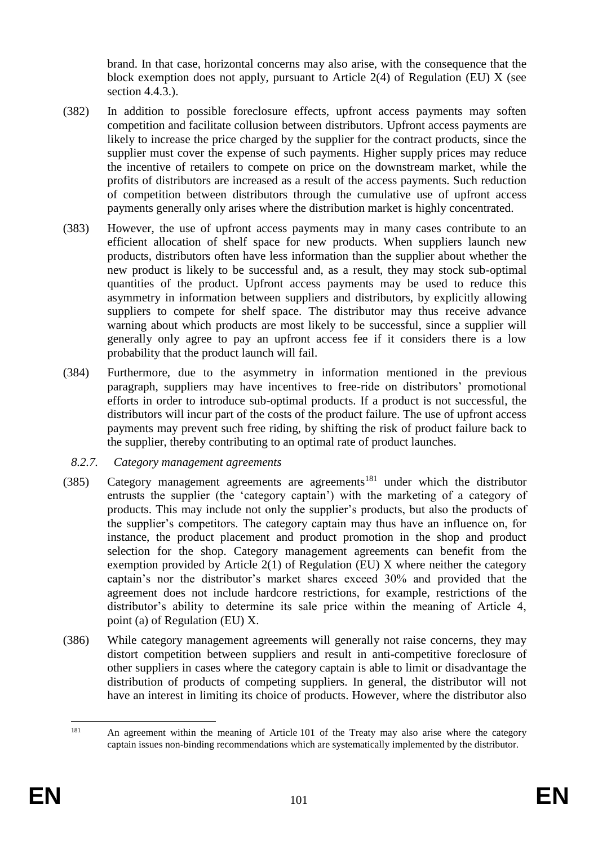brand. In that case, horizontal concerns may also arise, with the consequence that the block exemption does not apply, pursuant to Article 2(4) of Regulation (EU) X (see section 4.4.3.).

- (382) In addition to possible foreclosure effects, upfront access payments may soften competition and facilitate collusion between distributors. Upfront access payments are likely to increase the price charged by the supplier for the contract products, since the supplier must cover the expense of such payments. Higher supply prices may reduce the incentive of retailers to compete on price on the downstream market, while the profits of distributors are increased as a result of the access payments. Such reduction of competition between distributors through the cumulative use of upfront access payments generally only arises where the distribution market is highly concentrated.
- (383) However, the use of upfront access payments may in many cases contribute to an efficient allocation of shelf space for new products. When suppliers launch new products, distributors often have less information than the supplier about whether the new product is likely to be successful and, as a result, they may stock sub-optimal quantities of the product. Upfront access payments may be used to reduce this asymmetry in information between suppliers and distributors, by explicitly allowing suppliers to compete for shelf space. The distributor may thus receive advance warning about which products are most likely to be successful, since a supplier will generally only agree to pay an upfront access fee if it considers there is a low probability that the product launch will fail.
- (384) Furthermore, due to the asymmetry in information mentioned in the previous paragraph, suppliers may have incentives to free-ride on distributors' promotional efforts in order to introduce sub-optimal products. If a product is not successful, the distributors will incur part of the costs of the product failure. The use of upfront access payments may prevent such free riding, by shifting the risk of product failure back to the supplier, thereby contributing to an optimal rate of product launches.
	- *8.2.7. Category management agreements*
- $(385)$  Category management agreements are agreements<sup>181</sup> under which the distributor entrusts the supplier (the 'category captain') with the marketing of a category of products. This may include not only the supplier's products, but also the products of the supplier's competitors. The category captain may thus have an influence on, for instance, the product placement and product promotion in the shop and product selection for the shop. Category management agreements can benefit from the exemption provided by Article  $2(1)$  of Regulation (EU) X where neither the category captain's nor the distributor's market shares exceed 30% and provided that the agreement does not include hardcore restrictions, for example, restrictions of the distributor's ability to determine its sale price within the meaning of Article 4, point (a) of Regulation (EU) X.
- (386) While category management agreements will generally not raise concerns, they may distort competition between suppliers and result in anti-competitive foreclosure of other suppliers in cases where the category captain is able to limit or disadvantage the distribution of products of competing suppliers. In general, the distributor will not have an interest in limiting its choice of products. However, where the distributor also

<sup>181</sup> <sup>181</sup> An agreement within the meaning of Article 101 of the Treaty may also arise where the category captain issues non-binding recommendations which are systematically implemented by the distributor.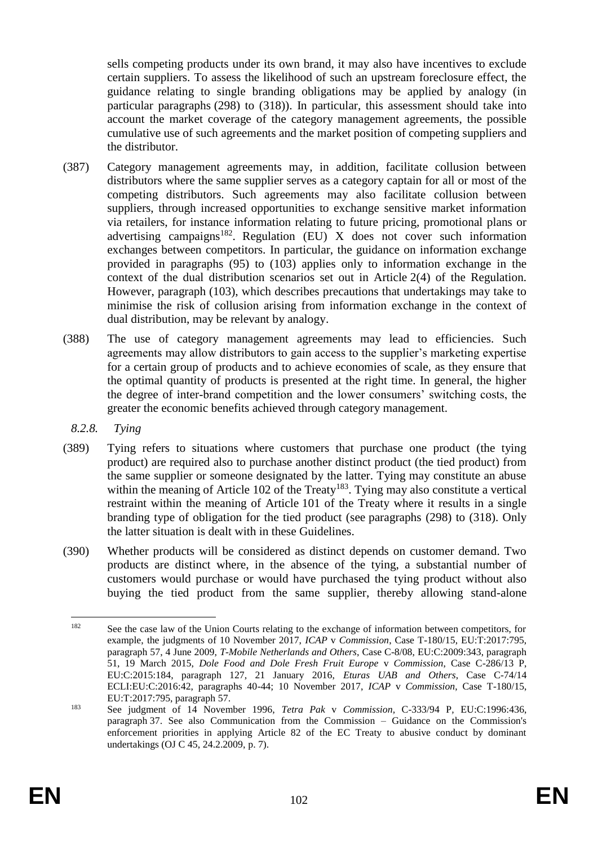sells competing products under its own brand, it may also have incentives to exclude certain suppliers. To assess the likelihood of such an upstream foreclosure effect, the guidance relating to single branding obligations may be applied by analogy (in particular paragraphs (298) to (318)). In particular, this assessment should take into account the market coverage of the category management agreements, the possible cumulative use of such agreements and the market position of competing suppliers and the distributor.

- (387) Category management agreements may, in addition, facilitate collusion between distributors where the same supplier serves as a category captain for all or most of the competing distributors. Such agreements may also facilitate collusion between suppliers, through increased opportunities to exchange sensitive market information via retailers, for instance information relating to future pricing, promotional plans or advertising campaigns<sup>182</sup>. Regulation (EU)  $X$  does not cover such information exchanges between competitors. In particular, the guidance on information exchange provided in paragraphs (95) to (103) applies only to information exchange in the context of the dual distribution scenarios set out in Article 2(4) of the Regulation. However, paragraph (103), which describes precautions that undertakings may take to minimise the risk of collusion arising from information exchange in the context of dual distribution, may be relevant by analogy.
- (388) The use of category management agreements may lead to efficiencies. Such agreements may allow distributors to gain access to the supplier's marketing expertise for a certain group of products and to achieve economies of scale, as they ensure that the optimal quantity of products is presented at the right time. In general, the higher the degree of inter-brand competition and the lower consumers' switching costs, the greater the economic benefits achieved through category management.
	- *8.2.8. Tying*
- (389) Tying refers to situations where customers that purchase one product (the tying product) are required also to purchase another distinct product (the tied product) from the same supplier or someone designated by the latter. Tying may constitute an abuse within the meaning of Article 102 of the Treaty<sup>183</sup>. Tying may also constitute a vertical restraint within the meaning of Article 101 of the Treaty where it results in a single branding type of obligation for the tied product (see paragraphs (298) to (318). Only the latter situation is dealt with in these Guidelines.
- (390) Whether products will be considered as distinct depends on customer demand. Two products are distinct where, in the absence of the tying, a substantial number of customers would purchase or would have purchased the tying product without also buying the tied product from the same supplier, thereby allowing stand-alone

<sup>1</sup> <sup>182</sup> See the case law of the Union Courts relating to the exchange of information between competitors, for example, the judgments of 10 November 2017, *ICAP* v *Commission*, Case T-180/15, EU:T:2017:795, paragraph 57, 4 June 2009, *T-Mobile Netherlands and Others*, Case C-8/08, EU:C:2009:343, paragraph 51, 19 March 2015, *Dole Food and Dole Fresh Fruit Europe* v *Commission*, Case C-286/13 P, EU:C:2015:184, paragraph 127, 21 January 2016, *Eturas UAB and Others*, Case C-74/14 ECLI:EU:C:2016:42, paragraphs 40-44; 10 November 2017, *ICAP* v *Commission*, Case T-180/15, EU:T:2017:795, paragraph 57.

<sup>183</sup> See judgment of 14 November 1996, *Tetra Pak* v *Commission,* C-333/94 P*,* EU:C:1996:436, paragraph 37. See also Communication from the Commission – Guidance on the Commission's enforcement priorities in applying Article 82 of the EC Treaty to abusive conduct by dominant undertakings (OJ C 45, 24.2.2009, p. 7).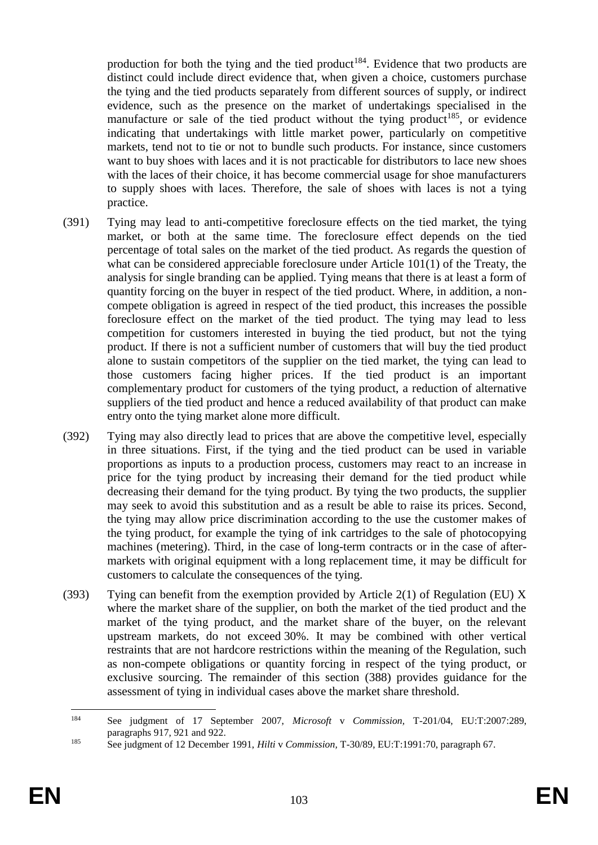production for both the tying and the tied product<sup>184</sup>. Evidence that two products are distinct could include direct evidence that, when given a choice, customers purchase the tying and the tied products separately from different sources of supply, or indirect evidence, such as the presence on the market of undertakings specialised in the manufacture or sale of the tied product without the tying product<sup>185</sup>, or evidence indicating that undertakings with little market power, particularly on competitive markets, tend not to tie or not to bundle such products. For instance, since customers want to buy shoes with laces and it is not practicable for distributors to lace new shoes with the laces of their choice, it has become commercial usage for shoe manufacturers to supply shoes with laces. Therefore, the sale of shoes with laces is not a tying practice.

- (391) Tying may lead to anti-competitive foreclosure effects on the tied market, the tying market, or both at the same time. The foreclosure effect depends on the tied percentage of total sales on the market of the tied product. As regards the question of what can be considered appreciable foreclosure under Article 101(1) of the Treaty, the analysis for single branding can be applied. Tying means that there is at least a form of quantity forcing on the buyer in respect of the tied product. Where, in addition, a noncompete obligation is agreed in respect of the tied product, this increases the possible foreclosure effect on the market of the tied product. The tying may lead to less competition for customers interested in buying the tied product, but not the tying product. If there is not a sufficient number of customers that will buy the tied product alone to sustain competitors of the supplier on the tied market, the tying can lead to those customers facing higher prices. If the tied product is an important complementary product for customers of the tying product, a reduction of alternative suppliers of the tied product and hence a reduced availability of that product can make entry onto the tying market alone more difficult.
- (392) Tying may also directly lead to prices that are above the competitive level, especially in three situations. First, if the tying and the tied product can be used in variable proportions as inputs to a production process, customers may react to an increase in price for the tying product by increasing their demand for the tied product while decreasing their demand for the tying product. By tying the two products, the supplier may seek to avoid this substitution and as a result be able to raise its prices. Second, the tying may allow price discrimination according to the use the customer makes of the tying product, for example the tying of ink cartridges to the sale of photocopying machines (metering). Third, in the case of long-term contracts or in the case of aftermarkets with original equipment with a long replacement time, it may be difficult for customers to calculate the consequences of the tying.
- (393) Tying can benefit from the exemption provided by Article 2(1) of Regulation (EU) X where the market share of the supplier, on both the market of the tied product and the market of the tying product, and the market share of the buyer, on the relevant upstream markets, do not exceed 30%. It may be combined with other vertical restraints that are not hardcore restrictions within the meaning of the Regulation, such as non-compete obligations or quantity forcing in respect of the tying product, or exclusive sourcing. The remainder of this section (388) provides guidance for the assessment of tying in individual cases above the market share threshold.

<sup>184</sup> <sup>184</sup> See judgment of 17 September 2007, *Microsoft* v *Commission,* T-201/04, EU:T:2007:289, paragraphs 917, 921 and 922.

<sup>185</sup> See judgment of 12 December 1991, *Hilti* v *Commission,* T-30/89, EU:T:1991:70, paragraph 67.